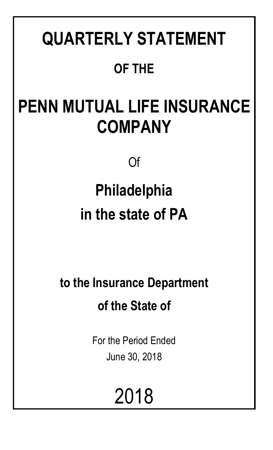# **QUARTERLY STATEMENT OF THE**

# **PENN MUTUAL LIFE INSURANCE COMPANY**

Of

# **Philadelphia in the state of PA**

**to the Insurance Department of the State of**

> For the Period Ended June 30, 2018

> > 2018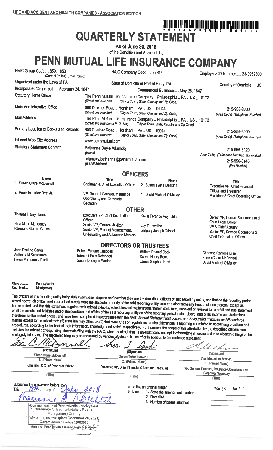## חות וחון וחום וועל מנה הוא מיון היום וחול וחון היום וחום היום היום היום היום היום וחום וחום ווים.<br>היום וחון מחם מותא מכן היום היום היום מיום היום מיום היום להתא מכן היום היום היום היום להיום היום היום היום הי **QUARTERLY STATEMENT**

As of June 30, 2018 of the Condition and Affairs of the

PENN MUTUAL LIFE INSURANCE COMPANY

| NAIC Group Code,850, 850<br>(Current Period) (Prior Period)          | NAIC Company Code 67644                                                                           |                                                                                                                    | Employer's ID Number 23-0952300                                                    |
|----------------------------------------------------------------------|---------------------------------------------------------------------------------------------------|--------------------------------------------------------------------------------------------------------------------|------------------------------------------------------------------------------------|
| Organized under the Laws of PA                                       |                                                                                                   | State of Domicile or Port of Entry PA                                                                              | <b>Country of Domicile</b><br>US.                                                  |
| Incorporated/Organized February 24, 1847                             |                                                                                                   | Commenced Business May 25, 1847                                                                                    |                                                                                    |
| <b>Statutory Home Office</b>                                         | The Penn Mutual Life insurance Company  Philadelphia  PA  US  19172                               |                                                                                                                    |                                                                                    |
| Main Administrative Office                                           | 600 Dresher Road  Horsham  PA  US  19044<br>(Street and Number)                                   | (City or Town, State, Country and Zip Code)<br>(City or Town, State, Country and Zip Code)                         | 215-956-8000<br>(Area Code) (Telephone Number)                                     |
| <b>Mail Address</b>                                                  | (Street and Number or P.O. Box)                                                                   | The Penn Mutual Life Insurance Company  Philadelphia  PA  US  19172<br>(City or Town, State, Country and Zip Code) |                                                                                    |
| Primary Location of Books and Records                                | 600 Dresher Road  Horsham  PA  US  19044<br>(Street and Number)                                   | (City or Town, State, Country and Zip Code)                                                                        | 215-956-8000<br>(Area Code) (Telephone Number)                                     |
| Internet Web Site Address                                            | www.pennmutual.com                                                                                |                                                                                                                    |                                                                                    |
| <b>Statutory Statement Contact</b>                                   | Bethanne Doyle Adamsky<br>(Name)                                                                  |                                                                                                                    | 215-956-8120<br>(Area Code) (Telephone Number) (Extension)                         |
|                                                                      | 215-956-8145<br>(Fax Number)                                                                      |                                                                                                                    |                                                                                    |
|                                                                      | <b>OFFICERS</b>                                                                                   |                                                                                                                    |                                                                                    |
| <b>Name</b>                                                          | <b>Title</b>                                                                                      | <b>Name</b>                                                                                                        |                                                                                    |
| 1. Eileen Claire McDonnell                                           | Chairman & Chief Executive Officer                                                                | 2. Susan Twine Deakins                                                                                             | <b>Title</b><br>Executive VP, Chief Financial<br>Officer and Treasurer             |
| 3. Franklin Luther Best Jr.                                          | VP, General Counsel, Insurance<br>Operations, and Corporate<br>Secretary                          | 4 David Michael O'Malley                                                                                           | President & Chief Operating Officer                                                |
|                                                                      | <b>OTHER</b>                                                                                      |                                                                                                                    |                                                                                    |
| Thomas Henry Harris                                                  | Executive VP, Chief Distribution<br>Officer                                                       | Kevin Terance Reynolds                                                                                             | Senior VP, Human Resources and<br>Chief Legal Officer                              |
| Nina Marie Mulrooney<br>Raymond Gerard Caucci                        | Senior VP, General Auditor<br>Senior VP, Product Management,<br>Underwriting and Advanced Markets | Jay T Lewellen<br>Gregory Joseph Driscoll                                                                          | VP & Chief Actuary<br>Senior VP, Service Operations &<br>Chief Information Officer |
|                                                                      | <b>DIRECTORS OR TRUSTEES</b>                                                                      |                                                                                                                    |                                                                                    |
| Joan Pauline Carter<br>Anthony M Santomero<br>Helen Pomerantz Pudlin | Robert Eugene Chappell<br><b>Edmond Felix Notebaert</b><br>Susan Doenges Waring                   | William Roland Cook<br>Robert Henry Rock<br>James Stephen Hunt                                                     | Charisse Ranielle Lillie<br>Eileen Claire McDonnell<br>David Michael O'Malley      |

State of Pennsylvania County of..... Montgomery

The officers of this reporting entity being duly swom, each depose and say that they are the described officers of said reporting entity, and that on the reporting period stated above, all of the herein described assets were the absolute property of the said reporting entity, free and clear from any liens or claims thereon, except as herein stated, and that this statement, together with related exhibits, schedules and explanations therein contained, annexed or referred to, is a full and true statement of all the assets and liabilities and of the condition and affairs of the said reporting entity as of the reporting period stated above, and of its income and deductions therefrom for the period ended, and have been completed in accordance with the NAIC Annual Statement Instructions and Accounting Practices and Procedures manual except to the extent that: (1) state law may differ; or, (2) that state rules or regulations require differences in reporting not related to accounting practices and procedures, according to the best of their information, knowledge and belief, respectively. Furthermore, the scope of this attestation by the described officers also includes the related corresponding electronic filing with the NAIC, when required, that is an exact copy (except for formatting differences due to electronic filing) of the enclosed-statement. The electronic filing may be requested by various required, that is an exact copy (except for formatting difference), and the statement of the enclosed statement. A Mi

| (Signature)<br>Eileen Claire McDonnell<br>1. (Printed Name)<br>Chairman & Chief Executive Officer                                                                                                                                                                                           | (Signature)<br><b>Susan Twine Deakins</b><br>2. (Printed Name)<br>Executive VP, Chief Financial Officer and Treasurer        | (Signature)<br>Franklin Luther Best Jr.<br>3. (Printed Name)<br>VP, General Counsel, Insurance Operations, and |
|---------------------------------------------------------------------------------------------------------------------------------------------------------------------------------------------------------------------------------------------------------------------------------------------|------------------------------------------------------------------------------------------------------------------------------|----------------------------------------------------------------------------------------------------------------|
| (Title)                                                                                                                                                                                                                                                                                     | (Title)                                                                                                                      | <b>Corporate Secretary</b><br>(Title)                                                                          |
| Subscribed and sworn to before men<br>This<br>Mu<br>day of<br>Commonwealth of Pennsylvania - Notary Seal<br>Marianne C. Bechtel, Notary Public<br>Montgomery County<br>My commission expires December 26, 2021<br>Commission number 1908805<br>Member, Pennsylvania Association of Networks | a. Is this an original filing?<br>b. If no:<br>1. State the amendment number<br>2. Date filed<br>3. Number of pages attached | Yes $[X]$<br>No [ ]                                                                                            |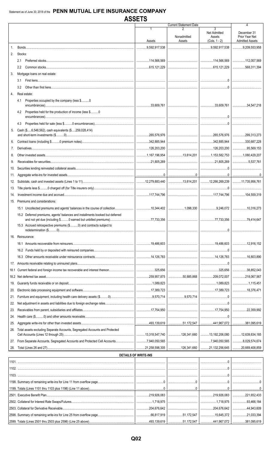|             |                                                                                                                                                 | AUUL I U                    |                               |                                                                                                                                                                                                                                                                                                                                                                             |                                                         |
|-------------|-------------------------------------------------------------------------------------------------------------------------------------------------|-----------------------------|-------------------------------|-----------------------------------------------------------------------------------------------------------------------------------------------------------------------------------------------------------------------------------------------------------------------------------------------------------------------------------------------------------------------------|---------------------------------------------------------|
|             |                                                                                                                                                 |                             | <b>Current Statement Date</b> | 3                                                                                                                                                                                                                                                                                                                                                                           | 4                                                       |
|             |                                                                                                                                                 | Assets                      | Nonadmitted<br>Assets         | <b>Net Admitted</b><br>Assets<br>$(Cols. 1 - 2)$                                                                                                                                                                                                                                                                                                                            | December 31<br>Prior Year Net<br><b>Admitted Assets</b> |
| $1_{-}$     |                                                                                                                                                 | 3,592,917,538               |                               | 9,592,917,538                                                                                                                                                                                                                                                                                                                                                               | 9,209,553,958                                           |
| 2.          | Stocks:                                                                                                                                         |                             |                               |                                                                                                                                                                                                                                                                                                                                                                             |                                                         |
|             | 2.1                                                                                                                                             |                             |                               |                                                                                                                                                                                                                                                                                                                                                                             |                                                         |
|             | $2.2^{\circ}$                                                                                                                                   |                             |                               |                                                                                                                                                                                                                                                                                                                                                                             |                                                         |
| 3.          | Mortgage loans on real estate:                                                                                                                  |                             |                               |                                                                                                                                                                                                                                                                                                                                                                             |                                                         |
|             | 3.1                                                                                                                                             |                             |                               |                                                                                                                                                                                                                                                                                                                                                                             |                                                         |
|             | 3.2                                                                                                                                             |                             |                               | $\begin{picture}(20,10) \put(0,0){\vector(1,0){10}} \put(15,0){\vector(1,0){10}} \put(15,0){\vector(1,0){10}} \put(15,0){\vector(1,0){10}} \put(15,0){\vector(1,0){10}} \put(15,0){\vector(1,0){10}} \put(15,0){\vector(1,0){10}} \put(15,0){\vector(1,0){10}} \put(15,0){\vector(1,0){10}} \put(15,0){\vector(1,0){10}} \put(15,0){\vector(1,0){10}} \put(15,0){\vector(1$ |                                                         |
| $4_{\cdot}$ | Real estate:                                                                                                                                    |                             |                               |                                                                                                                                                                                                                                                                                                                                                                             |                                                         |
|             | Properties occupied by the company (less \$0<br>4.1                                                                                             |                             |                               |                                                                                                                                                                                                                                                                                                                                                                             |                                                         |
|             |                                                                                                                                                 |                             |                               |                                                                                                                                                                                                                                                                                                                                                                             |                                                         |
|             | Properties held for the production of income (less \$0<br>4.2                                                                                   |                             |                               |                                                                                                                                                                                                                                                                                                                                                                             |                                                         |
|             | 4.3                                                                                                                                             |                             |                               |                                                                                                                                                                                                                                                                                                                                                                             |                                                         |
| 5.          | Cash (\$6,548,562), cash equivalents (\$259,028,414)                                                                                            |                             |                               |                                                                                                                                                                                                                                                                                                                                                                             |                                                         |
|             |                                                                                                                                                 |                             |                               |                                                                                                                                                                                                                                                                                                                                                                             |                                                         |
| 6.          |                                                                                                                                                 |                             |                               |                                                                                                                                                                                                                                                                                                                                                                             | $\ldots$ 330,687,228                                    |
| 7.          |                                                                                                                                                 |                             |                               |                                                                                                                                                                                                                                                                                                                                                                             | 95,569,153                                              |
| 8.          |                                                                                                                                                 |                             |                               |                                                                                                                                                                                                                                                                                                                                                                             |                                                         |
| 9.          |                                                                                                                                                 |                             |                               |                                                                                                                                                                                                                                                                                                                                                                             | 5,537.761                                               |
| 10.         |                                                                                                                                                 |                             |                               |                                                                                                                                                                                                                                                                                                                                                                             |                                                         |
| 11.         |                                                                                                                                                 |                             |                               |                                                                                                                                                                                                                                                                                                                                                                             |                                                         |
| 12.         |                                                                                                                                                 |                             |                               |                                                                                                                                                                                                                                                                                                                                                                             |                                                         |
| 13.         |                                                                                                                                                 |                             |                               |                                                                                                                                                                                                                                                                                                                                                                             |                                                         |
| 14.         |                                                                                                                                                 |                             |                               |                                                                                                                                                                                                                                                                                                                                                                             |                                                         |
| 15.         | Premiums and considerations:                                                                                                                    |                             |                               |                                                                                                                                                                                                                                                                                                                                                                             |                                                         |
|             |                                                                                                                                                 |                             |                               |                                                                                                                                                                                                                                                                                                                                                                             |                                                         |
|             | 15.2 Deferred premiums, agents' balances and installments booked but deferred<br>and not yet due (including \$ 0 earned but unbilled premiums). | .77.733.356                 |                               | 77,733,356                                                                                                                                                                                                                                                                                                                                                                  | 79 414 647                                              |
|             | 15.3 Accrued retrospective premiums (\$0) and contracts subject to                                                                              |                             |                               |                                                                                                                                                                                                                                                                                                                                                                             |                                                         |
|             | 16. Reinsurance:                                                                                                                                |                             |                               |                                                                                                                                                                                                                                                                                                                                                                             |                                                         |
|             |                                                                                                                                                 |                             |                               |                                                                                                                                                                                                                                                                                                                                                                             |                                                         |
|             |                                                                                                                                                 |                             |                               |                                                                                                                                                                                                                                                                                                                                                                             |                                                         |
|             |                                                                                                                                                 |                             |                               |                                                                                                                                                                                                                                                                                                                                                                             |                                                         |
| 17.         |                                                                                                                                                 |                             |                               |                                                                                                                                                                                                                                                                                                                                                                             |                                                         |
| 18.1        |                                                                                                                                                 |                             |                               |                                                                                                                                                                                                                                                                                                                                                                             | 38,852,043                                              |
|             |                                                                                                                                                 |                             |                               |                                                                                                                                                                                                                                                                                                                                                                             | $\ldots$ 218,067,567                                    |
| 19.         |                                                                                                                                                 |                             |                               |                                                                                                                                                                                                                                                                                                                                                                             | 1,115,451                                               |
| 20.         |                                                                                                                                                 |                             |                               |                                                                                                                                                                                                                                                                                                                                                                             |                                                         |
| 21.         |                                                                                                                                                 |                             |                               |                                                                                                                                                                                                                                                                                                                                                                             |                                                         |
| 22.         |                                                                                                                                                 |                             |                               |                                                                                                                                                                                                                                                                                                                                                                             |                                                         |
| 23.         |                                                                                                                                                 |                             |                               |                                                                                                                                                                                                                                                                                                                                                                             |                                                         |
| 24.         |                                                                                                                                                 |                             |                               |                                                                                                                                                                                                                                                                                                                                                                             |                                                         |
| 25.         |                                                                                                                                                 |                             |                               |                                                                                                                                                                                                                                                                                                                                                                             |                                                         |
| 26.         | Total assets excluding Separate Accounts, Segregated Accounts and Protected                                                                     |                             |                               |                                                                                                                                                                                                                                                                                                                                                                             |                                                         |
| 27.         |                                                                                                                                                 |                             |                               |                                                                                                                                                                                                                                                                                                                                                                             |                                                         |
| 28.         |                                                                                                                                                 |                             |                               |                                                                                                                                                                                                                                                                                                                                                                             |                                                         |
|             |                                                                                                                                                 | <b>DETAILS OF WRITE-INS</b> |                               |                                                                                                                                                                                                                                                                                                                                                                             |                                                         |
|             |                                                                                                                                                 |                             |                               |                                                                                                                                                                                                                                                                                                                                                                             |                                                         |
|             |                                                                                                                                                 |                             |                               |                                                                                                                                                                                                                                                                                                                                                                             |                                                         |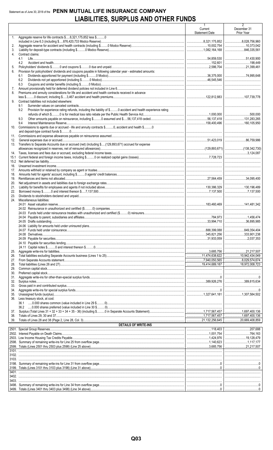## Statement as of June 30, 2018 of the PENN MUTUAL LIFE INSURANCE COMPANY **LIABILITIES, SURPLUS AND OTHER FUNDS**

|             |                                                                                                                       | $\mathbf{1}$<br>Current<br><b>Statement Date</b> | $\overline{2}$<br>December 31<br>Prior Year |
|-------------|-----------------------------------------------------------------------------------------------------------------------|--------------------------------------------------|---------------------------------------------|
| 1.          | Aggregate reserve for life contracts \$8,321,175,852 less \$0                                                         |                                                  |                                             |
| 2.          |                                                                                                                       | $\ldots$ 8,321,175,852                           | $\ldots$ 8,028,756,960                      |
| 3.          |                                                                                                                       |                                                  | 846.335.561                                 |
| 4.          | Contract claims:                                                                                                      |                                                  |                                             |
|             | 4.1                                                                                                                   | 54,859,530                                       | 51,430,900                                  |
| 5.          | 4.2                                                                                                                   |                                                  | 21,399,461                                  |
| 6.          | Provision for policyholders' dividends and coupons payable in following calendar year - estimated amounts:            |                                                  |                                             |
|             | 6.1                                                                                                                   |                                                  |                                             |
|             | 6.2<br>6.3                                                                                                            |                                                  |                                             |
| 7.          |                                                                                                                       |                                                  |                                             |
| 8.          | Premiums and annuity considerations for life and accident and health contracts received in advance                    |                                                  |                                             |
|             |                                                                                                                       |                                                  |                                             |
| 9.          | Contract liabilities not included elsewhere:<br>9.1                                                                   |                                                  |                                             |
|             | Provision for experience rating refunds, including the liability of \$ O accident and health experience rating<br>9.2 |                                                  |                                             |
|             |                                                                                                                       |                                                  |                                             |
|             | 9.3                                                                                                                   |                                                  |                                             |
| 10.         | 9.4<br>Commissions to agents due or accrued - life and annuity contracts \$0, accident and health \$0                 |                                                  |                                             |
|             |                                                                                                                       |                                                  |                                             |
| 11.         |                                                                                                                       |                                                  |                                             |
| 12.<br>13.  | Transfers to Separate Accounts due or accrued (net) (including \$(129,893,671) accrued for expense                    |                                                  |                                             |
|             |                                                                                                                       |                                                  |                                             |
| 14.         |                                                                                                                       |                                                  |                                             |
| 15.1        |                                                                                                                       |                                                  |                                             |
| 15.2<br>16. |                                                                                                                       |                                                  |                                             |
| 17.         |                                                                                                                       |                                                  |                                             |
| 18.         |                                                                                                                       |                                                  |                                             |
| 19.         |                                                                                                                       |                                                  |                                             |
| 20.<br>21.  |                                                                                                                       |                                                  |                                             |
| 22.         |                                                                                                                       |                                                  |                                             |
| 23.         |                                                                                                                       |                                                  |                                             |
| 24.         | Miscellaneous liabilities:                                                                                            |                                                  |                                             |
|             |                                                                                                                       |                                                  |                                             |
|             |                                                                                                                       |                                                  |                                             |
|             |                                                                                                                       |                                                  |                                             |
|             |                                                                                                                       |                                                  |                                             |
|             |                                                                                                                       |                                                  | $\ldots$ 849,354,404                        |
|             |                                                                                                                       | 345,821,256                                      | 333,901,238                                 |
|             |                                                                                                                       |                                                  |                                             |
|             |                                                                                                                       |                                                  |                                             |
| 25.         |                                                                                                                       |                                                  |                                             |
| 26.         |                                                                                                                       |                                                  | 10,942,434,049                              |
| 27.<br>28.  |                                                                                                                       |                                                  | $\ldots$ 8,029,574,674<br>18,972,008,723    |
| 29.         |                                                                                                                       |                                                  |                                             |
| 30.         |                                                                                                                       |                                                  |                                             |
| 31.<br>32.  |                                                                                                                       |                                                  |                                             |
| 33.         |                                                                                                                       |                                                  |                                             |
| 34.         |                                                                                                                       |                                                  |                                             |
| 35.         |                                                                                                                       |                                                  |                                             |
| 36.         | Less treasury stock, at cost:                                                                                         |                                                  |                                             |
|             |                                                                                                                       |                                                  |                                             |
| 37.         |                                                                                                                       |                                                  | 1,697,400,136                               |
| 38.<br>39.  |                                                                                                                       |                                                  | 1,697,400,136<br>20,669,408,859             |
|             | <b>DETAILS OF WRITE-INS</b>                                                                                           |                                                  |                                             |
|             |                                                                                                                       |                                                  |                                             |
|             |                                                                                                                       |                                                  |                                             |
|             |                                                                                                                       |                                                  |                                             |
|             |                                                                                                                       |                                                  |                                             |
|             |                                                                                                                       |                                                  |                                             |
|             |                                                                                                                       |                                                  |                                             |
|             |                                                                                                                       |                                                  |                                             |
|             |                                                                                                                       |                                                  |                                             |
|             |                                                                                                                       |                                                  |                                             |
|             |                                                                                                                       |                                                  |                                             |
|             |                                                                                                                       |                                                  |                                             |
|             |                                                                                                                       |                                                  |                                             |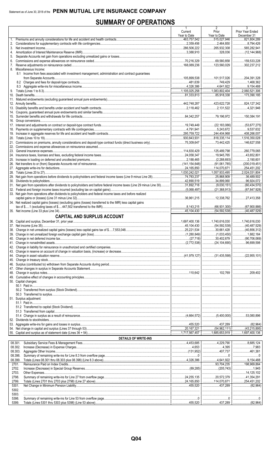## **SUMMARY OF OPERATIONS**

|                                                                                                              | 1<br>Current         | 2<br>Prior                                      | 3<br>Prior Year Ended                 |
|--------------------------------------------------------------------------------------------------------------|----------------------|-------------------------------------------------|---------------------------------------|
|                                                                                                              | Year to Date         | Year to Date                                    | December 31                           |
| 1.                                                                                                           | $\ldots$ 2,359,456   | $\frac{1}{2}$ 515,027,946<br>$\ldots$ 2,464,850 | 821,804,289<br>8.794.426              |
|                                                                                                              | $\ldots$ 286,506,222 | $\ldots$ 265,932,308                            | 565,282,941                           |
| 4.                                                                                                           |                      | 328,036                                         |                                       |
| 5.                                                                                                           |                      |                                                 |                                       |
| 6.                                                                                                           |                      | $\ldots$ 69,580,858<br>123.560.029              | 159,533,228<br>302.237.212            |
| 8. Miscellaneous Income:                                                                                     |                      |                                                 |                                       |
| 8.1 Income from fees associated with investment management, administration and contract guarantees           |                      |                                                 |                                       |
|                                                                                                              | 105,899,538          | 101,517,026                                     | 204,391,328                           |
|                                                                                                              | 481,639              | 4.641.922                                       | 1,468,362<br>9,154,488                |
|                                                                                                              | 1,105,025,258        | 1,083,802,404                                   | 2,060,521,306                         |
|                                                                                                              |                      | 85,918,338                                      | 173,390,185                           |
|                                                                                                              |                      |                                                 |                                       |
|                                                                                                              |                      | 1.11111423.622.728<br>2.131.522                 | 824,127,342                           |
|                                                                                                              |                      |                                                 |                                       |
|                                                                                                              |                      |                                                 |                                       |
|                                                                                                              |                      |                                                 |                                       |
|                                                                                                              |                      |                                                 |                                       |
|                                                                                                              | 295.759.722          | 5,243,672                                       | 9,537,632                             |
|                                                                                                              |                      | $\dots$ 818,335,114   1,516,350,028             |                                       |
|                                                                                                              |                      | 73,442,425                                      | 146,627,558                           |
|                                                                                                              |                      |                                                 |                                       |
|                                                                                                              |                      | 125.489.798                                     | 260,779,065                           |
|                                                                                                              |                      | 19,945,765                                      |                                       |
|                                                                                                              |                      | $\ldots$ (91,061,785)                           | $\ldots$ (200,019,451)                |
|                                                                                                              |                      | 114,070,871                                     | 254,451,202                           |
|                                                                                                              |                      | 1,057,933,495                                   | $\ldots$ 2,024,031,804                |
|                                                                                                              |                      | 25,868,909                                      | 36,489,502                            |
|                                                                                                              |                      | $\ldots$ 34,899,060                             | $$ 96,924,072<br>(60, 434, 570)<br>.  |
|                                                                                                              |                      |                                                 |                                       |
| 33. Net gain from operations after dividends to policyholders and federal income taxes and before realized   |                      |                                                 |                                       |
|                                                                                                              |                      |                                                 | $1$ 27,413,358                        |
| 34. Net realized capital gains (losses) (excluding gains (losses) transferred to the IMR) less capital gains |                      |                                                 |                                       |
|                                                                                                              |                      | $\overline{\ldots}$ $(54,592,538)$              | (67,900,886)<br>$\ldots$ (40,487,529) |
| <b>CAPITAL AND SURPLUS ACCOUNT</b>                                                                           |                      |                                                 |                                       |
|                                                                                                              |                      | $\ldots$ 1,740,616,030   1,740,616,030          |                                       |
|                                                                                                              |                      | (54,592,538)   (40,487,529)                     |                                       |
|                                                                                                              |                      |                                                 |                                       |
|                                                                                                              |                      |                                                 |                                       |
|                                                                                                              |                      |                                                 |                                       |
|                                                                                                              |                      |                                                 |                                       |
|                                                                                                              |                      |                                                 |                                       |
|                                                                                                              |                      |                                                 |                                       |
|                                                                                                              |                      |                                                 |                                       |
|                                                                                                              |                      |                                                 |                                       |
|                                                                                                              |                      |                                                 |                                       |
|                                                                                                              |                      |                                                 |                                       |
| 50. Capital changes:                                                                                         |                      |                                                 |                                       |
|                                                                                                              |                      |                                                 |                                       |
|                                                                                                              |                      |                                                 |                                       |
| 51. Surplus adjustment:                                                                                      |                      |                                                 |                                       |
|                                                                                                              |                      |                                                 |                                       |
|                                                                                                              |                      |                                                 |                                       |
|                                                                                                              |                      |                                                 |                                       |
|                                                                                                              |                      |                                                 |                                       |
|                                                                                                              |                      |                                                 |                                       |
|                                                                                                              |                      |                                                 |                                       |
|                                                                                                              |                      |                                                 |                                       |
| <b>DETAILS OF WRITE-INS</b>                                                                                  |                      |                                                 |                                       |
| 08.301.                                                                                                      |                      |                                                 |                                       |
| 08.302.<br>08.303.                                                                                           |                      |                                                 |                                       |
| 08.398.                                                                                                      |                      |                                                 |                                       |
| 08.399.                                                                                                      |                      |                                                 |                                       |
| 2701.                                                                                                        |                      |                                                 |                                       |
| 2702.                                                                                                        |                      |                                                 |                                       |
| 2703.<br>2798.                                                                                               |                      |                                                 |                                       |
| 2799.                                                                                                        |                      |                                                 |                                       |
| 5301.                                                                                                        |                      |                                                 |                                       |
| 5302.                                                                                                        |                      |                                                 |                                       |
| 5303.                                                                                                        |                      |                                                 |                                       |
| 5398.<br>5399.                                                                                               |                      |                                                 |                                       |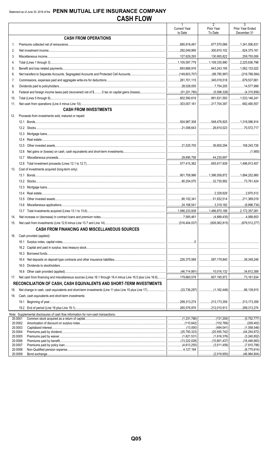|     |                                                                                                                             | $\mathbf{1}$           | $\overline{2}$         | $\overline{3}$                      |
|-----|-----------------------------------------------------------------------------------------------------------------------------|------------------------|------------------------|-------------------------------------|
|     |                                                                                                                             | <b>Current Year</b>    | Prior Year             | Prior Year Ended                    |
|     | <b>CASH FROM OPERATIONS</b>                                                                                                 | to Date                | To Date                | December 31                         |
|     |                                                                                                                             |                        |                        |                                     |
| 1.  |                                                                                                                             | $\ldots$ 685,918,491   | $\ldots$ 677,570,066   | 1,341,506,631                       |
| 2.  |                                                                                                                             | 292,049,995<br>.       | $\ldots$ 300,810,102   | $\ldots$ 624,375,161                |
| 3.  |                                                                                                                             |                        |                        | 259,755,006                         |
| 4.  |                                                                                                                             |                        | 1,109,335,990          | $\ldots$ 2,225,636,798              |
| 5.  |                                                                                                                             |                        |                        | $\ldots$ 1,062,133,022              |
| 6.  |                                                                                                                             |                        |                        | $\ldots$ (218,786,584)              |
| 7.  |                                                                                                                             |                        | 345,018,518            | $\ldots$ 679,537,661                |
| 8.  |                                                                                                                             |                        |                        | 14,577,998                          |
| 9.  |                                                                                                                             |                        |                        |                                     |
| 10. |                                                                                                                             |                        | 391,631,593            | 1, 533, 146, 241                    |
| 11. |                                                                                                                             |                        | $\ldots$ 217,704,397   | 692,490,557                         |
|     | <b>CASH FROM INVESTMENTS</b>                                                                                                |                        |                        |                                     |
| 12. | Proceeds from investments sold, matured or repaid:                                                                          |                        |                        |                                     |
|     |                                                                                                                             |                        |                        | 1,318,096,914                       |
|     |                                                                                                                             |                        |                        | 70,572,717                          |
|     |                                                                                                                             |                        |                        |                                     |
|     | 12.4                                                                                                                        |                        |                        |                                     |
|     | 12.5                                                                                                                        |                        |                        | $\ldots$ 108,245,726                |
|     | 12.6                                                                                                                        |                        |                        |                                     |
|     | 12.7                                                                                                                        |                        |                        |                                     |
|     |                                                                                                                             |                        |                        | $\ldots$ 1,496,913,457              |
| 13. | Cost of investments acquired (long-term only):                                                                              |                        |                        |                                     |
|     |                                                                                                                             |                        |                        | 1,894,252,860                       |
|     |                                                                                                                             |                        | 32,730,992             |                                     |
|     |                                                                                                                             |                        |                        |                                     |
|     | 13.4                                                                                                                        |                        |                        | 2,870,512                           |
|     | 13.5                                                                                                                        |                        |                        | 211,369,019                         |
|     | 13.6                                                                                                                        |                        | $\ldots$ 3,319,182     |                                     |
|     |                                                                                                                             |                        | 1,486,870,189          | $\ldots$ 2,172,357,081              |
| 14. |                                                                                                                             |                        |                        |                                     |
|     |                                                                                                                             | $\ldots$ (516,404,037) | $\ldots$ (826,062,815) |                                     |
|     | <b>CASH FROM FINANCING AND MISCELLANEOUS SOURCES</b>                                                                        |                        |                        |                                     |
| 16. | Cash provided (applied):                                                                                                    |                        |                        |                                     |
|     |                                                                                                                             |                        |                        |                                     |
|     |                                                                                                                             |                        |                        |                                     |
|     | 16.3                                                                                                                        |                        |                        |                                     |
|     | 16.4                                                                                                                        |                        |                        | 38,349,246                          |
|     | 16.5                                                                                                                        |                        |                        |                                     |
|     | 16.6                                                                                                                        |                        |                        | $\ldots$ 34,812,388                 |
| 17. |                                                                                                                             |                        |                        | 73,161,634<br>.                     |
|     | RECONCILIATION OF CASH, CASH EQUIVALENTS AND SHORT-TERM INVESTMENTS                                                         |                        |                        |                                     |
|     |                                                                                                                             |                        |                        |                                     |
| 18. | Net change in cash, cash equivalents and short-term investments (Line 11 plus Line 15 plus Line 17)(33,736,297) (1,162,446) |                        |                        | 86,139,915                          |
| 19. | Cash, cash equivalents and short-term investments:                                                                          |                        |                        |                                     |
|     |                                                                                                                             | 299,313,274            | 213,173,359            | .213,173,359<br>.                   |
|     |                                                                                                                             |                        |                        | .299,313,274<br>                    |
|     | Note: Supplemental disclosures of cash flow information for non-cash transactions:                                          |                        |                        |                                     |
|     | 20.0001<br>20.0002                                                                                                          |                        |                        | (5,752,777)<br>.<br>(209, 402)<br>. |
|     | 20.0003                                                                                                                     |                        | (494,041)<br>.         | (1,058,546)<br>.                    |
|     | 20.0004                                                                                                                     |                        | (20, 555, 742)         | (44, 254, 972)                      |
|     | 20.0005<br>20.0006                                                                                                          |                        | (1,616,376)<br>.       | (3,240,852)<br>.<br>(16,446,983)    |
|     | 20.0007                                                                                                                     |                        |                        |                                     |
|     | 20.0008                                                                                                                     |                        |                        |                                     |
|     | 20.0009<br>Bond exchange                                                                                                    |                        | (2.019.950)            | (46.984.804)                        |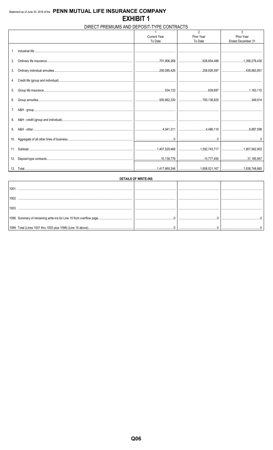### DIRECT PREMIUMS AND DEPOSIT-TYPE CONTRACTS

|                |                     | $\overline{2}$ | 3                 |
|----------------|---------------------|----------------|-------------------|
|                | <b>Current Year</b> | Prior Year     | Prior Year        |
|                | To Date             | To Date        | Ended December 31 |
|                |                     |                |                   |
| 1 <sub>1</sub> |                     |                |                   |
|                |                     |                |                   |
|                |                     |                |                   |
| 2.             |                     |                |                   |
|                |                     |                |                   |
|                |                     |                |                   |
|                |                     |                |                   |
|                |                     |                |                   |
|                |                     |                |                   |
| 5.             |                     |                |                   |
|                |                     |                |                   |
|                |                     |                |                   |
|                |                     |                |                   |
|                |                     |                |                   |
| 7.             |                     |                |                   |
|                |                     |                |                   |
|                |                     |                |                   |
|                |                     |                |                   |
| 9.             |                     |                |                   |
|                |                     |                |                   |
|                |                     |                |                   |
| 10.            |                     |                |                   |
|                |                     |                |                   |
|                |                     |                |                   |
|                |                     |                |                   |
| 12.            |                     |                |                   |
|                |                     |                |                   |
|                |                     |                |                   |
|                |                     |                |                   |

|                                                              | <b>DETAILS OF WRITE-INS</b> |   |
|--------------------------------------------------------------|-----------------------------|---|
|                                                              |                             |   |
|                                                              |                             |   |
|                                                              |                             |   |
|                                                              |                             | . |
| 1099. Total (Lines 1001 thru 1003 plus 1098) (Line 10 above) |                             |   |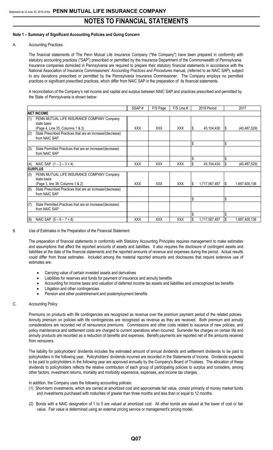#### **Note 1 – Summary of Significant Accounting Policies and Going Concern**

#### A. Accounting Practices

The financial statements of The Penn Mutual Life Insurance Company ("the Company") have been prepared in conformity with statutory accounting practices ("SAP") prescribed or permitted by the Insurance Department of the Commonwealth of Pennsylvania. Insurance companies domiciled in Pennsylvania are required to prepare their statutory financial statements in accordance with the National Association of Insurance Commissioners' *Accounting Practices and Procedures* manual, (referred to as NAIC SAP), subject to any deviations prescribed or permitted by the Pennsylvania Insurance Commissioner. The Company employs no permitted practices or significant prescribed practices, which differ from NAIC SAP in the preparation of its financial statements.

A reconciliation of the Company's net income and capital and surplus between NAIC SAP and practices prescribed and permitted by the State of Pennsylvania is shown below:

|     |                                                                                               | SSAP#      | F/S Page   | F/S Line # |     | 2018 Period   |     | 2017          |
|-----|-----------------------------------------------------------------------------------------------|------------|------------|------------|-----|---------------|-----|---------------|
|     | <b>NET INCOME</b>                                                                             |            |            |            |     |               |     |               |
| (1) | PENN MUTUAL LIFE INSURANCE COMPANY Company<br>state basis<br>(Page 4, Line 35, Columns 1 & 3) | XXX        | XXX        | <b>XXX</b> | 15  | 45,104,430    | 13  | (40,487,529)  |
| (2) | State Prescribed Practices that are an increase/(decrease)<br>from NAIC SAP                   |            |            |            |     |               |     |               |
|     |                                                                                               |            |            |            | Ŝ.  |               | Ŝ.  |               |
| (3) | State Permitted Practices that are an increase/(decrease)<br>from NAIC SAP                    |            |            |            |     |               |     |               |
|     |                                                                                               |            |            |            |     |               | l\$ |               |
| (4) | NAIC SAP $(1 – 2 – 3 = 4)$                                                                    | <b>XXX</b> | <b>XXX</b> | <b>XXX</b> |     | 45,104,430    | Ι\$ | (40,487,529)  |
|     | <b>SURPLUS</b>                                                                                |            |            |            |     |               |     |               |
| (5) | PENN MUTUAL LIFE INSURANCE COMPANY Company<br>state basis                                     |            |            |            |     |               |     |               |
|     | (Page 3, line 38, Columns 1 & 2)                                                              | <b>XXX</b> | <b>XXX</b> | <b>XXX</b> | ۱\$ | 1,717,567,457 | I\$ | 1,697,400,136 |
| (6) | State Prescribed Practices that are an increase/(decrease)<br>from NAIC SAP                   |            |            |            |     |               |     |               |
|     |                                                                                               |            |            |            | l\$ |               | \$  |               |
| (7) | State Permitted Practices that are an increase/(decrease)<br>from NAIC SAP                    |            |            |            |     |               |     |               |
|     |                                                                                               |            |            |            |     |               |     |               |
| (8) | NAIC SAP $(5 - 6 - 7 = 8)$                                                                    | <b>XXX</b> | <b>XXX</b> | <b>XXX</b> |     | 1,717,567,457 |     | 1,697,400,136 |

#### B. Use of Estimates in the Preparation of the Financial Statement

The preparation of financial statements in conformity with Statutory Accounting Principles requires management to make estimates and assumptions that affect the reported amounts of assets and liabilities. It also requires the disclosure of contingent assets and liabilities at the date of the financial statements and the reported amounts of revenue and expenses during the period. Actual results could differ from those estimates. Included among the material reported amounts and disclosures that require extensive use of estimates are:

- Carrying value of certain invested assets and derivatives
- Liabilities for reserves and funds for payment of insurance and annuity benefits
- Accounting for income taxes and valuation of deferred income tax assets and liabilities and unrecognized tax benefits
- Litigation and other contingencies
- Pension and other postretirement and postemployment benefits

#### C. Accounting Policy

Premiums on products with life contingencies are recognized as revenue over the premium payment period of the related policies. Annuity premium on policies with life contingencies are recognized as revenue as they are received. Both premium and annuity considerations are recorded net of reinsurance premiums. Commissions and other costs related to issuance of new policies, and policy maintenance and settlement costs are charged to current operations when incurred. Surrender fee charges on certain life and annuity products are recorded as a reduction of benefits and expenses. Benefit payments are reported net of the amounts received from reinsurers.

The liability for policyholders' dividends includes the estimated amount of annual dividends and settlement dividends to be paid to policyholders in the following year. Policyholders' dividends incurred are recorded in the Statements of Income. Dividends expected to be paid to policyholders in the following year are approved annually by the Company's Board of Trustees. The allocation of these dividends to policyholders reflects the relative contribution of each group of participating policies to surplus and considers, among other factors, investment returns, mortality and morbidity experience, expenses, and income tax charges.

In addition, the Company uses the following accounting policies:

- (1) Short-term investments, which are carried at amortized cost and approximate fair value, consist primarily of money market funds and investments purchased with maturities of greater than three months and less than or equal to 12 months.
- (2) Bonds with a NAIC designation of 1 to 5 are valued at amortized cost. All other bonds are valued at the lower of cost or fair value. Fair value is determined using an external pricing service or management's pricing model.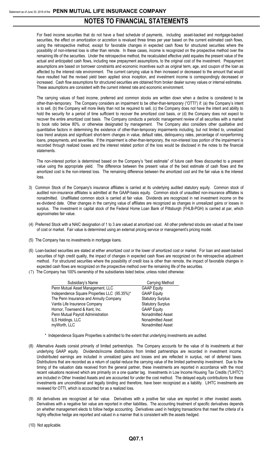For fixed income securities that do not have a fixed schedule of payments, including asset-backed and mortgage-backed securities, the effect on amortization or accretion is revalued three times per year based on the current estimated cash flows, using the retrospective method, except for favorable changes in expected cash flows for structured securities where the possibility of non-interest loss is other than remote. In these cases, income is recognized on the prospective method over the remaining life of the securities. Under the retrospective method, the recalculated effective yield equates the present value of the actual and anticipated cash flows, including new prepayment assumptions, to the original cost of the investment. Prepayment assumptions are based on borrower constraints and economic incentives such as original term, age, and coupon of the loan as affected by the interest rate environment. The current carrying value is then increased or decreased to the amount that would have resulted had the revised yield been applied since inception, and investment income is correspondingly decreased or increased. Cash flow assumptions for structured securities are obtained from broker dealer survey values or internal estimates. These assumptions are consistent with the current interest rate and economic environment.

The carrying values of fixed income, preferred and common stocks are written down when a decline is considered to be other-than-temporary. The Company considers an impairment to be other-than-temporary ("OTTI") if: (a) the Company's intent is to sell, (b) the Company will more likely than not be required to sell, (c) the Company does not have the intent and ability to hold the security for a period of time sufficient to recover the amortized cost basis, or (d) the Company does not expect to recover the entire amortized cost basis. The Company conducts a periodic management review of all securities with a market to book ratio below 80%, or otherwise designated by management. The Company also considers other qualitative and quantitative factors in determining the existence of other-than-temporary impairments including, but not limited to, unrealized loss trend analysis and significant short-term changes in value, default rates, delinquency rates, percentage of nonperforming loans, prepayments, and severities. If the impairment is other-than-temporary, the non-interest loss portion of the impairment is recorded through realized losses and the interest related portion of the loss would be disclosed in the notes to the financial statements.

The non-interest portion is determined based on the Company's "best estimate" of future cash flows discounted to a present value using the appropriate yield. The difference between the present value of the best estimate of cash flows and the amortized cost is the non-interest loss. The remaining difference between the amortized cost and the fair value is the interest loss.

- 3) Common Stock of the Company's insurance affiliates is carried at its underlying audited statutory equity. Common stock of audited non-insurance affiliates is admitted at the GAAP-basis equity. Common stock of unaudited non-insurance affiliates is nonadmitted. Unaffiliated common stock is carried at fair value. Dividends are recognized in net investment income on the ex-dividend date. Other changes in the carrying value of affiliates are recognized as changes in unrealized gains or losses in surplus. The investment in capital stock of the Federal Home Loan Bank of Pittsburgh (FHLB-PGH) is carried at par, which approximates fair value.
- (4) Preferred Stock with a NAIC designation of 1 to 3 are valued at amortized cost. All other preferred stocks are valued at the lower of cost or market. Fair value is determined using an external pricing service or management's pricing model.
- (5) The Company has no investments in mortgage loans.
- (6) Loan-backed securities are stated at either amortized cost or the lower of amortized cost or market. For loan and asset-backed securities of high credit quality, the impact of changes in expected cash flows are recognized on the retrospective adjustment method. For structured securities where the possibility of credit loss is other than remote, the impact of favorable changes in expected cash flows are recognized on the prospective method over the remaining life of the securities.
- (7) The Company has 100% ownership of the subsidiaries listed below, unless noted otherwise:

| Subsidiary's Name                            | Carrying Method          |
|----------------------------------------------|--------------------------|
| Penn Mutual Asset Management, LLC            | <b>GAAP Equity</b>       |
| Independence Square Properties LLC (95.35%)* | <b>GAAP Equity</b>       |
| The Penn Insurance and Annuity Company       | <b>Statutory Surplus</b> |
| Vantis Life Insurance Company                | <b>Statutory Surplus</b> |
| Hornor, Townsend & Kent, Inc.                | <b>GAAP Equity</b>       |
| Penn Mutual Payroll Administration           | Nonadmitted Asset        |
| ILS Holdings, LLC                            | Nonadmitted Asset        |
| myWorth, LLC                                 | Nonadmitted Asset        |
|                                              |                          |

- \* Independence Square Properties is admitted to the extent that underlying investments are audited.
- (8) Alternative Assets consist primarily of limited partnerships. The Company accounts for the value of its investments at their underlying GAAP equity. Dividends/income distributions from limited partnerships are recorded in investment income. Undistributed earnings are included in unrealized gains and losses and are reflected in surplus, net of deferred taxes. Distributions that are recorded as a return of capital reduce the carrying value of the limited partnership investment. Due to the timing of the valuation data received from the general partner, these investments are reported in accordance with the most recent valuations received which are primarily on a one quarter lag. Investments in Low Income Housing Tax Credits ("LIHTC") are included in Other Invested Assets and are accounted for under the cost method. The delayed equity contributions for these investments are unconditional and legally binding and therefore, have been recognized as a liability. LIHTC investments are reviewed for OTTI, which is accounted for as a realized loss.
- (9) All derivatives are recognized at fair value. Derivatives with a positive fair value are reported in other invested assets. Derivatives with a negative fair value are reported in other liabilities**.** The accounting treatment of specific derivatives depends on whether management elects to follow hedge accounting. Derivatives used in hedging transactions that meet the criteria of a highly effective hedge are reported and valued in a manner that is consistent with the assets hedged.
- (10) Not applicable.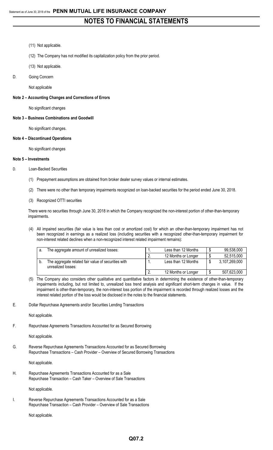- (11) Not applicable.
- (12) The Company has not modified its capitalization policy from the prior period.
- (13) Not applicable.
- D. Going Concern

Not applicable

#### **Note 2 – Accounting Changes and Corrections of Errors**

No significant changes

**Note 3 – Business Combinations and Goodwill**

No significant changes.

#### **Note 4 – Discontinued Operations**

No significant changes

#### **Note 5 – Investments**

#### D. Loan-Backed Securities

- (1) Prepayment assumptions are obtained from broker dealer survey values or internal estimates.
- (2) There were no other than temporary impairments recognized on loan-backed securities for the period ended June 30, 2018.
- (3) Recognized OTTI securities

There were no securities through June 30, 2018 in which the Company recognized the non-interest portion of other-than-temporary impairments.

(4) All impaired securities (fair value is less than cost or amortized cost) for which an other-than-temporary impairment has not been recognized in earnings as a realized loss (including securities with a recognized other-than-temporary impairment for non-interest related declines when a non-recognized interest related impairment remains):

| а. | The aggregate amount of unrealized losses:                                | . .      | Less than 12 Months | 99,538,000    |
|----|---------------------------------------------------------------------------|----------|---------------------|---------------|
|    |                                                                           | <u>.</u> | 12 Months or Longer | 52,515,000    |
|    | The aggregate related fair value of securities with<br>unrealized losses: |          | Less than 12 Months | 3,107,269,000 |
|    |                                                                           | <u>.</u> | 12 Months or Longer | 507,623,000   |

- (5) The Company also considers other qualitative and quantitative factors in determining the existence of other-than-temporary impairments including, but not limited to, unrealized loss trend analysis and significant short-term changes in value. If the impairment is other-than-temporary, the non-interest loss portion of the impairment is recorded through realized losses and the interest related portion of the loss would be disclosed in the notes to the financial statements.
- E. Dollar Repurchase Agreements and/or Securities Lending Transactions

Not applicable.

F. Repurchase Agreements Transactions Accounted for as Secured Borrowing

Not applicable.

G. Reverse Repurchase Agreements Transactions Accounted for as Secured Borrowing Repurchase Transactions – Cash Provider – Overview of Secured Borrowing Transactions

Not applicable.

H. Repurchase Agreements Transactions Accounted for as a Sale Repurchase Transaction – Cash Taker – Overview of Sale Transactions

Not applicable.

I. Reverse Repurchase Agreements Transactions Accounted for as a Sale Repurchase Transaction – Cash Provider – Overview of Sale Transactions

Not applicable.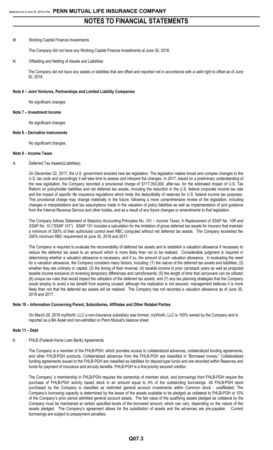#### M. Working Capital Finance Investments

The Company did not have any Working Capital Finance Investments at June 30, 2018.

#### N. Offsetting and Netting of Assets and Liabilities

The Company did not have any assets or liabilities that are offset and reported net in accordance with a valid right to offset as of June 30, 2018.

#### **Note 6 – Joint Ventures, Partnerships and Limited Liability Companies**

No significant changes

#### **Note 7 – Investment Income**

No significant changes

#### **Note 8 – Derivative Instruments**

No significant changes.

#### **Note 9 – Income Taxes**

#### A. Deferred Tax Assets/(Liabilities)

On December 22, 2017, the U.S. government enacted new tax legislation. The legislation makes broad and complex changes to the U.S. tax code and accordingly it will take time to assess and interpret the changes. In 2017, based on a preliminary understanding of the new legislation, the Company recorded a provisional charge of \$117,353,000, after-tax, for the estimated impact of U.S. Tax Reform on policyholder liabilities and net deferred tax assets, including the reduction in the U.S. federal corporate income tax rate and the impact of specific life insurance regulations which limits the deductibility of reserves for U.S. federal income tax purposes. This provisional charge may change materially in the future, following a more comprehensive review of the legislation, including changes in interpretations and tax assumptions made in the valuation of policy liabilities as well as implementation of and guidance from the Internal Revenue Service and other bodies, and as a result of any future changes or amendments to that legislation.

The Company follows Statement of Statutory Accounting Principles No. 101 – *Income Taxes, A Replacement of SSAP No. 10R and SSAP No. 10* ("SSAP 101"). SSAP 101 includes a calculation for the limitation of gross deferred tax assets for insurers that maintain a minimum of 300% of their authorized control level RBC computed without net deferred tax assets. The Company exceeded the 300% minimum RBC requirement at June 30, 2018 and 2017.

The Company is required to evaluate the recoverability of deferred tax assets and to establish a valuation allowance if necessary to reduce the deferred tax asset to an amount which is more likely than not to be realized. Considerable judgment is required in determining whether a valuation allowance is necessary, and if so, the amount of such valuation allowance. In evaluating the need for a valuation allowance, the Company considers many factors, including: (1) the nature of the deferred tax assets and liabilities; (2) whether they are ordinary or capital; (3) the timing of their reversal; (4) taxable income in prior carryback years as well as projected taxable income exclusive of reversing temporary differences and carryforwards; (5) the length of time that carryovers can be utilized; (6) unique tax rules that would impact the utilization of the deferred tax assets; and (7) any tax planning strategies that the Company would employ to avoid a tax benefit from expiring unused; although the realization is not assured, management believes it is more likely than not that the deferred tax assets will be realized. The Company has not recorded a valuation allowance as of June 30, 2018 and 2017.

#### **Note 10 – Information Concerning Parent, Subsidiaries, Affiliates and Other Related Parties**

On March 29, 2018 myWorth, LLC a non-insurance subsidiary was formed. myWorth, LLC is 100% owned by the Company and is reported as a BA Asset and non-admitted on Penn Mutual's balance sheet.

#### **Note 11 – Debt**

#### B. FHLB (Federal Home Loan Bank) Agreements

The Company is a member of the FHLB-PGH, which provides access to collateralized advances, collateralized funding agreements, and other FHLB-PGH products. Collateralized advances from the FHLB-PGH are classified in "Borrowed money." Collateralized funding agreements issued to the FHLB-PGH are classified as liabilities for deposit-type funds and are recorded within Reserves and funds for payment of insurance and annuity benefits. FHLB-PGH is a first-priority secured creditor.

The Company' s membership in FHLB-PGH requires the ownership of member stock, and borrowings from FHLB-PGH require the purchase of FHLB-PGH activity based stock in an amount equal to 4% of the outstanding borrowings. All FHLB-PGH stock purchased by the Company is classified as restricted general account investments within Common stock - unaffiliated. The Company's borrowing capacity is determined by the lesser of the assets available to be pledged as collateral to FHLB-PGH or 10% of the Company's prior period admitted general account assets. The fair value of the qualifying assets pledged as collateral by the Company must be maintained at certain specified levels of the borrowed amount, which can vary, depending on the nature of the assets pledged. The Company's agreement allows for the substitution of assets and the advances are pre-payable. Current borrowings are subject to prepayment penalties.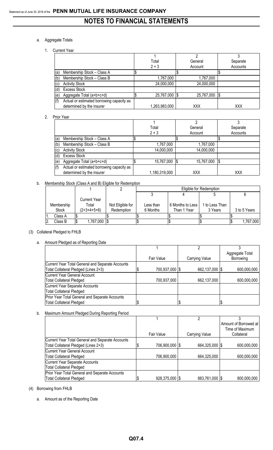### a. Aggregate Totals

#### 1. Current Year

|     |                                           |               | ŋ             |          |
|-----|-------------------------------------------|---------------|---------------|----------|
|     |                                           | Total         | General       | Separate |
|     |                                           | $2 + 3$       | Account       | Accounts |
| (a) | Membership Stock - Class A                |               |               |          |
| (b) | Membership Stock - Class B                | 1,767,000     | 1,767,000     |          |
|     | <b>Activity Stock</b>                     | 24,000,000    | 24,000,000    |          |
|     | <b>Excess Stock</b>                       |               |               |          |
| (e) | Aggregate Total (a+b+c+d)                 | 25,767,000    | 25,767,000 \$ |          |
| (f) | Actual or estimated borrowing capacity as |               |               |          |
|     | determined by the insurer                 | 1,263,983,000 | XXX           | XXX      |

#### 2. Prior Year

|     |                                           |   |                 | ົ          |          |
|-----|-------------------------------------------|---|-----------------|------------|----------|
|     |                                           |   | Total           | General    | Separate |
|     |                                           |   | $2 + 3$         | Account    | Accounts |
| (a) | Membership Stock - Class A                | Ψ |                 |            |          |
| (b) | Membership Stock - Class B                |   | 1,767,000       | 1,767,000  |          |
| (c) | <b>Activity Stock</b>                     |   | 14,000,000      | 14,000,000 |          |
| (d) | <b>Excess Stock</b>                       |   |                 |            |          |
| (e) | Aggregate Total (a+b+c+d)                 | Ψ | 15,767,000   \$ | 15,767,000 | 'S       |
| (f) | Actual or estimated borrowing capacity as |   |                 |            |          |
|     | determined by the insurer                 |   | 1,180,319,000   | XXX        | XXX      |

#### b. Membership Stock (Class A and B) Eligible for Redemption

|            |                     |                  | Eligible for Redemption |                  |                |              |  |  |
|------------|---------------------|------------------|-------------------------|------------------|----------------|--------------|--|--|
|            |                     |                  |                         |                  |                |              |  |  |
|            | <b>Current Year</b> |                  |                         |                  |                |              |  |  |
| Membership | Total               | Not Eligible for | Less than               | 6 Months to Less | 1 to Less Than |              |  |  |
| Stock      | $(2+3+4+5+6)$       | Redemption       | 6 Months                | Than 1 Year      | 3 Years        | 3 to 5 Years |  |  |
| Class A    |                     |                  |                         |                  |                |              |  |  |
| Class B    | 1,767,000 \$        |                  |                         |                  |                | 1,767,000    |  |  |

#### (3) Collateral Pledged to FHLB

#### a. Amount Pledged as of Reporting Date

|                                                  |                |                | Aggregate Total |
|--------------------------------------------------|----------------|----------------|-----------------|
|                                                  | Fair Value     | Carrying Value | Borrowing       |
| Current Year Total General and Separate Accounts |                |                |                 |
| Total Collateral Pledged (Lines 2+3)             | 700,937,000 \$ | 662,137,000 \$ | 600,000,000     |
| Current Year General Account                     |                |                |                 |
| <b>Total Collateral Pledged</b>                  | 700,937,000    | 662,137,000    | 600,000,000     |
| Current Year Separate Accounts                   |                |                |                 |
| <b>Total Collateral Pledged</b>                  |                |                |                 |
| Prior Year Total General and Separate Accounts   |                |                |                 |
| <b>Total Collateral Pledged</b>                  |                |                |                 |

### b. Maximum Amount Pledged During Reporting Period

|                                                  |                  | っ              |                       |
|--------------------------------------------------|------------------|----------------|-----------------------|
|                                                  |                  |                | Amount of Borrowed at |
|                                                  |                  |                | Time of Maximum       |
|                                                  | Fair Value       | Carrying Value | Collateral            |
| Current Year Total General and Separate Accounts |                  |                |                       |
| Total Collateral Pledged (Lines 2+3)             | 706,900,000   \$ | 664,325,000 \$ | 600,000,000           |
| Current Year General Account                     |                  |                |                       |
| <b>Total Collateral Pledged</b>                  | 706,900,000      | 664,325,000    | 600,000,000           |
| Current Year Separate Accounts                   |                  |                |                       |
| <b>Total Collateral Pledged</b>                  |                  |                |                       |
| Prior Year Total General and Separate Accounts   |                  |                |                       |
| <b>Total Collateral Pledged</b>                  | 928,375,000   \$ | 883,761,000 \$ | 800,000,000           |

#### (4) Borrowing from FHLB

a. Amount as of the Reporting Date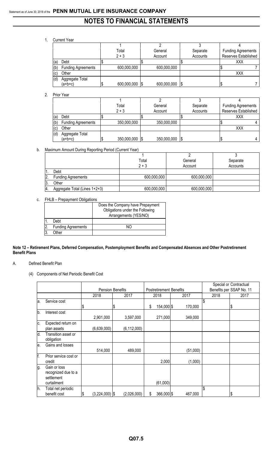1. Current Year

|     |                           | Total   |             | General     |      | Separate | <b>Funding Agreements</b> |
|-----|---------------------------|---------|-------------|-------------|------|----------|---------------------------|
|     |                           | $2 + 3$ |             | Account     |      | Accounts | Reserves Established      |
| (a) | Debt                      |         |             |             |      |          | XXX                       |
| (b) | <b>Funding Agreements</b> |         | 600,000,000 | 600,000,000 |      |          |                           |
| (c) | Other                     |         |             |             |      |          | XXX                       |
| (d) | Aggregate Total           |         |             |             |      |          |                           |
|     | $(a+b+c)$                 |         | 600,000,000 | 600,000,000 | - 15 |          |                           |

2. Prior Year

|     |                           | Total |                | General |             | Separate |  | <b>Funding Agreements</b> |  |
|-----|---------------------------|-------|----------------|---------|-------------|----------|--|---------------------------|--|
|     |                           |       | $2 + 3$        |         | Account     | Accounts |  | Reserves Established      |  |
| (a) | Debt                      |       |                |         |             |          |  | XXX                       |  |
| (b) | <b>Funding Agreements</b> |       | 350,000,000    |         | 350,000,000 |          |  |                           |  |
| (c) | Other                     |       |                |         |             |          |  | XXX                       |  |
| (d) | Aggregate Total           |       |                |         |             |          |  |                           |  |
|     | (a+b+c)                   |       | 350,000,000 \$ |         | 350,000,000 | 1\$      |  |                           |  |

b. Maximum Amount During Reporting Period (Current Year)

|                  |                               | Total       | General     | Separate |
|------------------|-------------------------------|-------------|-------------|----------|
|                  |                               | $2 + 3$     | Account     | Accounts |
|                  | Debt                          |             |             |          |
| 2                | <b>Funding Agreements</b>     | 600,000,000 | 600,000,000 |          |
| ΙЗ.              | Other                         |             |             |          |
| $\overline{4}$ . | Aggregate Total (Lines 1+2+3) | 600,000,000 | 600,000,000 |          |

#### c. FHLB – Prepayment Obligations

|                |                           | Does the Company have Prepayment |
|----------------|---------------------------|----------------------------------|
|                |                           | Obligations under the Following  |
|                |                           | Arrangements (YES/NO)            |
|                | Debt                      |                                  |
| $\overline{2}$ | <b>Funding Agreements</b> | NС                               |
| 3              | Other                     |                                  |

#### **Note 12 – Retirement Plans, Deferred Compensation, Postemployment Benefits and Compensated Absences and Other Postretirement Benefit Plans**

- A. Defined Benefit Plan
	- (4) Components of Net Periodic Benefit Cost

|     |                                                                  | <b>Pension Benefits</b> |    |               |                                |          | Special or Contractual<br>Benefits per SSAP No. 11 |      |   |      |  |
|-----|------------------------------------------------------------------|-------------------------|----|---------------|--------------------------------|----------|----------------------------------------------------|------|---|------|--|
|     |                                                                  |                         |    |               | <b>Postretirement Benefits</b> |          |                                                    |      |   |      |  |
|     |                                                                  | 2018                    |    | 2017          | 2018                           | 2017     |                                                    | 2018 |   | 2017 |  |
| a.  | Service cost                                                     | \$                      | \$ |               | \$<br>154,000 \$               | 170,000  | \$                                                 |      | Φ |      |  |
| b.  | Interest cost                                                    | 2,901,000               |    | 3,597,000     | 271,000                        | 349,000  |                                                    |      |   |      |  |
| c.  | Expected return on<br>plan assets                                | (6,639,000)             |    | (6, 112, 000) |                                |          |                                                    |      |   |      |  |
| d.  | Transition asset or<br>obligation                                |                         |    |               |                                |          |                                                    |      |   |      |  |
| le. | Gains and losses                                                 | 514,000                 |    | 489,000       |                                | (51,000) |                                                    |      |   |      |  |
| f.  | Prior service cost or<br>credit                                  |                         |    |               | 2,000                          | (1,000)  |                                                    |      |   |      |  |
| g.  | Gain or loss<br>recognized due to a<br>settlement<br>curtailment |                         |    |               | (61,000)                       |          |                                                    |      |   |      |  |
| h.  | Total net periodic<br>benefit cost                               | \$<br>$(3,224,000)$ \$  |    | (2,026,000)   | \$<br>366,000 \$               | 467,000  | \$                                                 |      |   |      |  |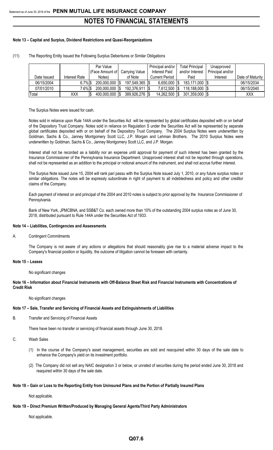#### **Note 13 – Capital and Surplus, Dividend Restrictions and Quasi-Reorganizations**

|             |               | Par Value                       |                        | Principal and/or      | Total Principal   | Unapproved       |                  |
|-------------|---------------|---------------------------------|------------------------|-----------------------|-------------------|------------------|------------------|
|             |               | (Face Amount of Carrying Value) |                        | <b>Interest Paid</b>  | and/or Interest   | Principal and/or |                  |
| Date Issued | Interest Rate | Notes)                          | of Note                | <b>Current Period</b> | Paid              | Interest         | Date of Maturity |
| 06/15/2004  | $6.7\%$ \$    | 200,000,000                     | 197,549,365 \$<br>-1\$ | $6,650,000$ S         | 183,171,000 \$    |                  | 06/15/2034       |
| 07/01/2010  | $7.6\%$ \$    | 200,000,000                     | 192,376,911  \$<br>I\$ | 7,612,500   \$        | 118,188,000   \$  |                  | 06/15/2040       |
| Total       | XXX           | 400,000,000<br>S                | 389,926,276 \$<br>1\$  | 14,262,500 \$         | $301,359,000$ \\$ |                  | XXX              |

(11) The Reporting Entity Issued the Following Surplus Debentures or Similar Obligations

The Surplus Notes were issued for cash.

Notes sold in reliance upon Rule 144A under the Securities Act will be represented by global certificates deposited with or on behalf of the Depository Trust Company. Notes sold in reliance on Regulation S under the Securities Act will be represented by separate global certificates deposited with or on behalf of the Depository Trust Company. The 2004 Surplus Notes were underwritten by Goldman, Sachs & Co., Janney Montgomery Scott LLC, J.P. Morgan and Lehman Brothers. The 2010 Surplus Notes were underwritten by Goldman, Sachs & Co., Janney Montgomery Scott LLC, and J.P. Morgan.

Interest shall not be recorded as a liability nor an expense until approval for payment of such interest has been granted by the Insurance Commissioner of the Pennsylvania Insurance Department. Unapproved interest shall not be reported through operations, shall not be represented as an addition to the principal or notional amount of the instrument, and shall not accrue further interest.

The Surplus Note issued June 15, 2004 will rank pari passu with the Surplus Note issued July 1, 2010, or any future surplus notes or similar obligations. The notes will be expressly subordinate in right of payment to all indebtedness and policy and other creditor claims of the Company.

Each payment of interest on and principal of the 2004 and 2010 notes is subject to prior approval by the Insurance Commissioner of Pennsylvania.

Bank of New York, JPMCBNA, and SSB&T Co. each owned more than 10% of the outstanding 2004 surplus notes as of June 30, 2018, distributed pursuant to Rule 144A under the Securities Act of 1933.

#### **Note 14 – Liabilities, Contingencies and Assessments**

A. Contingent Commitments

The Company is not aware of any actions or allegations that should reasonably give rise to a material adverse impact to the Company's financial position or liquidity, the outcome of litigation cannot be foreseen with certainty.

#### **Note 15 – Leases**

No significant changes

**Note 16 – Information about Financial Instruments with Off-Balance Sheet Risk and Financial Instruments with Concentrations of Credit Risk**

No significant changes

#### **Note 17 – Sale, Transfer and Servicing of Financial Assets and Extinguishments of Liabilities**

B. Transfer and Servicing of Financial Assets

There have been no transfer or servicing of financial assets through June 30, 2018.

- C. Wash Sales
	- (1) In the course of the Company's asset management, securities are sold and reacquired within 30 days of the sale date to enhance the Company's yield on its investment portfolio.
	- (2) The Company did not sell any NAIC designation 3 or below, or unrated of securities during the period ended June 30, 2018 and reaquired within 30 days of the sale date.

#### **Note 18 – Gain or Loss to the Reporting Entity from Uninsured Plans and the Portion of Partially Insured Plans**

Not applicable.

#### **Note 19 – Direct Premium Written/Produced by Managing General Agents/Third Party Administrators**

Not applicable.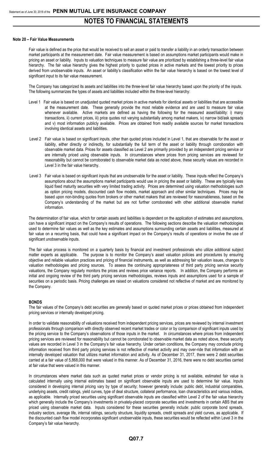#### **Note 20 – Fair Value Measurements**

Fair value is defined as the price that would be received to sell an asset or paid to transfer a liability in an orderly transaction between market participants at the measurement date. Fair value measurement is based on assumptions market participants would make in pricing an asset or liability. Inputs to valuation techniques to measure fair value are prioritized by establishing a three-level fair value hierarchy. The fair value hierarchy gives the highest priority to quoted prices in active markets and the lowest priority to prices derived from unobservable inputs. An asset or liability's classification within the fair value hierarchy is based on the lowest level of significant input to its fair value measurement.

The Company has categorized its assets and liabilities into the three-level fair value hierarchy based upon the priority of the inputs. The following summarizes the types of assets and liabilities included within the three-level hierarchy:

- Level 1 Fair value is based on unadjusted quoted market prices in active markets for identical assets or liabilities that are accessible at the measurement date. These generally provide the most reliable evidence and are used to measure fair value whenever available. Active markets are defined as having the following for the measured asset/liability: i) many transactions, ii) current prices, iii) price quotes not varying substantially among market makers, iv) narrow bid/ask spreads and v) most information publicly available. Prices are obtained from readily available sources for market transactions involving identical assets and liabilities.
- Level 2 Fair value is based on significant inputs, other than quoted prices included in Level 1, that are observable for the asset or liability, either directly or indirectly, for substantially the full term of the asset or liability through corroboration with observable market data. Prices for assets classified as Level 2 are primarily provided by an independent pricing service or are internally priced using observable inputs. In circumstances where prices from pricing services are reviewed for reasonability but cannot be corroborated to observable market data as noted above, these security values are recorded in Level 3 in the fair value hierarchy.
- Level 3 Fair value is based on significant inputs that are unobservable for the asset or liability. These inputs reflect the Company's assumptions about the assumptions market participants would use in pricing the asset or liability. These are typically less liquid fixed maturity securities with very limited trading activity. Prices are determined using valuation methodologies such as option pricing models, discounted cash flow models, market approach and other similar techniques. Prices may be based upon non-binding quotes from brokers or other market makers that are reviewed for reasonableness, based on the Company's understanding of the market but are not further corroborated with other additional observable market information.

The determination of fair value, which for certain assets and liabilities is dependent on the application of estimates and assumptions, can have a significant impact on the Company's results of operations. The following sections describe the valuation methodologies used to determine fair values as well as the key estimates and assumptions surrounding certain assets and liabilities, measured at fair value on a recurring basis, that could have a significant impact on the Company's results of operations or involve the use of significant unobservable inputs.

The fair value process is monitored on a quarterly basis by financial and investment professionals who utilize additional subject matter experts as applicable. The purpose is to monitor the Company's asset valuation policies and procedures by ensuring objective and reliable valuation practices and pricing of financial instruments, as well as addressing fair valuation issues, changes to valuation methodologies and pricing sources. To assess the continuing appropriateness of third party pricing service security valuations, the Company regularly monitors the prices and reviews price variance reports. In addition, the Company performs an initial and ongoing review of the third party pricing services methodologies, reviews inputs and assumptions used for a sample of securities on a periodic basis. Pricing challenges are raised on valuations considered not reflective of market and are monitored by the Company.

#### **BONDS**

The fair values of the Company's debt securities are generally based on quoted market prices or prices obtained from independent pricing services or internally developed pricing.

In order to validate reasonability of valuations received from independent pricing services, prices are reviewed by internal investment professionals through comparison with directly observed recent market trades or color or by comparison of significant inputs used by the pricing service to the Company's observations of those inputs in the market. In circumstances where prices from independent pricing services are reviewed for reasonability but cannot be corroborated to observable market data as noted above, these security values are recorded in Level 3 in the Company's fair value hierarchy. Under certain conditions, the Company may conclude pricing information received from third party pricing services is not reflective of market activity and may over-ride that information with an internally developed valuation that utilizes market information and activity. As of December 31, 2017, there were 2 debt securities carried at a fair value of 5,868,000 that were valued in this manner. As of December 31, 2016, there were no debt securities carried at fair value that were valued in this manner.

In circumstances where market data such as quoted market prices or vendor pricing is not available, estimated fair value is calculated internally using internal estimates based on significant observable inputs are used to determine fair value. Inputs considered in developing internal pricing vary by type of security; however generally include: public debt, industrial comparables, underlying assets, credit ratings, yield curves, type of deal structure, collateral performance, loan characteristics and various indices, as applicable. Internally priced securities using significant observable inputs are classified within Level 2 of the fair value hierarchy which generally include the Company's investments in privately-placed corporate securities and investments in certain ABS that are priced using observable market data. Inputs considered for these securities generally include: public corporate bond spreads, industry sectors, average life, internal ratings, security structure, liquidity spreads, credit spreads and yield curves, as applicable. If the discounted cash flow model incorporates significant unobservable inputs, these securities would be reflected within Level 3 in the Company's fair value hierarchy.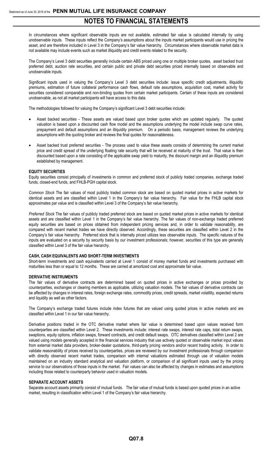In circumstances where significant observable inputs are not available, estimated fair value is calculated internally by using unobservable inputs. These inputs reflect the Company's assumptions about the inputs market participants would use in pricing the asset, and are therefore included in Level 3 in the Company's fair value hierarchy. Circumstances where observable market data is not available may include events such as market illiquidity and credit events related to the security.

The Company's Level 3 debt securities generally include certain ABS priced using one or multiple broker quotes, asset backed trust preferred debt, auction rate securities, and certain public and private debt securities priced internally based on observable and unobservable inputs.

Significant inputs used in valuing the Company's Level 3 debt securities include: issue specific credit adjustments, illiquidity premiums, estimation of future collateral performance cash flows, default rate assumptions, acquisition cost, market activity for securities considered comparable and non-binding quotes from certain market participants. Certain of these inputs are considered unobservable, as not all market participants will have access to this data.

The methodologies followed for valuing the Company's significant Level 3 debt securities include:

- Asset backed securities These assets are valued based upon broker quotes which are updated regularly. The quoted valuation is based upon a discounted cash flow model and the assumptions underlying the model include swap curve rates, prepayment and default assumptions and an illiquidity premium. On a periodic basis, management reviews the underlying assumptions with the quoting broker and reviews the final quotes for reasonableness.
- Asset backed trust preferred securities The process used to value these assets consists of determining the current market price and credit spread of the underlying floating rate security that will be received at maturity of the trust. That value is then discounted based upon a rate consisting of the applicable swap yield to maturity, the discount margin and an illiquidity premium established by management.

#### **EQUITY SECURITIES**

Equity securities consist principally of investments in common and preferred stock of publicly traded companies, exchange traded funds, closed-end funds, and FHLB-PGH capital stock.

*Common Stock* The fair values of most publicly traded common stock are based on quoted market prices in active markets for identical assets and are classified within Level 1 in the Company's fair value hierarchy. Fair value for the FHLB capital stock approximates par value and is classified within Level 3 of the Company's fair value hierarchy.

*Preferred Stock* The fair values of publicly traded preferred stock are based on quoted market prices in active markets for identical assets and are classified within Level 1 in the Company's fair value hierarchy. The fair values of non-exchange traded preferred equity securities are based on prices obtained from independent pricing services and, in order to validate reasonability, are compared with recent market trades we have directly observed. Accordingly, these securities are classified within Level 2 in the Company's fair value hierarchy. Preferred stock that is internally priced utilizes less observable inputs. The specific natures of the inputs are evaluated on a security by security basis by our investment professionals; however, securities of this type are generally classified within Level 3 of the fair value hierarchy.

#### **CASH, CASH EQUIVALENTS AND SHORT-TERM INVESTMENTS**

Short-term investments and cash equivalents carried at Level 1 consist of money market funds and investments purchased with maturities less than or equal to 12 months. These are carried at amortized cost and approximate fair value.

#### **DERIVATIVE INSTRUMENTS**

The fair values of derivative contracts are determined based on quoted prices in active exchanges or prices provided by counterparties, exchanges or clearing members as applicable, utilizing valuation models. The fair values of derivative contracts can be affected by changes in interest rates, foreign exchange rates, commodity prices, credit spreads, market volatility, expected returns and liquidity as well as other factors.

The Company's exchange traded futures include index futures that are valued using quoted prices in active markets and are classified within Level 1 in our fair value hierarchy.

Derivative positions traded in the OTC derivative market where fair value is determined based upon values received form counterparties are classified within Level 2. These investments include: interest rate swaps, interest rate caps, total return swaps, swaptions, equity options, inflation swaps, forward contracts, and credit default swaps. OTC derivatives classified within Level 2 are valued using models generally accepted in the financial services industry that use actively quoted or observable market input values from external market data providers, broker-dealer quotations, third-party pricing vendors and/or recent trading activity. In order to validate reasonability of prices received by counterparties, prices are reviewed by our investment professionals through comparison with directly observed recent market trades, comparison with internal valuations estimated through use of valuation models maintained on an industry standard analytical and valuation platform, or comparison of all significant inputs used by the pricing service to our observations of those inputs in the market. Fair values can also be affected by changes in estimates and assumptions including those related to counterparty behavior used in valuation models.

#### **SEPARATE ACCOUNT ASSETS**

Separate account assets primarily consist of mutual funds. The fair value of mutual funds is based upon quoted prices in an active market, resulting in classification within Level 1 of the Company's fair value hierarchy.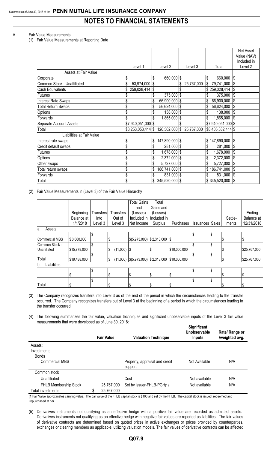#### A. Fair Value Measurements

(1) Fair Value Measurements at Reporting Date

|                             |                      |                      |                  |                              | Net Asset<br>Value (NAV)          |
|-----------------------------|----------------------|----------------------|------------------|------------------------------|-----------------------------------|
|                             | Level 1              | Level 2              | Level 3          | Total                        | Included in<br>Level <sub>2</sub> |
| Assets at Fair Value        |                      |                      |                  |                              |                                   |
| Corporate                   | \$                   | \$<br>660,000 \$     |                  | 660,000<br>\$                | l\$                               |
| Common Stock - Unaffiliated | \$<br>53,974,000     | l\$                  | 25,767,000<br>\$ | $\mathfrak{s}$<br>79,741,000 | I\$                               |
| Cash Equivalents            | 259,028,414          | l\$                  |                  | \$259,028,414                | I\$                               |
| <b>Futures</b>              | \$                   | $375,000$ \$<br>\$   |                  | 375,000                      | <b>S</b>                          |
| <b>Interest Rate Swaps</b>  | \$                   | 66,900,000 \$<br>\$  |                  | 66,900,000<br>\$             |                                   |
| <b>Total Return Swaps</b>   | \$                   | 56,624,000 \$<br>\$  |                  | 56,624,000<br>\$             | l\$                               |
| <b>Options</b>              | \$                   | 138,000 \$           |                  | 138,000                      |                                   |
| Forwards                    | \$                   | 1,865,000 \$         |                  | 1,865,000                    |                                   |
| Separate Account Assets     | $$7,940,051,000$ \$  |                      |                  | $$7,940,051,000$ \$          |                                   |
| Total                       | $$8,253,053,414$ \\$ | 126,562,000 \$       | 25,767,000       | $$8,405,382,414$ \$          |                                   |
| Liabilities at Fair Value   |                      |                      |                  |                              |                                   |
| Interest rate swaps         | \$                   | \$<br>147,890,000 \$ |                  | 147,890,000<br>\$            | l\$                               |
| Credit default swaps        | \$                   | 281,000 \$           |                  | 281,000                      | l\$                               |
| <b>Futures</b>              | \$                   | 1,678,000 \$         |                  | 1,678,000                    | Ι\$                               |
| <b>Options</b>              | \$                   | \$<br>2,372,000 \$   |                  | \$<br>2,372,000              | \$                                |
| Other swaps                 | \$                   | 5,727,000 \$         |                  | \$<br>5,727,000              | 1\$                               |
| Total return swaps          | \$                   | 186,741,000 \$<br>\$ |                  | \$<br>186,741,000            | l\$                               |
| Forwards                    | \$                   | 831,000 \$           |                  | \$<br>831,000                | l\$                               |
| Total                       | \$                   | 345,520,000 \$       |                  | \$345,520,000                | $\mathbf{\$}$                     |

(2) Fair Value Measurements in (Level 3) of the Fair Value Hierarchy

|                       |              |           |                     | <b>Total Gains</b>                                          | Total       |              |                        |         |              |
|-----------------------|--------------|-----------|---------------------|-------------------------------------------------------------|-------------|--------------|------------------------|---------|--------------|
|                       |              |           |                     | and                                                         | Gains and   |              |                        |         |              |
|                       | Beginning    | Transfers | <b>Transfers</b>    | (Losses)                                                    | (Losses)    |              |                        |         | Ending       |
|                       | Balance at   | Into      | Out of              | Included in                                                 | Included in |              |                        | Settle- | Balance at   |
|                       | 1/1/2018     | Level 3   | Level 3             | Net Income                                                  | Surplus     | Purchases    | <b>Issuances</b> Sales | ments   | 12/31/2018   |
| Assets<br>la.         |              |           |                     |                                                             |             |              |                        |         |              |
|                       |              | \$        |                     |                                                             |             |              |                        |         |              |
| <b>Commercial MBS</b> | \$3,660,000  |           | S                   | $\frac{1}{5}$ (5,973,000) $\frac{1}{5}$ 2,313,000           |             | 1\$          |                        |         | IS.          |
| Common Stock -        |              |           |                     |                                                             |             |              | \$                     |         |              |
| Unaffiliated          | \$15,778,000 |           | $(11,000)$ \$<br>\$ |                                                             | I\$         | \$10,000,000 |                        | S       | \$25,767,000 |
|                       |              |           |                     |                                                             |             |              |                        |         |              |
| Total                 | \$19,438,000 |           | \$                  | $(11,000)$ $ $(5,973,000)$ $ $(2,313,000)$ $ $(10,000,000)$ |             |              |                        | S       | \$25,767,000 |
| Liabilities<br>lb.    |              |           |                     |                                                             |             |              |                        |         |              |
|                       |              |           |                     |                                                             |             |              |                        |         |              |
|                       |              |           | S                   | ß                                                           | I\$         | S            |                        |         | IS           |
|                       |              |           |                     |                                                             |             |              |                        |         |              |
| Total                 |              |           | \$                  | ß.                                                          |             |              |                        |         | l\$          |

(3) The Company recognizes transfers into Level 3 as of the end of the period in which the circumstances leading to the transfer occurred. The Company recognizes transfers out of Level 3 at the beginning of a period in which the circumstances leading to the transfer occurred.

(4) The following summarizes the fair value, valuation techniques and significant unobservable inputs of the Level 3 fair value measurements that were developed as of June 30, 2018: **Significant**

|                                                          | <b>Fair Value</b> | <b>Valuation Technique</b>                | Significant<br>Unobservable<br><b>Inputs</b> | Rate/ Range or<br>/weighted avg. |
|----------------------------------------------------------|-------------------|-------------------------------------------|----------------------------------------------|----------------------------------|
| Assets:<br>Investments<br><b>Bonds</b><br>Commercial MBS |                   | Property, appraisal and credit<br>support | Not Available                                | N/A                              |
| Common stock                                             |                   |                                           |                                              |                                  |
| Unaffiliated                                             |                   | Cost                                      | Not available                                | N/A                              |
| <b>FHLB Membership Stock</b>                             | 25,767,000        | Set by issuer-FHLB-PGH(1)                 | Not available                                | N/A                              |
| Total investments                                        | \$<br>25,767,000  |                                           |                                              |                                  |

(1)Fair Value approximates carrying value. The par value of the FHLB capital stock is \$100 and set by the FHLB. The capital stock is issued, redeemed and repurchased at par.

(5) Derivatives instruments not qualifying as an effective hedge with a positive fair value are recorded as admitted assets. Derivatives instruments not qualifying as an effective hedge with negative fair values are reported as liabilities. The fair values of derivative contracts are determined based on quoted prices in active exchanges or prices provided by counterparties, exchanges or clearing members as applicable, utilizing valuation models. The fair values of derivative contracts can be affected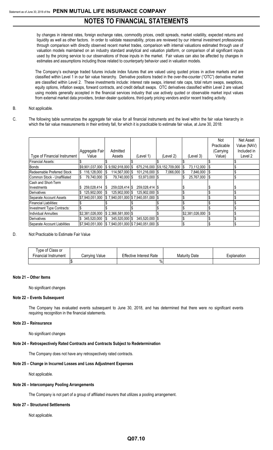by changes in interest rates, foreign exchange rates, commodity prices, credit spreads, market volatility, expected returns and liquidity as well as other factors. In order to validate reasonability, prices are reviewed by our internal investment professionals through comparison with directly observed recent market trades, comparison with internal valuations estimated through use of valuation models maintained on an industry standard analytical and valuation platform, or comparison of all significant inputs used by the pricing service to our observations of those inputs in the market. Fair values can also be affected by changes in estimates and assumptions including those related to counterparty behavior used in valuation models.

The Company's exchange traded futures include index futures that are valued using quoted prices in active markets and are classified within Level 1 in our fair value hierarchy. Derivative positions traded in the over-the-counter ("OTC") derivative market are classified within Level 2. These investments include: interest rate swaps, interest rate caps, total return swaps, swaptions, equity options, inflation swaps, forward contracts, and credit default swaps. OTC derivatives classified within Level 2 are valued using models generally accepted in the financial services industry that use actively quoted or observable market input values from external market data providers, broker-dealer quotations, third-party pricing vendors and/or recent trading activity.

- B. Not applicable.
- C. The following table summarizes the aggregate fair value for all financial instruments and the level within the fair value hierarchy in which the fair value measurements in their entirety fall, for which it is practicable to estimate fair value, at June 30, 2018:

|                               |                                                                                                  |                                                    |                  |                             |                 | Not         | Net Asset   |
|-------------------------------|--------------------------------------------------------------------------------------------------|----------------------------------------------------|------------------|-----------------------------|-----------------|-------------|-------------|
|                               |                                                                                                  |                                                    |                  |                             |                 | Practicable | Value (NAV) |
|                               | Aggregate Fair                                                                                   | Admitted                                           |                  |                             |                 | (Carrying   | Included in |
| Type of Financial Instrument  | Value                                                                                            | Assets                                             | (Level 1)        | (Level 2)                   | (Level 3)       | Value)      | Level 2     |
| <b>Financial Assets:</b>      |                                                                                                  |                                                    |                  |                             |                 |             |             |
| <b>Bonds</b>                  | \$9,901,037,000                                                                                  | $$9,592,918,000$ \\$                               |                  | 675,216,000 \$9,152,709,000 | 73,112,000      |             |             |
| Redeemable Preferred Stock    | 116,128,000<br>IS.                                                                               | 114,567,000 \$<br>S                                | 101,216,000   \$ | 7,066,000                   | 7,846,000       | - 15        |             |
| Common Stock - Unaffiliated   | 79,740,000<br>15                                                                                 | 79,740,000 \$<br>S                                 | 53,973,000 \$    |                             | 25,767,000<br>S | - 1\$       |             |
| Cash and Short-Term           |                                                                                                  |                                                    |                  |                             |                 |             |             |
| Investments                   | 259,028,414                                                                                      | 259,028,414 \$<br>S                                | 259,028,414   \$ |                             |                 |             |             |
| Derivatives                   | 125,902,000                                                                                      | 125.902.000 \$<br>S                                | 125,902,000 \$   |                             |                 |             |             |
| Separate Account Assets       | \$7,940,051,000                                                                                  | $\frac{1}{2}$ 7,940,051,000   \$7,940,051,000   \$ |                  |                             |                 |             |             |
| <b>Financial Liabilities:</b> |                                                                                                  |                                                    |                  |                             |                 |             |             |
| Investment Type Contracts:    |                                                                                                  |                                                    |                  |                             |                 |             |             |
| <b>Individual Annuities</b>   | \$2,381,026,000                                                                                  | $$2,366,581,000$ \\$                               |                  |                             | \$2,381,026,000 |             |             |
| Derivatives                   | 345,520,000                                                                                      | 345,520,000 \$<br>S                                | 345,520,000 \$   |                             |                 |             |             |
| Separate Account Liabilities  | $\frac{1}{37,940,051,000}$ $\frac{1}{3}$ 7,940,051,000 $\frac{1}{3}$ 7,940,051,000 $\frac{1}{3}$ |                                                    |                  |                             |                 |             |             |

#### D. Not Practicable to Estimate Fair Value

| Type of Class or<br>Financial Instrument | Carrying Value | <b>Effective Interest Rate</b> | Date<br>Maturity | Explanation |
|------------------------------------------|----------------|--------------------------------|------------------|-------------|
|                                          |                | 70                             |                  |             |

#### **Note 21 – Other Items**

No significant changes

#### **Note 22 – Events Subsequent**

The Company has evaluated events subsequent to June 30, 2018, and has determined that there were no significant events requiring recognition in the financial statements.

#### **Note 23 – Reinsurance**

No significant changes

#### **Note 24 – Retrospectively Rated Contracts and Contracts Subject to Redetermination**

The Company does not have any retrospectively rated contracts.

#### **Note 25 – Change in Incurred Losses and Loss Adjustment Expenses**

Not applicable.

#### **Note 26 – Intercompany Pooling Arrangements**

The Company is not part of a group of affiliated insurers that utilizes a pooling arrangement.

#### **Note 27 – Structured Settlements**

Not applicable.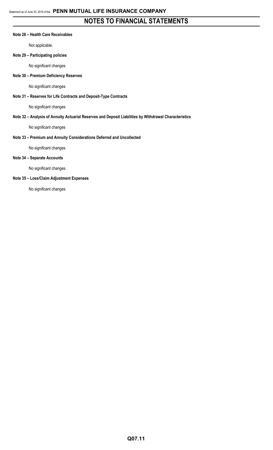#### **Note 28 – Health Care Receivables**

Not applicable.

#### **Note 29 – Participating policies**

No significant changes

#### **Note 30 – Premium Deficiency Reserves**

No significant changes

#### **Note 31 – Reserves for Life Contracts and Deposit-Type Contracts**

No significant changes

#### **Note 32 – Analysis of Annuity Actuarial Reserves and Deposit Liabilities by Withdrawal Characteristics**

No significant changes

#### **Note 33 – Premium and Annuity Considerations Deferred and Uncollected**

No significant changes

#### **Note 34 – Separate Accounts**

No significant changes

#### **Note 35 – Loss/Claim Adjustment Expenses**

No significant changes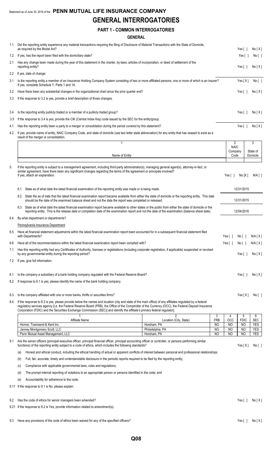## **GENERAL INTERROGATORIES**

### **PART 1 - COMMON INTERROGATORIES**

|     | <b>GENERAL</b>                                                                                                                                                                                                                                                                                                                                                                                                                               |                      |                      |                       |                          |  |
|-----|----------------------------------------------------------------------------------------------------------------------------------------------------------------------------------------------------------------------------------------------------------------------------------------------------------------------------------------------------------------------------------------------------------------------------------------------|----------------------|----------------------|-----------------------|--------------------------|--|
| 1.1 | Did the reporting entity experience any material transactions requiring the filing of Disclosure of Material Transactions with the State of Domicile,<br>as required by the Model Act?                                                                                                                                                                                                                                                       |                      |                      | Yes [ ]               | No[X]                    |  |
| 1.2 | If yes, has the report been filed with the domiciliary state?                                                                                                                                                                                                                                                                                                                                                                                |                      |                      | Yes [ ]               | No [ ]                   |  |
| 2.1 | Has any change been made during the year of this statement in the charter, by-laws, articles of incorporation, or deed of settlement of the<br>reporting entity?                                                                                                                                                                                                                                                                             |                      |                      | Yes[ ]                | No[X]                    |  |
| 2.2 | If yes, date of change:                                                                                                                                                                                                                                                                                                                                                                                                                      |                      |                      |                       |                          |  |
| 3.1 | Is the reporting entity a member of an Insurance Holding Company System consisting of two or more affiliated persons, one or more of which is an insurer?<br>If yes, complete Schedule Y, Parts 1 and 1A.                                                                                                                                                                                                                                    |                      |                      | Yes[X]                | No[ ]                    |  |
| 3.2 | Have there been any substantial changes in the organizational chart since the prior quarter end?                                                                                                                                                                                                                                                                                                                                             |                      |                      | Yes $[ ]$             | No[X]                    |  |
| 3.3 | If the response to 3.2 is yes, provide a brief description of those changes.                                                                                                                                                                                                                                                                                                                                                                 |                      |                      |                       |                          |  |
| 3.4 | Is the reporting entity publicly traded or a member of a publicly traded group?                                                                                                                                                                                                                                                                                                                                                              |                      |                      | Yes $\lceil \ \rceil$ | No[X]                    |  |
| 3.5 | If the response to 3.4 is yes, provide the CIK (Central Index Key) code issued by the SEC for the entity/group.                                                                                                                                                                                                                                                                                                                              |                      |                      |                       |                          |  |
| 4.1 | Has the reporting entity been a party to a merger or consolidation during the period covered by this statement?                                                                                                                                                                                                                                                                                                                              |                      |                      | Yes $[ ]$             | No[X]                    |  |
| 4.2 | If yes, provide name of entity, NAIC Company Code, and state of domicile (use two letter state abbreviation) for any entity that has ceased to exist as a<br>result of the merger or consolidation.                                                                                                                                                                                                                                          |                      |                      |                       |                          |  |
|     | 1                                                                                                                                                                                                                                                                                                                                                                                                                                            |                      | 2<br><b>NAIC</b>     |                       | 3                        |  |
|     |                                                                                                                                                                                                                                                                                                                                                                                                                                              |                      | Company              |                       | State of                 |  |
|     | Name of Entity                                                                                                                                                                                                                                                                                                                                                                                                                               |                      | Code                 |                       | Domicile                 |  |
| 5.  | If the reporting entity is subject to a management agreement, including third-party administrator(s), managing general agent(s), attorney-in-fact, or<br>similar agreement, have there been any significant changes regarding the terms of the agreement or principals involved?<br>If yes, attach an explanation.                                                                                                                           |                      | Yes[ ]               | No[X]                 | N/A [ ]                  |  |
|     | State as of what date the latest financial examination of the reporting entity was made or is being made.<br>6.1                                                                                                                                                                                                                                                                                                                             |                      |                      | 12/31/2015            |                          |  |
|     | 6.2 State the as of date that the latest financial examination report became available from either the state of domicile or the reporting entity. This date<br>should be the date of the examined balance sheet and not the date the report was completed or released.                                                                                                                                                                       |                      |                      | 12/31/2015            |                          |  |
|     | 6.3 State as of what date the latest financial examination report became available to other states or the public from either the state of domicile or the<br>reporting entity. This is the release date or completion date of the examination report and not the date of the examination (balance sheet date).                                                                                                                               |                      |                      | 12/04/2016            |                          |  |
| 6.4 | By what department or departments?                                                                                                                                                                                                                                                                                                                                                                                                           |                      |                      |                       |                          |  |
|     | Pennsylvania Insurance Department                                                                                                                                                                                                                                                                                                                                                                                                            |                      |                      |                       |                          |  |
| 6.5 | Have all financial statement adjustments within the latest financial examination report been accounted for in a subsequent financial statement filed<br>with Departments?                                                                                                                                                                                                                                                                    |                      | Yes $[ ]$            | No [ ]                | N/A[X]                   |  |
| 6.6 | Have all of the recommendations within the latest financial examination report been complied with?                                                                                                                                                                                                                                                                                                                                           |                      | Yes $[ \ ]$          | No [ ]                | N/A[X]                   |  |
| 7.1 | Has this reporting entity had any Certificates of Authority, licenses or registrations (including corporate registration, if applicable) suspended or revoked<br>by any governmental entity during the reporting period?                                                                                                                                                                                                                     |                      |                      | Yes $\lceil \ \rceil$ | No[X]                    |  |
| 7.2 | If yes, give full information:                                                                                                                                                                                                                                                                                                                                                                                                               |                      |                      |                       |                          |  |
| 8.1 | Is the company a subsidiary of a bank holding company regulated with the Federal Reserve Board?                                                                                                                                                                                                                                                                                                                                              |                      |                      | Yes $\lceil \ \rceil$ | No[X]                    |  |
| 8.2 | If response to 8.1 is yes, please identify the name of the bank holding company.                                                                                                                                                                                                                                                                                                                                                             |                      |                      |                       |                          |  |
| 8.3 | Is the company affiliated with one or more banks, thrifts or securities firms?                                                                                                                                                                                                                                                                                                                                                               |                      |                      | Yes[X]                | No [ ]                   |  |
| 8.4 | If the response to 8.3 is yes, please provide below the names and location (city and state of the main office) of any affiliates regulated by a federal<br>regulatory services agency [i.e. the Federal Reserve Board (FRB), the Office of the Comptroller of the Currency (OCC), the Federal Deposit Insurance<br>Corporation (FDIC) and the Securities Exchange Commission (SEC)] and identify the affiliate's primary federal regulator]. |                      |                      |                       |                          |  |
|     | Affiliate Name<br>Location (City, State)                                                                                                                                                                                                                                                                                                                                                                                                     | 3<br><b>FRB</b>      | 4<br>OCC             | 5<br><b>FDIC</b>      | 6<br><b>SEC</b>          |  |
|     | Hornor, Townsend & Kent Inc.<br>Horsham, PA                                                                                                                                                                                                                                                                                                                                                                                                  | NO                   | NO                   | NO                    | <b>YES</b>               |  |
|     | Janney Montgomery Scott, LLC<br>Philadelphia, PA<br>Penn Mutual Asset Management, LLC<br>Horsham, PA                                                                                                                                                                                                                                                                                                                                         | NO<br>N <sub>O</sub> | NO<br>N <sub>O</sub> | NO<br>NO              | <b>YES</b><br><b>YES</b> |  |
| 9.1 | Are the senior officers (principal executive officer, principal financial officer, principal accounting officer or controller, or persons performing similar<br>functions) of the reporting entity subject to a code of ethics, which includes the following standards?                                                                                                                                                                      |                      |                      | Yes[X]                | No [ ]                   |  |
|     | Honest and ethical conduct, including the ethical handling of actual or apparent conflicts of interest between personal and professional relationships;<br>(a)                                                                                                                                                                                                                                                                               |                      |                      |                       |                          |  |
|     | Full, fair, accurate, timely and understandable disclosure in the periodic reports required to be filed by the reporting entity;<br>(b)                                                                                                                                                                                                                                                                                                      |                      |                      |                       |                          |  |
|     | Compliance with applicable governmental laws, rules and regulations;<br>(c)                                                                                                                                                                                                                                                                                                                                                                  |                      |                      |                       |                          |  |

(d) The prompt internal reporting of violations to an appropriate person or persons identified in the code; and

- (e) Accountability for adherence to the code.
- 9.11 If the response to 9.1 is No, please explain:
- 9.2 Has the code of ethics for senior managers been amended? Yes [ ] No [ X ]
- 9.21 If the response to 9.2 is Yes, provide information related to amendment(s).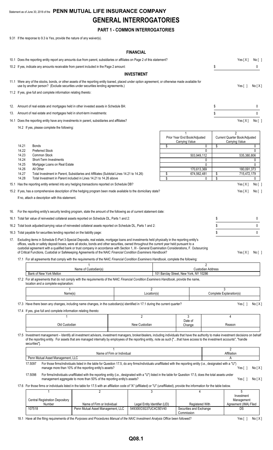## Statement as of June 30, 2018 of the **PENN MUTUAL LIFE INSURANCE COMPANY GENERAL INTERROGATORIES**

## **PART 1 - COMMON INTERROGATORIES**

9.31 If the response to 9.3 is Yes, provide the nature of any waiver(s).

#### **FINANCIAL**

|                                                                     |                |                                                                                                                                                                                                                                                                                                                                                                                                                                                                                                                                                                       |                                                                                                                                                                                                                                          |                            | <b>FINANCIAL</b>              |                                       |                                                |                          |                                                      |                   |
|---------------------------------------------------------------------|----------------|-----------------------------------------------------------------------------------------------------------------------------------------------------------------------------------------------------------------------------------------------------------------------------------------------------------------------------------------------------------------------------------------------------------------------------------------------------------------------------------------------------------------------------------------------------------------------|------------------------------------------------------------------------------------------------------------------------------------------------------------------------------------------------------------------------------------------|----------------------------|-------------------------------|---------------------------------------|------------------------------------------------|--------------------------|------------------------------------------------------|-------------------|
|                                                                     |                | 10.1 Does the reporting entity report any amounts due from parent, subsidiaries or affiliates on Page 2 of this statement?                                                                                                                                                                                                                                                                                                                                                                                                                                            |                                                                                                                                                                                                                                          |                            |                               |                                       |                                                |                          | Yes[X]                                               | No [ ]            |
|                                                                     |                | 10.2 If yes, indicate any amounts receivable from parent included in the Page 2 amount:                                                                                                                                                                                                                                                                                                                                                                                                                                                                               |                                                                                                                                                                                                                                          |                            |                               |                                       |                                                | S                        |                                                      | 0                 |
|                                                                     |                |                                                                                                                                                                                                                                                                                                                                                                                                                                                                                                                                                                       |                                                                                                                                                                                                                                          |                            | <b>INVESTMENT</b>             |                                       |                                                |                          |                                                      |                   |
|                                                                     |                | 11.1 Were any of the stocks, bonds, or other assets of the reporting entity loaned, placed under option agreement, or otherwise made available for<br>use by another person? (Exclude securities under securities lending agreements.)                                                                                                                                                                                                                                                                                                                                |                                                                                                                                                                                                                                          |                            |                               |                                       |                                                |                          | Yes[]                                                | No[X]             |
|                                                                     |                | 11.2 If yes, give full and complete information relating thereto:                                                                                                                                                                                                                                                                                                                                                                                                                                                                                                     |                                                                                                                                                                                                                                          |                            |                               |                                       |                                                |                          |                                                      |                   |
|                                                                     |                |                                                                                                                                                                                                                                                                                                                                                                                                                                                                                                                                                                       |                                                                                                                                                                                                                                          |                            |                               |                                       |                                                |                          |                                                      |                   |
| 12.                                                                 |                | Amount of real estate and mortgages held in other invested assets in Schedule BA:                                                                                                                                                                                                                                                                                                                                                                                                                                                                                     |                                                                                                                                                                                                                                          |                            |                               |                                       |                                                | \$                       |                                                      | 0                 |
| 13.                                                                 |                | Amount of real estate and mortgages held in short-term investments:                                                                                                                                                                                                                                                                                                                                                                                                                                                                                                   |                                                                                                                                                                                                                                          |                            |                               |                                       |                                                | \$                       |                                                      | 0                 |
|                                                                     |                | 14.1 Does the reporting entity have any investments in parent, subsidiaries and affiliates?                                                                                                                                                                                                                                                                                                                                                                                                                                                                           |                                                                                                                                                                                                                                          |                            |                               |                                       |                                                |                          | Yes[X]                                               | No[               |
|                                                                     |                | 14.2 If yes, please complete the following:                                                                                                                                                                                                                                                                                                                                                                                                                                                                                                                           |                                                                                                                                                                                                                                          |                            |                               |                                       |                                                |                          |                                                      |                   |
|                                                                     |                |                                                                                                                                                                                                                                                                                                                                                                                                                                                                                                                                                                       |                                                                                                                                                                                                                                          |                            |                               |                                       | Prior Year End Book/Adjusted<br>Carrying Value |                          | 2<br>Current Quarter Book/Adjusted<br>Carrying Value |                   |
|                                                                     | 14.21<br>14.22 | Bonds<br><b>Preferred Stock</b>                                                                                                                                                                                                                                                                                                                                                                                                                                                                                                                                       |                                                                                                                                                                                                                                          |                            |                               | \$                                    |                                                | 0<br>\$<br>$\mathbf{0}$  |                                                      | 0<br>$\mathbf{0}$ |
|                                                                     | 14.23          | Common Stock                                                                                                                                                                                                                                                                                                                                                                                                                                                                                                                                                          |                                                                                                                                                                                                                                          |                            |                               |                                       | 503,949,112                                    |                          | 535,380,806                                          |                   |
|                                                                     | 14.24          | Short-Term Investments                                                                                                                                                                                                                                                                                                                                                                                                                                                                                                                                                |                                                                                                                                                                                                                                          |                            |                               |                                       |                                                | 0                        |                                                      | 0                 |
|                                                                     | 14.25          | Mortgage Loans on Real Estate<br>All Other                                                                                                                                                                                                                                                                                                                                                                                                                                                                                                                            |                                                                                                                                                                                                                                          |                            |                               |                                       |                                                | $\mathbf{0}$             |                                                      | $\mathbf{0}$      |
|                                                                     | 14.26<br>14.27 | Total Investment in Parent, Subsidiaries and Affiliates (Subtotal Lines 14.21 to 14.26)                                                                                                                                                                                                                                                                                                                                                                                                                                                                               |                                                                                                                                                                                                                                          |                            |                               | \$                                    | 170,613,369<br>674,562,481                     | \$                       | 180,091,373<br>715,472,179                           |                   |
|                                                                     | 14.28          | Total Investment in Parent included in Lines 14.21 to 14.26 above                                                                                                                                                                                                                                                                                                                                                                                                                                                                                                     |                                                                                                                                                                                                                                          |                            |                               | \$                                    |                                                | \$<br>0                  |                                                      | 0                 |
|                                                                     |                | 15.1 Has the reporting entity entered into any hedging transactions reported on Schedule DB?                                                                                                                                                                                                                                                                                                                                                                                                                                                                          |                                                                                                                                                                                                                                          |                            |                               |                                       |                                                |                          | Yes[X]                                               | No [ ]            |
|                                                                     |                | 15.2 If yes, has a comprehensive description of the hedging program been made available to the domiciliary state?                                                                                                                                                                                                                                                                                                                                                                                                                                                     |                                                                                                                                                                                                                                          |                            |                               |                                       |                                                |                          | Yes[X]                                               | No[ ]             |
|                                                                     |                | If no, attach a description with this statement.                                                                                                                                                                                                                                                                                                                                                                                                                                                                                                                      |                                                                                                                                                                                                                                          |                            |                               |                                       |                                                |                          |                                                      |                   |
|                                                                     |                |                                                                                                                                                                                                                                                                                                                                                                                                                                                                                                                                                                       |                                                                                                                                                                                                                                          |                            |                               |                                       |                                                |                          |                                                      |                   |
| 16.                                                                 |                | For the reporting entity's security lending program, state the amount of the following as of current statement date:                                                                                                                                                                                                                                                                                                                                                                                                                                                  |                                                                                                                                                                                                                                          |                            |                               |                                       |                                                |                          |                                                      |                   |
|                                                                     |                | 16.1 Total fair value of reinvested collateral assets reported on Schedule DL, Parts 1 and 2:                                                                                                                                                                                                                                                                                                                                                                                                                                                                         |                                                                                                                                                                                                                                          |                            |                               |                                       |                                                | \$                       |                                                      | 0                 |
|                                                                     |                | 16.2 Total book adjusted/carrying value of reinvested collateral assets reported on Schedule DL, Parts 1 and 2:                                                                                                                                                                                                                                                                                                                                                                                                                                                       |                                                                                                                                                                                                                                          |                            |                               |                                       |                                                | \$                       |                                                      | 0                 |
|                                                                     |                | 16.3 Total payable for securities lending reported on the liability page:                                                                                                                                                                                                                                                                                                                                                                                                                                                                                             |                                                                                                                                                                                                                                          |                            |                               |                                       |                                                | S.                       |                                                      | 0                 |
|                                                                     |                | 17. Excluding items in Schedule E-Part 3-Special Deposits, real estate, mortgage loans and investments held physically in the reporting entity's<br>offices, vaults or safety deposit boxes, were all stocks, bonds and other securities, owned throughout the current year held pursuant to a<br>custodial agreement with a qualified bank or trust company in accordance with Section 1, III - General Examination Considerations, F. Outsourcing<br>of Critical Functions, Custodial or Safekeeping Agreements of the NAIC Financial Condition Examiners Handbook? |                                                                                                                                                                                                                                          |                            |                               |                                       |                                                |                          | Yes[X] No[]                                          |                   |
|                                                                     |                | 17.1 For all agreements that comply with the requirements of the NAIC Financial Condition Examiners Handbook, complete the following:                                                                                                                                                                                                                                                                                                                                                                                                                                 |                                                                                                                                                                                                                                          |                            |                               |                                       |                                                |                          |                                                      |                   |
|                                                                     |                |                                                                                                                                                                                                                                                                                                                                                                                                                                                                                                                                                                       |                                                                                                                                                                                                                                          |                            |                               |                                       |                                                | 2                        |                                                      |                   |
|                                                                     |                | Bank of New York Mellon                                                                                                                                                                                                                                                                                                                                                                                                                                                                                                                                               | Name of Custodian(s)                                                                                                                                                                                                                     |                            |                               |                                       | 101 Barclay Street, New York, NY 10286         | <b>Custodian Address</b> |                                                      |                   |
|                                                                     |                | 17.2 For all agreements that do not comply with the requirements of the NAIC Financial Condition Examiners Handbook, provide the name,<br>location and a complete explanation:                                                                                                                                                                                                                                                                                                                                                                                        |                                                                                                                                                                                                                                          |                            |                               |                                       |                                                |                          |                                                      |                   |
|                                                                     |                | Name(s)                                                                                                                                                                                                                                                                                                                                                                                                                                                                                                                                                               |                                                                                                                                                                                                                                          |                            | 2<br>Location(s)              |                                       |                                                |                          | 3<br>Complete Explanation(s)                         |                   |
|                                                                     |                |                                                                                                                                                                                                                                                                                                                                                                                                                                                                                                                                                                       |                                                                                                                                                                                                                                          |                            |                               |                                       |                                                |                          |                                                      |                   |
|                                                                     |                | 17.3 Have there been any changes, including name changes, in the custodian(s) identified in 17.1 during the current quarter?                                                                                                                                                                                                                                                                                                                                                                                                                                          |                                                                                                                                                                                                                                          |                            |                               |                                       |                                                |                          | Yes $[ ]$                                            | No[X]             |
|                                                                     |                | 17.4 If yes, give full and complete information relating thereto:                                                                                                                                                                                                                                                                                                                                                                                                                                                                                                     |                                                                                                                                                                                                                                          |                            |                               |                                       |                                                |                          |                                                      |                   |
|                                                                     |                |                                                                                                                                                                                                                                                                                                                                                                                                                                                                                                                                                                       |                                                                                                                                                                                                                                          |                            | $\overline{2}$                |                                       | 3<br>Date of                                   |                          | 4                                                    |                   |
|                                                                     |                | Old Custodian                                                                                                                                                                                                                                                                                                                                                                                                                                                                                                                                                         |                                                                                                                                                                                                                                          |                            | New Custodian                 |                                       | Change                                         |                          | Reason                                               |                   |
|                                                                     |                | 17.5 Investment management - Identify all investment advisors, investment managers, broker/dealers, including individuals that have the authority to make investment decisions on behalf<br>of the reporting entity. For assets that are managed internally by employees of the reporting entity, note as such ["that have access to the investment accounts", "handle<br>securities"].                                                                                                                                                                               |                                                                                                                                                                                                                                          |                            |                               |                                       |                                                |                          |                                                      |                   |
|                                                                     |                |                                                                                                                                                                                                                                                                                                                                                                                                                                                                                                                                                                       |                                                                                                                                                                                                                                          | Name of Firm or Individual |                               |                                       |                                                |                          | $\overline{2}$<br>Affiliation                        |                   |
|                                                                     |                | Penn Mutual Asset Management, LLC                                                                                                                                                                                                                                                                                                                                                                                                                                                                                                                                     |                                                                                                                                                                                                                                          |                            |                               |                                       |                                                |                          | А                                                    |                   |
|                                                                     |                | 17.5097                                                                                                                                                                                                                                                                                                                                                                                                                                                                                                                                                               | For those firms/individuals listed in the table for Question 17.5, do any firms/individuals unaffiliated with the reporting entity (i.e., designated with a "U")<br>manage more than 10% of the reporting entity's assets?               |                            |                               |                                       |                                                |                          | Yes $[ ]$                                            | No[X]             |
|                                                                     |                | 17.5098                                                                                                                                                                                                                                                                                                                                                                                                                                                                                                                                                               | For firms/individuals unaffiliated with the reporting entity (i.e., designated with a "U") listed in the table for Question 17.5, does the total assets under<br>management aggregate to more than 50% of the reporting entity's assets? |                            |                               |                                       |                                                |                          | Yes $[ \ ]$                                          | No[X]             |
|                                                                     |                | 17.6 For those firms or individuals listed in the table for 17.5 with an affiliation code of "A" (affiliated) or "U" (unaffiliated), provide the information for the table below.                                                                                                                                                                                                                                                                                                                                                                                     |                                                                                                                                                                                                                                          |                            |                               |                                       |                                                |                          |                                                      |                   |
|                                                                     |                | $\mathbf{1}$                                                                                                                                                                                                                                                                                                                                                                                                                                                                                                                                                          | $\overline{2}$                                                                                                                                                                                                                           |                            | 3                             |                                       | 4                                              |                          | 5<br>Investment                                      |                   |
|                                                                     |                | <b>Central Registration Depository</b><br>Number                                                                                                                                                                                                                                                                                                                                                                                                                                                                                                                      | Name of Firm or Individual                                                                                                                                                                                                               |                            | Legal Entity Identifier (LEI) |                                       | <b>Registered With</b>                         |                          | Management<br>Agreement (IMA) Filed                  |                   |
| Penn Mutual Asset Management, LLC<br>549300O3G37UC4C5EV40<br>107518 |                |                                                                                                                                                                                                                                                                                                                                                                                                                                                                                                                                                                       |                                                                                                                                                                                                                                          |                            |                               | Securities and Exchange<br>Commission |                                                | <b>DS</b>                |                                                      |                   |

18.1 Have all the filing requirements of the Purposes and Procedures Manual of the NAIC Investment Analysis Office been followed? Yes [ ] No [X]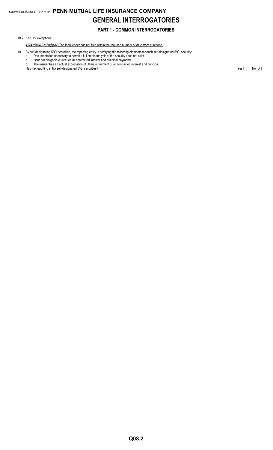## **PART 1 - COMMON INTERROGATORIES**

#### 18.2 If no, list exceptions:

#### 41242\*BH4,22160@AA6 The lead lender has not filed within the required number of days from purchase.

- 19. By self-designating 5\*GI securities, the reporting entity is certifying the following elements for each self-designated 5\*GI security:
	- a. Documentation necessary to permit a full credit analysis of the security does not exist.
	- b. Issuer or obligor is current on all contracted interest and principal payments. c. The insurer has an actual expectation of ultimate payment of all contracted interest and principal.

Has the reporting entity self-designated 5\*GI securities? The result of the securities of the securities of the securities of the securities of the securities of the securities of the securities of the securities of the se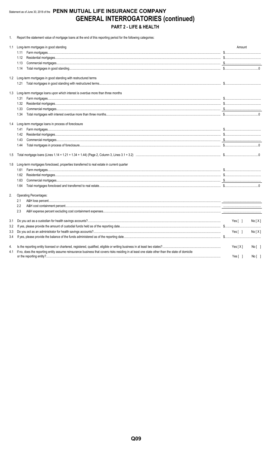## Statement as of June 30, 2018 of the PENN MUTUAL LIFE INSURANCE COMPANY **GENERAL INTERROGATORIES (continued)** PART 2 - LIFE & HEALTH

1. Report the statement value of mortgage loans at the end of this reporting period for the following categories:

| 1.1 | Long-term mortgages in good standing                                                                                                           | Amount                    |        |
|-----|------------------------------------------------------------------------------------------------------------------------------------------------|---------------------------|--------|
|     |                                                                                                                                                |                           |        |
|     | 1.12                                                                                                                                           |                           |        |
|     | 1.13                                                                                                                                           |                           |        |
|     | 1.14                                                                                                                                           |                           |        |
|     | 1.2 Long-term mortgages in good standing with restructured terms                                                                               |                           |        |
|     |                                                                                                                                                |                           |        |
|     | 1.3 Long-term mortgage loans upon which interest is overdue more than three months                                                             |                           |        |
|     | 1.31                                                                                                                                           |                           |        |
|     | 1.32                                                                                                                                           |                           |        |
|     | 1.33                                                                                                                                           |                           |        |
|     | 1.34                                                                                                                                           |                           |        |
|     | 1.4 Long-term mortgage loans in process of foreclosure                                                                                         |                           |        |
|     | 1.41                                                                                                                                           |                           |        |
|     | 1.42                                                                                                                                           |                           |        |
|     | 1.43                                                                                                                                           |                           |        |
|     | 1.44                                                                                                                                           |                           |        |
| 1.5 |                                                                                                                                                |                           |        |
| 1.6 | Long-term mortgages foreclosed, properties transferred to real estate in current quarter                                                       |                           |        |
|     | 1.61                                                                                                                                           |                           |        |
|     | 1.62                                                                                                                                           |                           |        |
|     | 1.63                                                                                                                                           |                           |        |
|     | 1.64                                                                                                                                           |                           |        |
| 2.  | <b>Operating Percentages:</b>                                                                                                                  |                           |        |
|     | 2.1                                                                                                                                            |                           |        |
|     | 2.2                                                                                                                                            |                           |        |
|     | 2.3                                                                                                                                            |                           |        |
| 3.1 |                                                                                                                                                | Yes [ ]                   | No[X]  |
| 3.2 |                                                                                                                                                |                           |        |
| 3.3 |                                                                                                                                                | Yes[ ]                    | No[X]  |
| 3.4 |                                                                                                                                                |                           |        |
| 4.  |                                                                                                                                                | Yes $[X]$                 | No [ ] |
| 4.1 | If no, does the reporting entity assume reinsurance business that covers risks residing in at least one state other than the state of domicile | Yes $\lceil \quad \rceil$ | No[    |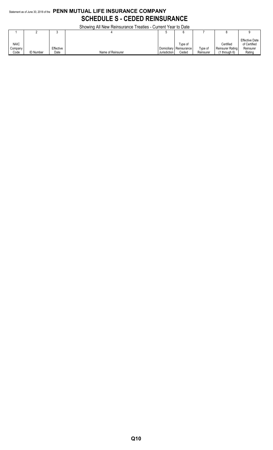## Statement as of June 30, 2018 of the **PENN MUTUAL LIFE INSURANCE COMPANY SCHEDULE S - CEDED REINSURANCE**

Showing All New Reinsurance Treaties - Current Year to Date

|                                |                  |                   | <b>OUDWING AN INGWINGING ILCANGS - CUITENT LCAL TO DATE</b> |              |                                             |                      |                                                  |                                                              |
|--------------------------------|------------------|-------------------|-------------------------------------------------------------|--------------|---------------------------------------------|----------------------|--------------------------------------------------|--------------------------------------------------------------|
|                                |                  |                   |                                                             |              |                                             |                      |                                                  |                                                              |
| <b>NAIC</b><br>Company<br>Code | <b>ID Number</b> | Effective<br>Date | Name of Reinsurer                                           | Jurisdiction | Tvpe of<br>Domiciliary Reinsurance<br>Ceded | Type of<br>Reinsurer | Certified<br>Reinsurer Rating<br>$(1$ through 6) | <b>Effective Date</b><br>of Certified<br>Reinsurer<br>Rating |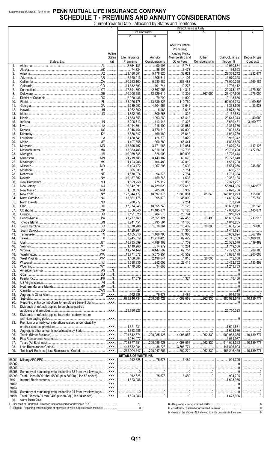### Statement as of June 30, 2018 of the PENN MUTUAL LIFE INSURANCE COMPANY **SCHEDULE T - PREMIUMS AND ANNUITY CONSIDERATIONS**

|            |                                                                      |                                   | Current Year to Date - Allocated by States and Territories |                              |                                                                                                                                                                                                                                                                                                                                                      |                 |                              |                    |
|------------|----------------------------------------------------------------------|-----------------------------------|------------------------------------------------------------|------------------------------|------------------------------------------------------------------------------------------------------------------------------------------------------------------------------------------------------------------------------------------------------------------------------------------------------------------------------------------------------|-----------------|------------------------------|--------------------|
|            |                                                                      |                                   | Life Contracts                                             |                              | Direct Business Only                                                                                                                                                                                                                                                                                                                                 | 5               | 6                            |                    |
|            |                                                                      |                                   | $\overline{2}$                                             | 3                            |                                                                                                                                                                                                                                                                                                                                                      |                 |                              |                    |
|            |                                                                      |                                   |                                                            |                              |                                                                                                                                                                                                                                                                                                                                                      |                 |                              |                    |
|            |                                                                      |                                   |                                                            |                              | A&H Insurance                                                                                                                                                                                                                                                                                                                                        |                 |                              |                    |
|            |                                                                      |                                   |                                                            |                              | Premiums.                                                                                                                                                                                                                                                                                                                                            |                 |                              |                    |
|            |                                                                      | Active                            |                                                            |                              | <b>Including Policy</b>                                                                                                                                                                                                                                                                                                                              |                 |                              |                    |
|            |                                                                      | Status                            | Life Insurance                                             | Annuity                      | Membership and                                                                                                                                                                                                                                                                                                                                       | Other           | <b>Total Columns 2</b>       | Deposit-Type       |
|            | States, Etc.                                                         | (a)                               | Premiums                                                   | Considerations               | Other Fees                                                                                                                                                                                                                                                                                                                                           | Considerations  | through 5                    | Contracts          |
| 1.         |                                                                      | L                                 | 2,854,135                                                  | 90,996                       | $\frac{1}{15,743}$                                                                                                                                                                                                                                                                                                                                   |                 | 2,960,874                    |                    |
| 2.         |                                                                      | L                                 | 74,324                                                     | 86,191                       | 6,478                                                                                                                                                                                                                                                                                                                                                |                 | 166,993                      |                    |
| 3.         |                                                                      | L                                 | 23,150,001                                                 | 5,176,620                    | 32,621                                                                                                                                                                                                                                                                                                                                               |                 | $\ldots$ 28,359,242          | 232,671            |
| 4.         |                                                                      | . L                               | 2,560,913                                                  | 1,505,311                    | 4,104                                                                                                                                                                                                                                                                                                                                                |                 |                              |                    |
| 5.         |                                                                      | L                                 | $1$ 70,753,160                                             | 5,980,582                    | 286,483                                                                                                                                                                                                                                                                                                                                              |                 | $\ldots$ 77,020,225          | 169,185            |
| 6.         |                                                                      | . L                               | 11,682,393                                                 | 101,744                      | 12,275                                                                                                                                                                                                                                                                                                                                               |                 | 11,796,412                   |                    |
| 7.         |                                                                      | L                                 | 17,391,800                                                 | 2,867,053                    | 114,314                                                                                                                                                                                                                                                                                                                                              |                 | $\ldots$ 20,373,167          | 175,302            |
| 8.         |                                                                      | L                                 | $\ldots$ 10,000,585                                        | 12,629,619                   | 10,302                                                                                                                                                                                                                                                                                                                                               | 767,000         | $\ldots$ 23,407,506          | 275,000            |
| 9.         |                                                                      | L                                 | 1.1112,020,436                                             | 79,200                       | 14,000                                                                                                                                                                                                                                                                                                                                               |                 | 2,113,636                    |                    |
| 10.        |                                                                      | L                                 | 38,076,178<br>$\ddotsc$                                    | 13,539,825                   | 410,760                                                                                                                                                                                                                                                                                                                                              |                 |                              | 69,805             |
| 11.        |                                                                      | L                                 | 1.1.19, 239, 003                                           | 1, 4, 104, 951               | 19,642                                                                                                                                                                                                                                                                                                                                               |                 | 13,363,596                   | 33,938             |
| 12.        |                                                                      | L                                 | 1,062,560                                                  | 6,963                        | 3,613                                                                                                                                                                                                                                                                                                                                                |                 | 1,073,136                    |                    |
| 13.        |                                                                      | L                                 | 1,852,493                                                  | 309,268                      | 822                                                                                                                                                                                                                                                                                                                                                  |                 | 2,162,583                    |                    |
| 14.        |                                                                      | L                                 | 21,583,656                                                 | 1,993,269                    | 66,418                                                                                                                                                                                                                                                                                                                                               |                 | $1$ 23,643,343<br>3,639,481  | 40,000             |
| 15.        |                                                                      | L                                 | $1.113$ , 206, 713                                         | 413,443                      | 19,325                                                                                                                                                                                                                                                                                                                                               |                 | $\ldots$ 6,364,786           | 3,460,772          |
| 16.<br>17. |                                                                      | L<br>L                            | $$ 6,114,701<br>$1.1.1$ 5,946,154                          | 218,100<br>3,770,510         | 31,985<br>87,009                                                                                                                                                                                                                                                                                                                                     |                 | 9,803,673                    |                    |
|            |                                                                      | L                                 | 3,536,647                                                  | 469,480                      | 25,642                                                                                                                                                                                                                                                                                                                                               |                 | $1$ 4,031,769                |                    |
| 18.<br>19. |                                                                      | L                                 | 3,480,541                                                  | 426,779                      | 8,022                                                                                                                                                                                                                                                                                                                                                |                 | 3,915,342                    |                    |
| 20.        |                                                                      | . L                               | 1,407,655                                                  | 360,789                      | 65,441                                                                                                                                                                                                                                                                                                                                               |                 | 1,833,885                    |                    |
| 21.        |                                                                      | L                                 | 13,596,407                                                 | $\ldots$ 3,171,965           | 110,881                                                                                                                                                                                                                                                                                                                                              |                 | 16,879,253                   | 112,125            |
| 22.        |                                                                      | . L                               | 13,883,488                                                 | 6,810,209                    | 12,793                                                                                                                                                                                                                                                                                                                                               |                 | 20,706,490                   | 477,569            |
| 23.        |                                                                      | L                                 | 16,089,545                                                 | 526,003                      | 109,896                                                                                                                                                                                                                                                                                                                                              |                 | 16,725,444                   |                    |
| 24.        |                                                                      | L                                 | 21,219,788                                                 | $\ldots$ 8,443,182           | 60,670                                                                                                                                                                                                                                                                                                                                               |                 | 29,723,640                   |                    |
| 25.        |                                                                      | L                                 | 1,423,286                                                  | 106,483                      | 32,019                                                                                                                                                                                                                                                                                                                                               |                 | 1,561,788                    |                    |
| 26.        |                                                                      | . L                               | 6,493,172                                                  | 1,067,206                    | 3,698                                                                                                                                                                                                                                                                                                                                                |                 | 1.17,564,076                 | 248,500            |
| 27.        |                                                                      | L                                 | $\ldots$ 665,006                                           |                              | 1,751                                                                                                                                                                                                                                                                                                                                                |                 | 666,757                      |                    |
| 28.        |                                                                      | L                                 | 1,678,974                                                  | 94,576                       | $\hspace{1.5cm} \ldots \hspace{1.5cm} \ldots \hspace{1.5cm} \ldots \hspace{1.5cm} \ldots \hspace{1.5cm} \ldots \hspace{1.5cm} \ldots \hspace{1.5cm} \ldots \hspace{1.5cm} \ldots \hspace{1.5cm} \ldots \hspace{1.5cm} \ldots \hspace{1.5cm} \ldots \hspace{1.5cm} \ldots$                                                                            |                 | 1,781,334                    |                    |
| 29.        |                                                                      | . L                               | 10,187,802                                                 | 159,746                      | 4,636                                                                                                                                                                                                                                                                                                                                                |                 | 10,352,184                   |                    |
| 30.        |                                                                      | . L                               | 1, 529, 250                                                | 775,112                      | 16,865                                                                                                                                                                                                                                                                                                                                               |                 | $\ldots$ 2,321,227           |                    |
| 31.        |                                                                      | L                                 | 1.11139,842,091                                            | 16,729,629                   | 372,615                                                                                                                                                                                                                                                                                                                                              |                 | $335$ 56,944,335             | 1,142,676          |
| 32.        |                                                                      | . L                               | 1, 858, 597                                                | 205,200                      | 6,909                                                                                                                                                                                                                                                                                                                                                |                 | $1$ 2,070,706                |                    |
| 33.        |                                                                      | L                                 | 127,944,177                                                | 18,597,375                   | 1,383,881                                                                                                                                                                                                                                                                                                                                            | 85,840          | 148,011,273                  | 155,000            |
| 34.        |                                                                      | . L                               | 13,661,175                                                 | 895.170                      | 45,009                                                                                                                                                                                                                                                                                                                                               |                 | 14,601,354                   | 373,739            |
| 35.        |                                                                      | L                                 | 780,977                                                    |                              | 2,251                                                                                                                                                                                                                                                                                                                                                |                 | 783,228                      |                    |
| 36.        |                                                                      | . L                               | 17.974.948                                                 | 18.555.740                   | 78,123                                                                                                                                                                                                                                                                                                                                               |                 | $1.1.1$ 36,608,811           | 301,246            |
| 37.        |                                                                      | L                                 | $1$ 5,856,840                                              | 11,185,874                   | 16,120                                                                                                                                                                                                                                                                                                                                               |                 | $\vert$ 17,058,834           | 145,871            |
| 38.        |                                                                      | . L                               | 3,191,323                                                  | 704,576                      | 20,794                                                                                                                                                                                                                                                                                                                                               |                 |                              |                    |
| 39.<br>40. |                                                                      |                                   | $\ldots$ L    42,737,760<br>L   3,241,451                  | 22,651,121<br>795,594        | 247,455<br>$\vert$ 11,160                                                                                                                                                                                                                                                                                                                            |                 | 53,490 65,689,826            | 213,915            |
| 41.        |                                                                      |                                   | $\ldots$ 2.070.208                                         | 1,516,064                    |                                                                                                                                                                                                                                                                                                                                                      | $\ldots$ 30,000 | 3,631,734                    | <br>74,000         |
| 42.        |                                                                      | L                                 | 1,429,261                                                  |                              | 14,360                                                                                                                                                                                                                                                                                                                                               |                 | 1,443,621                    |                    |
| 43.        |                                                                      | L                                 | 4,465,316                                                  | 1,166,798                    | 36,980                                                                                                                                                                                                                                                                                                                                               |                 | $\ldots$ 5,669,094           | 367,967            |
| 44.        |                                                                      | L                                 | 33,945,519<br>$\cdots$                                     | 11,710,428                   |                                                                                                                                                                                                                                                                                                                                                      |                 | 45,745,369                   | 1,108,333          |
| 45.        |                                                                      | L                                 | 18,735,699<br>$\sim$                                       | 4,789,162                    | 4,709                                                                                                                                                                                                                                                                                                                                                |                 | $\ldots$ 23,529,570          | 419,482            |
| 46.        |                                                                      | L                                 | 1,419,266                                                  | 314,979                      | 15,261                                                                                                                                                                                                                                                                                                                                               |                 | 1,749,506                    |                    |
| 47.        |                                                                      |                                   | 11,274,149                                                 | 6,447,597<br>.               | 69,757                                                                                                                                                                                                                                                                                                                                               |                 | 17,791,503                   | 209,188            |
| 48.        |                                                                      | L                                 | 13,771,672                                                 | 5,075,954                    | 40,552                                                                                                                                                                                                                                                                                                                                               |                 | 18,888,178                   | 200,000            |
| 49.        |                                                                      | L                                 | 1,188,384                                                  | .2,496,644<br>.              | 1,010                                                                                                                                                                                                                                                                                                                                                | 26,000          | $\dots$ 3,712,038            |                    |
| 50.        |                                                                      | L                                 | 335                                                        | 852,002                      | 22,415                                                                                                                                                                                                                                                                                                                                               |                 | .6,462,752<br>.              | 133,493            |
| 51.        |                                                                      | L                                 | 1,179,085                                                  | $\ldots$ 34,668              |                                                                                                                                                                                                                                                                                                                                                      |                 | 1,213,753                    |                    |
| 52.        |                                                                      | N                                 |                                                            |                              |                                                                                                                                                                                                                                                                                                                                                      |                 |                              |                    |
| 53.        |                                                                      | N                                 |                                                            |                              |                                                                                                                                                                                                                                                                                                                                                      |                 | 0                            |                    |
| 54.        |                                                                      | N<br>N                            | 17,079                                                     |                              | 1.327                                                                                                                                                                                                                                                                                                                                                |                 | 18,406                       |                    |
| 55.<br>56. |                                                                      | N                                 |                                                            |                              | <br>                                                                                                                                                                                                                                                                                                                                                 | <br>            |                              |                    |
| 57.        |                                                                      | N                                 |                                                            |                              |                                                                                                                                                                                                                                                                                                                                                      |                 | 28                           |                    |
| 58.        |                                                                      | $.$ $XXX$                         | 912,628                                                    |                              | $\dots\dots\dots\dots6,489$                                                                                                                                                                                                                                                                                                                          | 0               | 994,795                      |                    |
| 59.        |                                                                      | $\overline{.}$ XXX $\overline{.}$ | 675,846,734                                                | $\ldots$ 200,085,428         | 1.1, 4, 098, 053                                                                                                                                                                                                                                                                                                                                     |                 | 380,992,545                  | 10,139,777         |
| 90.        | Reporting entity contributions for employee benefit plans            | $.$ $XXX$                         |                                                            |                              |                                                                                                                                                                                                                                                                                                                                                      |                 |                              |                    |
| 91.        | Dividends or refunds applied to purchase paid-up                     |                                   |                                                            |                              |                                                                                                                                                                                                                                                                                                                                                      |                 |                              |                    |
|            |                                                                      | .XXX.                             | .25,750,323                                                |                              |                                                                                                                                                                                                                                                                                                                                                      |                 | $\ldots$ 25,750,323          |                    |
| 92.        | Dividends or refunds applied to shorten endowment or                 |                                   |                                                            |                              |                                                                                                                                                                                                                                                                                                                                                      |                 |                              |                    |
|            | premium paying period<br><br>.                                       | XXX                               |                                                            |                              |                                                                                                                                                                                                                                                                                                                                                      |                 |                              |                    |
| 93.        | Premium or annuity considerations waived under disability            |                                   |                                                            |                              |                                                                                                                                                                                                                                                                                                                                                      |                 |                              |                    |
|            |                                                                      | . XXX.                            | 1,621,531                                                  |                              |                                                                                                                                                                                                                                                                                                                                                      |                 | 1,621,531                    |                    |
| 94.        |                                                                      | XXX                               | 1,623,986                                                  | 0                            | $\begin{array}{l} \rule{0.2cm}{0.15mm} \rule{0.2cm}{0.15mm} \rule{0.2cm}{0.15mm} \rule{0.2cm}{0.15mm} \rule{0.2cm}{0.15mm} \rule{0.2cm}{0.15mm} \rule{0.2cm}{0.15mm} \rule{0.2cm}{0.15mm} \rule{0.2cm}{0.15mm} \rule{0.2cm}{0.15mm} \rule{0.2cm}{0.15mm} \rule{0.2cm}{0.15mm} \rule{0.2cm}{0.15mm} \rule{0.2cm}{0.15mm} \rule{0.2cm}{0.15mm} \rule{$ |                 | 1,623,986                    |                    |
| 95.        |                                                                      | $\overline{.}$ XXX $\overline{.}$ | .704,842,574                                               | 200,085,428                  | 1.1, 4.098, 053                                                                                                                                                                                                                                                                                                                                      | .962,330<br>.   | .909,988,385                 | 10,139,777         |
| 96.        |                                                                      | $.$ $XXX$                         | 4,034,977                                                  |                              |                                                                                                                                                                                                                                                                                                                                                      |                 | 4,034,977                    |                    |
| 97.        | Totals (All Business)                                                | $\overline{.}$ XXX $\overline{.}$ | .708,877,551                                               | 200,085,428                  |                                                                                                                                                                                                                                                                                                                                                      | .962,330<br>.   | .914,023,362                 | $\dots$ 10,139,777 |
| 98.<br>99. |                                                                      | $.$ $XXX$<br>$\overline{.XXX}$ .  | .443,872,904                                               | .38,225<br>.<br>.200,047,203 | 3,895,774<br>$\frac{1}{202,279}$                                                                                                                                                                                                                                                                                                                     | .<br>.962,330   | .447,806,903<br>.466,216,459 | 10,139,777         |
|            |                                                                      |                                   | .265,004,647                                               |                              |                                                                                                                                                                                                                                                                                                                                                      | .               | .                            |                    |
|            |                                                                      |                                   | <b>DETAILS OF WRITE-INS</b>                                |                              |                                                                                                                                                                                                                                                                                                                                                      |                 | 994.795                      |                    |
|            |                                                                      | $.$ $XXX$<br>XXX                  |                                                            |                              |                                                                                                                                                                                                                                                                                                                                                      |                 |                              |                    |
| 58003.     |                                                                      | XXX                               |                                                            |                              |                                                                                                                                                                                                                                                                                                                                                      |                 |                              |                    |
|            | 58998. Summary of remaining write-ins for line 58 from overflow page | .XXX                              |                                                            |                              |                                                                                                                                                                                                                                                                                                                                                      | 0               |                              |                    |
|            | 58999. Total (Lines 58001 thru 58003 plus 58998) (Line 58 above)     | XXX.                              | 912,628                                                    |                              | 75,678 6,489                                                                                                                                                                                                                                                                                                                                         |                 | 994,795                      |                    |
| 9401.      |                                                                      | XXX                               | 1,623,986                                                  |                              |                                                                                                                                                                                                                                                                                                                                                      |                 | 1.623.986                    |                    |
| 9402.      |                                                                      | $.$ $XXX.$                        |                                                            |                              |                                                                                                                                                                                                                                                                                                                                                      |                 |                              |                    |
| 9403.      |                                                                      | .XXX                              |                                                            |                              |                                                                                                                                                                                                                                                                                                                                                      |                 |                              |                    |
|            | 9498. Summary of remaining write-ins for line 94 from overflow page  | XXX                               |                                                            |                              |                                                                                                                                                                                                                                                                                                                                                      | 0               |                              |                    |
| 9499.      | Total (Lines 9401 thru 9403 plus 9498) (Line 94 above)               | XXX                               | 1,623,986                                                  |                              | 0                                                                                                                                                                                                                                                                                                                                                    |                 | 1,623,986                    |                    |

9499. Total (Lines 9401 thru 9403 plus 9498) (Line 94 above).......<br>(a) Active Status Count<br>L - Licensed or Chartered - Licensed insurance carrier or domiciled RRG.......... E - Eligible - Reporting entities eligible or approved to write surplus lines in the state .......

R - Registered - Non-domiciled RRGs...................<br>Q - Qualified - Qualified or accredited reinsurer.....

 $\overline{0}$ .

 $\mathbf 0$ 

 $\overline{0}$ 

 $6<sup>1</sup>$ 

N - None of the above - Not allowed to write business in the state

 $\frac{51}{0}$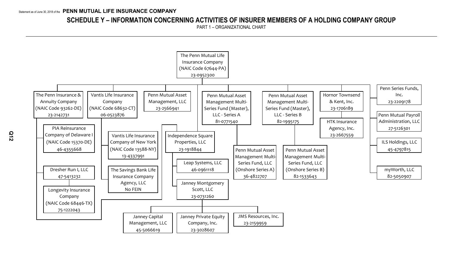## **SCHEDULE Y – INFORMATION CONCERNING ACTIVITIES OF INSURER MEMBERS OF A HOLDING COMPANY GROUP**

PART 1 – ORGANIZATIONAL CHART

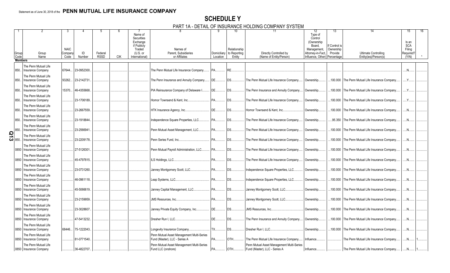## **SCHEDULE Y**

PART 1A - DETAIL OF INSURANCE HOLDING COMPANY SYSTEM

|                     | Group<br>Code  | Group<br>Name                                                            | <b>NAIC</b><br>Compan<br>Code | ID<br>Number | Federal<br><b>RSSD</b> | <b>CIK</b> | Name of<br>Securities<br>Exchange<br>if Publicly<br>Traded<br>$(U.S.$ or<br>International) | Names of<br>Parent, Subsidiaries<br>or Affiliates                          | Location      | 10<br>Relationship<br>Domiciliary to Reporting<br>Entity | 11<br>Directly Controlled by<br>(Name of Entity/Person)                    | 12<br>Type of<br>Control<br>(Ownership<br>Board.<br>Management,<br>Attorney-in-Fact,<br>Influence, Other) | 13<br>lf Control is<br>Ownership<br>Provide<br>Percentage | <b>Ultimate Controlling</b><br>Entity(ies)/Person(s) | 15<br>Is an<br><b>SCA</b><br>Filing<br>Required?<br>(Y/N) |  |
|---------------------|----------------|--------------------------------------------------------------------------|-------------------------------|--------------|------------------------|------------|--------------------------------------------------------------------------------------------|----------------------------------------------------------------------------|---------------|----------------------------------------------------------|----------------------------------------------------------------------------|-----------------------------------------------------------------------------------------------------------|-----------------------------------------------------------|------------------------------------------------------|-----------------------------------------------------------|--|
|                     | <b>Members</b> |                                                                          |                               |              |                        |            |                                                                                            |                                                                            |               |                                                          |                                                                            |                                                                                                           |                                                           |                                                      |                                                           |  |
|                     |                |                                                                          |                               |              |                        |            |                                                                                            |                                                                            |               |                                                          |                                                                            |                                                                                                           |                                                           |                                                      |                                                           |  |
|                     | 850.           | The Penn Mutual Life<br><b>Insurance Company</b><br>The Penn Mutual Life | 67644.                        | 23-0952300.  |                        |            |                                                                                            | The Penn Mutual Life Insurance Company.                                    |               | RE.                                                      |                                                                            |                                                                                                           |                                                           |                                                      |                                                           |  |
|                     | 850.           | Insurance Company                                                        | 93262.                        | 23-2142731   |                        |            |                                                                                            | The Penn Insurance and Annuity Company                                     | IDE           | <b>DS</b>                                                | The Penn Mutual Life Insurance Company.                                    | Ownership.                                                                                                |                                                           | .100.000 The Penn Mutual Life Insurance Company.     | Y                                                         |  |
|                     | 850.           | The Penn Mutual Life<br><b>Insurance Company</b>                         | 15370.                        | 46-4355668.  |                        |            |                                                                                            | PIA Reinsurance Company of Delaware I                                      | DE            | DS                                                       | The Penn Insurance and Annuity Company                                     | Ownership.                                                                                                |                                                           | .100.000 The Penn Mutual Life Insurance Company      | $Y_{\cdot\cdot\cdot}$                                     |  |
|                     | 850.           | The Penn Mutual Life<br>Insurance Company                                |                               | 23-1706189.  |                        |            |                                                                                            | Hornor Townsend & Kent. Inc                                                | PA            | DS.                                                      | The Penn Mutual Life Insurance Company.                                    | Ownership.                                                                                                | .100.000                                                  | The Penn Mutual Life Insurance Company               |                                                           |  |
|                     | 850.           | The Penn Mutual Life<br>Insurance Company                                |                               | 23-2667559.  |                        |            |                                                                                            | HTK Insurance Agency, Inc                                                  | DE            | DS.                                                      | Hornor Townsend & Kent, Inc                                                | Ownership.                                                                                                |                                                           | .100.000 The Penn Mutual Life Insurance Company.     | $\mathbb{N}$ .                                            |  |
|                     | 850.           | The Penn Mutual Life<br>Insurance Company                                |                               | 23-1918844.  |                        |            |                                                                                            | Independence Square Properties, LLC                                        | <b>PA</b>     | <b>DS</b>                                                | The Penn Mutual Life Insurance Company.                                    | Ownership.                                                                                                | .95.350                                                   | The Penn Mutual Life Insurance Company               | .N                                                        |  |
|                     | 850.           | The Penn Mutual Life<br><b>Insurance Company</b>                         |                               | 23-2566941   |                        |            |                                                                                            | Penn Mutual Asset Management, LLC                                          | <b>PA</b>     | DS.                                                      | The Penn Mutual Life Insurance Company.                                    | Ownership.                                                                                                | .100.000                                                  | The Penn Mutual Life Insurance Company               |                                                           |  |
| $\frac{5}{10}$ 850. |                | The Penn Mutual Life<br><b>Insurance Company</b>                         |                               | 23-2209178.  |                        |            |                                                                                            | Penn Series Fund. Inc                                                      | <b>PA</b>     | DS                                                       | The Penn Mutual Life Insurance Company.                                    | Ownership.                                                                                                |                                                           | .100.000 The Penn Mutual Life Insurance Company.     | .N.                                                       |  |
|                     | 0850           | The Penn Mutual Life<br><b>Insurance Company</b>                         |                               | 27-5126301.  |                        |            |                                                                                            | Penn Mutual Payroll Administration, LLC                                    | PA            | DS.                                                      | The Penn Mutual Life Insurance Company.                                    | Ownership.                                                                                                |                                                           | .100.000 The Penn Mutual Life Insurance Company.     | N                                                         |  |
|                     | 0850           | The Penn Mutual Life<br>Insurance Company                                |                               | 45-4797815.  |                        |            |                                                                                            | LS Holdings, LLC                                                           | <b>PA</b>     | DS.                                                      | The Penn Mutual Life Insurance Company                                     | Ownership.                                                                                                | .100.000                                                  | The Penn Mutual Life Insurance Company               |                                                           |  |
|                     | 0850           | The Penn Mutual Life<br><b>Insurance Company</b>                         |                               | 23-0731260.  |                        |            |                                                                                            | Janney Montgomery Scott, LLC                                               | . IPA         | DS                                                       | Independence Square Properties, LLC.                                       | Ownership.                                                                                                |                                                           | .100.000 The Penn Mutual Life Insurance Company.     | .N.                                                       |  |
|                     | 0850           | The Penn Mutual Life<br><b>Insurance Company</b>                         |                               | 46-0961118.  |                        |            |                                                                                            | eap Systems, LLC                                                           | PA            | DS.                                                      | Independence Square Properties, LLC.                                       | Ownership.                                                                                                |                                                           | .100.000 The Penn Mutual Life Insurance Company      | .N                                                        |  |
|                     | 0850           | The Penn Mutual Life<br>Insurance Company                                |                               | 45-5066619.  |                        |            |                                                                                            | Janney Capital Management, LLC PA                                          |               | <b>DS</b>                                                | Janney Montgomery Scott, LLC                                               | Ownership.                                                                                                | .100.000                                                  | The Penn Mutual Life Insurance Company               | N                                                         |  |
|                     | 0850           | The Penn Mutual Life<br><b>Insurance Company</b>                         |                               | 23-2159959.  |                        |            |                                                                                            |                                                                            |               | <b>DS</b>                                                | Janney Montgomery Scott, LLC                                               | Ownership.                                                                                                |                                                           | .100.000 The Penn Mutual Life Insurance Company.     | .N.                                                       |  |
|                     | 0850           | The Penn Mutual Life<br>Insurance Company                                |                               | 23-3028607.  |                        |            |                                                                                            | Janney Private Equity Company, Inc                                         | DE            | DS.                                                      | JMS Resources, Inc.                                                        | Ownership.                                                                                                |                                                           | .100.000 The Penn Mutual Life Insurance Company      | .N                                                        |  |
|                     | 0850           | The Penn Mutual Life<br>Insurance Company                                |                               | 47-5413232.  |                        |            |                                                                                            | Dresher Run I. LLC                                                         | DE            | <b>DS</b>                                                | The Penn Insurance and Annuity Company                                     | Ownership.                                                                                                | .100.000                                                  | The Penn Mutual Life Insurance Company               | N                                                         |  |
|                     | 0850           | The Penn Mutual Life<br><b>Insurance Company</b>                         | 68446.                        | 75-1222043.  |                        |            |                                                                                            | ongevity Insurance Company                                                 | $\mathsf{TX}$ | <b>DS</b>                                                | Dresher Run I, LLC                                                         | Ownership.                                                                                                |                                                           | .100.000 The Penn Mutual Life Insurance Company.     | .N.                                                       |  |
|                     | 0850           | The Penn Mutual Life<br>Insurance Company                                |                               | 81-0771540.  |                        |            |                                                                                            | Penn Mutual Asset Management Multi-Series<br>Fund (Master), LLC - Series A | <b>PA</b>     | OTH                                                      | The Penn Mutual Life Insurance Company.                                    | Influence.                                                                                                |                                                           | The Penn Mutual Life Insurance Company               | N                                                         |  |
|                     |                | The Penn Mutual Life<br>0850   Insurance Company                         |                               | 36-4822707.  |                        |            |                                                                                            | Penn Mutual Asset Management Multi-Series<br>Fund LLC (onshore)            | IPA           | OTH                                                      | Penn Mutual Asset Management Multi-Series<br>Fund (Master), LLC - Series A | Influence.                                                                                                |                                                           | The Penn Mutual Life Insurance Company               |                                                           |  |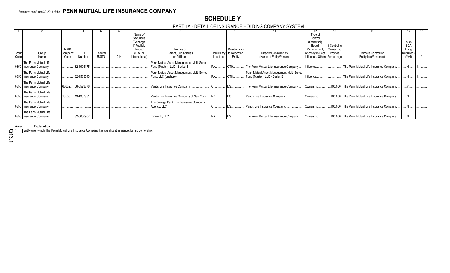## **SCHEDULE Y**

#### PART 1A - DETAIL OF INSURANCE HOLDING COMPANY SYSTEM

|                          |                                                                                                                                                                                                                                                                        |                     |                                                                                           |                        |         |                                                                               |                                                                                                                                                                                                                                                                                                 |                                                                       |                                                                                                                                  | 12                                                                                                                                                                                                                                                    |                                                                                                                           |         | 15.                                                                                                                                                                                                                                                                                                                                                                                                     |                                                                                                           |
|--------------------------|------------------------------------------------------------------------------------------------------------------------------------------------------------------------------------------------------------------------------------------------------------------------|---------------------|-------------------------------------------------------------------------------------------|------------------------|---------|-------------------------------------------------------------------------------|-------------------------------------------------------------------------------------------------------------------------------------------------------------------------------------------------------------------------------------------------------------------------------------------------|-----------------------------------------------------------------------|----------------------------------------------------------------------------------------------------------------------------------|-------------------------------------------------------------------------------------------------------------------------------------------------------------------------------------------------------------------------------------------------------|---------------------------------------------------------------------------------------------------------------------------|---------|---------------------------------------------------------------------------------------------------------------------------------------------------------------------------------------------------------------------------------------------------------------------------------------------------------------------------------------------------------------------------------------------------------|-----------------------------------------------------------------------------------------------------------|
|                          |                                                                                                                                                                                                                                                                        |                     |                                                                                           |                        | Name of |                                                                               |                                                                                                                                                                                                                                                                                                 |                                                                       |                                                                                                                                  | Type of                                                                                                                                                                                                                                               |                                                                                                                           |         |                                                                                                                                                                                                                                                                                                                                                                                                         |                                                                                                           |
|                          |                                                                                                                                                                                                                                                                        |                     |                                                                                           |                        |         |                                                                               |                                                                                                                                                                                                                                                                                                 |                                                                       |                                                                                                                                  |                                                                                                                                                                                                                                                       |                                                                                                                           |         |                                                                                                                                                                                                                                                                                                                                                                                                         |                                                                                                           |
|                          |                                                                                                                                                                                                                                                                        |                     |                                                                                           |                        |         |                                                                               |                                                                                                                                                                                                                                                                                                 |                                                                       |                                                                                                                                  |                                                                                                                                                                                                                                                       |                                                                                                                           |         |                                                                                                                                                                                                                                                                                                                                                                                                         |                                                                                                           |
|                          |                                                                                                                                                                                                                                                                        |                     |                                                                                           |                        |         |                                                                               |                                                                                                                                                                                                                                                                                                 |                                                                       |                                                                                                                                  |                                                                                                                                                                                                                                                       |                                                                                                                           |         |                                                                                                                                                                                                                                                                                                                                                                                                         |                                                                                                           |
|                          |                                                                                                                                                                                                                                                                        |                     |                                                                                           |                        |         |                                                                               |                                                                                                                                                                                                                                                                                                 |                                                                       |                                                                                                                                  |                                                                                                                                                                                                                                                       |                                                                                                                           |         |                                                                                                                                                                                                                                                                                                                                                                                                         |                                                                                                           |
|                          |                                                                                                                                                                                                                                                                        |                     |                                                                                           |                        |         |                                                                               |                                                                                                                                                                                                                                                                                                 |                                                                       |                                                                                                                                  |                                                                                                                                                                                                                                                       |                                                                                                                           |         |                                                                                                                                                                                                                                                                                                                                                                                                         |                                                                                                           |
|                          |                                                                                                                                                                                                                                                                        |                     |                                                                                           |                        |         |                                                                               |                                                                                                                                                                                                                                                                                                 |                                                                       |                                                                                                                                  |                                                                                                                                                                                                                                                       |                                                                                                                           |         |                                                                                                                                                                                                                                                                                                                                                                                                         |                                                                                                           |
|                          |                                                                                                                                                                                                                                                                        |                     |                                                                                           |                        |         |                                                                               |                                                                                                                                                                                                                                                                                                 |                                                                       |                                                                                                                                  |                                                                                                                                                                                                                                                       |                                                                                                                           |         |                                                                                                                                                                                                                                                                                                                                                                                                         |                                                                                                           |
|                          |                                                                                                                                                                                                                                                                        |                     |                                                                                           |                        |         |                                                                               |                                                                                                                                                                                                                                                                                                 |                                                                       |                                                                                                                                  |                                                                                                                                                                                                                                                       |                                                                                                                           |         |                                                                                                                                                                                                                                                                                                                                                                                                         |                                                                                                           |
|                          |                                                                                                                                                                                                                                                                        |                     |                                                                                           |                        |         |                                                                               |                                                                                                                                                                                                                                                                                                 |                                                                       |                                                                                                                                  |                                                                                                                                                                                                                                                       |                                                                                                                           |         |                                                                                                                                                                                                                                                                                                                                                                                                         |                                                                                                           |
|                          |                                                                                                                                                                                                                                                                        |                     |                                                                                           |                        |         |                                                                               |                                                                                                                                                                                                                                                                                                 |                                                                       |                                                                                                                                  |                                                                                                                                                                                                                                                       |                                                                                                                           |         |                                                                                                                                                                                                                                                                                                                                                                                                         |                                                                                                           |
|                          |                                                                                                                                                                                                                                                                        |                     |                                                                                           |                        |         |                                                                               |                                                                                                                                                                                                                                                                                                 |                                                                       |                                                                                                                                  |                                                                                                                                                                                                                                                       |                                                                                                                           |         |                                                                                                                                                                                                                                                                                                                                                                                                         |                                                                                                           |
|                          |                                                                                                                                                                                                                                                                        |                     |                                                                                           |                        |         |                                                                               |                                                                                                                                                                                                                                                                                                 |                                                                       |                                                                                                                                  |                                                                                                                                                                                                                                                       |                                                                                                                           |         |                                                                                                                                                                                                                                                                                                                                                                                                         |                                                                                                           |
|                          |                                                                                                                                                                                                                                                                        |                     |                                                                                           |                        |         |                                                                               |                                                                                                                                                                                                                                                                                                 |                                                                       |                                                                                                                                  |                                                                                                                                                                                                                                                       |                                                                                                                           |         |                                                                                                                                                                                                                                                                                                                                                                                                         |                                                                                                           |
|                          |                                                                                                                                                                                                                                                                        |                     |                                                                                           |                        |         |                                                                               |                                                                                                                                                                                                                                                                                                 |                                                                       |                                                                                                                                  |                                                                                                                                                                                                                                                       |                                                                                                                           |         |                                                                                                                                                                                                                                                                                                                                                                                                         |                                                                                                           |
|                          |                                                                                                                                                                                                                                                                        |                     |                                                                                           |                        |         |                                                                               |                                                                                                                                                                                                                                                                                                 |                                                                       |                                                                                                                                  |                                                                                                                                                                                                                                                       |                                                                                                                           |         |                                                                                                                                                                                                                                                                                                                                                                                                         |                                                                                                           |
| 0850   Insurance Company |                                                                                                                                                                                                                                                                        |                     |                                                                                           |                        |         |                                                                               |                                                                                                                                                                                                                                                                                                 |                                                                       | Vantis Life Insurance Company.                                                                                                   | Ownership.                                                                                                                                                                                                                                            |                                                                                                                           |         |                                                                                                                                                                                                                                                                                                                                                                                                         |                                                                                                           |
|                          |                                                                                                                                                                                                                                                                        |                     |                                                                                           |                        |         |                                                                               |                                                                                                                                                                                                                                                                                                 |                                                                       |                                                                                                                                  |                                                                                                                                                                                                                                                       |                                                                                                                           |         |                                                                                                                                                                                                                                                                                                                                                                                                         |                                                                                                           |
|                          |                                                                                                                                                                                                                                                                        |                     |                                                                                           |                        |         |                                                                               |                                                                                                                                                                                                                                                                                                 |                                                                       |                                                                                                                                  |                                                                                                                                                                                                                                                       |                                                                                                                           |         |                                                                                                                                                                                                                                                                                                                                                                                                         |                                                                                                           |
|                          |                                                                                                                                                                                                                                                                        |                     |                                                                                           |                        |         |                                                                               |                                                                                                                                                                                                                                                                                                 |                                                                       |                                                                                                                                  |                                                                                                                                                                                                                                                       |                                                                                                                           |         |                                                                                                                                                                                                                                                                                                                                                                                                         |                                                                                                           |
| The Penn Mutual Life     |                                                                                                                                                                                                                                                                        |                     |                                                                                           |                        |         |                                                                               |                                                                                                                                                                                                                                                                                                 |                                                                       |                                                                                                                                  |                                                                                                                                                                                                                                                       |                                                                                                                           |         |                                                                                                                                                                                                                                                                                                                                                                                                         |                                                                                                           |
|                          |                                                                                                                                                                                                                                                                        | 82-5050907.         |                                                                                           |                        |         | mvWorth. LLC.                                                                 |                                                                                                                                                                                                                                                                                                 |                                                                       |                                                                                                                                  |                                                                                                                                                                                                                                                       |                                                                                                                           |         |                                                                                                                                                                                                                                                                                                                                                                                                         |                                                                                                           |
|                          | Group<br>Group<br>Code<br>Name<br>The Penn Mutual Life<br>0850   Insurance Company<br>The Penn Mutual Life<br>0850   Insurance Company<br>The Penn Mutual Life<br>0850   Insurance Company<br>The Penn Mutual Life<br>The Penn Mutual Life<br>0850   Insurance Company | <b>NAIC</b><br>Code | Company<br>Number<br>82-1995175.<br>82-1533643.<br>68632 06-0523876.<br>13588 13-4337991. | Federal<br><b>RSSD</b> | СIК     | Securities<br>Exchange<br>if Publicly<br>Traded<br>(U.S. or<br>International) | Names of<br>Parent, Subsidiaries<br>or Affiliates<br>Penn Mutual Asset Management Multi-Series<br>Fund (Master), LLC - Series B<br>Penn Mutual Asset Management Multi-Series<br>Fund, LLC (onshore)<br>Vantis Life Insurance Company.<br>The Savings Bank Life Insurance Company<br>Agency, LLC | Location<br><b>PA</b><br>Vantis Life Insurance Company of New York NY | Relationship<br>Domiciliary<br>to Reporting<br>Entity<br><b>OTH</b><br><b>OTH</b><br>$\mathsf{DS}$ .<br>0850   Insurance Company | Directly Controlled by<br>(Name of Entity/Person)<br>The Penn Mutual Life Insurance Company<br>Penn Mutual Asset Management Multi-Series<br>Fund (Master), LLC - Series B<br>The Penn Mutual Life Insurance Company<br>Vantis Life Insurance Company. | Control<br>(Ownership<br>Board,<br>Management,<br>Attorney-in-Fact.<br>Influence.<br>Influence.<br>Ownership<br>Ownership | Provide | If Control is<br>Ownership<br>Ultimate Controlling<br>Influence, Other) Percentage<br>Entity(ies)/Person(s)<br>The Penn Mutual Life Insurance Company<br>The Penn Mutual Life Insurance Company<br>100.000 The Penn Mutual Life Insurance Company<br>100.000 The Penn Mutual Life Insurance Company<br>100.000 The Penn Mutual Life Insurance Company<br>100.000 The Penn Mutual Life Insurance Company | Is an<br><b>SCA</b><br>Filing<br>Required?<br>(Y/N)<br>The Penn Mutual Life Insurance Company   Ownership |

**Aster Explanation** 

1 Entity over which The Penn Mutual Life Insurance Company has significant influence, but no ownership.

**Q13.1**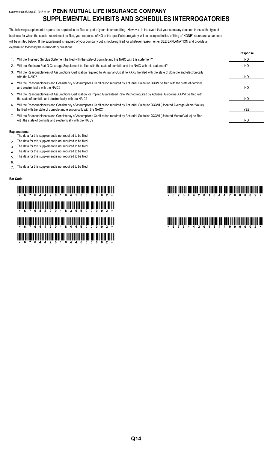## Statement as of June 30, 2018 of the **PENN MUTUAL LIFE INSURANCE COMPANY SUPPLEMENTAL EXHIBITS AND SCHEDULES INTERROGATORIES**

The following supplemental reports are required to be filed as part of your statement filing. However, in the event that your company does not transact the type of business for which the special report must be filed, your response of NO to the specific interrogatory will be accepted in lieu of filing a "NONE" report and a bar code will be printed below. If the supplement is required of your company but is not being filed for whatever reason, enter SEE EXPLANATION and provide an explanation following the interrogatory questions.

|    |                                                                                                                                                                                                                    | Response |
|----|--------------------------------------------------------------------------------------------------------------------------------------------------------------------------------------------------------------------|----------|
|    | Will the Trusteed Surplus Statement be filed with the state of domicile and the NAIC with this statement?                                                                                                          | NO.      |
| 2. | Will the Medicare Part D Coverage Supplement be filed with the state of domicile and the NAIC with this statement?                                                                                                 | NO.      |
| 3. | Will the Reasonableness of Assumptions Certification required by Actuarial Guideline XXXV be filed with the state of domicile and electronically<br>with the NAIC?                                                 | NO.      |
| 4. | Will the Reasonableness and Consistency of Assumptions Certification required by Actuarial Guideline XXXV be filed with the state of domicile<br>and electronically with the NAIC?                                 | NO.      |
| 5. | Will the Reasonableness of Assumptions Certification for Implied Guaranteed Rate Method required by Actuarial Guideline XXXVI be filed with<br>the state of domicile and electronically with the NAIC?             | NO.      |
| 6. | Will the Reasonableness and Consistency of Assumptions Certification required by Actuarial Guideline XXXVI (Updated Average Market Value)<br>be filed with the state of domicile and electronically with the NAIC? | YES      |
|    | Will the Reasonableness and Consistency of Assumptions Certification required by Actuarial Guideline XXXVI (Updated Market Value) be filed<br>with the state of domicile and electronically with the NAIC?         | NO       |

#### **Explanations:**

- 1. The data for this supplement is not required to be filed.
- 2. The data for this supplement is not required to be filed.
- 3. The data for this supplement is not required to be filed.
- 4. The data for this supplement is not required to be filed.
- 5. The data for this supplement is not required to be filed.
- 6.

7. The data for this supplement is not required to be filed.

#### **Bar Code:**

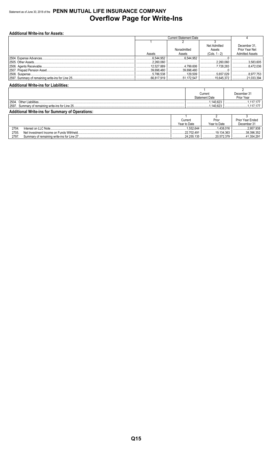## Statement as of June 30, 2018 of the PENN MUTUAL LIFE INSURANCE COMPANY **Overflow Page for Write-Ins**

| <b>Additional Write-ins for Assets:</b> |                               |             |                 |                        |  |  |  |
|-----------------------------------------|-------------------------------|-------------|-----------------|------------------------|--|--|--|
|                                         | <b>Current Statement Date</b> |             |                 |                        |  |  |  |
|                                         |                               |             |                 |                        |  |  |  |
|                                         |                               |             | Net Admitted    | December 31.           |  |  |  |
|                                         |                               | Nonadmitted | Assets          | Prior Year Net         |  |  |  |
|                                         | Assets                        | Assets      | $(Cols. 1 - 2)$ | <b>Admitted Assets</b> |  |  |  |
|                                         | .6.544.952                    | 6.544.952   |                 |                        |  |  |  |
|                                         | .2.260.060                    |             | .2.260.060      | 3.583.605              |  |  |  |
|                                         | 12,527.889                    | 4.799.606   | 7,728,283       | 8.472.036              |  |  |  |
|                                         | 39,698.480                    | 39.698.480  |                 |                        |  |  |  |
|                                         | 5.786.538                     |             | 5,657,029       | 8,977,753              |  |  |  |
|                                         | .66,817,919                   | 51.172.547  | 15.645.372      | 21.033.394             |  |  |  |

#### **Additional Write-ins for Liabilities:**

|                                                        |               | Current               | December 31      |  |  |  |
|--------------------------------------------------------|---------------|-----------------------|------------------|--|--|--|
|                                                        |               | <b>Statement Date</b> | Prior Year       |  |  |  |
| 2504.                                                  |               | .140.623              |                  |  |  |  |
|                                                        |               | .140.623              |                  |  |  |  |
| <b>Additional Write-ins for Summary of Operations:</b> |               |                       |                  |  |  |  |
|                                                        |               |                       |                  |  |  |  |
|                                                        | $\cap$ urront | Drior                 | Drior Voor Endod |  |  |  |

|       |                                            | Current                        | Prior           | <b>Prior Year Ended</b> |
|-------|--------------------------------------------|--------------------------------|-----------------|-------------------------|
|       |                                            | Year to Date                   | Year to Date    | December 31             |
| 2704. | Interest on LLC Note                       | .552.644<br>                   | .438.016<br>.   | $1$ 2.957.938           |
| 2705. | Net Investment Income on Funds Withheld    | .22.702.491<br>.               | .19.134.363<br> | 38.396.352              |
| 2797. | Summary of remaining write-ins for Line 27 | $\sqrt{2}$<br>.24.255.135<br>. | 20.572.379      | マスハ                     |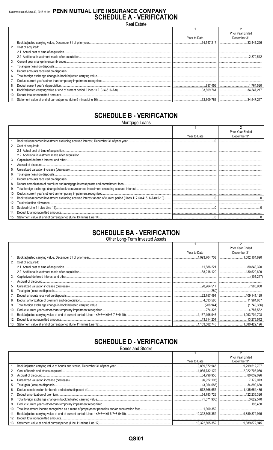## Statement as of June 30, 2018 of the PENN MUTUAL LIFE INSURANCE COMPANY **SCHEDULE A - VERIFICATION**

**Real Estate** 

|                 |                      |              | <b>Prior Year Ended</b> |
|-----------------|----------------------|--------------|-------------------------|
|                 |                      | Year to Date | December 31             |
|                 |                      |              | 33,441.226              |
|                 | 2. Cost of acquired: |              |                         |
|                 |                      |              |                         |
|                 |                      |              |                         |
| 3.              |                      |              |                         |
| 4.              |                      |              |                         |
| 5.              |                      |              |                         |
| 6.              |                      |              |                         |
|                 |                      |              |                         |
| 8.              |                      |              |                         |
| 9.              |                      |              | 34.547.217              |
| 10 <sub>1</sub> |                      |              |                         |
|                 |                      |              |                         |

## **SCHEDULE B - VERIFICATION**

Mortgage Loans

|     |                   |              | Prior Year Ended |
|-----|-------------------|--------------|------------------|
|     |                   | Year to Date | December 31      |
|     |                   |              |                  |
| 2.  | Cost of acquired: |              |                  |
|     |                   |              |                  |
|     |                   |              |                  |
| 3.  |                   |              |                  |
|     |                   |              |                  |
| 5.  |                   |              |                  |
| 6.  |                   |              |                  |
|     |                   |              |                  |
| 8.  |                   |              |                  |
| 9.  |                   |              |                  |
| 10. |                   |              |                  |
| 11. |                   |              |                  |
| 12. |                   |              |                  |
| 13. |                   |              |                  |
| 14. |                   |              |                  |
| 15. |                   |              |                  |

## **SCHEDULE BA - VERIFICATION**

Other Long-Term Invested Assets

|     |                   |              | Prior Year Ended |
|-----|-------------------|--------------|------------------|
|     |                   | Year to Date | December 31      |
|     |                   |              |                  |
| 2.  | Cost of acquired: |              |                  |
|     |                   |              |                  |
|     |                   |              |                  |
| 3.  |                   |              |                  |
| 4.  |                   |              |                  |
| 5.  |                   |              |                  |
| 6.  |                   |              |                  |
|     |                   |              |                  |
| 8.  |                   |              |                  |
| 9.  |                   |              |                  |
| 10. |                   |              |                  |
| 11. |                   |              |                  |
| 12. |                   |              |                  |
| 13. |                   |              |                  |

## **SCHEDULE D - VERIFICATION**

**Bonds and Stocks** 

|     |              | <b>Prior Year Ended</b> |
|-----|--------------|-------------------------|
|     | Year to Date | December 31             |
|     |              |                         |
| 2.  |              |                         |
| 3.  |              |                         |
| 4.  |              |                         |
| 5.  |              |                         |
| 6.  |              |                         |
| 7.  |              |                         |
| 8.  |              |                         |
| 9.  |              |                         |
| 10. |              |                         |
| 11. |              |                         |
| 12. |              |                         |
|     |              |                         |

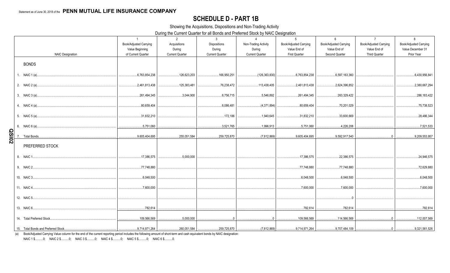## **SCHEDULE D - PART 1B**

Showing the Acquisitions, Dispositions and Non-Trading Activity

During the Current Quarter for all Bonds and Preferred Stock by NAIC Designation

|              |                         | $\overline{1}$<br>Book/Adjusted Carrying<br>Value Beginning | 2<br>Acquisitions<br>During | $\mathbf{3}$<br><b>Dispositions</b><br>During | $\overline{4}$<br>Non-Trading Activity<br>During | 5<br><b>Book/Adjusted Carrying</b><br>Value End of | 6<br><b>Book/Adjusted Carrying</b><br>Value End of | $\overline{7}$<br>Book/Adjusted Carrying<br>Value End of | 8<br><b>Book/Adjusted Carrying</b><br>Value December 31 |
|--------------|-------------------------|-------------------------------------------------------------|-----------------------------|-----------------------------------------------|--------------------------------------------------|----------------------------------------------------|----------------------------------------------------|----------------------------------------------------------|---------------------------------------------------------|
|              | <b>NAIC Designation</b> | of Current Quarter                                          | <b>Current Quarter</b>      | <b>Current Quarter</b>                        | <b>Current Quarter</b>                           | <b>First Quarter</b>                               | Second Quarter                                     | <b>Third Quarter</b>                                     | Prior Year                                              |
|              |                         |                                                             |                             |                                               |                                                  |                                                    |                                                    |                                                          |                                                         |
|              | <b>BONDS</b>            |                                                             |                             |                                               |                                                  |                                                    |                                                    |                                                          |                                                         |
|              |                         | 6,763,854,238                                               | 126,623,203<br>.            | 166,950,251                                   |                                                  | 6,763,854,238                                      | 6,597,163,360                                      |                                                          | 6,430,956,841                                           |
|              |                         | 2,461,813,438                                               | 125.383.481<br>.            | 76,238,472                                    | 113,438,405                                      | 2,461,813,438<br>.                                 | 2.624.396.852<br>.                                 |                                                          | 2,380,667,294                                           |
|              |                         | 261.494.345                                                 | 3.044.900                   | 6,756,715                                     | 5.546.892                                        | 261.494.345                                        | 263.329.422                                        |                                                          | 286,183,422                                             |
|              |                         | 80,659,404                                                  |                             | 6,086,481                                     | (4,371,894)                                      | 80,659,404                                         | 70,201,029                                         |                                                          | 75,738,523                                              |
|              |                         | 31,832,210                                                  |                             | 172,186                                       | 1,940,645                                        | 31,832,210                                         | 33,600,669                                         |                                                          | 28,486,344                                              |
|              |                         | 5,751,060                                                   |                             |                                               | 3,521,765   1,996,913   5,751,060                |                                                    |                                                    |                                                          | 7,521,533                                               |
| <b>QSI02</b> |                         | 9.605.404.695                                               | 255.051.584                 |                                               |                                                  |                                                    | 9.592.917.540                                      |                                                          | 9.209.553.957                                           |
|              | PREFERRED STOCK         |                                                             |                             |                                               |                                                  |                                                    |                                                    |                                                          |                                                         |
|              |                         | .17,386,575                                                 | .5.000.000                  |                                               |                                                  | 17,386,575                                         | 22.386.575                                         |                                                          | 24,946,575                                              |
|              |                         | 77,748,880                                                  |                             |                                               |                                                  | 77.748.880                                         | 77,748,880                                         |                                                          | 72,629,880                                              |
|              |                         | 6,048,500                                                   |                             |                                               |                                                  | 6,048,500                                          | 6,048,500                                          |                                                          | 6,048,500                                               |
|              |                         | ,7,600,000                                                  |                             |                                               |                                                  | , 7,600,000                                        | 7.600.000                                          |                                                          | 7,600,000                                               |
|              |                         |                                                             |                             |                                               |                                                  |                                                    |                                                    |                                                          |                                                         |
|              |                         | 782,614                                                     |                             |                                               |                                                  | 782,614                                            | 782,614                                            |                                                          | 782,614                                                 |
|              |                         | 109,566,569                                                 | 5,000,000                   |                                               | $\overline{0}$                                   | 109,566,569                                        | 114,566,569                                        |                                                          |                                                         |
|              |                         |                                                             |                             |                                               |                                                  |                                                    |                                                    |                                                          |                                                         |

(a) Book/Adjusted Carrying Value column for the end of the current reporting period includes the following amount of short-term and cash equivalent bonds by NAIC designation:

NAIC 1 \$...........0; NAIC 2 \$..........0; NAIC 3 \$...........0; NAIC 4 \$..........0; NAIC 5 \$..........0; NAIC 6 \$..........0.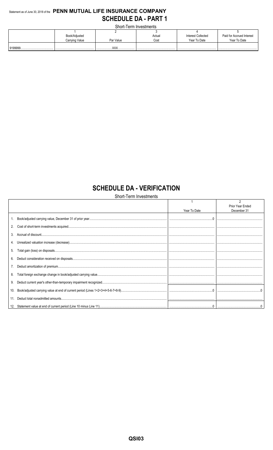## Statement as of June 30, 2018 of the PENN MUTUAL LIFE INSURANCE COMPANY **SCHEDULE DA - PART 1**

Short-Term Investments

|  | Book/Adjusted  |            | Actual | Interest Collected | Paid for Accrued Interest |  |  |
|--|----------------|------------|--------|--------------------|---------------------------|--|--|
|  | Carrying Value | Par Value  | Cost   | Year To Date       | Year To Date              |  |  |
|  |                | <b>VVV</b> |        |                    |                           |  |  |
|  |                |            |        |                    |                           |  |  |

## **SCHEDULE DA - VERIFICATION**

Short-Term Investments

|     |              | Prior Year Ended |
|-----|--------------|------------------|
|     | Year To Date | December 31      |
|     |              |                  |
|     |              |                  |
|     |              |                  |
|     |              |                  |
| 5.  |              |                  |
| 6.  |              |                  |
|     |              |                  |
| 8.  |              |                  |
|     |              |                  |
| 10. |              |                  |
|     |              |                  |
|     |              |                  |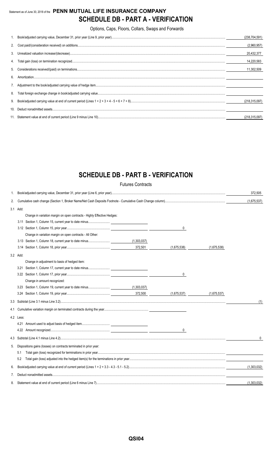## Statement as of June 30, 2018 of the **PENN MUTUAL LIFE INSURANCE COMPANY SCHEDULE DB - PART A - VERIFICATION**

Options, Caps, Floors, Collars, Swaps and Forwards

|    |                                                                                                                                                                                                                                                                                                                                          | (238, 704, 591) |
|----|------------------------------------------------------------------------------------------------------------------------------------------------------------------------------------------------------------------------------------------------------------------------------------------------------------------------------------------|-----------------|
|    |                                                                                                                                                                                                                                                                                                                                          | (2,960,957)     |
|    |                                                                                                                                                                                                                                                                                                                                          | 20,432,377      |
|    |                                                                                                                                                                                                                                                                                                                                          | 14,220,583      |
|    |                                                                                                                                                                                                                                                                                                                                          | 11,302,509      |
| 6  | $\textbf{Amortization}.\textrm{}.\textrm{}.\textrm{}.\textrm{}.\textrm{}.\textrm{}.\textrm{}.\textrm{}.\textrm{}.\textrm{}.\textrm{}.\textrm{}.\textrm{}.\textrm{}.\textrm{}.\textrm{}.\textrm{}.\textrm{}.\textrm{}.\textrm{}.\textrm{}.\textrm{}.\textrm{}.\textrm{}.\textrm{}.\textrm{}.\textrm{}.\textrm{}.\textrm{}.\textrm{}.\tex$ |                 |
|    |                                                                                                                                                                                                                                                                                                                                          |                 |
| 8. |                                                                                                                                                                                                                                                                                                                                          |                 |
|    |                                                                                                                                                                                                                                                                                                                                          | (218, 315, 097) |
|    |                                                                                                                                                                                                                                                                                                                                          |                 |
|    |                                                                                                                                                                                                                                                                                                                                          | (218.315.097)   |

## **SCHEDULE DB - PART B - VERIFICATION**

|    |                                                                         | <b>Futures Contracts</b> |              |             |              |
|----|-------------------------------------------------------------------------|--------------------------|--------------|-------------|--------------|
| 1. |                                                                         |                          |              |             | 372,505      |
| 2. |                                                                         |                          |              |             | (1,675,537)  |
|    | 3.1 Add:                                                                |                          |              |             |              |
|    | Change in variation margin on open contracts - Highly Effective Hedges: |                          |              |             |              |
|    |                                                                         |                          |              |             |              |
|    |                                                                         |                          | $\mathbf 0$  |             |              |
|    | Change in variation margin on open contracts - All Other:               |                          |              |             |              |
|    |                                                                         | (1,303,037)              |              |             |              |
|    |                                                                         | 372,501                  | (1,675,538)  | (1,675,538) |              |
|    | 3.2 Add:                                                                |                          |              |             |              |
|    | Change in adjustment to basis of hedged item:                           |                          |              |             |              |
|    |                                                                         |                          |              |             |              |
|    |                                                                         |                          | 0            |             |              |
|    | Change in amount recognized:                                            |                          |              |             |              |
|    |                                                                         |                          |              |             |              |
|    |                                                                         | 372,500                  | (1,675,537)  | (1,675,537) |              |
|    |                                                                         |                          |              |             | (1)          |
|    |                                                                         |                          |              |             |              |
|    | 4.2 Less:                                                               |                          |              |             |              |
|    |                                                                         |                          |              |             |              |
|    |                                                                         |                          | $\mathbf{0}$ |             |              |
|    |                                                                         |                          |              |             | $\mathbf{0}$ |
| 5. | Dispositions gains (losses) on contracts terminated in prior year:      |                          |              |             |              |
|    | 5.1                                                                     |                          |              |             |              |
|    | 5.2                                                                     |                          |              |             |              |
| 6. |                                                                         |                          |              |             | (1,303,032)  |
| 7. |                                                                         |                          |              |             |              |
| 8. |                                                                         |                          |              |             | (1,303,032)  |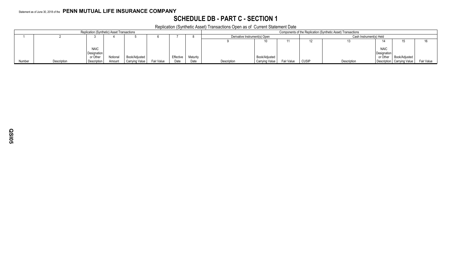## **SCHEDULE DB - PART C - SECTION 1**

Replication (Synthetic Asset) Transactions Open as of Current Statement Date

| <b>Replication (Synthetic) Asset Transactions</b> |             |                            |          |                |            |           |          | Components of the Replication (Synthetic Asset) Transactions |                |            |                         |             |                            |                              |            |
|---------------------------------------------------|-------------|----------------------------|----------|----------------|------------|-----------|----------|--------------------------------------------------------------|----------------|------------|-------------------------|-------------|----------------------------|------------------------------|------------|
|                                                   |             |                            |          |                |            |           |          | Derivative Instrument(s) Open                                |                |            | Cash Instrument(s) Held |             |                            |                              |            |
|                                                   |             |                            |          |                |            |           |          |                                                              |                |            |                         |             |                            |                              |            |
|                                                   |             | <b>NAIC</b><br>Designation |          |                |            |           |          |                                                              |                |            |                         |             | <b>NAIC</b><br>Designation |                              |            |
|                                                   |             | or Other                   | Notional | Book/Adjusted  |            | Effective | Maturity |                                                              | Book/Adjusted  |            |                         |             |                            | or Other   Book/Adjusted     |            |
| Number                                            | Description | Description                | Amount   | Carrying Value | Fair Value | Date      | Date     | Description                                                  | Carrying Value | Fair Value | <b>CUSIF</b>            | Description |                            | Description   Carrying Value | Fair Value |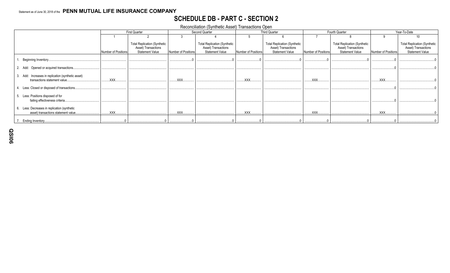## **SCHEDULE DB - PART C - SECTION 2**

Reconciliation (Synthetic Asset) Transactions Open

|                                                                                     |                     | <b>First Quarter</b>                                                                 |                     | Second Quarter                                                                       |                     | <b>Third Quarter</b>                                                                 | Fourth Quarter      |                                                                                      | Year-To-Date        |                                                                                      |
|-------------------------------------------------------------------------------------|---------------------|--------------------------------------------------------------------------------------|---------------------|--------------------------------------------------------------------------------------|---------------------|--------------------------------------------------------------------------------------|---------------------|--------------------------------------------------------------------------------------|---------------------|--------------------------------------------------------------------------------------|
|                                                                                     |                     |                                                                                      |                     |                                                                                      |                     |                                                                                      |                     |                                                                                      |                     | 10                                                                                   |
|                                                                                     | Number of Positions | <b>Total Replication (Synthetic</b><br>Asset) Transactions<br><b>Statement Value</b> | Number of Positions | <b>Total Replication (Synthetic</b><br>Asset) Transactions<br><b>Statement Value</b> | Number of Positions | <b>Total Replication (Synthetic</b><br>Asset) Transactions<br><b>Statement Value</b> | Number of Positions | <b>Total Replication (Synthetic</b><br>Asset) Transactions<br><b>Statement Value</b> | Number of Positions | <b>Total Replication (Synthetic</b><br>Asset) Transactions<br><b>Statement Value</b> |
| Beginning Inventory.                                                                |                     |                                                                                      |                     |                                                                                      |                     |                                                                                      |                     |                                                                                      |                     |                                                                                      |
| 2. Add: Opened or acquired transactions.                                            |                     |                                                                                      |                     |                                                                                      |                     |                                                                                      |                     |                                                                                      |                     |                                                                                      |
| 3. Add: Increases in replication (synthetic asset)<br>transactions statement value. | XXX.                |                                                                                      | XXX.                |                                                                                      | XXX.                |                                                                                      | <b>XXX</b>          |                                                                                      | <b>XXX</b>          |                                                                                      |
| Less: Closed or disposed of transactions.                                           |                     |                                                                                      |                     |                                                                                      |                     |                                                                                      |                     |                                                                                      |                     |                                                                                      |
| Less: Positions disposed of for<br>failing effectiveness criteria.                  |                     |                                                                                      |                     |                                                                                      |                     |                                                                                      |                     |                                                                                      |                     |                                                                                      |
| Less: Decreases in replication (synthetic<br>asset) transactions statement value.   | .XXX.               |                                                                                      | <b>XXX</b>          |                                                                                      | XXX.                |                                                                                      | XXX.                |                                                                                      | XXX.                |                                                                                      |
| . Ending Inventory.                                                                 |                     |                                                                                      |                     |                                                                                      |                     |                                                                                      |                     |                                                                                      |                     |                                                                                      |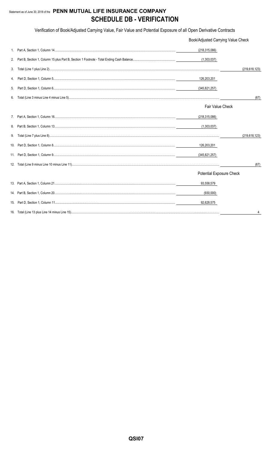## Statement as of June 30, 2018 of the PENN MUTUAL LIFE INSURANCE COMPANY **SCHEDULE DB - VERIFICATION**

Verification of Book/Adjusted Carrying Value, Fair Value and Potential Exposure of all Open Derivative Contracts

|    | Book/Adjusted Carrying Value Check |                 |
|----|------------------------------------|-----------------|
|    | (218, 315, 086)                    |                 |
| 2. | (1,303,037)                        |                 |
| 3. |                                    | (219, 618, 123) |
| 4. | 126,203,201                        |                 |
| 5. | (345, 821, 257)                    |                 |
| 6. |                                    | (67)            |
|    | Fair Value Check                   |                 |
|    | (218, 315, 086)                    |                 |
|    | (1,303,037)                        |                 |
| 9. |                                    | (219, 618, 123) |
|    | 126,203,201                        |                 |
|    | (345,821,257)                      |                 |
|    |                                    | (67)            |
|    | <b>Potential Exposure Check</b>    |                 |
|    | 93,558,579                         |                 |
|    | (930,000)                          |                 |
|    | 92,628,575                         |                 |
|    |                                    |                 |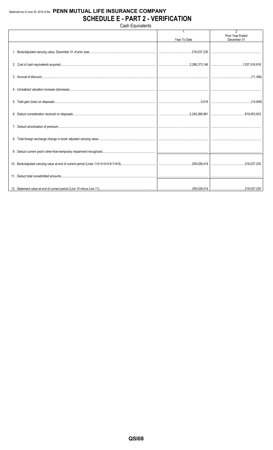## Statement as of June 30, 2018 of the PENN MUTUAL LIFE INSURANCE COMPANY **SCHEDULE E - PART 2 - VERIFICATION**

Cash Equivalents 2<br>Prior Year Ended Year To Date December 31 1. Book/adjusted carrying value, December 31 of prior year... ..218,037,230 2. Cost of cash equivalents acquired... .2,286,373,146 ...1,037,516,918 3. Accrual of discount....  $(11,346)$ 4. Unrealized valuation increase (decrease). 5. Total gain (loss) on disposals.. 5,019  $(14, 409)$ 6. Deduct consideration received on disposals. .2,245,386,981 ..819,453,933 7. Deduct amortization of premium... 8. Total foreign exchange change in book/ adjusted carrying value. 9. Deduct current year's other-than-temporary impairment recognized. .259,028,414 ...218,037,230 10. Book/adjusted carrying value at end of current period (Lines 1+2+3+4+5-6-7+8-9).. 11. Deduct total nonadmitted amounts... .259,028,414 ..218,037,230 12. Statement value at end of current period (Line 10 minus Line 11).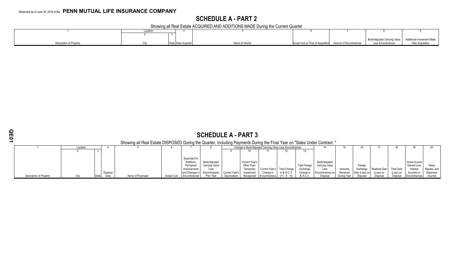## **SCHEDULE A - PART 2**

Showing all Real Estate ACQUIRED AND ADDITIONS MADE During the Current Quarter

|                         | Locatio |                       |                |                                                           |                                                           |                          |
|-------------------------|---------|-----------------------|----------------|-----------------------------------------------------------|-----------------------------------------------------------|--------------------------|
|                         |         |                       |                |                                                           |                                                           |                          |
|                         |         |                       |                |                                                           | Book/Adjusted Carrying Value   Additional Investment Made |                          |
| Jescription of Property |         | State   Date Acquired | Name of Vendor | Actual Cost at Time of Acquisition Amount of Encumbrances | Less Encumbrances                                         | <b>After Acquisition</b> |

|                                | <b>SCHEDULE A - PART 3</b>                                                                                              |  |          |                   |                    |                                         |                                 |                |                                      |                             |                 |                      |                                 |             |                |                      |            |                             |              |
|--------------------------------|-------------------------------------------------------------------------------------------------------------------------|--|----------|-------------------|--------------------|-----------------------------------------|---------------------------------|----------------|--------------------------------------|-----------------------------|-----------------|----------------------|---------------------------------|-------------|----------------|----------------------|------------|-----------------------------|--------------|
|                                | Showing all Real Estate DISPOSED During the Quarter, Including Payments During the Final Year on "Sales Under Contract" |  |          |                   |                    |                                         |                                 |                |                                      |                             |                 |                      |                                 |             |                |                      |            |                             |              |
|                                | Change in Book/Adjusted Carrying Value Less Encumbrances<br>Location                                                    |  |          |                   |                    |                                         |                                 |                |                                      |                             |                 |                      |                                 |             |                |                      |            |                             |              |
|                                |                                                                                                                         |  |          |                   |                    |                                         |                                 |                |                                      |                             |                 |                      |                                 |             |                |                      |            |                             |              |
|                                |                                                                                                                         |  |          |                   |                    | Expended for<br>Additions,<br>Permanent | Book/Adjusted<br>Carrying Value |                | <b>Current Year's</b><br>Other-Than- |                             |                 | <b>Total Foreign</b> | Book/Adjusted<br>Carrying Value |             | Foreign        |                      |            | Gross Income<br>Earned Less | axes.        |
|                                |                                                                                                                         |  |          |                   |                    | Improvements                            | Less                            |                | Temporary                            | Current Year's Total Change |                 | Exchange             | Less                            | Amounts     | Exchange       | <b>Realized Gain</b> | Total Gain | Interest                    | Repairs, and |
|                                |                                                                                                                         |  | Disposal |                   |                    | and Changes in                          | Encumbrances                    | Current Year's | Impairment                           | Change in                   | in B./A.C.V.    | Change in            | Encumbrances on                 | Received    | Gain (Loss) on | (Loss) on            | (Loss) on  | Incurred on                 | Expenses     |
| <b>Description of Property</b> |                                                                                                                         |  |          | Name of Purchaser | <b>Actual Cost</b> | Encumbrances                            | Prior Year                      | Depreciation   |                                      | Recognized Encumbrances     | $(11 - 9 - 10)$ | <b>B./A.C.V.</b>     | Disposal                        | During Year | Disposal       | Disposa              | Disposal   | Encumbrances                | Incurred     |
|                                |                                                                                                                         |  |          |                   |                    |                                         |                                 |                |                                      |                             |                 |                      |                                 |             |                |                      |            |                             |              |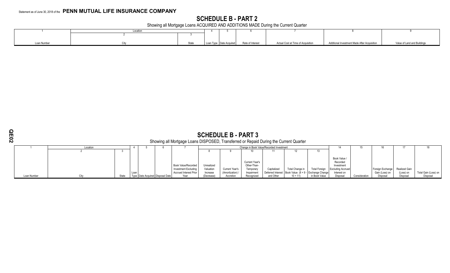## **SCHEDULE B - PART 2**

Showing all Mortgage Loans ACQUIRED AND ADDITIONS MADE During the Current Quarter

|             | Locatior |  |                                          |                                    |                                              |                             |
|-------------|----------|--|------------------------------------------|------------------------------------|----------------------------------------------|-----------------------------|
|             |          |  |                                          |                                    |                                              |                             |
|             |          |  |                                          |                                    |                                              |                             |
| Loan Number | State    |  | Loan Type Date Acquired Rate of Interest | Actual Cost at Time of Acquisition | Additional Investment Made After Acquisition | Value of Land and Buildings |

 $\sim$ 

## **SCHEDULE B - PART 3**

### Showing all Mortgage Loans DISPOSED, Transferred or Repaid During the Current Quarter

|             | Location |       |                               |                             |            |                |                | Change in Book Value/Recorded Investment |                 |                                                         |                          |               |                  |               |                      |
|-------------|----------|-------|-------------------------------|-----------------------------|------------|----------------|----------------|------------------------------------------|-----------------|---------------------------------------------------------|--------------------------|---------------|------------------|---------------|----------------------|
|             |          |       |                               |                             |            |                |                |                                          |                 | 13                                                      |                          |               |                  |               |                      |
|             |          |       |                               |                             |            |                |                |                                          |                 |                                                         |                          |               |                  |               |                      |
|             |          |       |                               |                             |            |                |                |                                          |                 |                                                         | Book Value /             |               |                  |               |                      |
|             |          |       |                               |                             |            |                | Current Year's |                                          |                 |                                                         | Recorded                 |               |                  |               |                      |
|             |          |       |                               | <b>Book Value/Recorded</b>  | Unrealized |                | Other-Than-    |                                          |                 |                                                         | Investment               |               |                  |               |                      |
|             |          |       |                               | <b>Investment Excluding</b> | Valuation  | Current Year's | Temporary      | Capitalized                              | Total Change in | <b>Total Foreign</b>                                    | <b>Excluding Accrued</b> |               | Foreign Exchange | Realized Gain |                      |
|             |          |       |                               | Accrued Interest Prior      | Increase   | (Amortization) | Impairment     |                                          |                 | Deferred Interest   Book Value (8 + 9 - Exchange Change | Interest on              |               | Gain (Loss) or   | (Loss) on     | Total Gain (Loss) on |
| Loan Number |          | State | Type Date Acquired Disposal P | Year                        | (Decrease) | Accretion      | Recognized     | and Other                                | $10 + 11$       | in Book Value                                           | Disposa                  | Consideration | Disposal         | Disposal      | Disposa              |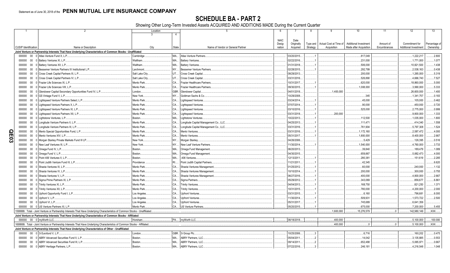SCHEDULE BA - PART 2<br>Showing Other Long-Term Invested Assets ACQUIRED AND ADDITIONS MADE During the Current Quarter

|     |                             |        | $\mathcal{P}$                                                                                                                 | Location        | Δ            | -5                                     | 6           |             | 8        | 9                      | 10                     | 11           | 12                    | 13            |
|-----|-----------------------------|--------|-------------------------------------------------------------------------------------------------------------------------------|-----------------|--------------|----------------------------------------|-------------|-------------|----------|------------------------|------------------------|--------------|-----------------------|---------------|
|     |                             |        |                                                                                                                               |                 |              |                                        |             |             |          |                        |                        |              |                       |               |
|     |                             |        |                                                                                                                               |                 |              |                                        | <b>NAIC</b> | Date        |          |                        |                        |              |                       |               |
|     |                             |        |                                                                                                                               |                 |              |                                        | Desig-      | Originally  | Type and | Actual Cost at Time of | Additional Investment  | Amount of    | Commitment for        | Percentage of |
|     | <b>CUSIP</b> Identification |        | Name or Description                                                                                                           | City            | <b>State</b> | Name of Vendor or General Partner      | nation      | Acquired    | Strategy | Acquisition            | Made after Acquisition | Encumbrances | Additional Investment | Ownership     |
|     |                             |        | Joint Venture or Partnership Interests That Have Underlying Characteristics of Common Stocks - Unaffiliated                   |                 |              |                                        |             |             |          |                        |                        |              |                       |               |
|     | 000000                      | $00\,$ | 0 Atlas Venture Fund X, L.P.                                                                                                  | Cambridge       | MA           | <b>Atlas Venture Partners</b>          |             | 03/20/2015. |          |                        | .817,049               |              | .1,222,217            | 2.800         |
|     |                             |        | 000000 00 0 Battery Ventures XI, L.P.                                                                                         | Waltham.        | <b>MA</b>    | <b>Battery Ventures.</b>               |             | 02/22/2016  |          |                        | .231,000               |              | 1,771,000             | .1.077        |
|     | 000000                      | $00\,$ | 0 Battery Ventures XII, L.P.                                                                                                  | Waltham.        | <b>MA</b>    | <b>Battery Ventures</b>                |             | 01/31/2018. |          |                        | .506,000               |              | 10,821,500            | .1.438        |
|     | 000000                      | $00\,$ | 0 Bessemer Venture Partners IX Institutional L.P.                                                                             | Larchmont.      | NY.          | Bessemer Venture Partners.             |             | 02/28/2015  |          |                        | .292,799               |              | 2,538,163             | .0.438        |
|     | 000000                      | $00\,$ | 0 Cross Creek Capital Partners III, L.P.                                                                                      | Salt Lake City. | UT.          | Cross Creek Capital.                   |             | 08/29/2013. |          |                        | .200,000               |              | .1,265,000            | .5.319        |
|     | 000000                      | $00\,$ | 0 Cross Creek Capital Partners IV, L.P.                                                                                       | Salt Lake City  | UT.          | Cross Creek Capital                    |             | 03/31/2016. |          |                        | .526,890               |              | .4,666,740            | .7.527        |
|     | 000000                      | $00\,$ | 0 Frazier Life Sciences IX, L.P                                                                                               | Menlo Park      | CA.          | <b>Frazier Healthcare Partners</b>     |             | 10/31/2017  |          |                        | .620.000               |              | 18.860.000            | .5.000        |
|     | 000000                      | $00\,$ | 0 Frazier Life Sciences VIII, L.P.                                                                                            | Menlo Park.     | CA.          | <b>Frazier Healthcare Partners</b>     |             | 09/30/2015  |          |                        | .1,008,000             |              | 3,990,000             | .5.333        |
|     | 000000                      | $00\,$ | Glendower Capital Secondary Opportunities Fund IV, L.P                                                                        | London.         | GBR.         | Glendower Capital.                     |             | 04/01/2018  |          | 1.400.000              |                        |              | .26,600,000           | .1.400        |
|     | 000000                      | $00\,$ | 0 GS Vintage Fund V, L.P                                                                                                      | New York.       | NY.          | Goldman Sachs & Co.                    |             | 10/29/2008. |          |                        | .345                   |              | .1,341,757            | .0.183        |
|     | 000000                      | $00\,$ | 0 Lightspeed Venture Partners Select, L.P.                                                                                    | Menlo Park      | CA.          | <b>Lightspeed Ventures</b>             |             | 03/24/2014  |          |                        | .45.000                |              |                       | .0.462        |
|     |                             |        |                                                                                                                               | Menlo Park      |              |                                        |             | 07/07/2014  |          |                        |                        |              | .105,000              |               |
|     | 000000                      | $00\,$ | Lightspeed Venture Partners X. L.P.                                                                                           |                 | CA.          | <b>Lightspeed Ventures</b>             |             |             |          |                        | .90.000                |              | .450.000              | .0.720        |
|     | 000000                      | $00\,$ | 0 Lightspeed Venture Partners XI, L.P.                                                                                        | Menlo Park      | CA.          | <b>Lightspeed Ventures</b>             |             | 03/10/2016. |          |                        | 525,000                |              | .2,775,000            | .0.999        |
|     | 000000                      | $00\,$ | 0 Lightspeed Venture Partners XII, L.P.                                                                                       | Menlo Park      | CA.          | Lightspeed Ventures                    |             | 03/31/2018  |          | .200.000               |                        |              | 9,800,000             | .1.333        |
|     | 000000                      | $00\,$ | 0 Lightstone Ventures, L.P.                                                                                                   | Boston.         | MA           | Lightstone Ventures.                   |             | 10/22/2013  |          |                        | .112.500               |              | 1,035,000             | 1.800         |
|     | 000000                      | $00\,$ | Longitude Venture Partners II, L.P.                                                                                           | Menlo Park      | CA.          | Longitude Capital Management Co., LLC  |             | 04/25/2013  |          |                        | .111.471               |              | .414.340              | .1.558        |
|     | 000000                      | $00\,$ | Longitude Venture Partners III, L.P.                                                                                          | Menlo Park      | CA.          | Longitude Capital Management Co., LLC. |             | 03/31/2016. |          |                        | .761,904               |              | 5,797,308             | .1.524        |
| O   | 000000                      | $00\,$ | Menlo Special Opportunities Fund, L.P.                                                                                        | Menlo Park      | CA.          | Menlo Ventures.                        |             | 03/31/2016  |          |                        | .1,172,160             |              | .2,587,472            | .4.000        |
| Ш   | 000000                      | $00\,$ | 0 Menlo Ventures XIV, L.P.                                                                                                    | Menlo Park      | CA.          | Menlo Ventures.                        |             | 05/31/2017  |          |                        | 1.800.000              |              | 8.400.000             | .2.667        |
| င္လ | 000000                      |        | 00 0 Morgan Stanley Private Markets Fund III LP.                                                                              | New York.       | NY.          | Morgan Stanley.                        |             | 04/26/2006. |          |                        | .5,429                 |              | .126,395              | .0.516        |
|     | 000000                      | $00\,$ | 0 New Leaf Ventures III, L.P.                                                                                                 | New York.       | NY.          | <b>New Leaf Venture Partners</b>       |             | 11/30/2014  |          |                        | 1,540,000              |              | .4,760,000            | .3.733        |
|     | 000000                      | $00\,$ | 0 Omega Fund IV, L.P.                                                                                                         | Boston.         | MA.          | Omega Fund Management.                 |             | 06/20/2013. |          |                        | .39,840                |              | 189,479               | .1.089        |
|     | 000000                      | $00\,$ | 0 Omega Fund V. L.P.                                                                                                          | Boston.         | MA.          | Omega Fund Management                  |             | 04/30/2015  |          |                        | 659,867                |              | .5.882.473            | .4.000        |
|     | 000000                      | $00\,$ | Point 406 Ventures II. L.P                                                                                                    | Boston.         | MA.          | 406 Ventures.                          |             | 12/13/2011. |          |                        | 280,381                |              | .151,619              | .2.285        |
|     | 000000                      | $00\,$ | 0 Point Judith Venture Fund III, L.P.                                                                                         | Providence      | RI.          | Point Judith Capital Partners          |             | 11/21/2011. |          |                        | .42,345                |              |                       | .6.620        |
|     | 000000                      | $00\,$ | Shasta Ventures III, L.P.                                                                                                     | Menlo Park      | CA.          | Shasta Ventures Management             |             | 01/25/2012  |          |                        | .60,000                |              | .240.000              | .1.132        |
|     | 000000                      | $00\,$ | 0 Shasta Ventures IV. L.P.                                                                                                    | Menlo Park      | CA.          | Shasta Ventures Management             |             | 10/10/2014  |          |                        | 200,000                |              | .300,000              | .0.755        |
|     | 000000                      | $00\,$ | Shasta Ventures V, L.P.                                                                                                       | Menlo Park      | CA.          | Shasta Ventures Management             |             | 06/27/2016  |          |                        | 400.000                |              | 4.800.000             | .2.667        |
|     | 000000                      | $00\,$ | 0 Sigma Prime Partners IX, L.P.                                                                                               | Menlo Park      | CA.          | Sigma Partners.                        |             | 05/29/2012  |          |                        | 343,069                |              | .856,677              | .6.861        |
|     | 000000                      | $00\,$ | 0 Trinity Ventures XI, L.P.                                                                                                   | Menlo Park      | CA.          | <b>Trinity Ventures.</b>               |             | 04/04/2013  |          |                        | 168,750                |              | .821,250              | .1.371        |
|     | 000000                      | $00\,$ | 0 Trinity Ventures XII, L.P.                                                                                                  | Menlo Park      | CA.          | <b>Trinity Ventures.</b>               |             | 10/31/2015  |          |                        | 780,000                |              |                       | .2.000        |
|     |                             |        |                                                                                                                               |                 |              |                                        |             |             |          |                        |                        |              | 4,200,000             |               |
|     | 000000                      |        | 00 0 Upfront Opportunity Fund I, L.P.                                                                                         | Los Angeles     | CA.          | <b>Upfront Ventures</b>                |             | 03/31/2015  |          |                        | .6,160                 |              | 796,681               | .6.000        |
|     | 000000                      |        | 00 0 Upfront V. L.P.                                                                                                          | Los Angeles     | CA.          | <b>Upfront Ventures</b>                |             | 11/30/2014  |          |                        | 509,931                |              | .1,573,722            | .2.500        |
|     | 000000                      |        | 00 0 Upfront VI, L.P.                                                                                                         | Los Angeles     | CA.          | <b>Upfront Ventures.</b>               |             | 05/31/2017. |          |                        | .745,689               |              | 6,641,356             |               |
|     | 000000                      |        | 00 0 US Venture Partners XI. L.P.                                                                                             | Menlo Park.     | C.A          | <b>US Venture Partners</b>             |             | 05/20/2015. |          |                        | .675.000               |              | 7.200.000             | 5.455         |
|     |                             |        | 1599999. Total - Joint Venture or Partnership Interests That Have Underlying Characteristics of Common Stocks - Unaffiliated. |                 |              |                                        |             |             |          | .1,600,000             | 15,276,579             |              | 142,980,149           | .XXX          |
|     |                             |        | Joint Venture or Partnership Interests That Have Underlying Characteristics of Common Stocks - Affiliated                     |                 |              |                                        |             |             |          |                        |                        |              |                       |               |
|     |                             |        | 000000 00 0 myWorth LLC.                                                                                                      | Horsham         | <b>PA</b>    | mvWorth LLC.                           |             | 06/18/2018  |          | .400.000               |                        |              | .5,100,000            | 100.000       |
|     |                             |        | 1699999. Total - Joint Venture or Partnership Interests That Have Underlying Characteristics of Common Stocks - Affiliated.   |                 |              |                                        |             |             |          | 400.000                | $\Omega$               |              | 5.100.000             | .XXX          |
|     |                             |        | Joint Venture or Partnership Interests That Have Underlying Characteristics of Other - Unaffiliated                           |                 |              |                                        |             |             |          |                        |                        |              |                       |               |
|     | 000000                      |        | 00 0 3i Eurofund V, L.P.                                                                                                      | London.         | GBR.         | 3i Group Plc                           |             | 10/25/2006. | 3        |                        | .6,716                 |              | 160,202               | .0.475        |
|     | 000000                      |        | 00 0 ABRY Advanced Securities Fund II. L.P.                                                                                   | Boston.         | MA.          | <b>ABRY Partners, LLC.</b>             |             | 05/04/2011. |          |                        | .14.042                |              | 3,135,885             | .0.553        |
|     | 000000                      |        | 00 0 ABRY Advanced Securities Fund III, L.P.                                                                                  | Boston.         | MA.          | ABRY Partners, LLC.                    |             | 09/14/2011. |          |                        | 652,488                |              | 5,065,971             | .0.667        |
|     |                             |        | 000000 00 0 ABRY Heritage Partners, L.P.                                                                                      | Boston.         | MA.          | ABRY Partners, LLC                     |             | 07/22/2016. |          |                        | .246,181               |              | .4,216,548            | .1.048        |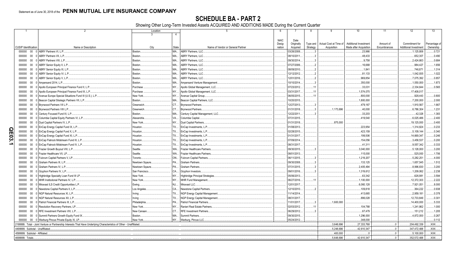SCHEDULE BA - PART 2<br>Showing Other Long-Term Invested Assets ACQUIRED AND ADDITIONS MADE During the Current Quarter

| $\mathcal{P}$                                                                                                         |                | Location  | -5                                      | -6          | 8                          | 9                                 | 10                           | 11           | 12                           | 13                                                                         |
|-----------------------------------------------------------------------------------------------------------------------|----------------|-----------|-----------------------------------------|-------------|----------------------------|-----------------------------------|------------------------------|--------------|------------------------------|----------------------------------------------------------------------------|
|                                                                                                                       | 3              | $\Lambda$ |                                         |             |                            |                                   |                              |              |                              |                                                                            |
|                                                                                                                       |                |           |                                         | <b>NAIC</b> | Date                       |                                   |                              |              |                              |                                                                            |
|                                                                                                                       |                |           |                                         | Desig-      | Originally                 | Type and   Actual Cost at Time of | <b>Additional Investment</b> | Amount of    | Commitment for               |                                                                            |
| <b>CUSIP</b> Identification<br>Name or Description                                                                    | City           | State     | Name of Vendor or General Partner       | nation      | Acquired<br>Strategy       | Acquisition                       | Made after Acquisition       | Encumbrances | <b>Additional Investment</b> | Percentage of<br>Ownership                                                 |
|                                                                                                                       |                |           |                                         |             |                            |                                   |                              |              |                              |                                                                            |
| $00\,$<br>ABRY Partners VI, L.P.<br>000000<br>- 0                                                                     | Boston.        | MA.       | ABRY Partners, LLC.                     |             | 03/26/2008.<br>. . 3       |                                   | .23,966                      |              | .1,125,806                   | .0.721                                                                     |
| $00\,$<br>ABRY Partners VII. L.P.<br>000000                                                                           | <b>Boston</b>  | MA.       | <b>ABRY Partners, LLC.</b>              |             | 08/10/2011.                |                                   | 48.433                       |              | .652,307                     | .0.490                                                                     |
| ABRY Partners VIII. L.P.<br>000000<br>$00\,$                                                                          | Boston.        | MA.       | <b>ABRY Partners, LLC.</b>              |             | 09/30/2014                 |                                   | .9,758                       |              | .2,424,663                   | .0.684                                                                     |
| 000000<br>$00\,$<br>ABRY Senior Equity II, L.P.                                                                       | Boston         | MA.       | <b>ABRY Partners, LLC.</b>              |             | 07/27/2006.                |                                   | 16,668                       |              | .984,427                     | .1.656                                                                     |
| 000000<br>$00\,$<br>ABRY Senior Equity III, L.P.                                                                      | Boston.        | MA        | <b>ABRY Partners, LLC.</b>              |             | 08/09/2010.                |                                   | .1,841                       |              | .746.871                     | .1.314                                                                     |
| $00\,$<br>ABRY Senior Equity IV, L.P<br>000000                                                                        | Boston.        | MA.       | <b>ABRY Partners, LLC.</b>              |             | 12/12/2012                 |                                   | .81,133                      |              | .1,042,935                   | .1.022                                                                     |
| 000000<br>$00\,$<br>ABRY Senior Equity V, L.P.                                                                        | Boston.        | MA.       | <b>ABRY Partners, LLC.</b>              |             | 12/01/2016.                |                                   | .969,854                     |              | 7,075,392                    | .0.857                                                                     |
|                                                                                                                       |                |           |                                         |             | $\mathbf{3}$               |                                   |                              |              |                              |                                                                            |
| 0 Ampersand 2014, L.P.<br>000000<br>$00\,$                                                                            | Boston.        | MA.       | Ampersand Venture Management            |             | 10/10/2014.                |                                   | .350,000                     |              | 1,550,000                    | .1.873                                                                     |
| Apollo European Principal Finance Fund II, L.P.<br>000000<br>$00\,$                                                   | Purchase       | <b>NY</b> | Apollo Global Management, LLC.          |             | 07/23/2012.<br>.11         |                                   | .33,031                      |              | .2,334,644                   | .0.565                                                                     |
| 0 Apollo European Principal Finance Fund III, L.P<br>$00\,$<br>000000                                                 | Purchase       | <b>NY</b> | Apollo Global Management, LLC.          |             | 03/31/2017<br>.11          |                                   | 1,574,075                    |              | 17,408,017                   |                                                                            |
| 0 Avenue Europe Special Situations Fund III (U.S.), L.P.<br>000000<br>$00\,$                                          | New York.      | <b>NY</b> | Avenue Capital Group.                   |             | 06/05/2015.<br>.11         |                                   | .800,000                     |              | .928,443                     | .0.800                                                                     |
| $00\,$<br>0 Beacon Capital Strategic Partners VII, L.P.<br>000000                                                     | Boston.        | MA        | Beacon Capital Partners, LLC.           |             | 10/20/2015.                |                                   | 1,800,000                    |              | .7,200,000                   | .2.000                                                                     |
| 0 Brynwood Partners VII L.P.<br>$00\,$<br>000000                                                                      | Greenwich.     | CT        | Brvnwood Partners.                      |             | 12/27/2013.                |                                   | 479,167                      |              | 1,910,567                    | .1.667                                                                     |
| $00\,$<br>0 Brynwood Partners VIII L.P.<br>000000                                                                     | Greenwich.     | CT        | Brynwood Partners.                      |             | 01/31/2018.                | 1,173,696                         | .40,000                      |              | .6,786,304                   | .1.231                                                                     |
|                                                                                                                       |                |           |                                         |             |                            |                                   |                              |              |                              |                                                                            |
| 0 Century Focused Fund III, L.P.<br>000000<br>$00\,$                                                                  | Boston.        | MA.       | Century Capital Management, LLC.        |             | 12/22/2011.                |                                   | .33,203                      |              | .42,328                      | .1.383                                                                     |
| 0 Columbia Capital Equity Partners VI, L.P.<br>000000<br>$00\,$                                                       | Alexandria.    | VA.       | Columbia Capital                        |             | 07/31/2015.                |                                   | 419,540                      |              | .6,025,486                   | .2.400                                                                     |
| 0 Dyal Capital Partners IV, L.P.<br>000000<br>$00\,$                                                                  | New York       | NY        | <b>Dyal Capital Partners</b>            |             | 01/31/2018.                | .875.000                          |                              |              | 19,125,000                   | .0.400                                                                     |
| 0 EnCap Energy Capital Fund IX, L.P<br>000000<br>$00\,$                                                               | Houston.       | <b>TX</b> | EnCap Investments, L.P.                 |             | 01/08/2013.                |                                   | .223.954                     |              | 1,314,824                    | .0.233                                                                     |
| 00 0 EnCap Energy Capital Fund X, L.P.<br>000000                                                                      | Houston.       | TX        | EnCap Investments, L.P.                 |             | 02/28/2015.                |                                   | 423,159                      |              | .5,109,144                   | .0.340                                                                     |
| $00\,$<br>0 EnCap Energy Capital Fund XI, L.P<br>000000                                                               | Houston.       | <b>TX</b> | EnCap Investments, L.P.                 |             | 01/31/2017.                |                                   | .199,506                     |              | 14,669,347                   | .0.246                                                                     |
| 000000<br>$00\,$<br>0 EnCap Flatrock Midstream Fund III, L.P                                                          | Houston.       | <b>TX</b> | EnCap Investments, L.P.                 |             | 07/09/2014.                |                                   | .154,056                     |              | .3,458,537                   | .0.200                                                                     |
|                                                                                                                       |                |           |                                         |             |                            |                                   |                              |              |                              |                                                                            |
| 000000<br>$00\,$<br>0 EnCap Flatrock Midstream Fund IV, L.P.                                                          | Houston.       | TX        | EnCap Investments, L.P.                 |             | 08/31/2017.                |                                   | .41,31'                      |              | .9,557,342                   | .0.333                                                                     |
| 000000<br>$00\,$<br>0 Frazier Growth Buyout VIII, L.P                                                                 | Seattle.       | WA.       | <b>Frazier Healthcare Partners</b>      |             | 09/30/2015.                |                                   | .3,040,000                   |              | .5,128,000                   | .3.200                                                                     |
| 0 Frazier Healthcare VII. LP<br>$00\,$<br>000000                                                                      | Seattle.       | WA        | Frazier Healthcare Partners             |             | 08/01/2013.                |                                   | .115,000                     |              | .525,000                     | .1.706                                                                     |
| 0 Fulcrum Capital Partners V, LP.<br>000000<br>$00\,$                                                                 | Toronto.       | ON.       | <b>Fulcrum Capital Partners</b>         |             | 06/11/2015.                |                                   | .1,219,207                   |              | 5,282,251                    | .4.000                                                                     |
| 0 Graham Partners III, L.P.<br>000000<br>$00\,$                                                                       | Newtown Sgaure | PA.       | Graham Partners.                        |             | 09/30/2008.                |                                   | .133,125                     |              | 1.657.545                    | .1.512                                                                     |
| $00\,$<br>0 Graham Partners IV. L.P.<br>000000                                                                        | Newtown Sqaure | PA.       | Graham Partners.                        |             | 07/31/2015.                |                                   | .2,405,494                   |              | 8,996,830                    | 3.200                                                                      |
| 000000<br>$00\,$<br>Gryphon Partners IV, L.P                                                                          | San Francisco. | CA.       | Gryphon Investors                       |             | 09/01/2016.                |                                   | .1,319,612                   |              | 1,209,062                    | .2.238                                                                     |
|                                                                                                                       | New York       | NY        |                                         |             | 05/06/2013.                |                                   | .63,342                      |              | .626,981                     | .3.594                                                                     |
| 0 Highbridge Specialty Loan Fund III LP.<br>000000<br>$00\,$                                                          |                |           | <b>Highbridge Principal Strategies.</b> |             |                            |                                   |                              |              |                              |                                                                            |
| 000000<br>$00\,$<br>MHR Institutional Partners IV, L.P.                                                               | New York.      | <b>NY</b> | <b>MHR Fund Management</b>              |             | 06/27/2016.<br>11          |                                   | .1,100,000                   |              | 12,372,303                   | .2.222                                                                     |
| Miravast ILS Credit Opportunities L.P.<br>000000<br>$00\,$                                                            | Ewing          | NJ        | Miravast LLC                            |             | 12/01/2017                 |                                   | .6,060,128                   |              | .7,921,051                   | .8.000                                                                     |
| 0 Newstone Capital Partners II, L.P.<br>000000<br>$00\,$                                                              | Los Angeles    | CA.       | Newstone Capital Partners.              |             | 12/10/2010.                |                                   | .109,818                     |              | .364,222                     | .0.938                                                                     |
| 0 NGP Natural Resources XI, L.P<br>000000<br>$00\,$                                                                   | Irving         | TX        | <b>NGP Energy Capital Management</b>    |             | 11/14/2014.                |                                   | .413,665                     |              | .2,959,181                   | .0.378                                                                     |
| 0 NGP Natural Resources XII. L.P.<br>$00\,$<br>000000                                                                 | Irvina         | <b>TX</b> | NGP Energy Capital Managemen            |             | 08/31/2017.                |                                   | .896.028                     |              | 12.733.849                   | .0.301                                                                     |
| $00\,$<br>Patriot Financial Partners III, L.P.<br>000000                                                              | Philadelphia   | <b>PA</b> | <b>Patriot Financial Partners</b>       |             | 11/01/2017<br>$\mathbf{3}$ | 1,600,000                         |                              |              | 14,400,000                   | .5.333                                                                     |
| 0 Resolution Recovery Partners, LP<br>000000<br>$00\,$                                                                | New York.      | NY        | Ranieri Real Estate Partners            |             | 02/03/2012.<br>.11         |                                   | .104,788                     |              | .1,241,862                   | .1.000                                                                     |
|                                                                                                                       |                |           |                                         |             |                            |                                   |                              |              |                              |                                                                            |
| 0 RFE Investment Partners VIII, L.P<br>000000<br>$00\,$                                                               | New Canaan     | CT.       | <b>RFE Investment Partners</b>          |             | 06/29/2012.                |                                   | .67,479                      |              | 151,212                      | .1.205                                                                     |
| $00\,$<br>0 Summit Partners Growth Equity Fund IX.<br>000000                                                          | <b>Boston</b>  | MA.       | <b>Summit Partners</b>                  |             | 09/30/2015.                |                                   | 1,296,000                    |              | 4,872,000                    | .0.267                                                                     |
| 0 Warburg Pincus Private Equity XI, LP.<br>000000<br>$00\,$                                                           | New York.      | <b>NY</b> | Warburg, Pincus LLC.                    |             | 05/24/2012.                |                                   | .348.000                     |              |                              | 0.112                                                                      |
| 2199999. Total - Joint Venture or Partnership Interests That Have Underlying Characteristics of Other - Unaffiliated. |                |           |                                         |             |                            | .3,648,696                        | 27,333,768                   |              | 204,492,339                  | $\overline{X}$ $\overline{X}$ $\overline{X}$ $\overline{X}$ $\overline{X}$ |
| 4499999. Subtotal - Unaffiliated.                                                                                     |                |           |                                         |             |                            | .5.248.696                        | .42.610.347                  |              | .347.472.488                 | .XXX.                                                                      |
| 4599999. Subtotal - Affiliated                                                                                        |                |           |                                         |             |                            | .400,000                          |                              |              | .5,100,000                   | XXX.                                                                       |
| 4699999. Totals.                                                                                                      |                |           |                                         |             |                            | .5,648,696                        | .42,610,347                  |              | .352,572,488                 | .XXX.                                                                      |
|                                                                                                                       |                |           |                                         |             |                            |                                   |                              |              |                              |                                                                            |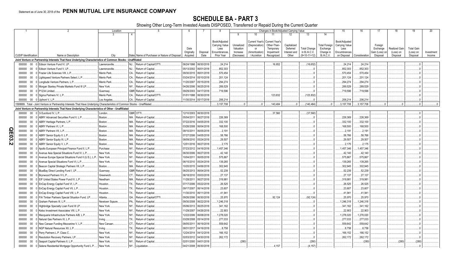SCHEDULE BA - PART 3<br>Showing Other Long-Term Invested Assets DISPOSED, Transferred or Repaid During the Current Quarter

|             |                             |        | 2                                                                                                                             | Location       |                               | 5                                             | 6                     |                       |                |            |                       | Changes in Book/Adjusted Carrying Value |              |                     |                      | 15             | 16            | 17             | 18                   | 19                | 20         |
|-------------|-----------------------------|--------|-------------------------------------------------------------------------------------------------------------------------------|----------------|-------------------------------|-----------------------------------------------|-----------------------|-----------------------|----------------|------------|-----------------------|-----------------------------------------|--------------|---------------------|----------------------|----------------|---------------|----------------|----------------------|-------------------|------------|
|             |                             |        |                                                                                                                               |                | 4                             |                                               |                       |                       |                | 9          | 10                    | 11                                      | 12           | 13                  | 14                   |                |               |                |                      |                   |            |
|             |                             |        |                                                                                                                               |                |                               |                                               |                       |                       |                |            |                       |                                         |              |                     |                      |                |               |                |                      |                   |            |
|             |                             |        |                                                                                                                               |                |                               |                                               |                       |                       | Book/Adjusted  |            | <b>Current Year's</b> | <b>Current Year's</b>                   |              |                     |                      | Book/Adjusted  |               |                |                      |                   |            |
|             |                             |        |                                                                                                                               |                |                               |                                               |                       |                       | Carrying Value | Unrealized | (Depreciation)        | Other-Than-                             | Capitalized  |                     | <b>Total Foreign</b> | Carrying Value |               | Foreign        |                      |                   |            |
|             |                             |        |                                                                                                                               |                |                               |                                               | Date                  |                       | Less           | Valuation  | or                    | Temporary                               | Deferred     | <b>Total Change</b> | Exchange             | Less           |               | Exchange       | <b>Realized Gair</b> | <b>Total Gain</b> |            |
|             |                             |        |                                                                                                                               |                |                               |                                               | Originally            | Disposal              | Encumbrances,  | Increase   | Amortization)         | Impairment                              | Interest and | in B./A.C.V.        | Change in            | Encumbrances   |               | Gain (Loss) on | (Loss) on            | (Loss) on         | Investment |
|             | <b>CUSIP</b> Identification |        | Name or Description                                                                                                           | City           |                               | State Name of Purchaser or Nature of Disposal | Acquired              | Date                  | Prior Year     | (Decrease) | / Accretion           | Recognized                              | Other        | $(9+10-11+12)$      | B./A.C.V.            | on Disposal    | Consideration | Disposal       | Disposal             | Disposal          | Income     |
|             |                             |        | Joint Venture or Partnership Interests That Have Underlying Characteristics of Common Stocks - Unaffiliated                   |                |                               |                                               |                       |                       |                |            |                       |                                         |              |                     |                      |                |               |                |                      |                   |            |
|             | 000000 00                   |        | 0 Edison Venture Fund IV. LP                                                                                                  | Lawrenceville. | Return of Capital/OTTI<br>NJ  |                                               |                       | 06/24/1998 06/30/2018 | 24,214         |            |                       | .16,652                                 |              | (16, 652)           |                      | 24,214         | .24,214       |                |                      |                   |            |
|             | 000000                      | $00\,$ | Edison Venture Fund V, LP.                                                                                                    | Lawrenceville. | NJ<br>Return of Capital.      |                                               | 05/13/2002            | 06/01/2018            | .852,303       |            |                       |                                         |              |                     |                      | .852,303       | .852,303      |                |                      |                   |            |
|             | 000000                      | $00\,$ | Frazier Life Sciences VIII, L.P.                                                                                              | Menlo Park.    | CA.<br>Return of Capital.     |                                               | 09/30/2015            | 06/01/2018            | .570,454       |            |                       |                                         |              |                     |                      | 570,454        | .570,454      |                |                      |                   |            |
|             | 000000                      | 00     | 0 Lightspeed Venture Partners Select, L.P.                                                                                    | Menlo Park     | CA.<br>Return of Capital.     |                                               | 03/24/2014            | 05/10/2018            | .201,124       |            |                       |                                         |              |                     |                      | 201,124        | 201,124       |                |                      |                   |            |
|             | 000000                      | 00     | 0 Longitude Venture Partners, L.P.                                                                                            | Menlo Park     | CA.<br>Return of Capital.     |                                               | 11/20/2007            | 05/15/2018            | .294.274       |            |                       |                                         |              |                     |                      | .294,274       | .294.274      |                |                      |                   |            |
|             | 000000                      | $00\,$ | Morgan Stanley Private Markets Fund III LP.                                                                                   | New York.      | NY Return of Capital          |                                               | 04/26/2006            | 06/25/2018            | .289,529       |            |                       |                                         |              |                     |                      | .289,529       | .289,529      |                |                      |                   |            |
|             | 000000                      | $00\,$ | P1234 Limited                                                                                                                 | Guernsey       | GBR Return of Capital.        |                                               | 09/29/2003            | 04/17/2018            | .719.596       |            |                       |                                         |              |                     |                      | .719.596       | .719.596      |                |                      |                   |            |
|             | 000000                      | $00\,$ | 0 Sigma Partners IV, L.P.                                                                                                     | Menlo Park     | CA.<br>Return of Capital/OT1  |                                               | 01/01/1998            | 06/30/2018            |                |            |                       | 123,832                                 |              | (123, 832)          |                      |                |               |                |                      |                   |            |
|             |                             |        | 000000 00 0 Upfront V, L.P.                                                                                                   | Los Angeles    | CA Return of Capital          |                                               | 11/30/2014 05/17/2018 |                       | .206,214       |            |                       |                                         |              |                     |                      | 206,214        | 206,214       |                |                      |                   |            |
|             |                             |        |                                                                                                                               |                |                               |                                               |                       |                       | 3.157.708      |            |                       | .140,484                                | $\Omega$     | (140,484)           |                      | .3, 157, 708   | .3,157,708    |                |                      |                   |            |
|             |                             |        | 1599999. Total - Joint Venture or Partnership Interests That Have Underlying Characteristics of Common Stocks - Unaffiliated. |                |                               |                                               |                       |                       |                |            |                       |                                         |              |                     |                      |                |               |                |                      |                   |            |
|             |                             |        | Joint Venture or Partnership Interests That Have Underlying Characteristics of Other - Unaffiliated                           |                |                               |                                               |                       |                       |                |            |                       |                                         |              |                     |                      |                |               |                |                      |                   |            |
|             | 000000                      | $00\,$ | 0 3i Eurofund IV. L.P.                                                                                                        | London.        | GBR OTTI.                     |                                               | 12/10/2003            | 06/30/2018            |                |            |                       | .37,560                                 |              | (37, 560)           |                      |                |               |                |                      |                   |            |
|             | 000000                      | 00     | ABRY Advanced Securities Fund II, L.P.                                                                                        | Boston.        | Return of Capital<br>MA.      |                                               | 05/04/2011            | 06/27/2018            | .226,369       |            |                       |                                         |              |                     |                      | .226,369       | .226,369      |                |                      |                   |            |
|             | 000000                      | 00     | ABRY Heritage Partners, L.P.                                                                                                  | Boston.        | Return of Capital<br>MA.      |                                               | 07/22/2016            | 04/05/2018            | .332.100       |            |                       |                                         |              |                     |                      | 332,100        | .332,100      |                |                      |                   |            |
|             | 000000                      | 00     | ABRY Partners VI. L.P.                                                                                                        | Boston.        | MA.<br>Return of Capital.     |                                               | 03/26/2008            | 06/04/2018            | .168,500       |            |                       |                                         |              |                     |                      | 168,500        | 168,500       |                |                      |                   |            |
| <u>င</u> ္က | 000000                      | 00     | ABRY Partners VII. L.P.                                                                                                       | Boston.        | Return of Capital.<br>MA.     |                                               | 08/10/2011            | 06/05/2018            | .2,191         |            |                       |                                         |              |                     |                      | 2,191          | .2,191        |                |                      |                   |            |
|             | 000000                      | 00     | ABRY Senior Equity II, L.P.                                                                                                   | Boston.        | Return of Capital.<br>MA.     |                                               | 07/27/2006            | 04/05/2018            | .58,766        |            |                       |                                         |              |                     |                      | .58,766        | .58,766       |                |                      |                   |            |
| င္လ         | 000000                      | $00\,$ | ABRY Senior Equity III, L.P.                                                                                                  | Boston.        | MA.<br>Return of Capital.     |                                               |                       | 08/09/2010 05/24/2018 | .29,507        |            |                       |                                         |              |                     |                      | .29,507        | .29,507       |                |                      |                   |            |
| <b>i</b>    | 000000                      | $00\,$ | ABRY Senior Equity V, L.P.                                                                                                    | Boston.        | MA.<br>Return of Capital.     |                                               |                       | 12/01/2016 06/27/2018 | .2,175         |            |                       |                                         |              |                     |                      | .2,175         | .2,175        |                |                      |                   |            |
|             | 000000                      | 00     | Apollo European Principal Finance Fund II, L.P.                                                                               | Purchase       | NY Return of Capital          |                                               |                       | 07/23/2012 04/16/2018 | .1,457,346     |            |                       |                                         |              |                     |                      | 1,457,346      | .1,457,346    |                |                      |                   |            |
|             | 000000                      | $00\,$ | Avenue Asia Special Situations Fund IV, L.P.                                                                                  | New York       | NY Return of Capital          |                                               | 06/30/2006            | 06/27/2018            | .42,140        |            |                       |                                         |              |                     |                      | .42,140        | .42,140       |                |                      |                   |            |
|             | 000000                      | 00     | Avenue Europe Special Situations Fund II (U.S.), L.P.                                                                         | New York       | NY Return of Capital.         |                                               | 10/04/2011            | 06/05/2018            | .575,867       |            |                       |                                         |              |                     |                      | 575,867        | .575,867      |                |                      |                   |            |
|             | 000000                      | $00\,$ | Avenue Special Situations Fund VI, L.P.                                                                                       | New York       | NY Return of Capital          |                                               |                       | 06/15/2010 05/24/2018 | .139,265       |            |                       |                                         |              |                     |                      | .139,265       | .139,265      |                |                      |                   |            |
|             |                             |        |                                                                                                                               |                | MA.<br>Return of Capital      |                                               |                       | 10/20/2015 04/06/2018 | .302,945       |            |                       |                                         |              |                     |                      | .302,945       | .302,945      |                |                      |                   |            |
|             | 000000                      | $00\,$ | Beacon Capital Strategic Partners VII, L.P.                                                                                   | Boston.        |                               |                                               |                       |                       |                |            |                       |                                         |              |                     |                      |                |               |                |                      |                   |            |
|             | 000000                      | $00\,$ | BlueBay Direct Lending Fund I, LP.                                                                                            | Guernsey       | <b>GBR</b> Return of Capital. |                                               |                       | 06/25/2013 06/04/2018 | .52,239        |            |                       |                                         |              |                     |                      | .52,239        | .52,239       |                |                      |                   |            |
|             | 000000                      | $00\,$ | Brynwood Partners VI L.P.                                                                                                     | Greenwich      | Return of Capital.<br>CT.     |                                               | 06/18/2010 05/03/2018 |                       | .27,137        |            |                       |                                         |              |                     |                      | .27,137        | .27,137       |                |                      |                   |            |
|             | 000000                      | 00     | EIF United States Power Fund IV, L.P.                                                                                         | Needham        | MA.<br>Return of Capital.     |                                               | 11/28/2011            | 06/27/2018            | .319,981       |            |                       |                                         |              |                     |                      | .319,981       | .319,981      |                |                      |                   |            |
|             | 000000                      | $00\,$ | EnCap Energy Capital Fund VI, L.P                                                                                             | Houston        | Return of Capital.<br>TX      |                                               | 07/17/2006            | 05/22/2018            | .26,525        |            |                       |                                         |              |                     |                      | .26,525        | .26,525       |                |                      |                   |            |
|             | 000000                      | $00\,$ | EnCap Energy Capital Fund VII, L.P                                                                                            | Houston        | TX<br>Return of Capital.      |                                               | 09/17/2007 06/14/2018 |                       | .23.607        |            |                       |                                         |              |                     |                      | .23,607        | 23,607        |                |                      |                   |            |
|             | 000000                      | $00\,$ | EnCap Energy Capital Fund VIII, L.P                                                                                           | Houston        | TX<br>Return of Capital.      |                                               | 11/30/2010            | 06/11/2018            | .41,941        |            |                       |                                         |              |                     |                      | .41,941        | .41,941       |                |                      |                   |            |
|             | 000000                      | $00\,$ | FIA Timber Partners Special Situation Fund, LP                                                                                | Atlanta.       | GA.<br>Return of Capital/OTT  |                                               | 09/26/2006            | 06/30/2018            | .25,970        |            |                       | .92,124                                 |              | (92, 124)           |                      | .25,970        | 25,970        |                |                      |                   |            |
|             | 000000                      | $00\,$ | Graham Partners III, L.P.                                                                                                     | Newtown Sqaure | Return of Capital.<br>PA      |                                               | 09/30/2008            | 06/22/2018            | 1,246,318      |            |                       |                                         |              |                     |                      | 1,246,318      | 1,246,318     |                |                      |                   |            |
|             | 000000                      | 00     | Highbridge Specialty Loan Fund III LP.                                                                                        | New York.      | NY<br>Return of Capital.      |                                               | 05/06/2013            | 06/25/2018            | .341,162       |            |                       |                                         |              |                     |                      | .341,162       | .341,162      |                |                      |                   |            |
|             | 000000                      | $00\,$ | Kelso Investment Associates VIII, L.P.                                                                                        | New York.      | Return of Capital<br>NY       |                                               | 11/29/2007            | 04/26/2018            | .22,903        |            |                       |                                         |              |                     |                      | .22,903        | 22,903        |                |                      |                   |            |
|             | 000000                      | 00     | Macquarie Infrastructure Partners A/B, L.P                                                                                    | New York.      | NY<br>Return of Capital       |                                               | 12/22/2006            | 06/08/2018            | 1,278,020      |            |                       |                                         |              |                     |                      | 1,278,020      | 1,278,020     |                |                      |                   |            |
|             | 000000                      | 00     | Natural Gas Partners IX, L.P.                                                                                                 |                | TX<br>Return of Capital       |                                               | 03/28/2008            | 05/14/2018            | .277,033       |            |                       |                                         |              |                     |                      | .277,033       | .277,033      |                |                      |                   |            |
|             |                             |        |                                                                                                                               | Irving.        |                               |                                               |                       |                       |                |            |                       |                                         |              |                     |                      |                |               |                |                      |                   |            |
|             | 000000                      | $00\,$ | New Canaan Funding Mezzanine V, L.P                                                                                           | New Canaan     | CT.<br>Return of Capital      |                                               | 08/05/2011            | 06/19/2018            | .559,642       |            |                       |                                         |              |                     |                      | .559,642       | .559,642      |                |                      |                   |            |
|             | 000000                      | $00\,$ | NGP Natural Resources XII, L.P.                                                                                               | Irving.        | TX<br>Return of Capital.      |                                               | 08/31/2017            | 04/16/2018            | 8,758          |            |                       |                                         |              |                     |                      | .8,758         | .8,758        |                |                      |                   |            |
|             | 000000                      | $00\,$ | Perry Partners L.P. Class C                                                                                                   | New York.      | Return of Capital<br>NY       |                                               | 12/24/2014            | 04/12/2018            | .166,152       |            |                       |                                         |              |                     |                      | .166,152       | 166,152       |                |                      |                   |            |
|             | 000000                      | $00\,$ | Resolution Recovery Partners, LP.                                                                                             | New York.      | NY.<br>Return of Capital      |                                               | 02/03/2012            | 04/30/2018            | .262,172       |            |                       |                                         |              |                     |                      | 262,172        | .262,172      |                |                      |                   |            |
|             | 000000                      | $00\,$ | Seaport Capital Partners II, L.P.                                                                                             | New York.      | NY<br>Return of Capital       |                                               | 02/01/2000            | 04/01/2018            |                | (280)      |                       |                                         |              | (280)               |                      |                | (280)         |                | (280)                | (280)             |            |
|             | 000000 00                   |        | 0 Selene Residential Mortgage Opportunity Fund L.P.                                                                           | New York       | NY.<br>Liquidation.           |                                               | 04/21/2008            | 06/30/2018            |                |            |                       | .4.157                                  |              | (4.157)             |                      |                |               |                |                      |                   |            |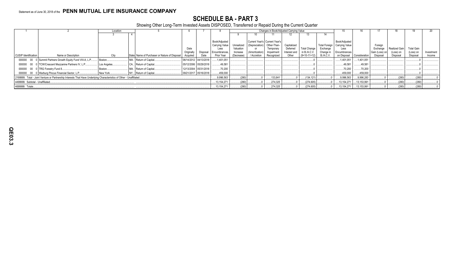### **SCHEDULE BA - PART 3**

Showing Other Long-Term Invested Assets DISPOSED, Transferred or Repaid During the Current Quarter

|                             |                                                                                                                       | Location     |                                               |                       |          |                |            |                               |             | Changes in Book/Adiusted Carrying Value |                     |                  | 15                           |               |                |               | 19                | 20         |
|-----------------------------|-----------------------------------------------------------------------------------------------------------------------|--------------|-----------------------------------------------|-----------------------|----------|----------------|------------|-------------------------------|-------------|-----------------------------------------|---------------------|------------------|------------------------------|---------------|----------------|---------------|-------------------|------------|
|                             |                                                                                                                       |              |                                               |                       |          |                |            |                               |             |                                         |                     |                  |                              |               |                |               |                   |            |
|                             |                                                                                                                       |              |                                               |                       |          |                |            |                               |             |                                         |                     |                  |                              |               |                |               |                   |            |
|                             |                                                                                                                       |              |                                               |                       |          | Book/Adjusted  |            | Current Year's Current Year's |             |                                         |                     |                  | Book/Adjusted                |               |                |               |                   |            |
|                             |                                                                                                                       |              |                                               |                       |          | Carrying Value | Unrealized | (Depreciation)                | Other-Than- | Capitalized                             |                     |                  | Total Foreign Carrying Value |               | Foreign        |               |                   |            |
|                             |                                                                                                                       |              |                                               | Date                  |          | Less           | Valuation  |                               | Temporary   | Deferred                                | <b>Total Change</b> | Exchange         | Less                         |               | Exchange       | Realized Gain | <b>Total Gain</b> |            |
|                             |                                                                                                                       |              |                                               | Originally            | Disposal | Encumbrances,  | Increase   | (Amortization)                | Impairment  | Interest and                            | in B./A.C.V.        | Change in        | Encumbrances                 |               | Gain (Loss) on | (Loss) on     | (Loss) on         | Investment |
| <b>CUSIP</b> Identification | Name or Description                                                                                                   | City         | State Name of Purchaser or Nature of Disposal | Acquired              | Date     | Prior Year     | (Decrease) | / Accretion                   | Recognized  | Other                                   | $(9+10-11+12)$      | <b>B./A.C.V.</b> | on Disposal                  | Consideration | Disposal       | Disposal      | Disposal          | Income     |
|                             | 000000 00 0 Summit Partners Growth Equity Fund VIII-A, L.P                                                            | Boston.      | MA. Return of Capital.                        | 06/14/2012 04/13/2018 |          | .1,401,051     |            |                               |             |                                         |                     |                  | 1,401,051                    | .1,401,051    |                |               |                   |            |
|                             | 000000 00 0 TCW/Crescent Mezzanine Partners IV, L.P                                                                   | Los Angeles. | CA Return of Capital.                         | 05/12/2006 05/29/2018 |          | .49.581        |            |                               |             |                                         |                     |                  | .49,581                      | .49.581       |                |               |                   |            |
|                             | 000000 00 0 TRG Forestry Fund 8                                                                                       | Boston       | MA. Return of Capital.                        | 12/13/2004 05/31/2018 |          | .70.200        |            |                               |             |                                         |                     |                  | .70.200                      | 70.200        |                |               |                   |            |
|                             | 000000 00 0 Warburg Pincus Financial Sector, L.P                                                                      | New York.    | NY Return of Capital.                         | 09/21/2017 05/16/2018 |          | .459,000       |            |                               |             |                                         |                     |                  | .459,000                     | .459,000      |                |               |                   |            |
|                             | 2199999. Total - Joint Venture or Partnership Interests That Have Underlying Characteristics of Other - Unaffiliated. |              |                                               |                       |          | 9,996,563      | (280)      |                               | 133,841     |                                         | (134, 121)          |                  | .9,996,563                   | 9,996,283     |                | (280)         | (280)             |            |
|                             | 4499999. Subtotal - Unaffiliated                                                                                      |              |                                               |                       |          | .13,154,271    | (280)      |                               | .274,325    |                                         | (274, 605)          |                  | 13,154,271                   | .13,153,991   |                | (280)         | (280)             |            |
| 4699999. Totals             |                                                                                                                       |              |                                               |                       |          | 13,154,271     | (280)      |                               | .274,325    |                                         | (274, 605)          |                  | 13,154,271                   | 13,153,991    |                | (280)         | (280)             |            |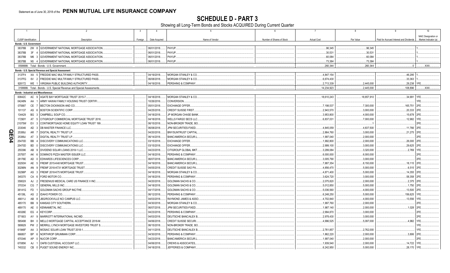**SCHEDULE D - PART 3**<br>Showing all Long-Term Bonds and Stocks ACQUIRED During Current Quarter

|                | $\overline{1}$          |                 | $\overline{2}$<br>-3                                                  | 4                          | 5                               | 6                         | $\overline{7}$     | 8          | 9                                       | 10                   |
|----------------|-------------------------|-----------------|-----------------------------------------------------------------------|----------------------------|---------------------------------|---------------------------|--------------------|------------|-----------------------------------------|----------------------|
|                |                         |                 |                                                                       |                            |                                 |                           |                    |            |                                         | NAIC Designation or  |
|                | CUSIP Identification    |                 | Description<br>Foreign                                                | Date Acquired              | Name of Vendor                  | Number of Shares of Stock | <b>Actual Cost</b> | Par Value  | Paid for Accrued Interest and Dividends | Market Indicator (a) |
|                | Bonds - U.S. Government |                 |                                                                       |                            |                                 |                           |                    |            |                                         |                      |
|                | 38378B 2W 8             |                 | GOVERNMENT NATIONAL MORTGAGE ASSOCIATION                              | 06/01/2018.                | PAYUP.                          |                           | .96,345            | .96,345    |                                         |                      |
|                | 38378B                  | 3F              | GOVERNMENT NATIONAL MORTGAGE ASSOCIATION                              | 06/01/2018.                | PAYUP.                          |                           | .30,531            | .30,531    |                                         |                      |
|                | 38378B                  | M6              | GOVERNMENT NATIONAL MORTGAGE ASSOCIATION<br>3                         | 06/01/2018.                | PAYUP.                          |                           | .60,084            | .60,084    |                                         |                      |
|                | 38378B                  |                 | N5 4 GOVERNMENT NATIONAL MORTGAGE ASSOCIATION                         | 06/01/2018                 | PAYUP.                          |                           | 73,384             | 73,384     |                                         |                      |
|                |                         |                 | 0599999. Total - Bonds - U.S. Government                              |                            |                                 |                           | 260,344            | .260,344   | 0                                       | XXX.                 |
|                |                         |                 | Bonds - U.S. Special Revenue and Special Assessment                   |                            |                                 |                           |                    |            |                                         |                      |
|                |                         |                 | 3137F4 XA 5   FREDDIE MAC MULTIFAMILY STRUCTURED PASS.                | 04/19/2018                 | <b>MORGAN STANLEY &amp; CO.</b> |                           | 4,847,154          |            | 46,295                                  |                      |
|                | 3137FG                  | 6V              | 2 FREDDIE MAC MULTIFAMILY STRUCTURED PASS.                            | 06/08/2018.                | MORGAN STANLEY & CO.            |                           | .6,674,430         |            | .33,363                                 |                      |
|                | 928172                  |                 | WE 1 VIRGINIA PUBLIC BUILDING AUTHORITY.                              | 04/19/2018.                | PERSHING & COMPANY.             |                           | 2,713,339          | .2,445,000 | 29,238                                  |                      |
|                |                         |                 | 3199999. Total - Bonds - U.S. Special Revenue and Special Assessments |                            |                                 |                           | .14,234,923        | .2,445,000 | .108,896                                | .XXX                 |
|                |                         |                 | <b>Bonds - Industrial and Miscellaneous</b>                           |                            |                                 |                           |                    |            |                                         |                      |
|                | 00842C                  |                 | AC 9 AGATE BAY MORTGAGE TRUST 2015-7                                  | 04/18/2018.                | MORGAN STANLEY & CO.            |                           | 18,610,243         | 18,857,910 | .34,991                                 | 1FF                  |
|                | 04248N                  | AA              | ARMY HAWAII FAMILY HOUSING TRUST CERTIF                               | 10/26/2016.                | CONVERSION.                     |                           |                    |            |                                         | IFE.                 |
|                | 075887                  |                 | CE 7<br><b>BECTON DICKINSON AND CO</b>                                | 05/01/2018.                | <b>EXCHANGE OFFER</b>           |                           | 7,198,537          | .7,300,000 | 165,751                                 | 2FE                  |
|                | 101137                  | AS              | BOSTON SCIENTIFIC CORP.                                               | 04/25/2018.                | <b>CREDIT SUISSE FIRST</b>      |                           | .2,943,570         | .3,000,000 | 20,333                                  | 2FE                  |
|                | 134429                  | BG              | CAMPBELL SOUP CO<br>3                                                 | 04/18/2018.                | JP MORGAN CHASE BANK            |                           | .3,953,800         | .4,000,000 | 15,678                                  | 2FE                  |
|                | 17290Y                  | AT              | CITIGROUP COMMERCIAL MORTGAGE TRUST 2016                              | 04/18/2018.                | WELLS FARGO SECS LLC            |                           | .6,837,031         | .7,000,000 | 12,982                                  |                      |
|                | 21075W                  | EV              | CONTIMORTGAGE HOME EQUITY LOAN TRUST 199.                             | 06/15/2018.                | NON-BROKER TRADE, BO            |                           |                    |            |                                         |                      |
|                | 233046                  | AD.             | DB MASTER FINANCE LLC.                                                | 06/08/2018.                | JPM SECURITIES-FIXED.           |                           | .4,845,059         | .4,837,500 | .11,766                                 | 2FE                  |
| Q              | 25389J                  | AR              | <b>DIGITAL REALTY TRUST LP.</b>                                       | 04/20/2018.                | <b>BNY/SUNTRUST CAPITAL</b>     |                           | .2,864,760         | .3,000,000 | .21,275                                 | 2FE                  |
| m              | 25389J                  | AT              | DIGITAL REALTY TRUST LP.                                              | 06/14/2018.                | <b>BANC/AMERICA SECUR.L</b>     |                           | .1,997,040         | .2,000,000 |                                         | 2FF                  |
| $\overline{P}$ | 25470D                  | <b>BB</b>       | DISCOVERY COMMUNICATIONS LLC                                          | 03/15/2018.                | <b>EXCHANGE OFFER</b>           |                           | .1,992,800         | .2,000,000 | .26,000                                 | 2FE                  |
|                | 25470D                  | <b>BD</b>       | DISCOVERY COMMUNICATIONS LLC                                          | 03/15/2018.                | <b>EXCHANGE OFFER.</b>          |                           | .2,999,100         | .3,000,000 | 29,625                                  | 2FE                  |
|                | 255396                  | AB              | DIVIDEND SOLAR LOANS 2018-1 LLC                                       | 04/23/2018.                | <b>CITIGROUP GLOBAL MKT</b>     |                           | .3,299,084         | .3,320,000 | 2,769                                   |                      |
|                | 25755T                  | AK              | DOMINO'S PIZZA MASTER ISSUER LLC.                                     | 04/18/2018.                | PERSHING & COMPANY.             |                           | .6,000,000         | .6,000,000 |                                         | 2FE                  |
|                | 28176E                  | AD              | EDWARDS LIFESCIENCES CORP.                                            | 06/07/2018.                | <b>BANC/AMERICA SECUR.I</b>     |                           | .3,005,790         | .3,000,000 |                                         | 2FE.                 |
|                | 30293H                  | AE              | FREMF 2015-K48 MORTGAGE TRUST                                         | 04/19/2018.                | <b>BANC/AMERICA SECUR.I</b>     |                           | 7,887,354          | .8,150,000 | 18,115                                  | 2FE.                 |
|                | 30296N                  | AN              | FREMF 2018-K731 MORTGAGE TRUST<br><b>q</b>                            | 04/05/2018.                | CREDIT SUISSE SAO PA            |                           | .4,856,470         | .5,000,000 | .6,515                                  | 2FE                  |
|                | 30296P                  | AS              | FREMF 2018-K75 MORTGAGE TRUST                                         | 04/18/2018.                | MORGAN STANLEY & CO.            |                           | .4,871,400         | 5,000,000  | 14,355                                  | 2FE                  |
|                | 345370                  | CA              | FORD MOTOR CO.                                                        | 04/18/2018.                | PERSHING & COMPANY              |                           | .3,624,720         | .3,000,000 | 58,358                                  | 2FE                  |
|                | 35802X                  | AJ              | FRESENIUS MEDICAL CARE US FINANCE II INC<br>- 2                       | 04/20/2018.                | <b>GOLDMAN SACHS &amp; CO.</b>  |                           | .2,075,820         | .2,000,000 | .2.375                                  | 2FE.                 |
|                | 370334                  | CG              | <b>GENERAL MILLS INC.</b>                                             | 04/18/2018.                | <b>GOLDMAN SACHS &amp; CO.</b>  |                           | .5,012,850         | 5,000,000  | .1,750                                  | 2FE                  |
|                | 38141G                  | FD.             | GOLDMAN SACHS GROUP INC/THE.                                          | 04/17/2018.                | <b>GOLDMAN SACHS &amp; CO.</b>  |                           | .5,036,560         | .4,000,000 | 13,500                                  | 2FE                  |
|                | 45138L                  | AS              | IDAHO POWER CO                                                        | 06/12/2018.                | PERSHING & COMPANY              |                           | .6,248,250         | 5,000,000  | 156,625                                 |                      |
|                | 46611J                  | AB              | JBG/ROCKVILLE NCI CAMPUS LLC.                                         | 04/03/2018.                | RAYMOND JAMES & ASSO            |                           | .4,702,840         | .4,000,000 | 13,556                                  | 1FE.                 |
|                | 485170                  | <b>BB</b>       | KANSAS CITY SOUTHERN                                                  | 04/30/2018.                | <b>MORGAN STANLEY &amp; CO.</b> |                           | .1,997,760         | .2,000,000 |                                         | 2FF                  |
|                | 489170                  | AE              | <b>KENNAMETAL INC.</b>                                                |                            | JPM SECURITIES-FIXED.           |                           | .1,987,140         | .2,000,000 | .1,028                                  | 2FE                  |
|                | 49326E                  | EG              | KEYCORP.                                                              | 06/07/2018.<br>04/23/2018. | PERSHING & COMPANY              |                           | .2,994,870         | .3,000,000 |                                         | 2FE.                 |
|                |                         |                 |                                                                       |                            |                                 |                           |                    |            |                                         | 2FE.                 |
|                | 571903                  | AY<br><b>BH</b> | MARRIOTT INTERNATIONAL INC/MD.                                        | 04/03/2018.                | DEUTSCHE BANC/ALEX B            |                           | .2,978,430         | .3,000,000 | .4,982                                  | 1FE.                 |
|                | 585498                  |                 | MELLO MORTGAGE CAPITAL ACCEPTANCE 2018-M                              | 04/06/2018.                | CREDIT SUISSE SECURI            |                           | .4,996,525         | .5,097,000 |                                         |                      |
|                | 589929                  | PW              | MERRILL LYNCH MORTGAGE INVESTORS TRUST S<br>- 2                       | 06/15/2018.                | NON-BROKER TRADE, BO            |                           |                    |            |                                         | IFE.                 |
|                | 61946F                  | AA              | MOSAIC SOLAR LOAN TRUST 2018-1                                        | 04/11/2018.                | DEUTSCHE BANC/ALEX B            |                           | 2,761,857          | 2,762,000  |                                         | 1FE.                 |
|                | 666807                  | <b>BP</b>       | NORTHROP GRUMMAN CORP.<br><b>6</b>                                    | 04/30/2018.                | PERSHING & COMPANY.             |                           | .1,862,220         | .2,000,000 | .3,806                                  | 2FE                  |
|                | 670346                  | AP              | NUCOR CORP.                                                           | 04/23/2018.                | <b>BANC/AMERICA SECUR.L</b>     |                           | .1,997,040         | .2,000,000 |                                         |                      |
|                | 67085K                  | AJ.             | OAFB CUSTODIAL ACCOUNT LLC                                            | 04/06/2018.                | <b>CREWS &amp; ASSOCIATES.</b>  |                           | .1,939,540         | .2,000,000 | 14,722                                  | 1FE.                 |
|                | 745332                  |                 | CB 0 PUGET SOUND ENERGY INC.                                          | 04/18/2018.                | JEFFERIES & COMPANY.            |                           | .6,242,950         | .5,000,000 | .28,170                                 | 1FE.                 |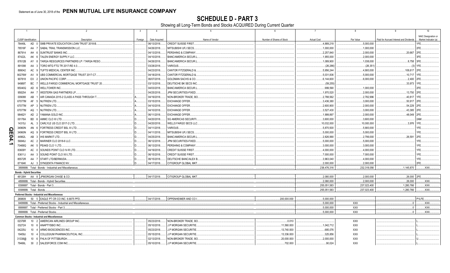SCHEDULE D - PART 3<br>Showing all Long-Term Bonds and Stocks ACQUIRED During Current Quarter

|      |                                  |                    | $\overline{2}$                                                   | $\overline{3}$ | $\overline{4}$ | -5                             |                           | $\overline{7}$     | 8            | <b>q</b>                                |                      |
|------|----------------------------------|--------------------|------------------------------------------------------------------|----------------|----------------|--------------------------------|---------------------------|--------------------|--------------|-----------------------------------------|----------------------|
|      |                                  |                    |                                                                  |                |                |                                |                           |                    |              |                                         | NAIC Designation or  |
|      | CUSIP Identification             |                    | Description                                                      | Foreign        | Date Acquired  | Name of Vendor                 | Number of Shares of Stock | <b>Actual Cost</b> | Par Value    | Paid for Accrued Interest and Dividends | Market Indicator (a) |
|      | 78449L                           | AD                 | SMB PRIVATE EDUCATION LOAN TRUST 2018-B.                         |                | 06/13/2018.    | CREDIT SUISSE FIRST.           |                           | .4,889,218         | .5,000,000   |                                         | 1FE.                 |
|      | 78516F                           | AA                 | SABAL TRAIL TRANSMISSION LLC.                                    |                | 04/26/2018.    | MITSUBISHI UFJ SECS.           |                           | .1,000,000         | 1,000,000    |                                         | 2FE                  |
|      | 867914                           | AH<br>- 6          | <b>SUNTRUST BANKS INC.</b>                                       |                | 04/13/2018.    | PERSHING & COMPANY             |                           | .2,257,840         | .2,000,000   | .20.667                                 | 2FE                  |
|      | 87422L                           | AK                 | TALEN ENERGY SUPPLY LLC.                                         |                | 04/10/2018.    | <b>BANC/AMERICA SECUR.L</b>    |                           | .1,955,000         | .2,000,000   |                                         | 3FE                  |
|      | 87612B                           | AY                 | TARGA RESOURCES PARTNERS LP / TARGA RESO.                        |                | 04/26/2018.    | <b>BANC/AMERICA SECUR.L</b>    |                           | 1,089,900          | 1,038,000    | .8,758 3FE                              |                      |
|      | 891098                           | AA                 | 3   TORO MTG FTG TR 2017-RE 4.0.                                 |                | 03/28/2018     | VARIOUS.                       |                           | (26, 286)          | (26,351)     | (3)                                     | 1FE                  |
|      | 899042                           | AC                 | 9   TUFTS MEDICAL CENTER INC.                                    |                | 04/23/2018.    | CANTOR FITZGERALD &            |                           | .5,956,244         | .4,900,000   | .108,617                                | 12FE                 |
|      | 90276W                           | AV<br>q            | UBS COMMERCIAL MORTGAGE TRUST 2017-C7                            |                | 04/18/2018.    | <b>CANTOR FITZGERALD &amp;</b> |                           | .5,031,836         | .5,000,000   | .10.717 1FE                             |                      |
|      | 907818                           | EX<br>-2           | UNION PACIFIC CORP.                                              |                | 06/07/2018.    | <b>GOLDMAN SACHS &amp; CO.</b> |                           | .6,144,600         | .6,000,000   | .2,400                                  | 12FE                 |
|      | 94989T                           |                    | BC 7   WELLS FARGO COMMERCIAL MORTGAGE TRUST 20                  |                | 03/13/2018.    | DEUTSCHE BK SECS INC           |                           | (59, 255)          |              | .33,973                                 | 1 <sub>1</sub> FF    |
|      | 95040Q                           | AD<br>- 6          | <b>WELLTOWER INC</b>                                             |                | 04/03/2018     | <b>BANC/AMERICA SECUR.L</b>    |                           | .999,590           | .1,000,000   |                                         | 2FE                  |
|      | 958254                           | AH                 | 7 WESTERN GAS PARTNERS LP.                                       |                | 04/25/2018.    | JPM SECURITIES-FIXED           |                           | .1,970,520         | .2,000,000   | .13,750 2FE                             |                      |
|      | 009088                           | AB                 | AIR CANADA 2015-2 CLASS A PASS THROUGH T                         |                | 04/19/2018.    | NON-BROKER TRADE, BO.          |                           | .2,788,562         | 2,782,996    | .40,817                                 | 1FF                  |
|      | 67077M                           | AF<br>$5^{\circ}$  | NUTRIEN LTD.                                                     |                | 03/15/2018.    | <b>EXCHANGE OFFER</b>          |                           | .3,436,380         | .3,000,000   | .50,917                                 | 12FE                 |
|      | 67077M                           | AP<br>$\mathbf{3}$ | NUTRIEN LTD.                                                     |                | 04/10/2018.    | <b>EXCHANGE OFFER</b>          |                           | .2,600,900         | .2,000,000   | .54,229                                 | 2FE                  |
|      | 67077M                           | AQ                 | <b>NUTRIEN LTD.</b>                                              |                | 04/10/2018.    | <b>EXCHANGE OFFER</b>          |                           | .3,527,430         | .3,000,000   | .43,385                                 | 2FE                  |
|      | 98462Y                           | AD                 | 2 YAMANA GOLD INC.                                               |                | 06/11/2018     | <b>EXCHANGE OFFER</b>          |                           | .1,999,897         | .2,000,000   | .48,049 2FE                             |                      |
|      | 00176A                           | <b>BD</b>          | AMMC CLO XI LTD.                                                 |                | 04/20/2018.    | <b>SG AMERICAS SECURIT</b>     |                           | .3,600,000         | .3,600,000   |                                         | 2AM                  |
|      | 14315J                           | AL                 | 3 CARLYLE US CLO 2017-2 LTD.                                     |                | 04/20/2018.    | <b>WELLS FARGO SECS LLC</b>    |                           | 10.032.000         | 10,000,000   | 3.976                                   | 1FF                  |
| Q    | 34960N                           | AN                 | FORTRESS CREDIT BSL III LTD.                                     |                | 04/11/2018.    | VARIOUS.                       |                           | .5,870,500         | .5,900,000   |                                         | 1FF                  |
| m    | 34960N                           | AQ<br><b>q</b>     | FORTRESS CREDIT BSL III LTD.                                     |                | 04/11/2018.    | MITSUBISHI UFJ SECS.           |                           | .5,000,000         | .5,000,000   |                                         | 1FE                  |
|      | 44962L                           | AB<br>$\mathbf{3}$ | IHS MARKIT LTD                                                   |                | 04/25/2018.    | <b>BANC/AMERICA SECUR.I</b>    |                           | .2,826,990         | 2,799,000    | .26,591                                 | 2FE                  |
| 04.1 | 56846J                           | AC <sub>2</sub>    | MARINER CLO 2018-6 LLC.                                          |                | 06/12/2018.    | JPM SECURITIES-FIXED           |                           | .5,000,000         | .5,000,000   |                                         | 1FE.                 |
|      | 70469Q                           | AK<br>- 5          | PEAKS CLO 1 LTD.                                                 |                | 06/13/2018.    | PERSHING & COMPANY.            |                           | .3,000,000         | .3.000.000   |                                         | 1FE.                 |
|      | 83609Y                           | AC                 | 0 SOUNDS POINT CLO IV-R LTD.                                     |                | 04/19/2018.    | CREDIT SUISSE FIRST.           |                           | .4,000,000         | .4,000,000   |                                         | 1FE.                 |
|      | 83611J                           | AA<br>3            | SOUND POINT CLO XX LTD.                                          | D              | 06/15/2018.    | CREDIT SUISSE FIRST.           |                           | .7,000,000         | .7,000,000   |                                         | 1FE.                 |
|      | 85572R                           |                    | AA 7 START LTD/BERMUDA                                           |                | 06/15/2018.    | DEUTSCHE BANC/ALEX B           |                           | .3,963,040         | .4,000,000   |                                         | 1FE.                 |
|      | 87164K                           |                    | AJ 3 SYNGENTA FINANCE NV.                                        |                | 04/17/2018     | CITIGROUP GLOBAL MKT.          |                           | .2,000,000         | .2,000,000   |                                         | 2FE.                 |
|      |                                  |                    | 3899999. Total - Bonds - Industrial and Miscellaneous            |                |                |                                |                           | .238,476,316       | .232.318.056 | .1.145.870                              | <b>XXX.</b>          |
|      | <b>Bonds - Hybrid Securities</b> |                    |                                                                  |                |                |                                |                           |                    |              |                                         |                      |
|      |                                  |                    | 48126H AA 8 JPMORGAN CHASE & CO.                                 |                | 04/17/2018.    | CITIGROUP GLOBAL MKT           |                           | .2.080.000         | .2.000.000   | $.26,000$ 2FE.                          |                      |
|      |                                  |                    | 4899999. Total - Bonds - Hybrid Securities                       |                |                |                                |                           | 2.080.000          | .2.000.000   | .26.000                                 | .XXX.                |
|      |                                  |                    | 8399997. Total - Bonds - Part 3.                                 |                |                |                                |                           | .255,051,583       | .237,023,400 | 1,280,766                               | XXX                  |
|      | 8399999. Total - Bonds.          |                    |                                                                  |                |                |                                |                           | 255,051,583        | 237,023,400  | 1,280,766                               | .XXX.                |
|      |                                  |                    | Preferred Stocks - Industrial and Miscellaneous                  |                |                |                                |                           |                    |              |                                         |                      |
|      |                                  |                    | 269809 50 5 EAGLE PT CR CO INC. 6.6875 PFD.                      |                | 04/17/2018.    | OPPENHEIMER AND CO I.          | .200.000.000              | .5.000.000         |              |                                         | P1LFE.               |
|      |                                  |                    | 8499999. Total - Preferred Stocks - Industrial and Miscellaneous |                |                |                                |                           | .5,000,000         | <b>XXX</b>   | 0                                       | XXX.                 |
|      |                                  |                    | 8999997. Total - Preferred Stocks - Part 3                       |                |                |                                |                           | .5,000,000         | XXX          | 0                                       | .XXX.                |
|      |                                  |                    | 8999999. Total - Preferred Stocks.                               |                |                |                                |                           | .5,000,000         | XXX          | 0                                       | XXX                  |
|      |                                  |                    | <b>Common Stocks - Industrial and Miscellaneous</b>              |                |                |                                |                           |                    |              |                                         |                      |
|      | 02376R                           |                    | 10 2 AMERICAN AIRLINES GROUP INC                                 |                | 05/23/2018.    | NON-BROKER TRADE, BO.          | .0.010                    |                    | XXX          |                                         |                      |
|      | 032724                           | 10 6               | ANAPTYSBIO INC.                                                  |                | 05/10/2018.    | J.P MORGAN SECURITIE           | .11,560.000               | 1.042.712          | XXX          |                                         |                      |
|      | 04225U                           | 10 <sup>1</sup>    | ARMO BIOSCIENCES INC.                                            |                | 05/23/2018.    | J.P MORGAN SECURITIE.          | 13,740.000                | 685,076            | XXX          |                                         |                      |
|      | 19459J                           | 10                 | COLLEGIUM PHARMACEUTICAL INC                                     |                | 05/15/2018.    | J.P MORGAN SECURITIE.          | 13,336.000                | .325,856           | XXX          |                                         |                      |
|      | 31338@                           | 10<br>- 6          | FHLN OF PITTSBURGH.                                              |                | 02/13/2018.    | NON-BROKER TRADE, BO.          | .20,000.000               | .2.000.000         | <b>XXX</b>   |                                         |                      |
|      | 79466L                           | 30                 | 2 SALESFORCE.COM INC                                             |                | 05/10/2018.    | J.P MORGAN SECURITIE.          | 702.000                   | .90.024            | <b>XXX</b>   |                                         |                      |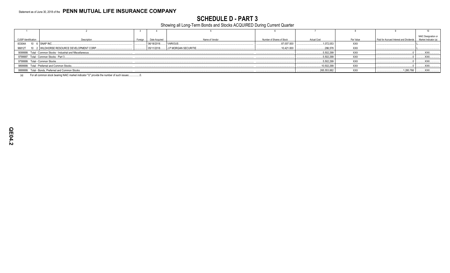## **SCHEDULE D - PART 3**

Showing all Long-Term Bonds and Stocks ACQUIRED During Current Quarter

|                                |                                                               |         |               |                                 |                           |                    |            |                                         | NAIC Designation or                          |
|--------------------------------|---------------------------------------------------------------|---------|---------------|---------------------------------|---------------------------|--------------------|------------|-----------------------------------------|----------------------------------------------|
| <b>CUSIP Identification</b>    | Description                                                   | Foreign | Date Acquired | Name of Vendor                  | Number of Shares of Stock | <b>Actual Cost</b> | Par Value  | Paid for Accrued Interest and Dividends | Market Indicator (a)                         |
| 83304A 10 6 SNAP INC           |                                                               |         | 06/18/2018.   | VARIOUS.                        | .87,007.000               | .1,072,053         | XXX        |                                         |                                              |
| 96812T                         | 10 2 WILDHORSE RESOURCE DEVELOPMENT CORP                      |         |               | 05/11/2018 J.P MORGAN SECURITIE | 10,421.000                | .286,578           | XXX        |                                         |                                              |
|                                | 9099999. Total - Common Stocks - Industrial and Miscellaneous |         |               |                                 |                           | 5,502,299          | XXX        |                                         | <b>XXX.</b>                                  |
|                                | 9799997. Total - Common Stocks - Part 3                       |         |               |                                 |                           | .5.502.299         | XXX        |                                         | $$ XXX.                                      |
| 9799999. Total - Common Stocks |                                                               |         |               |                                 |                           | 5,502,299          | <b>XXX</b> |                                         | $.$ $XXX$                                    |
|                                | 9899999. Total - Preferred and Common Stocks                  |         |               |                                 |                           | .10,502,299        | XXX        |                                         | <b>XXX</b>                                   |
|                                | 9999999. Total - Bonds, Preferred and Common Stocks           |         |               |                                 |                           | 265,553,882        | XXX        | 1,280,766                               | $\overline{X}$ $\overline{X}$ $\overline{X}$ |
|                                |                                                               |         |               |                                 |                           |                    |            |                                         |                                              |

For all common stock bearing NAIC market indicator "U" provide the number of such issues:....................  $(a)$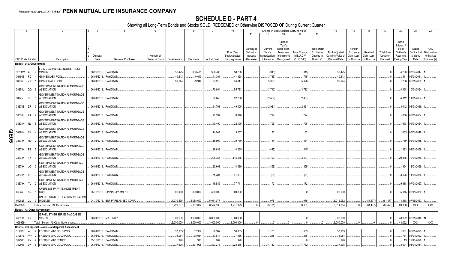## **SCHEDULE D - PART 4**

Showing all Long-Term Bonds and Stocks SOLD, REDEEMED or Otherwise DISPOSED OF During Current Quarter

|          |                             |          |                                                     |             | -5                               |                                 |            |            |                    | 10             |            |              | Change in Book/Adjusted Carrying Value |                     |                      | 16                | 17          | 18          | 19                | 20               | 21                       | 22            |
|----------|-----------------------------|----------|-----------------------------------------------------|-------------|----------------------------------|---------------------------------|------------|------------|--------------------|----------------|------------|--------------|----------------------------------------|---------------------|----------------------|-------------------|-------------|-------------|-------------------|------------------|--------------------------|---------------|
|          |                             |          |                                                     |             |                                  |                                 |            |            |                    |                | 11         | 12           | 13                                     |                     | 15                   |                   |             |             |                   |                  |                          |               |
|          |                             |          |                                                     |             |                                  |                                 |            |            |                    |                |            |              |                                        |                     |                      |                   |             |             |                   |                  |                          |               |
|          |                             |          |                                                     |             |                                  |                                 |            |            |                    |                |            |              | Current<br>Year's                      |                     |                      |                   |             |             |                   | Bond<br>Interest |                          |               |
|          |                             |          |                                                     |             |                                  |                                 |            |            |                    |                | Unrealized | Current      | Other-Than                             |                     | <b>Total Foreigr</b> |                   | Foreign     |             |                   | Stock            | Stated                   | <b>NAIC</b>   |
|          |                             |          |                                                     |             |                                  |                                 |            |            |                    | Prior Year     | Valuation  | Year's       | Temporary                              | <b>Total Change</b> | Exchange             | Book/Adjusted     | Exchange    | Realized    | <b>Total Gain</b> | Dividends        | Contractual              | Designation   |
|          |                             |          |                                                     | Disposal    |                                  | Number of                       |            |            |                    | Book/Adjusted  | Increase   | Amortization | Impairment                             | in B./A.C.V.        | Change in            | Carrying Value at | Gain (Loss) | Gain (Loss) | (Loss) on         | Received         | Maturity                 | or Market     |
|          | <b>CUSIP</b> Identification |          | Description                                         | Date        | Name of Purchaser                | Shares of Stock   Consideration |            | Par Value  | <b>Actual Cost</b> | Carrying Value | (Decrease) | / Accretion  | Recognized                             | $(11+12-13)$        | B./A.C.V.            | Disposal Date     | on Disposal | on Disposal | Disposal          | During Year      | Date                     | Indicator (a) |
|          | Bonds - U.S. Government     |          |                                                     |             |                                  |                                 |            |            |                    |                |            |              |                                        |                     |                      |                   |             |             |                   |                  |                          |               |
|          |                             |          | FDIC GUARANTEED NOTES TRUST                         |             |                                  |                                 |            |            |                    |                |            |              |                                        |                     |                      |                   |             |             |                   |                  |                          |               |
|          | 30250W AB                   |          | 2010-S2<br>- 9                                      |             | 06/29/2018. PAYDOWN.             |                                 | .358,475   | .358,475   | .358,788           | .358,788       |            | (313)        |                                        | (313)               |                      | .358,475          |             |             | $\Omega$          |                  | 4,700 07/29/2047         |               |
|          | 36194S PD                   |          | <b>GINNIE MAE I POOL</b>                            |             | 06/01/2018. PAYDOWN              |                                 | .40,613    | .40,613    | .41,361            | .41,328        |            | (715)        |                                        | (715)               |                      | .40,613           |             |             |                   | .511             | 09/01/2041               |               |
|          | 36296U ZX                   |          | <b>GINNIE MAE I POOL</b>                            | 06/01/2018. | PAYDOWN                          |                                 | .99,944    | .99,944    | .93,916            | .94,617        |            | 5,326        |                                        | .5,326              |                      | .99,944           |             |             |                   |                  | 1,206 06/01/2039         |               |
|          |                             |          | GOVERNMENT NATIONAL MORTGAGE                        |             |                                  |                                 |            |            |                    |                |            |              |                                        |                     |                      |                   |             |             |                   |                  |                          |               |
|          | 38375U QQ 6                 |          | <b>ASSOCIATION</b>                                  |             | 06/01/2018. PAYDOWN.             |                                 |            |            | .70,864            | .55,733        |            | (3,712)      |                                        | (3,712)             |                      |                   |             |             |                   |                  | 4,428 10/01/2064         |               |
|          |                             |          | GOVERNMENT NATIONAL MORTGAGE                        |             |                                  |                                 |            |            |                    |                |            |              |                                        |                     |                      |                   |             |             |                   |                  |                          |               |
|          | 38375U SC                   | - 5      | <b>ASSOCIATION</b>                                  |             | 06/01/2018. PAYDOWN.             |                                 |            |            | .80,646            | .62,280        |            | (2,457)      |                                        | (2,457)             |                      |                   |             |             |                   |                  | 4,312 11/01/2064         |               |
|          |                             |          | GOVERNMENT NATIONAL MORTGAGE                        |             |                                  |                                 |            |            |                    |                |            |              |                                        |                     |                      |                   |             |             |                   |                  |                          |               |
|          | 38378B ZR 3                 |          | <b>ASSOCIATION</b>                                  |             | 06/01/2018. PAYDOWN.             |                                 |            |            | .64,708            | 49,005         |            | (2,921)      |                                        | (2,921)             |                      |                   |             |             |                   |                  | .3,012   08/01/2046.     |               |
|          |                             |          | GOVERNMENT NATIONAL MORTGAGE                        |             |                                  |                                 |            |            |                    |                |            |              |                                        |                     |                      |                   |             |             |                   |                  |                          |               |
|          | 38378K 6A                   |          | <b>ASSOCIATION</b>                                  |             | 06/01/2018. PAYDOWN.             |                                 |            |            | .21,397            | .8,840         |            | .294         |                                        | 294                 |                      |                   |             |             |                   | .1,856           | 05/01/2054               |               |
|          |                             |          | GOVERNMENT NATIONAL MORTGAGE                        |             |                                  |                                 |            |            |                    |                |            |              |                                        |                     |                      |                   |             |             |                   |                  |                          |               |
|          | 38378N NJ                   | -8       | <b>ASSOCIATION</b>                                  |             | 06/01/2018. PAYDOWN.             |                                 |            |            | .40,490            | .22,105        |            | (796)        |                                        | (796)               |                      |                   |             |             | $\Omega$          | 1,998            | 09/01/2054.              |               |
|          |                             |          | GOVERNMENT NATIONAL MORTGAGE                        |             |                                  |                                 |            |            |                    |                |            |              |                                        |                     |                      |                   |             |             |                   |                  |                          |               |
| <u>ရ</u> | 38378N XK                   |          | <b>ASSOCIATION</b>                                  | 06/01/2018. | PAYDOWN.                         |                                 |            |            | .14,941            | .5,157         |            | .82          |                                        | 82                  |                      |                   |             |             | $\Omega$          |                  | 1,035  06/01/2048.       |               |
| ္တြ      |                             |          | GOVERNMENT NATIONAL MORTGAGE                        |             |                                  |                                 |            |            |                    |                |            |              |                                        |                     |                      |                   |             |             |                   |                  |                          |               |
|          | 38378X                      | MU       | <b>ASSOCIATION</b>                                  |             | 06/01/2018. PAYDOWN              |                                 |            |            | 16,909             | .9.710         |            | (184)        |                                        | (184)               |                      |                   |             |             |                   |                  | 719 02/01/2055.          |               |
|          |                             |          | GOVERNMENT NATIONAL MORTGAGE                        |             |                                  |                                 |            |            |                    |                |            |              |                                        |                     |                      |                   |             |             |                   |                  |                          |               |
|          | 38378X PE                   |          | <b>ASSOCIATION</b>                                  |             | 06/01/2018. PAYDOWN              |                                 |            |            | .26,639            | .14,865        |            | (445)        |                                        | (445)               |                      |                   |             |             |                   |                  | 1,323 01/01/2056.        |               |
|          |                             |          | GOVERNMENT NATIONAL MORTGAGE                        |             |                                  |                                 |            |            |                    |                |            |              |                                        |                     |                      |                   |             |             |                   |                  |                          |               |
|          | 38378X TX                   | <b>Q</b> | <b>ASSOCIATION</b>                                  |             | 06/01/2018. PAYDOWN.             |                                 |            |            | .206,755           | .115,388       |            | (3, 107)     |                                        | (3, 107)            |                      |                   |             |             |                   | .29,385          | 10/01/2056.              |               |
|          |                             |          | GOVERNMENT NATIONAL MORTGAGE                        |             |                                  |                                 |            |            |                    |                |            |              |                                        |                     |                      |                   |             |             |                   |                  |                          |               |
|          | 38379K JC                   |          | <b>ASSOCIATION</b>                                  |             | 06/01/2018. PAYDOWN.             |                                 |            |            | .23,608            | 14,829         |            | (359)        |                                        | (359)               |                      |                   |             |             |                   | .1,354           | 12/01/2056.              |               |
|          |                             |          | GOVERNMENT NATIONAL MORTGAGE                        |             |                                  |                                 |            |            |                    |                |            |              |                                        |                     |                      |                   |             |             |                   |                  |                          |               |
|          | 38379K PR                   |          | <b>ASSOCIATION</b>                                  |             | 06/01/2018. PAYDOWN.             |                                 |            |            | .75,304            | .41,007        |            | (21)         |                                        | (21)                |                      |                   |             |             |                   | .3,526           | 11/01/2056.              |               |
|          |                             |          | GOVERNMENT NATIONAL MORTGAGE                        |             |                                  |                                 |            |            |                    |                |            |              |                                        |                     |                      |                   |             |             |                   |                  |                          |               |
|          | 38379K TL 2                 |          | <b>ASSOCIATION</b>                                  |             | 06/01/2018. PAYDOWN.             |                                 |            |            | 146,935            | .77,741        |            | .172         |                                        | .172                |                      |                   |             |             |                   |                  | 9,688 07/01/2057         |               |
|          |                             |          | <b>OVERSEAS PRIVATE INVESTMENT</b>                  |             |                                  |                                 |            |            |                    |                |            |              |                                        |                     |                      |                   |             |             |                   |                  |                          |               |
|          | 690353 SQ                   |          | <b>CORP</b>                                         |             | 05/15/2018. SINKING PAYMENT      |                                 | .300,000   | .300,000   | .300,000           | .300,000       |            |              |                                        |                     |                      | .300,000          |             |             | $\Omega$          |                  | 5,145 05/15/2030         |               |
|          |                             |          | UNITED STATES TREASURY INFLATION                    |             |                                  |                                 |            |            |                    |                |            |              |                                        |                     |                      |                   |             |             |                   |                  |                          |               |
|          |                             |          | 912828 2L 3 INDEXED                                 |             | 04/30/2018. BNP PARIBAS SEC CORP |                                 | .4,930,575 | 5,088,600  | .5,011,077         |                |            | .975         |                                        | .975                |                      | 5,012,052         |             | (81, 477)   | (81, 477)         |                  | .14,988 07/15/2027       |               |
|          | 0599999.                    |          | Total - Bonds - U.S. Government.                    |             |                                  |                                 | 5,729,607  | 5.887.632  | .6,594,338         | .1,271,393     | $\Omega$   | (8, 181)     |                                        | (8, 181)            |                      | 5.811.084         | $\Omega$    | (81.477)    | (81, 477)         | .89,186          | <b>XXX</b>               | <b>XXX</b>    |
|          |                             |          | <b>Bonds - All Other Government</b>                 |             |                                  |                                 |            |            |                    |                |            |              |                                        |                     |                      |                   |             |             |                   |                  |                          |               |
|          |                             |          | ISRAEL ST 8TH SERIES MACCABEE                       |             |                                  |                                 |            |            |                    |                |            |              |                                        |                     |                      |                   |             |             |                   |                  |                          |               |
|          |                             |          | 46513A F7 0 VAR RT                                  |             | 06/01/2018. MATURITY.            |                                 | .3.000.000 | .3,000,000 | .3,000,000         | .3.000.000     |            |              |                                        |                     |                      | .3.000.000        |             |             | $\Omega$          |                  | .48,092 06/01/2018. 1FE. |               |
|          | 1099999                     |          | Total - Bonds - All Other Government                |             |                                  |                                 | .3,000,000 | .3,000,000 | .3,000,000         | .3,000,000     | $\Omega$   | $\Omega$     |                                        | $\Omega$            | $\Omega$             | .3,000,000        | $\Omega$    |             | $0 \ldots$        | .48,092          | XXX                      | <b>XXX</b>    |
|          |                             |          | Bonds - U.S. Special Revenue and Special Assessment |             |                                  |                                 |            |            |                    |                |            |              |                                        |                     |                      |                   |             |             |                   |                  |                          |               |
|          | 3128PK                      | WJ       | <b>FREDDIE MAC GOLD POOL</b><br>- 9                 |             | 06/01/2018. PAYDOWN.             |                                 | .57,969    | .57,969    | .56,302            | .56,835        |            | 1,133        |                                        | .1,133              |                      | 57,969            |             |             | 0                 |                  | 1,081 05/01/2023.        |               |
|          | 3128PL                      | AW       | FREDDIE MAC GOLD POOL                               | 06/01/2018  | PAYDOWN.                         |                                 | .38,084    | .38,084    | .37,814            | .37,866        |            | .218         |                                        | .218                |                      | .38,084           |             |             | .0                | 784              | 06/01/2023               |               |
|          | 312903                      | KY       | FREDDIE MAC REMICS.<br>$\overline{2}$               | 05/15/2018. | PAYDOWN.                         |                                 | .970       | .970       | 967                | .970           |            |              |                                        |                     |                      | .970              |             |             | .0                | .19              | 12/16/2020.              |               |
|          | 312945                      | DN       | <b>FREDDIE MAC GOLD POOL</b><br>5                   |             | 06/01/2018. PAYDOWN              |                                 | .237.998   | 237.998    | .223.216           | .223.216       |            | 14,782       |                                        | 14.782              |                      | .237.998          |             |             | - 0               | .3.504           | 01/01/2041               |               |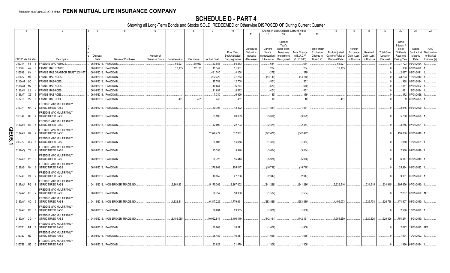|                    |                             |    |        |                                                                              | 4           | -5                                |                 |               |           |                    | 10                          |                                     |                                     | Change in Book/Adjusted Carrying Value                      |                                     |                                               | 16                                 | 17                                 | 18                      | 19                             | 20                                                        | 21                                | 22                                      |
|--------------------|-----------------------------|----|--------|------------------------------------------------------------------------------|-------------|-----------------------------------|-----------------|---------------|-----------|--------------------|-----------------------------|-------------------------------------|-------------------------------------|-------------------------------------------------------------|-------------------------------------|-----------------------------------------------|------------------------------------|------------------------------------|-------------------------|--------------------------------|-----------------------------------------------------------|-----------------------------------|-----------------------------------------|
|                    |                             |    |        |                                                                              |             |                                   |                 |               |           |                    |                             | 11                                  | 12                                  | 13                                                          | 14                                  | 15                                            |                                    |                                    |                         |                                |                                                           |                                   |                                         |
|                    |                             |    |        |                                                                              | Disposal    |                                   | Number of       |               |           |                    | Prior Year<br>Book/Adjusted | Unrealized<br>Valuation<br>Increase | Current<br>Year's<br>(Amortization) | Current<br>Year's<br>Other-Than-<br>Temporary<br>Impairment | <b>Total Change</b><br>in B./A.C.V. | <b>Total Foreign</b><br>Exchange<br>Change in | Book/Adjusted<br>Carrying Value at | Foreign<br>Exchange<br>Gain (Loss) | Realized<br>Gain (Loss) | <b>Total Gain</b><br>(Loss) on | Bond<br>Interest<br>Stock<br><b>Dividends</b><br>Received | Stated<br>Contractual<br>Maturity | <b>NAIC</b><br>Designation<br>or Market |
|                    | <b>CUSIP</b> Identification |    |        | Description                                                                  | Date        | Name of Purchaser                 | Shares of Stock | Consideration | Par Value | <b>Actual Cost</b> | Carrying Value              | (Decrease)                          |                                     | / Accretion Recognized                                      | $(11+12-13)$                        | <b>B./A.C.V.</b>                              | Disposal Date                      | on Disposal                        | on Disposal             | Disposal                       | During Year                                               | Date                              | Indicator (a)                           |
|                    | 3133T4 FT 8                 |    |        | FREDDIE MAC REMICS.                                                          |             | 06/01/2018. PAYDOWN.              |                 | .65,927       | .65,927   | .63,033            | .65,243                     |                                     | .684                                |                                                             | .684                                |                                               | .65,927                            |                                    |                         |                                | .1,723                                                    | 02/01/2024                        |                                         |
|                    | 31358N                      | W4 |        | FANNIE MAE REMICS.                                                           | 06/01/2018. | PAYDOWN.                          |                 | .12,185       | .12,185   | 11,149             | .11,901                     |                                     | .284                                |                                                             | .284                                |                                               | .12,185                            |                                    |                         |                                | .300                                                      | 07/01/2022                        |                                         |
|                    | 31359S                      | 6Y |        | FANNIE MAE GRANTOR TRUST 2001-T7                                             |             | 06/01/2018. PAYDOWN.              |                 |               |           | 431,740            | .4,158                      |                                     | (279)                               |                                                             | (279)                               |                                               |                                    |                                    |                         |                                | .2,627                                                    | 02/01/2041                        |                                         |
|                    | 3136A7                      | ML |        | <b>FANNIE MAE-ACES.</b>                                                      | 06/01/2018. | PAYDOWN.                          |                 |               |           | .222,320           | .37,263                     |                                     | (14,140)                            |                                                             | (14, 140)                           |                                               |                                    |                                    |                         |                                | .33,203                                                   | 12/01/2019.                       |                                         |
|                    | 3136AM                      | LC |        | <b>FANNIE MAE-ACES.</b>                                                      | 06/01/2018. | PAYDOWN.                          |                 |               |           | .17,781            | .12,709                     |                                     | (551)                               |                                                             | (551)                               |                                               |                                    |                                    |                         |                                | .938                                                      | 09/01/2024                        |                                         |
|                    | 3136AM                      | M7 |        | <b>FANNIE MAE-ACES.</b>                                                      | 06/01/2018. | PAYDOWN.                          |                 |               |           | .10,651            | .6,274                      |                                     | (570)                               |                                                             | (570)                               |                                               |                                    |                                    |                         |                                | .1,361                                                    | 07/01/2022.                       |                                         |
|                    | 3136AN                      | LJ |        | FANNIE MAE-ACES.                                                             | 06/01/2018. | <b>PAYDOWN</b>                    |                 |               |           | 11,631             | .8,512                      |                                     | (451)                               |                                                             | (451)                               |                                               |                                    |                                    |                         |                                | .621                                                      | 12/01/2024                        |                                         |
|                    | 3136AT                      | X2 | - 5    | <b>FANNIE MAE-ACES.</b>                                                      | 06/01/2018. | PAYDOWN.                          |                 |               |           | 7,330              | .6,929                      |                                     | (189)                               |                                                             | (189)                               |                                               |                                    |                                    |                         |                                | .372                                                      | 07/01/2028.                       |                                         |
|                    | 31371N V2                   |    | -8     | FANNIE MAE POOL.                                                             | 06/01/2018. | PAYDOWN.                          |                 | 461           | .461      | .448               | .451                        |                                     | .10                                 |                                                             | 10                                  |                                               | .461                               |                                    |                         |                                |                                                           | 06/01/2023                        |                                         |
|                    | 3137A1 NA                   |    |        | FREDDIE MAC MULTIFAMILY<br><b>STRUCTURED PASS</b>                            |             | 06/01/2018. PAYDOWN.              |                 |               |           | .30,703            | 12,322                      |                                     | (1,831                              |                                                             | (1,831)                             |                                               |                                    |                                    |                         |                                |                                                           | .2,946   06/01/2020.              |                                         |
|                    | 3137A2 B3                   |    |        | FREDDIE MAC MULTIFAMILY<br><b>STRUCTURED PASS</b>                            |             | 06/01/2018. PAYDOWN.              |                 |               |           | 65,208             | .26,363                     |                                     | (3,692)                             |                                                             | (3,692)                             |                                               |                                    |                                    |                         |                                |                                                           | .5,706 08/01/2020.                |                                         |
|                    | 3137AH 6D                   |    | - 5    | FREDDIE MAC MULTIFAMILY<br><b>STRUCTURED PASS</b>                            |             | 06/01/2018. PAYDOWN.              |                 |               |           | .42.092            | .22,703                     |                                     | (2,474)                             |                                                             | (2,474)                             |                                               |                                    |                                    |                         |                                |                                                           | .3,256 07/01/2021.                |                                         |
| $\frac{\Omega}{2}$ | 3137AH                      | 6R |        | FREDDIE MAC MULTIFAMILY<br><b>STRUCTURED PASS</b>                            |             | 06/01/2018. PAYDOWN.              |                 |               |           | .2,529,477         | .317,881                    |                                     | (342, 472)                          |                                                             | (342, 472)                          |                                               |                                    |                                    |                         |                                |                                                           | .424,860 08/01/2018.              |                                         |
| 1202.1             | 3137AJ                      | MG |        | FREDDIE MAC MULTIFAMILY<br><b>STRUCTURED PASS</b>                            |             | 06/01/2018. PAYDOWN.              |                 |               |           | 24,905             | .14,078                     |                                     | (1,464)                             |                                                             | (1,464)                             |                                               |                                    |                                    |                         |                                |                                                           | 1,910 10/01/2021                  |                                         |
|                    | 3137AQ T3                   |    |        | FREDDIE MAC MULTIFAMILY<br><b>STRUCTURED PASS</b>                            |             | 06/01/2018. PAYDOWN.              |                 |               |           | .25,338            | .5,948                      |                                     | (3,064)                             |                                                             | (3,064)                             |                                               |                                    |                                    |                         |                                | .2.960                                                    | 01/01/2019.                       |                                         |
|                    | 3137AR PZ                   |    | - 3    | FREDDIE MAC MULTIFAMILY<br><b>STRUCTURED PASS</b><br>FREDDIE MAC MULTIFAMILY |             | 06/01/2018. PAYDOWN.              |                 |               |           | 54,725             | .15,413                     |                                     | (5,976)                             |                                                             | (5,976)                             |                                               |                                    |                                    |                         | n                              | 6.147                                                     | 05/01/2019.                       |                                         |
|                    | 3137AS NK                   |    | - 6    | <b>STRUCTURED PASS</b><br>FREDDIE MAC MULTIFAMILY                            |             | 06/01/2018. PAYDOWN.              |                 |               |           | .279,863           | .155,047                    |                                     | $(16, 718)$                         |                                                             | (16, 718)                           |                                               |                                    |                                    |                         | - 0                            | .25,924                                                   | 03/01/2022.                       |                                         |
|                    | 3137AT RX                   |    | 2      | <b>STRUCTURED PASS</b><br>FREDDIE MAC MULTIFAMILY                            |             | 06/01/2018. PAYDOWN.              |                 |               |           | 40,352             | .27,706                     |                                     | (2,347)                             |                                                             | (2,347)                             |                                               |                                    |                                    |                         | $\bigcap$                      | .3.361                                                    | 05/01/2022.                       |                                         |
|                    | 3137AU PG                   |    |        | <b>STRUCTURED PASS</b><br>FREDDIE MAC MULTIFAMILY                            |             | 04/18/2018. NON-BROKER TRADE, BO. |                 | 3,861,431     |           | 5,175,362          | 3,867,802                   |                                     | (241, 286)                          |                                                             | (241, 286)                          |                                               | .3.626.516                         |                                    | .234.915                | .234,915                       |                                                           | 395,656 07/01/2040.               |                                         |
|                    | 3137AV XP                   |    |        | <b>STRUCTURED PASS</b><br>FREDDIE MAC MULTIFAMILY                            |             | 06/01/2018. PAYDOWN.              |                 |               |           | .32,752            | .18,900                     |                                     | (1,534)                             |                                                             | (1,534)                             |                                               |                                    |                                    |                         |                                | .2.207                                                    | 07/01/2022. 1FE.                  |                                         |
|                    | 3137AV XQ                   |    |        | <b>STRUCTURED PASS</b><br>FREDDIE MAC MULTIFAMILY                            |             | 04/13/2018. NON-BROKER TRADE, BO. |                 | .4.822.811    |           | .6,347,226         | 4,779,961                   |                                     | (283, 889)                          |                                                             | (283, 889)                          |                                               | 4.496.073                          |                                    | .326.738                | 326,738                        | .474,907 08/01/2040                                       |                                   |                                         |
|                    | 3137AY CF                   |    | - 6    | <b>STRUCTURED PASS</b><br>FREDDIE MAC MULTIFAMILY                            |             | 06/01/2018. PAYDOWN.              |                 |               |           | 39,891             | .23,355                     |                                     | (1,808)                             |                                                             | (1,808)                             |                                               |                                    |                                    |                         | - 0                            | .2,588                                                    | 10/01/2022.                       |                                         |
|                    | 3137AY CG                   |    |        | <b>STRUCTURED PASS</b><br>FREDDIE MAC MULTIFAMILY                            |             | 04/06/2018. NON-BROKER TRADE, BO. |                 | 8,485,085     |           | 10,952,544         | 8,406,419                   |                                     | (442, 161)                          |                                                             | (442, 161)                          |                                               | .7,964,259                         |                                    | 520,826                 | 520,826                        |                                                           | 754,274 11/01/2040.               |                                         |
|                    | 3137B1 BT                   |    | - 8    | <b>STRUCTURED PASS</b>                                                       |             | 06/01/2018. PAYDOWN.              |                 |               |           | .30,983            | .18,511                     |                                     | (1,408)                             |                                                             | (1,408)                             |                                               |                                    |                                    |                         |                                | .2,022                                                    | 11/01/2022. 1FE.                  |                                         |
|                    | 3137B7 N2                   |    |        | FREDDIE MAC MULTIFAMILY<br><b>STRUCTURED PASS</b>                            |             | 06/01/2018. PAYDOWN               |                 |               |           | .26.482            | .16.817                     |                                     | (1,056)                             |                                                             | (1,056)                             |                                               |                                    |                                    |                         |                                | .1.534                                                    | 10/01/2023                        |                                         |
|                    | 3137B8 G5                   |    | $\cap$ | FREDDIE MAC MULTIFAMILY<br><b>STRUCTURED PASS</b>                            |             | 06/01/2018. PAYDOWN.              |                 |               |           | .33.823            | .21.679                     |                                     | (1.306)                             |                                                             | (1.306)                             |                                               |                                    |                                    |                         | $\Omega$                       |                                                           | .1,966 01/01/2024.                |                                         |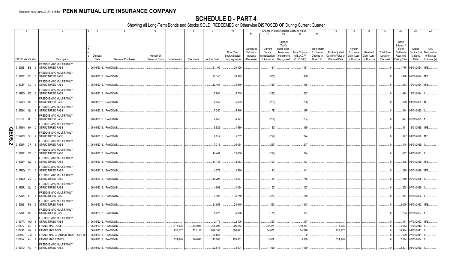|                             |             |                                                          |                      | -5                |                              |               | 8         | 9                  | 10                                            |                                                   |                                                  | Change in Book/Adjusted Carrying Value                                                                                           |                                                            | 16                                                  | 17                                                | 18                                    | 19                                         | 20                                                                | 21                                        | 22                                                       |
|-----------------------------|-------------|----------------------------------------------------------|----------------------|-------------------|------------------------------|---------------|-----------|--------------------|-----------------------------------------------|---------------------------------------------------|--------------------------------------------------|----------------------------------------------------------------------------------------------------------------------------------|------------------------------------------------------------|-----------------------------------------------------|---------------------------------------------------|---------------------------------------|--------------------------------------------|-------------------------------------------------------------------|-------------------------------------------|----------------------------------------------------------|
|                             |             |                                                          |                      |                   |                              |               |           |                    |                                               | 11                                                | 12                                               | 13<br>14                                                                                                                         | 15                                                         |                                                     |                                                   |                                       |                                            |                                                                   |                                           |                                                          |
| <b>CUSIP</b> Identification |             | Description                                              | Disposal<br>Date     | Name of Purchaser | Number of<br>Shares of Stock | Consideration | Par Value | <b>Actual Cost</b> | Prior Year<br>Book/Adjusted<br>Carrying Value | Unrealized<br>Valuation<br>Increase<br>(Decrease) | Current<br>Year's<br>Amortization<br>/ Accretion | Current<br>Year's<br>Other-Than-<br>Temporary<br><b>Total Change</b><br>in B./A.C.V.<br>Impairment<br>$(11+12-13)$<br>Recognized | <b>Total Foreign</b><br>Exchange<br>Change in<br>B./A.C.V. | Book/Adjusted<br>Carrying Value at<br>Disposal Date | Foreign<br>Exchange<br>Gain (Loss)<br>on Disposal | Realized<br>Gain (Loss)<br>on Disposa | <b>Total Gain</b><br>(Loss) on<br>Disposal | Bond<br>Interest<br>Stock<br>Dividends<br>Received<br>During Year | Stated<br>Contractual<br>Maturity<br>Date | <b>NAIC</b><br>Designation<br>or Market<br>Indicator (a) |
|                             |             | <b>FREDDIE MAC MULTIFAMILY</b>                           |                      |                   |                              |               |           |                    |                                               |                                                   |                                                  |                                                                                                                                  |                                                            |                                                     |                                                   |                                       |                                            |                                                                   |                                           |                                                          |
|                             | 3137BB BE 9 | <b>STRUCTURED PASS</b>                                   | 06/01/2018. PAYDOWN. |                   |                              |               |           | .31,199            | .20,490                                       |                                                   | (1, 181)                                         |                                                                                                                                  | (1, 181)                                                   |                                                     |                                                   |                                       |                                            |                                                                   |                                           |                                                          |
| 3137BE VJ                   |             | FREDDIE MAC MULTIFAMILY<br><b>STRUCTURED PASS</b><br>- 0 | 06/01/2018. PAYDOWN. |                   |                              |               |           | .23,140            | .18,395                                       |                                                   | (968)                                            |                                                                                                                                  | (968)                                                      |                                                     |                                                   |                                       |                                            |                                                                   | .1,416   09/01/2024.   1FE.               |                                                          |
| 3137BF XU                   |             | FREDDIE MAC MULTIFAMILY<br>STRUCTURED PASS<br>- 0        | 06/01/2018. PAYDOWN. |                   |                              |               |           | 12,461             | .8,919                                        |                                                   | (436)                                            |                                                                                                                                  | (436)                                                      |                                                     |                                                   |                                       |                                            |                                                                   | .663 12/01/2024. 1FE                      |                                                          |
| 3137BG K3                   |             | FREDDIE MAC MULTIFAMILY<br>STRUCTURED PASS               | 06/01/2018. PAYDOWN. |                   |                              |               |           | .7,984             | .5,749                                        |                                                   | (282)                                            |                                                                                                                                  | (282)                                                      |                                                     |                                                   |                                       |                                            |                                                                   | .424 12/01/2024.                          |                                                          |
| 3137BH CZ                   |             | FREDDIE MAC MULTIFAMILY<br><b>STRUCTURED PASS</b><br>- 8 | 06/01/2018. PAYDOWN  |                   |                              |               |           | .6,947             | .5,093                                        |                                                   | (260)                                            |                                                                                                                                  | (260)                                                      |                                                     |                                                   |                                       | - 0                                        |                                                                   | .379 01/01/2025. 1FE.                     |                                                          |
| 3137BK GL                   |             | FREDDIE MAC MULTIFAMILY<br><b>STRUCTURED PASS</b>        | 06/01/2018. PAYDOWN. |                   |                              |               |           | .7,250             | .5,916                                        |                                                   | (178)                                            |                                                                                                                                  | (178)                                                      |                                                     |                                                   |                                       | - 0                                        |                                                                   | .314 04/01/2030.                          |                                                          |
|                             | 3137BL ME 5 | FREDDIE MAC MULTIFAMILY<br><b>STRUCTURED PASS</b>        | 06/01/2018. PAYDOWN  |                   |                              |               |           | .4,846             | .4,327                                        |                                                   | (284)                                            |                                                                                                                                  | (284)                                                      |                                                     |                                                   |                                       |                                            | .421                                                              | 08/01/2025.                               |                                                          |
| 3137BN 6H<br>$\Omega$       |             | FREDDIE MAC MULTIFAMILY<br>STRUCTURED PASS               | 06/01/2018. PAYDOWN. |                   |                              |               |           | .5,522             | .4,580                                        |                                                   | (180)                                            |                                                                                                                                  | (180)                                                      |                                                     |                                                   |                                       |                                            | .311                                                              | 12/01/2025. 1FE.                          |                                                          |
| $\overline{E}03$<br>3137BN  | GU          | FREDDIE MAC MULTIFAMILY<br><b>STRUCTURED PASS</b>        | 06/01/2018. PAYDOWN. |                   |                              |               |           | .6,812             | .5,702                                        |                                                   | (224)                                            |                                                                                                                                  | (224)                                                      |                                                     |                                                   |                                       |                                            | .377                                                              | 01/01/2026. 1FE.                          |                                                          |
| $\boldsymbol{\omega}$       | 3137BP CR 8 | <b>FREDDIE MAC MULTIFAMILY</b><br>STRUCTURED PASS        | 06/01/2018. PAYDOWN. |                   |                              |               |           | .7,316             | .6,064                                        |                                                   | (247)                                            |                                                                                                                                  | (247)                                                      |                                                     |                                                   |                                       |                                            |                                                                   | .448 01/01/2026.                          |                                                          |
| 3137BP                      | VP          | <b>FREDDIE MAC MULTIFAMILY</b><br><b>STRUCTURED PASS</b> | 06/01/2018. PAYDOWN  |                   |                              |               |           | 14,401             | .13,030                                       |                                                   | .(294)                                           |                                                                                                                                  | (294)                                                      |                                                     |                                                   |                                       |                                            |                                                                   | .662 01/01/2031                           |                                                          |
| 3137BP W3                   |             | FREDDIE MAC MULTIFAMILY<br>STRUCTURED PASS<br>- q        | 06/01/2018. PAYDOWN. |                   |                              |               |           | 14,135             | .12,683                                       |                                                   | (493)                                            |                                                                                                                                  | (493)                                                      |                                                     |                                                   |                                       |                                            |                                                                   | .828 03/01/2026. 1FE.                     |                                                          |
| 3137BQ YV                   |             | FREDDIE MAC MULTIFAMILY<br><b>STRUCTURED PASS</b><br>- 3 | 06/01/2018. PAYDOWN. |                   |                              |               |           | .4,078             | .3,520                                        |                                                   | (141)                                            |                                                                                                                                  | (141)                                                      |                                                     |                                                   |                                       |                                            |                                                                   | .229   05/01/2026.   1FE.                 |                                                          |
|                             | 3137BQ ZQ 3 | FREDDIE MAC MULTIFAMILY<br><b>STRUCTURED PASS</b>        | 06/01/2018. PAYDOWN. |                   |                              |               |           | .19,206            | .15,637                                       |                                                   | (756)                                            |                                                                                                                                  | (756)                                                      |                                                     |                                                   |                                       |                                            |                                                                   | .1,359 09/01/2025.                        |                                                          |
| 3137BR QL                   |             | FREDDIE MAC MULTIFAMILY<br><b>STRUCTURED PASS</b>        | 06/01/2018. PAYDOWN. |                   |                              |               |           | .4,598             | .4,024                                        |                                                   | (153)                                            |                                                                                                                                  | (153)                                                      |                                                     |                                                   |                                       | .0                                         |                                                                   | .258 07/01/2026.                          |                                                          |
| 3137BS 5P                   |             | FREDDIE MAC MULTIFAMILY<br><b>STRUCTURED PASS</b>        | 06/01/2018. PAYDOWN  |                   |                              |               |           | .7,103             | .6,750                                        |                                                   | (270)                                            |                                                                                                                                  | (270)                                                      |                                                     |                                                   |                                       |                                            | .454                                                              | 08/01/2026.                               |                                                          |
| 3137BS PY                   |             | FREDDIE MAC MULTIFAMILY<br><b>STRUCTURED PASS</b><br>-3  | 06/01/2018. PAYDOWN  |                   |                              |               |           | .24,853            | .20,645                                       |                                                   | (1,343)                                          |                                                                                                                                  | (1,343)                                                    |                                                     |                                                   |                                       |                                            |                                                                   | .2,025 08/01/2023. 1FE.                   |                                                          |
| 3137BX R2                   |             | FREDDIE MAC MULTIFAMILY<br>STRUCTURED PASS               | 06/01/2018. PAYDOWN. |                   |                              |               |           | .5,425             | .5,076                                        |                                                   | .(171)                                           |                                                                                                                                  | .(171                                                      |                                                     |                                                   |                                       |                                            |                                                                   | .293 03/01/2027                           |                                                          |
| 3137FA WU                   |             | FREDDIE MAC MULTIFAMILY<br><b>STRUCTURED PASS</b>        | 06/01/2018.          | PAYDOWN.          |                              |               |           | .2,175             | .2,106                                        |                                                   | (67)                                             |                                                                                                                                  | (67)                                                       |                                                     |                                                   |                                       |                                            | .114                                                              | 07/01/2027.                               | 1FE                                                      |
| 3138A2                      | BE          | <b>FANNIE MAE POOL</b>                                   | 06/01/2018           | PAYDOWN.          |                              | 315,936       | .315,936  | .296,007           | .296,562                                      |                                                   | .19,374                                          |                                                                                                                                  | 19,374                                                     | .315,936                                            |                                                   |                                       | - 0                                        | 4,653                                                             | 12/01/2040.                               |                                                          |
| 3138A5                      | 4N          | <b>FANNIE MAE POOL</b>                                   | 06/01/201            | PAYDOWN.          |                              | .733,117      | .733,117  | .696,108           | .698,441                                      |                                                   | .34,676                                          |                                                                                                                                  | .34,676                                                    | 733,117                                             |                                                   |                                       |                                            | 10,984                                                            | 01/01/2041                                |                                                          |
| 313920                      | UM          | FANNIE MAE GRANTOR TRUST 2001-T8                         | 06/01/2018           | PAYDOWN.          |                              |               |           | .90,557            |                                               |                                                   |                                                  |                                                                                                                                  |                                                            |                                                     |                                                   |                                       |                                            | .529                                                              | 07/01/2041                                |                                                          |
| 31393Y AV                   |             | <b>FANNIE MAE REMICS.</b>                                | 06/01/2018.          | PAYDOWN.          |                              | .124,840      | 124,840   | .112,083           | .120,951                                      |                                                   | .3,889                                           |                                                                                                                                  | 3,889                                                      | .124,840                                            |                                                   |                                       |                                            | 2,184                                                             | 05/01/2034.                               |                                                          |
|                             |             | <b>FREDDIE MAC MULTIFAMILY</b>                           |                      |                   |                              |               |           |                    |                                               |                                                   |                                                  |                                                                                                                                  |                                                            |                                                     |                                                   |                                       |                                            |                                                                   |                                           |                                                          |
| 31398Q HC                   |             | <b>STRUCTURED PASS</b><br>$\mathbf{A}$                   | 06/01/2018. PAYDOWN. |                   |                              |               |           | .22.815            | .8.504                                        |                                                   | (1,460)                                          |                                                                                                                                  | (1,460)                                                    |                                                     |                                                   |                                       | $\Omega$ .                                 |                                                                   | 2,207 04/01/2020.                         |                                                          |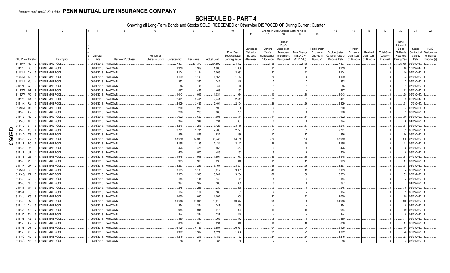|    |                             | 2                      | $\overline{4}$ | 5                    | 6               | 7             | -8        | 9                  | 10             |                       |                        |                         | Change in Book/Adjusted Carrying Value |                       | 16                                 | 17                      | 18                     | 19                             | 20                    | 21                      | 22                       |
|----|-----------------------------|------------------------|----------------|----------------------|-----------------|---------------|-----------|--------------------|----------------|-----------------------|------------------------|-------------------------|----------------------------------------|-----------------------|------------------------------------|-------------------------|------------------------|--------------------------------|-----------------------|-------------------------|--------------------------|
|    |                             |                        |                |                      |                 |               |           |                    |                | 11                    |                        | 13                      | 14                                     | 15                    |                                    |                         |                        |                                |                       |                         |                          |
|    |                             |                        |                |                      |                 |               |           |                    |                |                       |                        |                         |                                        |                       |                                    |                         |                        |                                |                       |                         |                          |
|    |                             |                        |                |                      |                 |               |           |                    |                |                       |                        | Current                 |                                        |                       |                                    |                         |                        |                                | Bond                  |                         |                          |
|    |                             |                        |                |                      |                 |               |           |                    |                |                       |                        | Year's                  |                                        |                       |                                    |                         |                        |                                | Interest              |                         |                          |
|    |                             |                        |                |                      |                 |               |           |                    | Prior Year     | Unrealized            | Current                | Other-Than-             |                                        | <b>Total Foreign</b>  |                                    | Foreign                 |                        |                                | Stock                 | Stated                  | <b>NAIC</b>              |
|    |                             |                        | Disposal       |                      | Number of       |               |           |                    | Book/Adjusted  | Valuation<br>Increase | Year's<br>Amortization | Temporary<br>Impairment | <b>Total Change</b><br>in B./A.C.V.    | Exchange<br>Change in | Book/Adjusted<br>Carrying Value at | Exchange<br>Gain (Loss) | Realized<br>Gain (Loss | <b>Total Gain</b><br>(Loss) on | Dividends<br>Received | Contractual<br>Maturity | Designation<br>or Market |
|    | <b>CUSIP</b> Identification | Description            | Date           | Name of Purchaser    | Shares of Stock | Consideration | Par Value | <b>Actual Cost</b> | Carrying Value | (Decrease)            | / Accretion            | Recognized              | $(11+12-13)$                           | <b>B./A.C.V.</b>      | Disposal Date                      | on Disposal             | on Disposal            | Disposal                       | During Year           | Date                    | Indicator (a)            |
|    | 31410W H9                   | <b>FANNIE MAE POOL</b> |                | 06/01/2018. PAYDOWN. |                 | .237,377      | .237,377  | .234,892           | .234,892       |                       | .2,485                 |                         | .2,485                                 |                       | .237,377                           |                         |                        |                                | .5,965                | 06/01/2047              |                          |
|    | 31412B DS<br>-8             | <b>FANNIE MAE POOL</b> | 06/01/2018.    | PAYDOWN.             |                 | .1,919        | .1,919    | 1,908              | .1,908         |                       | 11                     |                         | .11                                    |                       | .1,919                             |                         |                        |                                | .48                   | 10/01/2047              |                          |
|    | 31412M 2X<br>-5             | <b>FANNIE MAE POOL</b> | 06/01/2018.    | PAYDOWN.             |                 | .2,124        | .2,124    | .2,066             | .2,082         |                       | . 43                   |                         | .43                                    |                       | .2,124                             |                         |                        |                                | .40                   | 07/01/2023              |                          |
|    | 31412M<br>K9                | <b>FANNIE MAE POOL</b> | 06/01/2018.    | PAYDOWN.             |                 | .1,199        | .1,199    | .1,166             | .1,172         |                       | .26                    |                         | .26                                    |                       | 1,199                              |                         |                        |                                | 23                    | 03/01/2023              |                          |
|    |                             |                        |                |                      |                 |               |           |                    |                |                       |                        |                         |                                        |                       |                                    |                         |                        |                                |                       |                         |                          |
|    | 31412M<br>VJ                | <b>FANNIE MAE POOL</b> | 06/01/2018.    | PAYDOWN.             |                 | 352           | .352      | .342               | .345           |                       |                        |                         |                                        |                       | .352                               |                         |                        |                                |                       | 05/01/2023              |                          |
|    | 31412T CJ                   | <b>FANNIE MAE POOL</b> | 06/01/2018.    | PAYDOWN              |                 | .46           | .46       | 44                 | .45            |                       |                        |                         |                                        |                       | .46                                |                         |                        |                                |                       | 07/01/2023              |                          |
|    | 31412W WB                   | <b>FANNIE MAE POOL</b> | 06/01/2018.    | PAYDOWN              |                 | .467          | .467      | 463                | .463           |                       |                        |                         |                                        |                       | .467                               |                         |                        |                                |                       | 05/01/2047              |                          |
|    | 31412W WC<br>- 6            | <b>FANNIE MAE POOL</b> | 06/01/2018.    | PAYDOWN              |                 | .1,043        | .1,043    | .1,034             | .1,034         |                       | .10                    |                         | .10                                    |                       | .1,043                             |                         |                        |                                | .25                   | 05/01/2047              |                          |
|    | 31412X<br>K4                | <b>FANNIE MAE POOL</b> | 06/01/2018.    | PAYDOWN              |                 | .2,461        | .2,461    | .2,441             | .2,441         |                       | .21                    |                         | .21                                    |                       | .2,461                             |                         |                        |                                | .62                   | 06/01/2047              |                          |
|    | 31413K RV                   | <b>FANNIE MAE POOL</b> | 06/01/2018.    | PAYDOWN              |                 | .2,429        | .2,429    | .2,404             | .2,404         |                       | .26                    |                         | .26                                    |                       | .2,429                             |                         |                        |                                | 61                    | 10/01/2047              |                          |
|    | 31413M<br>G6<br>-8          | <b>FANNIE MAE POOL</b> | 06/01/2018.    | PAYDOWN.             |                 | .200          | .200      | .195               | .196           |                       |                        |                         |                                        |                       | .200                               |                         |                        |                                |                       | 03/01/2023.             |                          |
|    | 31414B AN<br>$\cap$         | <b>FANNIE MAE POOL</b> | 06/01/2018.    | PAYDOWN.             |                 | .268          | .268      | 260                | 261            |                       |                        |                         | 6                                      |                       | .268                               |                         |                        |                                |                       | 03/01/2023              |                          |
|    | 31414B<br>H2<br>-9          | <b>FANNIE MAE POOL</b> | 06/01/2018.    | PAYDOWN.             |                 | .622          | 622       | 605                | 611            |                       | .11                    |                         | .11                                    |                       | .622                               |                         |                        |                                | .10                   | 05/01/2023              |                          |
|    | 31414C<br>4H                | <b>FANNIE MAE POOL</b> | 06/01/2018.    | PAYDOWN.             |                 | .344          | .344      | 334                | .337           |                       |                        |                         | . 6                                    |                       | 344                                |                         |                        |                                |                       | 04/01/2023              |                          |
|    | 31414D<br>6P                | <b>FANNIE MAE POOL</b> | 06/01/2018.    | PAYDOWN.             |                 | .3,216        | 3,216     | .3,128             | .3,159         |                       | .57                    |                         | .57                                    |                       | .3,216                             |                         |                        |                                | .67                   | 06/01/2023              |                          |
| O  | 31414D<br>X <sub>8</sub>    | <b>FANNIE MAE POOL</b> | 06/01/2018.    | PAYDOWN.             |                 | .2,781        | .2,781    | .2,705             | .2,727         |                       | 55                     |                         | .55                                    |                       | .2,781                             |                         |                        |                                | 52                    | 05/01/2023              |                          |
| ш  | 31414D<br>Z3                | <b>FANNIE MAE POOL</b> | 06/01/2018.    | PAYDOWN              |                 | .856          | .856      | 832                | 839            |                       | .17                    |                         | .17                                    |                       | 856                                |                         |                        |                                | 16                    | 06/01/2023              |                          |
| σī | 31414E<br>2V                | <b>FANNIE MAE POOL</b> | 06/01/2018.    | PAYDOWN              |                 | 43,989        | 43,989    | 43,733             | .43,769        |                       | .220                   |                         | .220                                   |                       | .43,989                            |                         |                        |                                | .900                  | 07/01/2023              |                          |
|    | 31414E BQ<br>- 6            | <b>FANNIE MAE POOL</b> | 06/01/2018.    | PAYDOWN              |                 | .2,195        | .2,195    | .2,134             | .2,147         |                       | .48                    |                         | .48                                    |                       | .2,195                             |                         |                        |                                |                       | 06/01/2023              |                          |
| ພ  | -9                          |                        |                |                      |                 |               |           |                    |                |                       |                        |                         | . 9                                    |                       | .476                               |                         |                        |                                |                       | 06/01/2023.             |                          |
|    | 31414E DA                   | <b>FANNIE MAE POOL</b> | 06/01/2018.    | PAYDOWN.             |                 | .476          | .476      | .463               | .467           |                       |                        |                         |                                        |                       |                                    |                         |                        |                                |                       |                         |                          |
|    | 31414E JB                   | <b>FANNIE MAE POOL</b> | 06/01/2018.    | PAYDOWN.             |                 | .500          | .500      | .486               | .492           |                       |                        |                         | 9                                      |                       | .500                               |                         |                        |                                |                       | 06/01/2023              |                          |
|    | 31414E<br>Q6                | <b>FANNIE MAE POOL</b> | 06/01/2018.    | PAYDOWN.             |                 | 1,948         | 1,948     | .1,894             | .1,913         |                       | 35                     |                         | .35                                    |                       | .1,948                             |                         |                        |                                | 37                    | 07/01/2023              |                          |
|    | 31414E V5<br>n              | <b>FANNIE MAE POOL</b> | 06/01/2018.    | PAYDOWN.             |                 | .963          | .963      | 936                | .948           |                       | 15                     |                         | .15                                    |                       | .963                               |                         |                        |                                |                       | 07/01/2023              |                          |
|    | 31414F GF                   | <b>FANNIE MAE POOL</b> | 06/01/2018.    | PAYDOWN              |                 | .3.257        | .3.257    | .3,167             | .3,201         |                       | 56                     |                         | .56                                    |                       | .3,257                             |                         |                        |                                | .61                   | 08/01/2023              |                          |
|    | 31414M<br>DH                | <b>FANNIE MAE POOL</b> | 06/01/2018.    | PAYDOWN.             |                 | .3,103        | .3,103    | .3,017             | 3,053          |                       | .49                    |                         | .49                                    |                       | .3,103                             |                         |                        |                                | 64                    | 06/01/2023              |                          |
|    | 31414Q X2<br>-8             | <b>FANNIE MAE POOL</b> | 06/01/2018.    | PAYDOWN              |                 | .3,333        | .3,333    | .3,241             | .3,264         |                       | .68                    |                         | .68                                    |                       | .3,333                             |                         |                        |                                | .59                   | 03/01/2023              |                          |
|    | 31414R<br><b>CF</b>         | <b>FANNIE MAE POOL</b> | 06/01/2018.    | PAYDOWN              |                 | .144          | .144      | 140                | 141            |                       |                        |                         |                                        |                       | .144                               |                         |                        |                                |                       | 03/01/2023              |                          |
|    | 31414S NB                   | <b>FANNIE MAE POOL</b> | 06/01/2018.    | PAYDOWN              |                 | .397          | 397       | 386                | 389            |                       |                        |                         |                                        |                       | 397                                |                         |                        |                                |                       | 04/01/2023              |                          |
|    | 31414T<br>7H<br>8           | <b>FANNIE MAE POOL</b> | 06/01/2018.    | PAYDOWN              |                 | .245          | .245      | .239               | .239           |                       |                        |                         | .6                                     |                       | 245                                |                         |                        |                                |                       | 05/01/2023.             |                          |
|    | T6<br>31414T                | <b>FANNIE MAE POOL</b> | 06/01/2018.    | PAYDOWN.             |                 | .164          | .164      | .160               | .161           |                       |                        |                         |                                        |                       | .164                               |                         |                        |                                |                       | 05/01/2023              |                          |
|    | 31414U<br>K9<br>8           | <b>FANNIE MAE POOL</b> | 06/01/2018.    | PAYDOWN.             |                 | 1,030         | 1,030     | .1,002             | .1,008         |                       | .22                    |                         | .22                                    |                       | .1,030                             |                         |                        |                                |                       | 05/01/2023.             |                          |
|    | 31414U LQ<br>-9             | <b>FANNIE MAE POOL</b> | 06/01/2018.    | PAYDOWN.             |                 | 41,048        | 41,048    | 39,919             | 40,343         |                       | .705                   |                         | .705                                   |                       | .41,048                            |                         |                        |                                | .910                  | 05/01/2023              |                          |
|    | 31414V<br>DM                | <b>FANNIE MAE POOL</b> | 06/01/2018.    | PAYDOWN.             |                 | .254          | .254      | 247                | 250            |                       | . 4                    |                         | . 4                                    |                       | 254                                |                         |                        |                                |                       | 04/01/2023              |                          |
|    | 5E<br>31415A                | <b>FANNIE MAE POOL</b> | 06/01/2018.    | PAYDOWN.             |                 | .944          | .944      | 918                | .924           |                       | .19                    |                         | 19                                     |                       | .944                               |                         |                        |                                | 19                    | 05/01/2023              |                          |
|    | 31415A<br>TV                | <b>FANNIE MAE POOL</b> | 06/01/2018.    | PAYDOWN.             |                 | .244          | .244      | .237               | .240           |                       |                        |                         |                                        |                       | 244                                |                         |                        |                                |                       | 03/01/2023              |                          |
|    | 31415B<br>4Z                | <b>FANNIE MAE POOL</b> | 06/01/2018.    |                      |                 | .380          |           |                    | .372           |                       |                        |                         |                                        |                       | .380                               |                         |                        |                                |                       | 06/01/2023              |                          |
|    | - q                         | <b>FANNIE MAE POOL</b> |                | PAYDOWN.             |                 |               | .380      | .369               |                |                       |                        |                         |                                        |                       |                                    |                         |                        |                                |                       |                         |                          |
|    | 31415B<br>AN                |                        | 06/01/2018.    | PAYDOWN              |                 | .858          | .858      | 834                | .840           |                       | .18                    |                         | .18                                    |                       | .858                               |                         |                        |                                |                       | 06/01/2023              |                          |
|    | 31415B DY                   | <b>FANNIE MAE POOL</b> | 06/01/2018.    | PAYDOWN              |                 | .6,125        | .6,125    | 5,957              | .6,021         |                       | 104                    |                         | .104                                   |                       | .6,125                             |                         |                        |                                | 114                   | 07/01/2023              |                          |
|    | 31415B<br>K <sub>5</sub>    | <b>FANNIE MAE POOL</b> | 06/01/2018.    | PAYDOWN              |                 | 1,362         | 1,362     | .1,324             | .1,336         |                       | .25                    |                         | .25                                    |                       | .1,362                             |                         |                        |                                | .26                   | 06/01/2023              |                          |
|    | 31415C ND                   | <b>FANNIE MAE POOL</b> | 06/01/2018.    | PAYDOWN              |                 | 1,216         | 1,216     | .1,182             | 1,192          |                       | .24                    |                         | .24                                    |                       | 1,216                              |                         |                        |                                | .23                   | 05/01/2023.             |                          |
|    | 31415C NH<br>$6^{\circ}$    | <b>FANNIE MAE POOL</b> | 06/01/2018.    | PAYDOWN.             |                 | .88           | .88       | .86                | .86            |                       |                        |                         | $\cdot$ 2                              |                       | 88                                 |                         |                        |                                |                       | 05/01/2023.             |                          |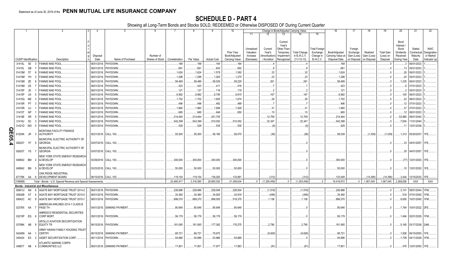|        |                             | -1        | 2                                                                                | $\mathcal{R}$<br>$\overline{4}$ | -5                                 | 6               | $\overline{7}$     | 8                  | -9                 | 10                          |                                     |                                   |                                                            | Change in Book/Adjusted Carrying Value |                                               | 16                                 | 17                                 | 18                      | 19                             | 20                                                   | 21                                | 22                                      |
|--------|-----------------------------|-----------|----------------------------------------------------------------------------------|---------------------------------|------------------------------------|-----------------|--------------------|--------------------|--------------------|-----------------------------|-------------------------------------|-----------------------------------|------------------------------------------------------------|----------------------------------------|-----------------------------------------------|------------------------------------|------------------------------------|-------------------------|--------------------------------|------------------------------------------------------|-----------------------------------|-----------------------------------------|
|        |                             |           |                                                                                  |                                 |                                    |                 |                    |                    |                    |                             | 11                                  | 12                                | 13                                                         |                                        | 15                                            |                                    |                                    |                         |                                |                                                      |                                   |                                         |
|        |                             |           |                                                                                  | Disposal                        |                                    | Number of       |                    |                    |                    | Prior Year<br>Book/Adjusted | Unrealized<br>Valuation<br>Increase | Current<br>Year's<br>Amortization | Current<br>Year's<br>Other-Than<br>Temporary<br>Impairment | <b>Total Change</b><br>in B./A.C.V.    | <b>Total Foreign</b><br>Exchange<br>Change in | Book/Adjusted<br>Carrying Value at | Foreign<br>Exchange<br>Gain (Loss) | Realized<br>Gain (Loss) | <b>Total Gain</b><br>(Loss) on | Bond<br>Interest /<br>Stock<br>Dividends<br>Received | Stated<br>Contractual<br>Maturity | <b>NAIC</b><br>Designation<br>or Market |
|        | <b>CUSIP</b> Identification |           | Description                                                                      | Date                            | Name of Purchaser                  | Shares of Stock | Consideration      | Par Value          | <b>Actual Cost</b> | Carrying Value              | (Decrease)                          | / Accretion                       | Recognized                                                 | $(11+12-13)$                           | <b>B./A.C.V.</b>                              | Disposal Date                      | on Disposal                        | on Disposal             | Disposal                       | During Year                                          | Date                              | Indicator (a)                           |
|        | 31415L                      | 5E        | <b>FANNIE MAE POOL.</b><br>3                                                     |                                 | 06/01/2018. PAYDOWN.               |                 | 169                | 169                | .164               | 164                         |                                     |                                   |                                                            |                                        |                                               | .169                               |                                    |                         |                                |                                                      | 06/01/2023                        |                                         |
|        | 31415L                      | GB        | <b>FANNIE MAE POOL.</b>                                                          | 06/01/2018.                     | PAYDOWN.                           |                 | .661               | .661               | 643                | .652                        |                                     |                                   |                                                            |                                        |                                               | .661                               |                                    |                         |                                | .13                                                  | 05/01/2023                        |                                         |
|        | 31415M                      | 5T        | <b>FANNIE MAE POOL</b>                                                           | 06/01/2018.                     | PAYDOWN.                           |                 | .1,624             | .1,624             | .1,579             | .1,592                      |                                     | .32                               |                                                            | .32                                    |                                               | .1,624                             |                                    |                         |                                | .26                                                  | 06/01/2023                        |                                         |
|        | 31415M                      | YH        | <b>ANNIE MAE POOL</b>                                                            | 06/01/2018                      | PAYDOWN.                           |                 | .1,298             | 1,298              | .1,263             | .1,275                      |                                     | .23                               |                                                            | .23                                    |                                               | .1,298                             |                                    |                         |                                | 24                                                   | 05/01/2023                        |                                         |
|        | 31415M                      | ZE        | <b>ANNIE MAE POOL</b>                                                            | 06/01/2018.                     | PAYDOWN.                           |                 | .59,489            | .59,489            | .59,539            | .59,228                     |                                     | .261                              |                                                            | .261                                   |                                               | .59,489                            |                                    |                         |                                | 1,235                                                | 06/01/2023                        |                                         |
|        | 31415M                      | ZS        | FANNIE MAE POOL                                                                  | 06/01/2018                      | PAYDOWN.                           |                 | 423                | .423               | 411                | .416                        |                                     |                                   |                                                            |                                        |                                               | .423                               |                                    |                         |                                |                                                      | 07/01/2023                        |                                         |
|        | 31415P                      | JD        | <b>FANNIE MAE POOL</b>                                                           | 06/01/2018.                     | PAYDOWN.                           |                 | .121               | .121               | 118                | 119                         |                                     |                                   |                                                            |                                        |                                               | .121                               |                                    |                         |                                |                                                      | 05/01/2023                        |                                         |
|        | 31415P                      | U5        | <b>FANNIE MAE POOL</b>                                                           | 04/01/2018.                     | PAYDOWN.                           |                 | .6,982             | .6,982             | .6,790             | .6,815                      |                                     | 167                               |                                                            | 167                                    |                                               | .6,982                             |                                    |                         |                                | 105                                                  | 06/01/2023                        |                                         |
|        | 31415Q                      | ME        | FANNIE MAE POOL                                                                  | 06/01/2018.                     | PAYDOWN.                           |                 | .1,702             | .1,702             | .1,655             | 1,674                       |                                     | 29                                |                                                            | 29                                     |                                               | .1,702                             |                                    |                         |                                | .32                                                  | 08/01/2023                        |                                         |
|        | 31415R P7                   |           | FANNIE MAE POOL                                                                  | 06/01/2018.                     | PAYDOWN.                           |                 | .496               | .496               | .482               | .489                        |                                     |                                   |                                                            |                                        |                                               | .496                               |                                    |                         |                                | 12                                                   | 07/01/2023                        |                                         |
|        | 31415R                      | UJ.       | FANNIE MAE POOL                                                                  |                                 | 06/01/2018. PAYDOWN.               |                 | .1,960             | .1,960             | .1,906             | 1,929                       |                                     | 31                                |                                                            | .31                                    |                                               | 1,960                              |                                    |                         |                                | 37                                                   | 07/01/2023                        |                                         |
|        | 31415T                      | <b>NP</b> | <b>FANNIE MAE POOL</b>                                                           | 06/01/2018.                     | PAYDOWN.                           |                 | .665               | .665               | 646                | .650                        |                                     | .15                               |                                                            | 15                                     |                                               | .665                               |                                    |                         |                                | 12                                                   | 08/01/2023                        |                                         |
|        | 31419E XR                   |           | <b>FANNIE MAE POOL</b><br>-5                                                     | 06/01/2018.                     | <b>PAYDOWN</b>                     |                 | .214,464           | .214,464           | .201,755           |                             |                                     | .12,709                           |                                                            | .12,709                                |                                               | .214,464                           |                                    |                         |                                | .53,885                                              | 09/01/2040                        |                                         |
|        | 31419J                      | <b>SC</b> | <b>FANNIE MAE POOL</b><br>-3                                                     | 06/01/2018.                     | PAYDOWN.                           |                 | .542,399           | 542,399            | 510,052            | .510,052                    |                                     | .32,347                           |                                                            | .32,347                                |                                               | .542,399                           |                                    |                         |                                | .7,654                                               | 11/01/2040.                       |                                         |
|        |                             | WD        | - 5                                                                              |                                 | 06/01/2018. PAYDOWN.               |                 | 529                | .529               |                    | .535                        |                                     |                                   |                                                            |                                        |                                               | .529                               |                                    |                         |                                |                                                      | 12/01/2038.                       |                                         |
|        | 31421D                      |           | FANNIE MAE POOL.                                                                 |                                 |                                    |                 |                    |                    | 535                |                             |                                     | (6)                               |                                                            | (6)                                    |                                               |                                    |                                    |                         |                                |                                                      |                                   |                                         |
|        | 61204K                      | JR        | <b>MONTANA FACILITY FINANCE</b><br><b>AUTHORITY</b><br>-3                        |                                 | 05/21/2018. CALL 100               |                 | .55,000            | .55.000            | .56,190            | .56,075                     |                                     | (36)                              |                                                            | (36)                                   |                                               | .56,039                            |                                    | (1,039)                 | (1,039)                        |                                                      | 1,313 05/20/2037. 1FE.            |                                         |
| QE05.4 | 626207                      | YF 5      | MUNICIPAL ELECTRIC AUTHORITY OF<br><b>GEORGIA</b>                                |                                 | 03/07/2018. CALL 100.              |                 |                    |                    |                    |                             |                                     |                                   |                                                            |                                        |                                               |                                    |                                    |                         |                                |                                                      | 33 04/01/2057. 1FE.               |                                         |
|        | 626207                      | YS        | MUNICIPAL ELECTRIC AUTHORITY OF<br><b>GEORGIA</b>                                |                                 | 03/07/2018. CALL 100.              |                 |                    |                    |                    |                             |                                     |                                   |                                                            |                                        |                                               |                                    |                                    |                         |                                |                                                      | 35 04/01/2057. 1FE.               |                                         |
|        | 649842 BM                   |           | NEW YORK STATE ENERGY RESEARCH<br>& DEVELOP<br>$\overline{2}$                    |                                 | 03/29/2018. CALL 100               |                 | .300,000           | .300,000           | .300,000           | .300,000                    |                                     |                                   |                                                            |                                        |                                               | .300,000                           |                                    |                         |                                |                                                      | .(77) 12/01/2020. 1FE.            |                                         |
|        | 649842 BN                   |           | NEW YORK STATE ENERGY RESEARCH<br>& DEVELOP                                      |                                 | 03/23/2018. CALL 100               |                 | .50,000            | .50.000            | .50,000            | .50,000                     |                                     |                                   |                                                            |                                        |                                               | .50,000                            |                                    |                         |                                |                                                      | .10   12/01/2020.   1FE.          |                                         |
|        |                             |           | OAK RIDGE INDUSTRIAL                                                             |                                 |                                    |                 |                    |                    |                    |                             |                                     |                                   |                                                            |                                        |                                               |                                    |                                    |                         |                                |                                                      |                                   |                                         |
|        |                             |           | 67178K AA 8 DEVELOPMENT BOARD                                                    |                                 | 06/15/2018. CALL 100               |                 | .119.154           | .119.154           | 136,283            | 133.861                     |                                     | (312)                             |                                                            | (312)                                  |                                               | .133.549                           |                                    | (14.395)                | (14.395)                       | .3.444                                               | 12/15/2032.                       | 1FE.                                    |
|        | 3199999.                    |           | Total - Bonds - U.S. Special Revenue and Special Assessments.                    |                                 |                                    |                 | .20,485,917        | .3,316,590         | .29,950,030        | .21,009,634                 | $\Omega$                            | (1,255,459)                       |                                                            | (1,255,459)                            |                                               | 19,418,872                         | $\Omega$                           | .1,067,045              | .1,067,045                     | .2,268,656                                           | <b>XXX</b>                        | <b>XXX</b>                              |
|        |                             |           | <b>Bonds - Industrial and Miscellaneous</b>                                      |                                 |                                    |                 |                    |                    |                    |                             |                                     |                                   |                                                            |                                        |                                               |                                    |                                    |                         |                                |                                                      |                                   |                                         |
|        | 00841U                      | AN        | AGATE BAY MORTGAGE TRUST 2014-2.<br>- 6                                          |                                 | 06/01/2018. PAYDOWN.               |                 | .226,986           | .226,986           | .228,546           | .228,504                    |                                     | (1, 518)                          |                                                            | (1,518)                                |                                               | .226,986                           |                                    |                         |                                |                                                      | .3,141 09/01/2044. 1FM.           |                                         |
|        | 00842B                      | AT        | AGATE BAY MORTGAGE TRUST 2015-5.                                                 |                                 | 06/01/2018. PAYDOWN.               |                 | .34,360            | .34,360            | .34,925            | .34,816                     |                                     | (456)                             |                                                            | (456)                                  |                                               | .34,360                            |                                    |                         |                                |                                                      | .518 07/01/2045. 1FM.             |                                         |
|        | 00842C AC                   |           | <b>AGATE BAY MORTGAGE TRUST 2015-7</b><br>- 9                                    |                                 | 06/01/2018. PAYDOWN.               |                 | .899,370           | 899,370            | .898,555           | .519,375                    |                                     | .1,138                            |                                                            | .1,138                                 |                                               | .899,370                           |                                    |                         |                                | .8,655                                               | 10/01/2045. 1FM.                  |                                         |
|        | 02376X AA                   |           | AMERICAN AIRLINES 2014-1 CLASS B<br><b>PASS TH</b>                               |                                 | 04/01/2018. SINKING PAYMENT        |                 | .80.646            | .80,646            | .80,646            | .80,646                     |                                     |                                   |                                                            |                                        |                                               | .80,646                            |                                    |                         |                                |                                                      | .1,764   10/01/2022. 2FE.         |                                         |
|        | 03215P EQ 8                 |           | AMRESCO RESIDENTIAL SECURITIES<br><b>CORP MORT</b>                               |                                 | 05/01/2018. PAYDOWN.               |                 | .56,179            | .56,179            | .56,179            | .56,179                     |                                     |                                   |                                                            |                                        |                                               | .56,179                            |                                    |                         |                                |                                                      | 1,494 02/01/2028. 1FM.            |                                         |
|        | 03766K AB                   |           | APOLLO AVIATION SECURITIZATION<br><b>EQUITY TR</b>                               |                                 | 06/15/2018. PAYDOWN.               |                 | .181,065           | 181,065            | 177,382            | 178,275                     |                                     | .2,790                            |                                                            | .2,790                                 |                                               | .181,065                           |                                    |                         |                                |                                                      | .5,160   03/17/2036.   2AM.       |                                         |
|        | 04248N AA<br>045424 EX      |           | ARMY HAWAII FAMILY HOUSING TRUST<br><b>CERTIFI</b><br>ASSET SECURITIZATION CORP. | 06/15/2018.<br>06/11/2018.      | <b>SINKING PAYMENT</b><br>PAYDOWN. |                 | .69,721<br>.54,686 | .69,721<br>.54,686 | .79,670<br>.53,866 | .54,686                     |                                     | (9,626)                           |                                                            | (9,626)                                |                                               | .69,721<br>.54,686                 |                                    |                         |                                | 1,926<br>.1,709                                      | 06/15/2050.<br>04/11/2029.        | 1FE.<br>1FM.                            |
|        | 048677 AB                   |           | <b>ATLANTIC MARINE CORPS</b><br><b>COMMUNITIES LLC</b><br>4                      |                                 | 06/01/2018. SINKING PAYMENT        |                 | .17,801            | .17,801            | .17,877            | .17,883                     |                                     | (81)                              |                                                            | (81)                                   |                                               | .17,801                            |                                    |                         |                                |                                                      | .476 12/01/2050.                  | 1FE.                                    |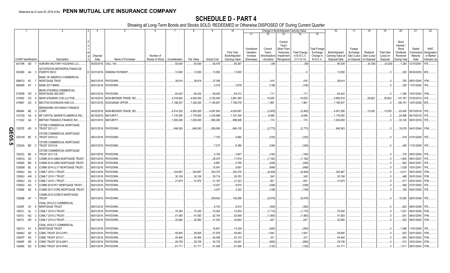|        |                             |                        |                                                                |             |                                  |                 |                    | 8                  | 9                  | 10                                 |                       |                        |                         | Change in Book/Adjusted Carrying Value |                       | 16                                 | 17                      | 18                      | 19                             | 20                    | 21                                         | 22                       |
|--------|-----------------------------|------------------------|----------------------------------------------------------------|-------------|----------------------------------|-----------------|--------------------|--------------------|--------------------|------------------------------------|-----------------------|------------------------|-------------------------|----------------------------------------|-----------------------|------------------------------------|-------------------------|-------------------------|--------------------------------|-----------------------|--------------------------------------------|--------------------------|
|        |                             |                        |                                                                |             |                                  |                 |                    |                    |                    |                                    | 11                    | 12                     | 13                      | 14                                     | 15                    |                                    |                         |                         |                                |                       |                                            |                          |
|        |                             |                        |                                                                |             |                                  |                 |                    |                    |                    |                                    |                       |                        | Current                 |                                        |                       |                                    |                         |                         |                                | Bond                  |                                            |                          |
|        |                             |                        |                                                                |             |                                  |                 |                    |                    |                    |                                    |                       |                        | Year's                  |                                        |                       |                                    |                         |                         |                                | Interest              |                                            |                          |
|        |                             |                        |                                                                |             |                                  |                 |                    |                    |                    |                                    | Unrealized            | Current                | Other-Than              |                                        | <b>Total Foreign</b>  |                                    | Foreign                 |                         |                                | Stock                 | Stated                                     | <b>NAIC</b>              |
|        |                             |                        |                                                                | Disposal    |                                  | Number of       |                    |                    |                    | <b>Prior Year</b><br>Book/Adjusted | Valuation<br>Increase | Year's<br>Amortization | Temporary<br>Impairment | <b>Total Change</b><br>in B./A.C.V.    | Exchange<br>Change in | Book/Adjusted<br>Carrying Value at | Exchange<br>Gain (Loss) | Realized<br>Gain (Loss) | <b>Total Gain</b><br>(Loss) on | Dividends<br>Received | Contractual<br>Maturity                    | Designation<br>or Market |
|        | <b>CUSIP Identification</b> |                        | Description                                                    | Date        | Name of Purchaser                | Shares of Stock | Consideration      | Par Value          | <b>Actual Cost</b> | Carrying Value                     | (Decrease)            | / Accretion            | Recognized              | $(11+12-13)$                           | B./A.C.V.             | Disposal Date                      | on Disposal             | on Disposa              | Disposal                       | During Year           | Date                                       | Indicator (a)            |
|        | 05178R AD 7                 |                        | AURORA MILITARY HOUSING LLC.                                   |             | 05/25/2018. CALL 100.            |                 | .50,000            | .50,000            | .56,479            | .56,367                            |                       | (38)                   |                         | (38)                                   |                       | .56,329                            |                         | (6,329)                 | (6,329)                        | 1,283                 | 12/15/2047.                                | 1FE.                     |
|        |                             |                        | <b>NUTOPISTAS METROPOLITANAS DE</b>                            |             |                                  |                 |                    |                    |                    |                                    |                       |                        |                         |                                        |                       |                                    |                         |                         |                                |                       |                                            |                          |
|        | 05330K AA 3                 |                        | PUERTO RICO                                                    |             | D 03/31/2018. SINKING PAYMENT    |                 | .13,500            | .13,500            | .13,500            | .13,500                            |                       |                        |                         |                                        |                       | .13,500                            |                         |                         |                                |                       | .228   06/30/2035. 4FE.                    |                          |
|        |                             |                        | BANC OF AMERICA COMMERCIAL                                     |             |                                  |                 |                    |                    |                    |                                    |                       |                        |                         |                                        |                       |                                    |                         |                         |                                |                       |                                            |                          |
|        | 05947U 6C                   |                        | <b>MORTGAGE TRUS</b>                                           |             | 06/01/2018. PAYDOWN.             |                 | .38,614            | .38,614            | .37,359            |                                    |                       | .416                   |                         | .416                                   |                       | .38,614                            |                         |                         |                                |                       | .783 09/01/2045. 1FM.                      |                          |
|        | 06540R AF                   |                        | <b>BANK 2017-BNK9</b>                                          |             | 06/01/2018. PAYDOWN.             |                 |                    |                    | .4,016             | .3,978                             |                       | (136)                  |                         | (136)                                  |                       |                                    |                         |                         |                                |                       | .226 11/01/2054.                           | 1FE.                     |
|        | 07387B CR                   |                        | BEAR STEARNS COMMERCIAL<br><b>MORTGAGE SECURIT</b>             |             | 06/01/2018. PAYDOWN.             |                 | .64,422            | .64,422            | .59,430            | 64,312                             |                       | .111                   |                         | .111                                   |                       | .64,422                            |                         |                         |                                |                       | .1,380   10/01/2042. 1FM.                  |                          |
|        | 073902                      | CD                     | BEAR STEARNS COS LLC/THE                                       | 04/16/2018. | NON-BROKER TRADE, BO.            |                 | 4,018,640          | 4,000,000          | .3,722,400         | .3,981,383                         |                       | .10,635                |                         | .10,635                                |                       | .3,992,018                         |                         | 26,622                  | 26,622                         | .147,767              | 07/02/2018. 1FE.                           |                          |
|        | 075887                      | CD                     | BECTON DICKINSON AND CO.<br>- 9                                |             | 05/01/2018. EXCHANGE OFFER       |                 | .7,198,537         | .7,300,000         | 7,140,847          | 7,196,576                          |                       | .1,961                 |                         | .1,961                                 |                       | .7,198,537                         |                         |                         |                                |                       | .165,751   12/01/2026. 2FE.                |                          |
|        |                             |                        | BERKSHIRE HATHAWAY FINANCE                                     |             |                                  |                 |                    |                    |                    |                                    |                       |                        |                         |                                        |                       |                                    |                         |                         |                                |                       |                                            |                          |
|        | 084664                      | BE                     | CORP                                                           | 04/02/2018. | NON-BROKER TRADE, BO.            |                 | .4,014,320         | .4,000,000         | 4,091,840          | 4,004,691                          |                       | (3,405)                |                         | (3,405)                                |                       | .4,001,285                         |                         | 13,035                  | 13,035                         | .83,400               | 05/15/2018. 1FE.                           |                          |
|        | 10373Q                      | AA                     | BP CAPITAL MARKETS AMERICA INC                                 | 06/15/2018  | MATURITY.                        |                 | .1,176,000         | .1,176,000         | 1,018,989          | 1,167,344                          |                       | .8,656                 |                         | .8,656                                 |                       | 1,176,000                          |                         |                         |                                | .24,696               | 06/15/2018. 1FE.                           |                          |
|        | 111022 AA                   |                        | <b>BRITISH TRANSCO FINANCE INC.</b>                            | 06/01/2018. | MATURITY.                        |                 | 1,000,000          | 1,000,000          | .995,280           | .999,826                           |                       | .174                   |                         | .174                                   |                       | .1,000,000                         |                         |                         |                                |                       | .33,125 06/01/2018. 1FE.                   |                          |
|        |                             |                        | CFCRE COMMERCIAL MORTGAGE                                      |             |                                  |                 | .646,363           | .646,363           |                    |                                    |                       |                        |                         |                                        |                       | .646,363                           |                         |                         |                                |                       |                                            |                          |
|        | 12527E AD                   |                        | <b>TRUST 2011-C1</b>                                           |             | 06/01/2018. PAYDOWN.             |                 |                    |                    | .656,060           | .649,135                           |                       | (2,773)                |                         | (2,773)                                |                       |                                    |                         |                         |                                |                       | .19,076   04/01/2044. 1FM.                 |                          |
|        | 12531W                      | BC                     | CFCRE COMMERCIAL MORTGAGE<br>TRUST 2016-C3<br>- 5              |             | 06/01/2018. PAYDOWN.             |                 |                    |                    | 7,193              | .5,864                             |                       | (230)                  |                         | (230)                                  |                       |                                    |                         |                         |                                |                       | .418 01/01/2048. 1FE.                      |                          |
| QE05.5 |                             |                        | CFCRE COMMERCIAL MORTGAGE                                      |             |                                  |                 |                    |                    |                    |                                    |                       |                        |                         |                                        |                       |                                    |                         |                         |                                |                       |                                            |                          |
|        | 12532A BD                   |                        | TRUST 2016-C6                                                  |             | 06/01/2018. PAYDOWN.             |                 |                    |                    | .7,275             | .6,380                             |                       | (246)                  |                         | (246)                                  |                       |                                    |                         |                         |                                |                       | .428 11/01/2049. 1FE.                      |                          |
|        |                             |                        | CFCRE COMMERCIAL MORTGAGE                                      |             |                                  |                 |                    |                    |                    |                                    |                       |                        |                         |                                        |                       |                                    |                         |                         |                                |                       |                                            |                          |
|        | 12532C                      | <b>BE</b>              | <b>TRUST 2017-C8</b>                                           |             | 06/01/2018. PAYDOWN.             |                 |                    |                    | .5,192             | .4,847                             |                       | (183)                  |                         | (183)                                  |                       |                                    |                         |                         |                                |                       | .318 06/01/2050. 1FE.                      |                          |
|        | 12591Q                      | AS                     | COMM 2014-UBS4 MORTGAGE TRUST                                  |             | 06/01/2018. PAYDOWN.             |                 |                    |                    | .29,474            | 17,918                             |                       | (1, 192)               |                         | (1, 192)                               |                       |                                    |                         |                         |                                |                       | .1,800 08/01/2047. 1FE.                    |                          |
|        | 12592K<br>12592M            | <b>BD</b><br><b>BL</b> | COMM 2014-UBS5 MORTGAGE TRUST<br>COMM 2014-LC17 MORTGAGE TRUST | 06/01/2018. | PAYDOWN.<br>PAYDOWN.             |                 |                    |                    | .9,897<br>.15,541  | .5,769<br>.8,691                   |                       | (428)                  |                         | (428)                                  |                       |                                    |                         |                         |                                | .622                  | 09/01/2047. 1FE.                           |                          |
|        | 12592U                      | AQ                     | CSMLT 2015-1 TRUST<br>- 5                                      | 06/01/2018. | 06/01/2018. PAYDOWN.             |                 | .344,967           | .344,967           | .353,375           | .353,375                           |                       | (699)<br>(8,409)       |                         | (699)<br>(8,409)                       |                       | .344,967                           |                         |                         |                                | .4,811                | .1,029   10/01/2047.   1FE.<br>05/01/2045. | 1FM.                     |
|        | 12592U                      | AW                     | CSMLT 2015-1 TRUST<br>$\overline{2}$                           | 06/01/2018. | PAYDOWN.                         |                 | .30,108            | .30,108            | .29,714            | .29,763                            |                       | 345                    |                         | 345                                    |                       | .30,108                            |                         |                         |                                | 488                   | 05/01/2045.                                | 1FM.                     |
|        | 12592U                      | AX                     | CSMLT 2015-1 TRUST.                                            | 06/01/2018  | PAYDOWN.                         |                 | .31,874            | .31,874            | .31,167            | .31,223                            |                       | 651                    |                         | 651                                    |                       | .31,874                            |                         |                         |                                | .517                  | 05/01/2045.                                | 1FM.                     |
|        | 12593G                      | AG                     | COMM 2015-PC1 MORTGAGE TRUST                                   | 06/01/2018. | PAYDOWN.                         |                 |                    |                    | .13,027            | .8,915                             |                       | (538)                  |                         | (538)                                  |                       |                                    |                         |                         |                                | .836                  | 07/01/2050.                                | 1FE.                     |
|        | 12595E AE                   |                        | COMM 2017-COR2 MORTGAGE TRUST<br>- 5                           |             | 06/01/2018. PAYDOWN.             |                 |                    |                    | .3,437             | .3,322                             |                       | (109)                  |                         | (109)                                  |                       |                                    |                         |                         |                                |                       | 192 09/01/2050.                            | 1FE.                     |
|        |                             |                        | COMM 2013-CCRE10 MORTGAGE                                      |             |                                  |                 |                    |                    |                    |                                    |                       |                        |                         |                                        |                       |                                    |                         |                         |                                |                       |                                            |                          |
|        | 12626B AF                   |                        | <b>TRUST</b>                                                   |             | 06/01/2018. PAYDOWN.             |                 |                    |                    | .209,642           | 109,299                            |                       | (9,578)                |                         | (9,578)                                |                       |                                    |                         |                         |                                |                       | .15.265   08/01/2046.   1FE.               |                          |
|        |                             |                        | CSAIL 2015-C3 COMMERCIAL                                       |             |                                  |                 |                    |                    |                    |                                    |                       |                        |                         |                                        |                       |                                    |                         |                         |                                |                       |                                            |                          |
|        | 12635F AV                   |                        | <b>MORTGAGE TRUST</b><br>- 6                                   |             | 06/01/2018. PAYDOWN              |                 |                    |                    | .9,743             | 6,914                              |                       | (363)                  |                         | (363)                                  |                       |                                    |                         |                         |                                |                       | .623   08/01/2048. 1FE                     |                          |
|        | 12637L<br>12637L            | AL<br>AQ               | CSMLT 2015-2 TRUST<br>- 3<br>CSMLT 2015-2 TRUST                | 06/01/2018. | 06/01/2018. PAYDOWN.<br>PAYDOWN. |                 | .70,340<br>.51,083 | .70,340<br>.51,083 | .72,054<br>.52,744 | .72,054<br>.52,648                 |                       | (1,715)                |                         | (1,715)                                |                       | .70,340<br>.51,083                 |                         |                         |                                | .1,021<br>.831        | 08/01/2045. 1FM.<br>08/01/2045.            | 1FM.                     |
|        | 12637L AR                   |                        | CSMLT 2015-2 TRUST.<br>- 0                                     |             | 06/01/2018. PAYDOWN.             |                 | .32,060            | .32,060            | .31,353            | .30,844                            |                       | (1,565)<br>647         |                         | (1,565)<br>647                         |                       | .32,060                            |                         |                         |                                |                       | .520 08/01/2045. 1FM.                      |                          |
|        |                             |                        | CSAIL 2016-C7 COMMERCIAL                                       |             |                                  |                 |                    |                    |                    |                                    |                       |                        |                         |                                        |                       |                                    |                         |                         |                                |                       |                                            |                          |
|        | 12637U                      | AY                     | MORTGAGE TRUST<br>- 5                                          |             | 06/01/2018. PAYDOWN.             |                 |                    |                    | .16,601            | .14,339                            |                       | (583)                  |                         | (583)                                  |                       |                                    |                         |                         |                                |                       | 1,086 11/01/2049. 1FE.                     |                          |
|        | 12646U                      | AD                     | CSMC TRUST 2013-IVR1<br>$\Omega$                               |             | 06/01/2018. PAYDOWN.             |                 | .59,905            | .59,905            | .57,676            | .58,062                            |                       | 1,843                  |                         | .1,843                                 |                       | .59,905                            |                         |                         |                                | .833                  | 03/01/2043.                                | 1FM.                     |
|        | 12647P                      | AS                     | <b>CSMC TRUST 2013-7.</b>                                      |             | 06/01/2018. PAYDOWN.             |                 | .40,464            | .40,464            | .40,046            | .40,133                            |                       | 331                    |                         | 331                                    |                       | 40,464                             |                         |                         |                                | .604                  | 08/01/2043.                                | 1FM.                     |
|        | 12648F                      | AR                     | CSMC TRUST 2014-SAF1<br>n.                                     |             | 06/01/2018. PAYDOWN.             |                 | .29,736            | .29,736            | .30,725            | .30,401                            |                       | (665)                  |                         | (665)                                  |                       | .29,736                            |                         |                         |                                |                       | .512 03/01/2044.                           | 1FM.                     |
|        | 12648X DD                   |                        | CSMC TRUST 2014-WIN1<br>-9                                     |             | 06/01/2018. PAYDOWN.             |                 | .61,711            | .61,711            | .61,938            | .61,836                            |                       | (125)                  |                         | (125)                                  |                       | .61,711                            |                         |                         |                                |                       | .1,011 09/01/2044. 1FM.                    |                          |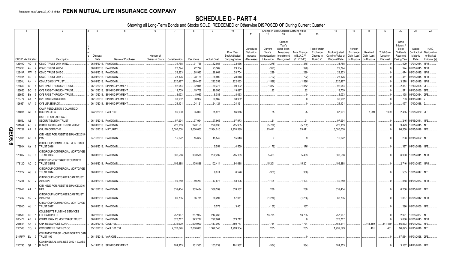|      |                             |           |     | 2                                                                          |             | -5                          |                 |               | 8          |                    | 10                          |                                     | Change in Book/Adjusted Carrying Value                                                           |                                     | 16                                                                                  | 17                                 | 18                      | 19                      | 20                                                 | 21                                | 22                                      |
|------|-----------------------------|-----------|-----|----------------------------------------------------------------------------|-------------|-----------------------------|-----------------|---------------|------------|--------------------|-----------------------------|-------------------------------------|--------------------------------------------------------------------------------------------------|-------------------------------------|-------------------------------------------------------------------------------------|------------------------------------|-------------------------|-------------------------|----------------------------------------------------|-----------------------------------|-----------------------------------------|
|      |                             |           |     |                                                                            |             |                             |                 |               |            |                    |                             | 11                                  | 12<br>13                                                                                         | 14                                  | 15                                                                                  |                                    |                         |                         |                                                    |                                   |                                         |
|      |                             |           |     |                                                                            | Disposal    |                             | Number of       |               |            |                    | Prior Year<br>Book/Adjusted | Unrealized<br>Valuation<br>Increase | Current<br>Year's<br>Other-Than<br>Current<br>Year's<br>Temporary<br>Amortization)<br>Impairment | <b>Total Change</b><br>in B./A.C.V. | <b>Total Foreign</b><br>Exchange<br>Book/Adjusted<br>Change in<br>Carrying Value at | Foreign<br>Exchange<br>Gain (Loss) | Realized<br>Gain (Loss) | Total Gain<br>(Loss) on | Bond<br>Interest<br>Stock<br>Dividends<br>Received | Stated<br>Contractual<br>Maturity | <b>NAIC</b><br>Designation<br>or Market |
|      | <b>CUSIP</b> Identification |           |     | Description                                                                | Date        | Name of Purchaser           | Shares of Stock | Consideration | Par Value  | <b>Actual Cost</b> | Carrying Value              | (Decrease)                          | / Accretion<br>Recognized                                                                        | $(11+12-13)$                        | <b>B./A.C.V.</b><br>Disposal Date                                                   | on Disposal                        | on Disposal             | Disposal                | During Year                                        | Date                              | Indicator (a)                           |
|      | 12649D                      | AQ        | -6  | CSMC TRUST 2014-WIN2                                                       |             | 06/01/2018. PAYDOWN.        |                 | 31,758        | .31,758    | .32,081            | .32,036                     |                                     | (278)                                                                                            | (278)                               | 31,758                                                                              |                                    |                         |                         | .529                                               | 10/01/2044                        | 1FM.                                    |
|      | 12649R                      | AV        |     | CSMC TRUST 2015-2.                                                         | 06/01/2018. | PAYDOWN.                    |                 | .22,794       | .22,794    | 23,309             | 23,184                      |                                     | (390)                                                                                            | (390)                               | .22,794                                                                             |                                    |                         |                         | .374                                               | 02/01/2045                        | 1FM.                                    |
|      | 12649R                      | AW        |     | <b>CSMC TRUST 2015-2.</b>                                                  | 06/01/2018. | PAYDOWN.                    |                 | .28,933       | 28,933     | 28,661             | 28,704                      |                                     | .229                                                                                             | .229                                | .28,933                                                                             |                                    |                         |                         | 474                                                | 02/01/2045                        | <b>IFM</b>                              |
|      | 12649X                      | BD.       |     | CSMC TRUST 2015-3.                                                         | 06/01/2018. | PAYDOWN.                    |                 | .28,126       | .28,126    | 28,900             | 28,848                      |                                     | (722)                                                                                            | (722)                               | .28,126                                                                             |                                    |                         |                         | .461                                               | 03/01/2045.                       |                                         |
|      | 12650U                      | AH        |     | CSMLT 2015-3 TRUST                                                         | 06/01/2018. | PAYDOWN.                    |                 | 220,467       | 220,467    | 222,259            | 222,063                     |                                     | (1, 596)                                                                                         | (1,596)                             | .220,467                                                                            |                                    |                         |                         | .3,278                                             | 11/01/2045                        |                                         |
|      | 126650                      | <b>BP</b> |     | CVS PASS-THROUGH TRUST                                                     | 06/10/2018. | <b>SINKING PAYMENT</b>      |                 | .92,044       | .92,044    | .89,373            | .90,192                     |                                     | .1,852                                                                                           | .1,852                              | .92,044                                                                             |                                    |                         |                         | .2,317                                             | 12/10/2028.                       |                                         |
|      | 126650                      | <b>BQ</b> |     | <b>CVS PASS-THROUGH TRUST</b>                                              | 06/10/2018. | <b>SINKING PAYMENT</b>      |                 | 19,709        | 19,709     | 19,596             | 19,627                      |                                     | 82                                                                                               | .82                                 | .19,709                                                                             |                                    |                         |                         | .571                                               | 01/10/2030.                       |                                         |
|      | 126650                      | BY        |     | CVS PASS-THROUGH TRUST                                                     | 06/10/2018. | <b>SINKING PAYMENT</b>      |                 | 8,033         | .8,033     | .8,033             | 8,033                       |                                     |                                                                                                  |                                     | .8,033                                                                              |                                    |                         |                         | 198                                                | 01/10/2034                        |                                         |
|      | 12677#                      | AA        |     | <b>CVS CAREMARK CORP.</b>                                                  | 06/15/2018. | <b>SINKING PAYMENT</b>      |                 | 30,962        | 30,962     | .30,962            | .30,962                     |                                     |                                                                                                  |                                     | .30,962                                                                             |                                    |                         |                         |                                                    | 703 01/15/2040                    |                                         |
|      | 12695*                      | AA        | - 3 | <b>CVS LEASE BACK.</b>                                                     |             | 06/10/2018. SINKING PAYMENT |                 | .24,121       | .24,121    | 24,121             | .24,121                     |                                     |                                                                                                  |                                     | .24,121                                                                             |                                    |                         |                         | .457                                               | 10/10/2038.                       |                                         |
|      | 134011                      | AJ        |     | CAMP PENDLETON & QUANTICO<br><b>HOUSING LLC</b>                            |             | 03/20/2018. CALL 100.       |                 | .95,000       | .95,000    | .85,975            | .86,976                     |                                     | .25                                                                                              | .25                                 | .87,001                                                                             |                                    | 7,999                   | .7,999                  | .2.485                                             | 10/01/2050. 2FE.                  |                                         |
|      | 14855J                      | AB        |     | CASTLELAKE AIRCRAFT<br>SECURITIZATION TRUST                                | 06/15/2018. | PAYDOWN                     |                 | .97,994       | .97,994    | .97,965            | .97,973                     |                                     | 2 <sup>1</sup>                                                                                   | .21                                 | .97.994                                                                             |                                    |                         |                         |                                                    | (246) 08/15/2041.                 |                                         |
|      | 16164A                      | AC        | - q | CHASE MORTGAGE TRUST 2016-2                                                | 06/01/2018. | PAYDOWN.                    |                 | .220,153      | .220,153   | .226,033           | .225,935                    |                                     | (5,782)                                                                                          | (5,782)                             | .220,153                                                                            |                                    |                         |                         | .3,423                                             | 12/01/2045.                       |                                         |
| Q    | 171232                      | AR        |     | CHUBB CORP/THE                                                             |             | 05/15/2018. MATURITY.       |                 | .3,000,000    | .3,000,000 | .2,534,010         | .2,974,589                  |                                     | .25,411                                                                                          | .25,411                             | .3,000,000                                                                          |                                    |                         |                         | .86,250                                            | 05/15/2018.                       |                                         |
| m    | 17290K                      | AB        | 4   | CITI HELD FOR ASSET ISSUANCE 2015-<br>PM <sub>2</sub>                      |             | 04/15/2018. PAYDOWN.        |                 | .15,622       | 15,622     | 15,549             | .15,613                     |                                     |                                                                                                  |                                     | .15,622                                                                             |                                    |                         |                         |                                                    | 208 03/15/2022. 1FE.              |                                         |
| 9.50 | 17290X AY 6                 |           |     | CITIGROUP COMMERCIAL MORTGAGE<br><b>TRUST 2016</b>                         |             | 06/01/2018. PAYDOWN.        |                 |               |            | .5,551             | .4,559                      |                                     | (176)                                                                                            | (176)                               |                                                                                     |                                    |                         |                         | .327                                               | 04/01/2049. 1FE.                  |                                         |
|      | 173067                      | EQ 8      |     | CITIGROUP COMMERCIAL MORTGAGE<br><b>TRUST 2004</b>                         |             | 06/01/2018. PAYDOWN.        |                 | .300.586      | .300.586   | .252,492           | 295,183                     |                                     | .5.403                                                                                           | .5.403                              | .300.586                                                                            |                                    |                         |                         |                                                    | .6,300   10/01/2041.   1FM.       |                                         |
|      | 17312D AC                   |           | - 2 | CITICORP MORTGAGE SECURITIES<br><b>TRUST SERIE</b>                         |             | 06/01/2018. PAYDOWN.        |                 | 109,888       | 109,888    | 102,414            | .94,688                     |                                     | 15,201                                                                                           | .15,201                             | .109,888                                                                            |                                    |                         |                         |                                                    | .2,746 09/01/2037. 1FM.           |                                         |
|      | 17322Y AJ                   |           | - 9 | CITIGROUP COMMERCIAL MORTGAGE<br><b>TRUST 2014</b>                         |             | 06/01/2018. PAYDOWN.        |                 |               |            | 9,814              | .6,526                      |                                     | (306)                                                                                            | (306)                               |                                                                                     |                                    |                         |                         |                                                    | .535   10/01/2047.   1FE.         |                                         |
|      | 17323T AF                   |           |     | CITIGROUP MORTGAGE LOAN TRUST<br>2015-RP2                                  |             | 06/01/2018. PAYDOWN.        |                 | 49,250        | .49,250    | .47,878            | .48,126                     |                                     | .1.124                                                                                           | .1.124                              | .49,250                                                                             |                                    |                         |                         |                                                    | .868 01/01/2053. 1FM              |                                         |
|      | 17324R AA                   |           |     | CITI HELD FOR ASSET ISSUANCE 2016-<br>MF1                                  |             | 06/15/2018. PAYDOWN.        |                 | .339,434      | .339,434   | .338,599           | .339,167                    |                                     | .268                                                                                             | .268                                | .339.434                                                                            |                                    |                         |                         |                                                    | .6,256 08/15/2022. 1FE.           |                                         |
|      | 17324V AQ                   |           |     | CITIGROUP MORTGAGE LOAN TRUST<br>2015-PS1<br>CITIGROUP COMMERCIAL MORTGAGE |             | 06/01/2018. PAYDOWN.        |                 | .86,735       | .86,735    | 88,297             | .87,971                     |                                     | (1, 236)                                                                                         | (1,236)                             | .86,735                                                                             |                                    |                         |                         | 1,887                                              | 09/01/2042. 1FM                   |                                         |
|      | 17326D AJ                   |           |     | <b>TRUST 2017</b>                                                          |             | 06/01/2018. PAYDOWN.        |                 |               |            | .5,578             | .3,451                      |                                     | (167)                                                                                            | (167)                               |                                                                                     |                                    |                         |                         |                                                    | .296 09/01/2050. 1FE.             |                                         |
|      | 19458L BD                   |           |     | COLLEGIATE FUNDING SERVICES<br><b>EDUCATION LO</b>                         | 06/28/2018. | PAYDOWN                     |                 | .257,967      | .257,967   | .244,263           |                             |                                     | .13,705                                                                                          | .13,705                             | .257,967                                                                            |                                    |                         |                         | .2,991                                             | 12/28/2037                        | 1FE.                                    |
|      | 20047P                      | AP        |     | COMM 2005-LP5 MORTGAGE TRUST                                               | 06/01/2018. | PAYDOWN.                    |                 | .323,717      | .323,717   | .292,964           | .323,717                    |                                     |                                                                                                  |                                     | .323,717                                                                            |                                    |                         |                         | .5,886                                             | 05/01/2043.                       | IFM                                     |
|      | 20854P                      | AN        | - q | CNX RESOURCES CORP.                                                        | 05/23/2018. | <b>CALL 106.</b>            |                 | .636,000      | .600,000   | .417,000           | .450,777                    |                                     | .7,734                                                                                           | .7,734                              | .458,511                                                                            |                                    | 141,489                 | 141,489                 | .66,933                                            | 04/01/2023.                       |                                         |
|      | 210518 CQ                   |           |     | CONSUMERS ENERGY CO.                                                       | 05/18/2018. | CALL 101.031                |                 | 2,020,620     | .2,000,000 | .1,992,340         | .1,999,334                  |                                     | .265                                                                                             | .265                                | 1,999,599                                                                           |                                    | .401                    | 401                     | .96,895                                            | 09/15/2018. 1FE                   |                                         |
|      | 21075W EV 3                 |           |     | CONTIMORTGAGE HOME EQUITY LOAN<br>TRUST 199                                | 06/15/2018. | VARIOUS.                    |                 |               |            |                    |                             |                                     |                                                                                                  |                                     |                                                                                     |                                    |                         |                         |                                                    | 87,684   04/01/2028. 2FE.         |                                         |
|      | 210795 QA                   |           |     | CONTINENTAL AIRLINES 2012-1 CLASS<br><b>B PASS</b>                         |             | 04/11/2018. SINKING PAYMENT |                 | 101,353       | 101,353    | 103.739            | 101.937                     |                                     | (584)                                                                                            | (584)                               | .101.353                                                                            |                                    |                         |                         |                                                    | 3,167 04/11/2020. 2FE             |                                         |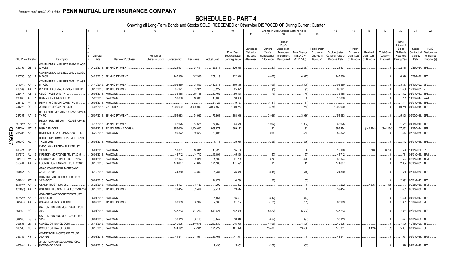|             |                             |    |                                                                                  |                  |                             |                              |               |            |                    | 10                          |                                     |                                   | Change in Book/Adjusted Carrying Value                                                                            |                                                     | 16                                                  | -17                                               | 18                                     | 19                             | 20                                                 | 21                                        | 22                                      |
|-------------|-----------------------------|----|----------------------------------------------------------------------------------|------------------|-----------------------------|------------------------------|---------------|------------|--------------------|-----------------------------|-------------------------------------|-----------------------------------|-------------------------------------------------------------------------------------------------------------------|-----------------------------------------------------|-----------------------------------------------------|---------------------------------------------------|----------------------------------------|--------------------------------|----------------------------------------------------|-------------------------------------------|-----------------------------------------|
|             |                             |    |                                                                                  |                  |                             |                              |               |            |                    |                             | 11                                  | 12                                | 13                                                                                                                | 15                                                  |                                                     |                                                   |                                        |                                |                                                    |                                           |                                         |
|             | <b>CUSIP</b> Identification |    | Description                                                                      | Disposal<br>Date |                             | Number of<br>Shares of Stock | Consideration | Par Value  | <b>Actual Cost</b> | Prior Year<br>Book/Adjusted | Unrealized<br>Valuation<br>Increase | Current<br>Year's<br>Amortization | Current<br>Year's<br>Other-Than<br>Temporary<br><b>Total Change</b><br>in B./A.C.V.<br>Impairment<br>$(11+12-13)$ | Total Foreign<br>Exchange<br>Change in<br>B./A.C.V. | Book/Adjusted<br>Carrying Value at<br>Disposal Date | Foreign<br>Exchange<br>Gain (Loss)<br>on Disposal | Realized<br>Gain (Loss)<br>on Disposal | <b>Total Gain</b><br>(Loss) on | Bond<br>Interest<br>Stock<br>Dividends<br>Received | Stated<br>Contractual<br>Maturity<br>Date | <b>NAIC</b><br>Designation<br>or Market |
|             |                             |    |                                                                                  |                  | Name of Purchaser           |                              |               |            |                    | Carrying Value              | (Decrease)                          | / Accretion                       | Recognized                                                                                                        |                                                     |                                                     |                                                   |                                        | Disposal                       | During Year                                        |                                           | Indicator (a)                           |
|             | 210795 QB 9                 |    | CONTINENTAL AIRLINES 2012-2 CLASS<br>A PASS<br>CONTINENTAL AIRLINES 2012-2 CLASS |                  | 04/29/2018. SINKING PAYMENT |                              | .124,401      | .124,401   | 127,511            | .126,638                    |                                     | (2,237)                           | (2, 237)                                                                                                          |                                                     | .124,40'                                            |                                                   |                                        | $\Omega$                       | 0.2,488                                            | 10/29/2024. 1FE                           |                                         |
|             | 210795 QC                   |    | <b>B PASS</b>                                                                    |                  | 04/29/2018. SINKING PAYMENT |                              | .247,988      | 247,988    | .257,119           | .252,816                    |                                     | (4,827)                           | (4,827)                                                                                                           |                                                     | .247,988                                            |                                                   |                                        | $\Omega$                       | .6,820                                             | 10/29/2020. 2FE.                          |                                         |
|             | 21079R AA                   |    | CONTINENTAL AIRLINES 2007-1 CLASS<br><b>B PASS</b><br>- 0                        |                  | 04/19/2018. SINKING PAYMENT |                              | .105,850      | 105,850    | .112,675           | .109,655                    |                                     | (3,806)                           | (3,806)                                                                                                           |                                                     | .105,850                                            |                                                   |                                        | $\Omega$ .                     |                                                    | .3,653 04/19/2022. 3FE                    |                                         |
|             | 22536#                      | AA | CREDIT LEASE-BACK PASS-THRU TR.                                                  | 06/10/2018.      | SINKING PAYMENT             |                              | .65,921       | .65,921    | .65,922            | .65,922                     |                                     | (1                                | (1                                                                                                                |                                                     | .65,921                                             |                                                   |                                        | .0                             | .1,450                                             | 12/10/2035.                               |                                         |
|             | 22944P                      | AE | CSMC TRUST 2013-TH1.                                                             | 06/01/2018.      | PAYDOWN.                    |                              | .79,188       | .79,188    | .80,462            | .80,358                     |                                     | (1, 170)                          | (1, 170)                                                                                                          |                                                     | .79,188                                             |                                                   |                                        | .0                             | 1,302                                              | 02/01/2043. 1FE                           |                                         |
|             | 233046                      | AE | DB MASTER FINANCE LLC.                                                           | 05/20/2018       | PAYDOWN.                    |                              | .10,000       | .10,000    | 10,000             | .10,000                     |                                     |                                   | . 0                                                                                                               |                                                     | .10,000                                             |                                                   |                                        | $\Omega$                       | .209                                               | 11/20/2047. 2AM                           |                                         |
|             | 23312L                      | AW | DBJPM 16-C1 MORTGAGE TRUST                                                       | 06/01/2018.      | PAYDOWN.                    |                              |               |            | .24,125            | 19,753                      |                                     | (781)                             | (781)                                                                                                             |                                                     |                                                     |                                                   |                                        | $\Omega$                       | .1,441                                             | 05/01/2049. 1FE                           |                                         |
|             | 24422E                      | QR | JOHN DEERE CAPITAL CORP.<br>-3                                                   | 04/03/2018.      | MATURITY.                   |                              | .3,000,000    | .3,000,000 | .3,007,860         | 3,000,254                   |                                     | (254)                             | (254)                                                                                                             |                                                     | 3,000,000                                           |                                                   |                                        | .0                             | 80,250                                             | 04/03/2018. 1FE                           |                                         |
|             |                             |    | DELTA AIR LINES 2012-1 CLASS B PASS                                              |                  |                             |                              |               |            |                    |                             |                                     |                                   |                                                                                                                   |                                                     |                                                     |                                                   |                                        |                                |                                                    |                                           |                                         |
|             | 24735T AA                   |    | <b>THRO</b>                                                                      |                  | 05/07/2018. SINKING PAYMENT |                              | .154,983      | 154,983    | 173,968            | .158,919                    |                                     | (3,936)                           | (3,936)                                                                                                           |                                                     | .154,983                                            |                                                   |                                        |                                |                                                    | .5,328 05/07/2019. 2FE                    |                                         |
|             | 24736W AA                   |    | DELTA AIR LINES 2011-1 CLASS A PASS<br><b>THRO</b><br>-8                         |                  | 04/15/2018. SINKING PAYMENT |                              | .62,675       | .62,675    | .67,062            | .64,576                     |                                     | (1,902)                           | (1,902)                                                                                                           |                                                     | .62,675                                             |                                                   |                                        | $\mathbf{0}$                   | .1,661                                             | 04/15/2019. 1FE.                          |                                         |
|             | 25470X AW                   |    | <b>DISH DBS CORP.</b><br>- 5                                                     | 05/02/2018.      | FX- GOLDMAN SACHS &         |                              | .855,000      | 1,000,000  | .998,877           | .999,172                    |                                     | .82                               | .82                                                                                                               |                                                     | .999,254                                            |                                                   | (144, 254)                             | (144.254)                      | .27,253                                            | 11/15/2024. 3FE                           |                                         |
| Q<br>m      | 255396                      | AB | DIVIDEND SOLAR LOANS 2018-1 LLC.                                                 |                  | 06/20/2018. PAYDOWN.        |                              | .89,572       | .89,572    | .89,008            |                             |                                     | .564                              | .564                                                                                                              |                                                     | .89,572                                             |                                                   |                                        |                                |                                                    | .472 07/20/2038. 1FE                      |                                         |
|             |                             |    | CITIGROUP COMMERCIAL MORTGAGE                                                    |                  |                             |                              |               |            |                    |                             |                                     |                                   |                                                                                                                   |                                                     |                                                     |                                                   |                                        |                                |                                                    |                                           |                                         |
| <b>05.7</b> | 29429C                      | AJ | <b>TRUST 2016</b>                                                                |                  | 06/01/2018. PAYDOWN.        |                              |               |            | .7,118             | .5,935                      |                                     | (256)                             | (256)                                                                                                             |                                                     |                                                     |                                                   |                                        | .0                             |                                                    | .442 04/01/2049. 1FE.                     |                                         |
|             | 302471 CA                   |    | FMAC LOAN RECEIVABLES TRUST<br>1998-B                                            | 05/01/2018.      | PAYDOWN.                    |                              | .18,831       | .18,831    | .15,426            | .15,108                     |                                     |                                   |                                                                                                                   |                                                     | .15,108                                             |                                                   | .3,723                                 | .3,723                         | .523                                               | 11/01/2020. 5*                            |                                         |
|             | 33767C                      | AV | FIRSTKEY MORTGAGE TRUST 2015-1<br><b>q</b>                                       | 06/01/2018.      | PAYDOWN.                    |                              | .44,712       | .44,712    | .46,091            | 45,869                      |                                     | (1, 157)                          | (1, 157)                                                                                                          |                                                     | .44,712                                             |                                                   |                                        | $\ldots$ 0                     | .731                                               | 03/01/2045. 1FM                           |                                         |
|             | 33767C                      | AW | FIRSTKEY MORTGAGE TRUST 2015-1                                                   | 06/01/2018       | PAYDOWN.                    |                              | .32,074       | .32,074    | .31,182            | .31,202                     |                                     | .872                              | 872                                                                                                               |                                                     | .32,074                                             |                                                   |                                        | - 0                            | .524                                               | 03/01/2045. 1FM                           |                                         |
|             | 35040T                      | AA | FOUNDATION FINANCE TRUST 2016-1                                                  |                  | 06/15/2018. PAYDOWN.        |                              | .171,607      | .171,607   | 171,585            | .171,593                    |                                     | .15                               | .15                                                                                                               |                                                     | .171,607                                            |                                                   |                                        |                                | .2,804                                             | 06/15/2035. 1FE                           |                                         |
|             | 36186X AD                   |    | GMAC COMMERCIAL MORTGAGE<br><b>ASSET CORP</b><br>- 9                             |                  | 06/10/2018. PAYDOWN.        |                              | .24,860       | .24,860    | .25,384            | .25,375                     |                                     | (515)                             | (515)                                                                                                             |                                                     | .24,860                                             |                                                   |                                        |                                |                                                    | .536 07/10/2050. 1FE.                     |                                         |
|             |                             |    | GS MORTGAGE SECURITIES TRUST                                                     |                  |                             |                              |               |            |                    |                             |                                     |                                   |                                                                                                                   |                                                     |                                                     |                                                   |                                        |                                |                                                    |                                           |                                         |
|             | 36192K AW                   |    | 2012-GCJ7                                                                        | 06/01/2018.      | PAYDOWN.                    |                              |               |            | .24,071            | 14,798                      |                                     | (1,137)                           | (1, 137)                                                                                                          |                                                     |                                                     |                                                   |                                        | $\cdot$ 0                      | 2,692                                              | 05/01/2045. 1FE                           |                                         |
|             | 36244W AA                   |    | GSAMP TRUST 2006-S5.                                                             | 06/25/2018       | PAYDOWN                     |                              | .8,127        | .8.127     | 292                | .292                        |                                     |                                   |                                                                                                                   |                                                     | .292                                                |                                                   | .7,835                                 | .7,835                         |                                                    | 09/25/2036.                               |                                         |
|             | 36249@ AA                   |    | GSA GTH I U S GOVT LEA 4.56 15MAY38                                              |                  | 06/15/2018. SINKING PAYMENT |                              | .39,414       | .39,414    | .39,414            | .39,414                     |                                     |                                   |                                                                                                                   |                                                     | .39.414                                             |                                                   |                                        |                                |                                                    | .452 05/15/2038. 1FE                      |                                         |
|             | 36252W AZ                   |    | GS MORTGAGE SECURITIES TRUST<br>2014-GC20                                        | 06/01/2018.      | PAYDOWN.                    |                              |               |            | .25,567            | .15,407                     |                                     | (817)                             | (817)                                                                                                             |                                                     |                                                     |                                                   |                                        | - 0                            | .1,426                                             | 04/01/2047. 1FE                           |                                         |
|             | 36298G AA                   |    | <b>GSPA MONETIZATION TRUST.</b>                                                  | 06/09/2018.      | <b>SINKING PAYMENT</b>      |                              | .60,969       | .60,969    | .62,188            | .61,754                     |                                     | (785)                             | (785)                                                                                                             |                                                     | .60,969                                             |                                                   |                                        |                                | .1,633                                             | 10/09/2029. 2FE                           |                                         |
|             |                             |    |                                                                                  |                  |                             |                              |               |            |                    |                             |                                     |                                   |                                                                                                                   |                                                     |                                                     |                                                   |                                        |                                |                                                    |                                           |                                         |
|             | 36416U AG 0                 |    | <b>GALTON FUNDING MORTGAGE TRUST</b><br>2017-1                                   |                  | 06/01/2018. PAYDOWN.        |                              | .537,213      | .537,213   | .543,021           | .542,835                    |                                     | (5,622)                           | (5,622)                                                                                                           |                                                     | .537,213                                            |                                                   |                                        |                                | .7,881                                             | 07/01/2056. 1FE.                          |                                         |
|             | 36416U BG                   |    | <b>GALTON FUNDING MORTGAGE TRUST</b><br>2017-1                                   | 06/01/2018.      | PAYDOWN.                    |                              | .30,113       | .30,113    | .30,847            | .30,810                     |                                     | (697)                             | (697)                                                                                                             |                                                     | 30,113                                              |                                                   |                                        | .0                             | .477                                               | 07/01/2056. 1FE                           |                                         |
|             | 393505                      | JM | CONSECO FINANCE CORP.<br>-5                                                      | 06/15/2018.      | PAYDOWN.                    |                              | .240,575      | .240,575   | .230,830           | .245,080                    |                                     | (4,506)                           | (4,506)                                                                                                           |                                                     | .240,575                                            |                                                   |                                        | $\ldots$ 0                     | .7,500                                             | 10/15/2026. 1FE                           |                                         |
|             | 393505 NC                   |    | CONSECO FINANCE CORP.                                                            | 06/15/2018.      | PAYDOWN.                    |                              | .174,192      | .175,331   | 171,427            | .161,926                    |                                     | .13,406                           | 13,406                                                                                                            |                                                     | .175,33                                             |                                                   | (1,139)                                | $(1, 139)$                     | .5,937                                             | 07/15/2027. 6FE                           |                                         |
|             | 396789 FY 0                 |    | COMMERCIAL MORTGAGE TRUST<br>2004-GG1                                            |                  | 06/01/2018. PAYDOWN.        |                              | .41,541       | .41,541    | .39,463            | 41,541                      |                                     |                                   |                                                                                                                   |                                                     | .41,54'                                             |                                                   |                                        | - 0                            |                                                    | .1,097   06/01/2036.  1FM.                |                                         |
|             |                             |    | JP MORGAN CHASE COMMERCIAL<br>46590K AN 4 MORTGAGE SECU                          |                  | 06/01/2018. PAYDOWN.        |                              |               |            | .7,490             | .5.453                      |                                     | (332)                             | (332)                                                                                                             |                                                     |                                                     |                                                   |                                        |                                |                                                    | .528 01/01/2049. 1FE                      |                                         |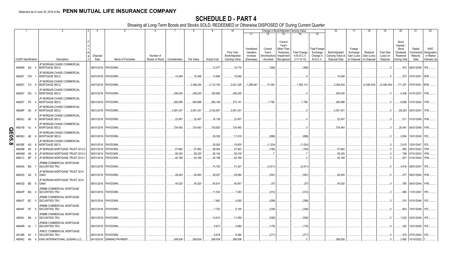|               |                             |           |      | $\overline{2}$                                            | l 3 | Δ           | 5<br>- 6                             | -7            | -8         | 9                  | 10                          |                                     | Change in Book/Adjusted Carrying Value                                                          |                                    |                                               | 16                                 | 17                                 | 18                      | 19                             | 20                                                 | 21                               | 22                                      |
|---------------|-----------------------------|-----------|------|-----------------------------------------------------------|-----|-------------|--------------------------------------|---------------|------------|--------------------|-----------------------------|-------------------------------------|-------------------------------------------------------------------------------------------------|------------------------------------|-----------------------------------------------|------------------------------------|------------------------------------|-------------------------|--------------------------------|----------------------------------------------------|----------------------------------|-----------------------------------------|
|               |                             |           |      |                                                           |     |             |                                      |               |            |                    |                             | 11                                  | 12<br>13                                                                                        |                                    | 15                                            |                                    |                                    |                         |                                |                                                    |                                  |                                         |
|               |                             |           |      |                                                           |     | Disposal    | Number of                            |               |            |                    | Prior Year<br>Book/Adjusted | Unrealized<br>Valuation<br>Increase | Current<br>Year's<br>Other-Than<br>Current<br>Year's<br>Temporary<br>Amortization<br>Impairment | <b>Total Change</b><br>in B./A.C.V | <b>Total Foreigr</b><br>Exchange<br>Change in | Book/Adjusted<br>Carrying Value at | Foreign<br>Exchange<br>Gain (Loss) | Realized<br>Gain (Loss) | <b>Total Gain</b><br>(Loss) on | Bond<br>Interest<br>Stock<br>Dividends<br>Received | Stated<br>Contractua<br>Maturity | <b>NAIC</b><br>Designation<br>or Market |
|               | <b>CUSIP</b> Identification |           |      | Description                                               |     | Date        | Name of Purchaser<br>Shares of Stock | Consideration | Par Value  | <b>Actual Cost</b> | Carrying Value              | (Decrease)                          | / Accretion<br>Recognized                                                                       | $(11+12-13)$                       | <b>B./A.C.V.</b>                              | Disposal Date                      | on Disposal                        | on Disposa              | Disposal                       | During Year                                        | Date                             | Indicator (a)                           |
|               | 46590R AG 4                 |           |      | JP MORGAN CHASE COMMERCIAL<br>MORTGAGE SECU               |     |             | 06/01/2018. PAYDOWN.                 |               |            | 12,577             | .10,716                     |                                     | (368)                                                                                           | (368)                              |                                               |                                    |                                    |                         |                                |                                                    | .672   08/01/2049.   1FE         |                                         |
|               | 46625Y CW 1                 |           |      | JP MORGAN CHASE COMMERCIAL<br>MORTGAGE SECU               |     |             | 04/01/2018. PAYDOWN.                 | .15,048       | 15,048     | .13,656            | .15,048                     |                                     |                                                                                                 |                                    |                                               | 15,048                             |                                    |                         |                                |                                                    | .270   07/01/2041.   2FM         |                                         |
|               | 46625Y CX 9                 |           |      | JP MORGAN CHASE COMMERCIAL<br><b>MORTGAGE SECU</b>        |     |             | 04/01/2018. PAYDOWN.                 |               | .3.346.434 | .3,112,184         | .2,041,325                  | .1,289,941                          | .15.169                                                                                         | .1,305,110                         |                                               | .3,346,434                         |                                    | (3,346,434)             | (3,346,434)                    | 171,307                                            | 07/01/2041. 6FM.                 |                                         |
|               | 46625Y DG 5                 |           |      | <b>JP MORGAN CHASE COMMERCIAL</b><br><b>MORTGAGE SECU</b> |     |             | 06/01/2018. PAYDOWN.                 | 208,245       | 208,245    | 185,858            | .208,245                    |                                     |                                                                                                 |                                    |                                               | .208,245                           |                                    |                         | 0.5                            |                                                    | .4,358 01/01/2037. 1FM           |                                         |
|               | 46625Y FK                   |           |      | JP MORGAN CHASE COMMERCIAL<br><b>MORTGAGE SECU</b>        |     |             | 06/01/2018. PAYDOWN.                 | 280,896       | .280,896   | .266,149           | .273,141                    |                                     | .7,756                                                                                          | .7,756                             |                                               | .280,896                           |                                    |                         |                                | .6,888                                             | 01/01/2042. 1FM.                 |                                         |
|               | 46629P                      |           | AE 8 | JP MORGAN CHASE COMMERCIAL<br><b>MORTGAGE SECU</b>        |     |             | 06/01/2018. PAYDOWN.                 | .3,091,431    | .3,091,431 | .2,433,847         | .3,091,431                  |                                     |                                                                                                 |                                    |                                               | .3,091,431                         |                                    |                         |                                |                                                    | .69,203   05/01/2047. 1FM        |                                         |
|               | 46630J                      |           | AE 9 | JP MORGAN CHASE COMMERCIAL<br>MORTGAGE SECU               |     |             | 05/01/2018. PAYDOWN.                 | .22,457       | .22,457    | .18,138            | .22,457                     |                                     |                                                                                                 |                                    |                                               | .22,457                            |                                    |                         |                                | .511                                               | 01/01/2049. 1FM.                 |                                         |
|               | 46631B                      | AJ        |      | <b>JP MORGAN CHASE COMMERCIAL</b><br>MORTGAGE SECU        |     |             | 06/01/2018. PAYDOWN.                 | 724,493       | .724,493   | .730,830           | .724,493                    |                                     |                                                                                                 |                                    |                                               | 724,493                            |                                    |                         |                                | .20,491                                            | 06/01/2049. 1FM.                 |                                         |
| <b>QE05.8</b> | 46638U                      | AE        |      | JP MORGAN CHASE COMMERCIAL<br><b>MORTGAGE SECU</b>        |     |             | 06/01/2018. PAYDOWN.                 |               |            | .29,328            | .17,419                     |                                     | (898)                                                                                           | (898)                              |                                               |                                    |                                    |                         |                                | 2.854                                              | 10/01/2045. 1FE.                 |                                         |
| $\infty$      | 46639E                      | AG        |      | <b>JP MORGAN CHASE COMMERCIAL</b><br><b>MORTGAGE SECU</b> |     |             | 06/01/2018. PAYDOWN.                 |               |            | .28,920            | .18,835                     |                                     | (1,224)                                                                                         | (1,224)                            |                                               |                                    |                                    |                         | $\Omega$ .                     |                                                    | .2,615   12/01/2047. 1FE         |                                         |
|               | 46640B                      | AK        |      | JP MORGAN MORTGAGE TRUST 2013-2                           |     | 06/01/2018. | PAYDOWN.                             | .57,662       | .57,662    | .58,054            | .57,823                     |                                     | (160)                                                                                           | (160)                              |                                               | .57,662                            |                                    |                         |                                | .958                                               | 05/01/2043. 1FM                  |                                         |
|               | 46640M                      | AS        | -9   | JP MORGAN MORTGAGE TRUST 2013-3                           |     |             | 06/01/2018. PAYDOWN.                 | .56,225       | .56,225    | .56,145            | .56,218                     |                                     |                                                                                                 |                                    |                                               | .56,225                            |                                    |                         |                                | .798                                               | 07/01/2043. 1FM                  |                                         |
|               | 46641C                      | <b>BP</b> | -5   | JP MORGAN MORTGAGE TRUST 2014-1                           |     |             | 06/01/2018. PAYDOWN.                 | .40.189       | .40.189    | .40,189            | .40,189                     |                                     |                                                                                                 |                                    |                                               | .40.189                            |                                    |                         |                                | .627                                               | 01/01/2044. 1FM.                 |                                         |
|               | 46643A BG                   |           |      | <b>IPMBB COMMERCIAL MORTGAGE</b><br><b>SECURITIES TRU</b> |     |             | 06/01/2018. PAYDOWN.                 |               |            | .74,730            | .41,427                     |                                     | (2,911)                                                                                         | (2,911)                            |                                               |                                    |                                    |                         |                                |                                                    | 4,918 09/01/2047. 1FE.           |                                         |
|               | 46643D AS 6                 |           |      | JP MORGAN MORTGAGE TRUST 2014-<br>OAK4                    |     |             | 06/01/2018. PAYDOWN.                 | .28.493       | .28.493    | .29,207            | .29.084                     |                                     | (591)                                                                                           | . (591)                            |                                               | .28.493                            |                                    |                         |                                |                                                    | .477 09/01/2044. 1FM.            |                                         |
|               | 46643D BE                   |           | - 6  | JP MORGAN MORTGAGE TRUST 2014-<br>OAK4                    |     |             | 06/01/2018. PAYDOWN.                 | .45.520       | .45,520    | .45,614            | .45,557                     |                                     | (37)                                                                                            | (37)                               |                                               | .45.520                            |                                    |                         |                                |                                                    | .765 09/01/2044. 1FM             |                                         |
|               | 46643P BG                   |           |      | JPMBB COMMERCIAL MORTGAGE<br><b>SECURITIES TRU</b>        |     |             | 06/01/2018. PAYDOWN.                 |               |            | .11,534            | .7,363                      |                                     | (413)                                                                                           | (413)                              |                                               |                                    |                                    |                         |                                | .684                                               | 11/01/2047. 1FE.                 |                                         |
|               | 46643T BC                   |           | - 5  | <b>JPMBB COMMERCIAL MORTGAGE</b><br><b>SECURITIES TRU</b> |     |             | 06/01/2018. PAYDOWN.                 |               |            | .7,942             | .4,920                      |                                     | (299)                                                                                           | (299)                              |                                               |                                    |                                    |                         | - 0                            |                                                    | .510 01/01/2048. 1FE.            |                                         |
|               | 46644F                      | AF        | -8   | <b>IPMBB COMMERCIAL MORTGAGE</b><br><b>SECURITIES TRU</b> |     |             | 06/01/2018. PAYDOWN.                 |               |            | .7,752             | .5,100                      |                                     | (338)                                                                                           | (338)                              |                                               |                                    |                                    |                         |                                |                                                    | .603   10/01/2048.   1FE.        |                                         |
|               | 46645L BA 4                 |           |      | <b>IPMBB COMMERCIAL MORTGAGE</b><br><b>SECURITIES TRU</b> |     |             | 06/01/2018. PAYDOWN.                 |               |            | .14,613            | .11,559                     |                                     | (526)                                                                                           | (526)                              |                                               |                                    |                                    |                         | $\Omega$                       |                                                    | 1,022 03/01/2049. 1FE.           |                                         |
|               | 46646R AL                   |           |      | JPMDB COMMERCIAL MORTGAGE<br><b>SECURITIES TRU</b>        |     |             | 06/01/2018. PAYDOWN.                 |               |            | .5,673             | .4,992                      |                                     | (178)                                                                                           | (178)                              |                                               |                                    |                                    |                         |                                |                                                    | .322   12/01/2049.   1FE.        |                                         |
|               | 48128K AV 3                 |           |      | <b>IPMCC COMMERCIAL MORTGAGE</b><br><b>SECURITIES TRU</b> |     |             | 06/01/2018. PAYDOWN.                 |               |            | .6,918             | .6,384                      |                                     | (271)                                                                                           | (271)                              |                                               |                                    |                                    |                         |                                |                                                    | .479 07/01/2050. 1FE             |                                         |
|               | 49549C AA                   |           | - 6  | KING INTERNATIONAL LEASING LLC.                           |     |             | 04/15/2018. SINKING PAYMENT          | .289.938      | 289.938    | 289.938            | 289.938                     |                                     |                                                                                                 |                                    |                                               | .289.938                           |                                    |                         |                                |                                                    | 3.992 10/15/2022.                |                                         |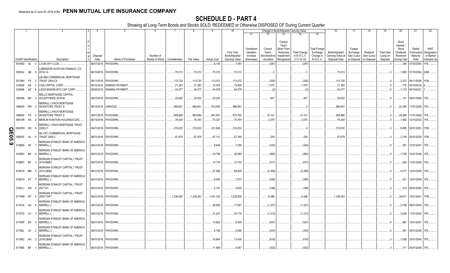|             |                             |      |        |                                                           |          | -5                          |                 |                    | 8         |                    | 10 <sup>°</sup>                    |                                     |                                    | Change in Book/Adjusted Carrying Value                      |                                     |                                        | 16                                                             | 17                      | 18       | 19                             | 20                                                 | 21                                | 22                                      |
|-------------|-----------------------------|------|--------|-----------------------------------------------------------|----------|-----------------------------|-----------------|--------------------|-----------|--------------------|------------------------------------|-------------------------------------|------------------------------------|-------------------------------------------------------------|-------------------------------------|----------------------------------------|----------------------------------------------------------------|-------------------------|----------|--------------------------------|----------------------------------------------------|-----------------------------------|-----------------------------------------|
|             |                             |      |        |                                                           |          |                             |                 |                    |           |                    |                                    | 11                                  | 12                                 | 13                                                          | 14                                  | 15                                     |                                                                |                         |          |                                |                                                    |                                   |                                         |
|             |                             |      |        |                                                           | Disposal |                             | Number of       |                    |           |                    | <b>Prior Year</b><br>Book/Adjusted | Unrealized<br>Valuation<br>Increase | Current<br>Year's<br>Amortization) | Current<br>Year's<br>Other-Than-<br>Temporary<br>Impairment | <b>Total Change</b><br>in B./A.C.V. | Total Foreign<br>Exchange<br>Change in | Book/Adjusted<br>Carrying Value at   Gain (Loss)   Gain (Loss) | Foreign<br>Exchange     | Realized | <b>Total Gain</b><br>(Loss) on | Bond<br>Interest<br>Stock<br>Dividends<br>Received | Stated<br>Contractual<br>Maturity | <b>NAIC</b><br>Designation<br>or Market |
|             | <b>CUSIP Identification</b> |      |        | Description                                               | Date     | Name of Purchaser           | Shares of Stock | Consideration      | Par Value | <b>Actual Cost</b> | Carrying Value                     | (Decrease)                          | Accretion                          | Recognized                                                  | $(11+12-13)$                        | <b>B./A.C.V.</b>                       | Disposal Date                                                  | on Disposal on Disposal |          | Disposal                       | During Year                                        | Date                              | Indicator (a)                           |
|             | 50190D AL 0                 |      |        | LCCM 2017-LC26.                                           |          | 06/01/2018. PAYDOWN.        |                 |                    |           | .8,145             | .7,593                             |                                     | (287)                              |                                                             | (287)                               |                                        |                                                                |                         |          | - 0                            |                                                    | .385 07/03/2050.                  | 1FE.                                    |
|             | 50543L AB 8                 |      |        | LABRADOR AVIATION FINANCE LTD<br>2016-1A                  |          | 06/15/2018. PAYDOWN         |                 | 70,313             | 70,313    | 70,310             | 70,310                             |                                     |                                    |                                                             |                                     |                                        | 70,313                                                         |                         |          |                                |                                                    | .1,665   01/15/2042. 2AM.         |                                         |
|             |                             |      |        | LB-UBS COMMERCIAL MORTGAGE                                |          |                             |                 |                    |           |                    |                                    |                                     |                                    |                                                             |                                     |                                        |                                                                |                         |          |                                |                                                    |                                   |                                         |
|             | 52108H                      | F8 2 |        | <b>TRUST 2004-C4</b>                                      |          | 06/11/2018. PAYDOWN.        |                 | 112,720            | 112,720   | 113,072            | .113,072                           |                                     | (352)                              |                                                             | (352)                               |                                        | .112,720                                                       |                         |          |                                |                                                    | .3,372 06/11/2036.                |                                         |
|             | 52465#                      | AA   | $_{3}$ | CGA CAPITAL CORP.                                         |          | 06/10/2018. SINKING PAYMENT |                 | .21,383            | 21,383    | .10,478            | 19,808                             |                                     | .1,575                             |                                                             | .1,575                              |                                        | .21,383                                                        |                         |          |                                | .778                                               | 03/10/2019                        |                                         |
|             | 52465#                      | AZ   | -8     | LEGG MASON MTG CAP CORP.                                  |          | 06/08/2018. SINKING PAYMENT |                 | .44,577            | .44,577   | .44,579            | .44,579                            |                                     | (2)                                |                                                             | (2)                                 |                                        | .44,577                                                        |                         |          |                                |                                                    | .1,123 06/10/2021.                |                                         |
|             | 585498 BH 0                 |      |        | <b>MELLO MORTGAGE CAPITAL</b><br>ACCEPTANCE 2018-M        |          | 06/01/2018. PAYDOWN.        |                 | .20,632            | .20,632   | .20,225            |                                    |                                     | 407                                |                                                             | .407                                |                                        | .20,632                                                        |                         |          |                                |                                                    | .101 05/01/2048. 1FE.             |                                         |
|             | 589929 PW 2                 |      |        | MERRILL LYNCH MORTGAGE<br><b>INVESTORS TRUST S</b>        |          | 06/15/2018. VARIOUS.        |                 | .866,851           | 866,851   | .912,090           | .866,851                           |                                     |                                    |                                                             |                                     |                                        | .866,851                                                       |                         |          | $\cdot$ . 0                    | 22,360                                             | 11/01/2026. 1FE.                  |                                         |
|             | 589929 PX 0                 |      |        | <b>MERRILL LYNCH MORTGAGE</b><br><b>INVESTORS TRUST S</b> |          | 06/01/2018. PAYDOWN.        |                 | .885,886           | 885,886   | .841,591           | .875,765                           |                                     | .10,121                            |                                                             | .10, 121                            |                                        | .885,886                                                       |                         |          |                                | .29,899                                            | 11/01/2026. 1FE.                  |                                         |
|             | 59010R AA 2                 |      |        | MERLIN AVIATION HOLDINGS DAC.                             |          | 06/15/2018. PAYDOWN.        |                 |                    | .78,340   |                    | 75,764                             |                                     | .2.575                             |                                                             | .2,575                              |                                        |                                                                |                         |          |                                |                                                    | .1,482 12/15/2032. 1FE.           |                                         |
|             | 59025W AN 6                 |      |        | <b>MERRILL LYNCH MORTGAGE TRUST</b><br>2008-C1            |          | 04/01/2018. PAYDOWN         |                 | .78,340<br>319,202 | .319,202  | 75,327<br>.331,646 | 319,202                            |                                     |                                    |                                                             |                                     |                                        | .78,340<br>319,202                                             |                         |          |                                |                                                    | .6,895   02/01/2051. 1FM.         |                                         |
| <u>ဂ</u> ္ဂ |                             |      |        |                                                           |          |                             |                 |                    |           |                    |                                    |                                     |                                    |                                                             |                                     |                                        |                                                                |                         |          |                                |                                                    |                                   |                                         |
| 6.59        | 606935                      | AL   | -8     | ML-CFC COMMERCIAL MORTGAGE<br><b>TRUST 2006-1</b>         |          | 06/01/2018. PAYDOWN         |                 | .87,679            | 87,679    | .87,131            | .87,349                            |                                     | 329                                |                                                             | 329                                 |                                        | .87,679                                                        |                         |          |                                |                                                    | 2,149   02/01/2039.   1FM.        |                                         |
|             | 61690A AF                   |      |        | MORGAN STANLEY BANK OF AMERICA<br><b>MERRILL L</b>        |          | 06/01/2018. PAYDOWN.        |                 |                    |           | .9,648             | .7,299                             |                                     | (343)                              |                                                             | (343)                               |                                        |                                                                |                         |          |                                |                                                    | 12/01/2047. 1FE.                  |                                         |
|             |                             |      |        |                                                           |          |                             |                 |                    |           |                    |                                    |                                     |                                    |                                                             |                                     |                                        |                                                                |                         |          |                                | .591                                               |                                   |                                         |
|             | 61690V BA 5                 |      |        | MORGAN STANLEY BANK OF AMERICA<br><b>MERRILL L</b>        |          | 06/01/2018. PAYDOWN.        |                 |                    |           | .34,788            | .26,589                            |                                     | (963)                              |                                                             | (963)                               |                                        |                                                                |                         |          |                                |                                                    | .1,755   10/01/2048.   1FE.       |                                         |
|             |                             |      |        |                                                           |          |                             |                 |                    |           |                    |                                    |                                     |                                    |                                                             |                                     |                                        |                                                                |                         |          |                                |                                                    |                                   |                                         |
|             | 61690Y BV 3                 |      |        | MORGAN STANLEY CAPITAL I TRUST<br>2016-BNK2               |          | 06/01/2018. PAYDOWN.        |                 |                    |           | 14,718             | .12,722                            |                                     | (517)                              |                                                             | (517)                               |                                        |                                                                |                         |          |                                |                                                    | .920 11/01/2049. 1FE.             |                                         |
|             |                             |      |        | MORGAN STANLEY CAPITAL I TRUST                            |          |                             |                 |                    |           |                    |                                    |                                     |                                    |                                                             |                                     |                                        |                                                                |                         |          |                                |                                                    |                                   |                                         |
|             | 61691A BM                   |      |        | 2015-UBS8                                                 |          | 06/01/2018. PAYDOWN.        |                 |                    |           | .87,596            | .68,409                            |                                     | (2,358)                            |                                                             | (2,358)                             |                                        |                                                                |                         |          |                                |                                                    | .4,477   12/01/2048.   1FE.       |                                         |
|             |                             |      |        | MORGAN STANLEY BANK OF AMERICA                            |          |                             |                 |                    |           |                    |                                    |                                     |                                    |                                                             |                                     |                                        |                                                                |                         |          |                                |                                                    |                                   |                                         |
|             | 61691G AT 7                 |      |        | <b>MERRILL L</b>                                          |          | 06/01/2018. PAYDOWN.        |                 |                    |           | .8,590             | .7,573                             |                                     | (296)                              |                                                             | (296)                               |                                        |                                                                |                         |          |                                | .521                                               | 12/01/2049. 1FE.                  |                                         |
|             |                             |      |        | MORGAN STANLEY CAPITAL I TRUST                            |          |                             |                 |                    |           |                    |                                    |                                     |                                    |                                                             |                                     |                                        |                                                                |                         |          |                                |                                                    |                                   |                                         |
|             | 61691J AW                   |      |        | 2017-H1                                                   |          | 06/01/2018. PAYDOWN.        |                 |                    |           | .5,191             | .4,835                             |                                     | (188)                              |                                                             | (188)                               |                                        |                                                                |                         |          |                                |                                                    | 319   06/01/2050. 1FE.            |                                         |
|             |                             |      |        | MORGAN STANLEY CAPITAL I TRUST                            |          |                             |                 |                    |           |                    |                                    |                                     |                                    |                                                             |                                     |                                        |                                                                |                         |          |                                |                                                    |                                   |                                         |
|             | 61745M W7 4                 |      |        | 2005-TOP1                                                 |          | 06/01/2018. PAYDOWN.        |                 | 1,236,003          | 1,236,003 | .1,041,333         | .1,229,506                         |                                     | 6,498                              |                                                             | 6,498                               |                                        | .1,236,003                                                     |                         |          | . . 0                          | 29,811                                             | 12/01/2041. 1FM.                  |                                         |
|             |                             |      |        | <b>MORGAN STANLEY BANK OF AMERICA</b>                     |          |                             |                 |                    |           |                    |                                    |                                     |                                    |                                                             |                                     |                                        |                                                                |                         |          |                                |                                                    |                                   |                                         |
|             | 61761A AA 6                 |      |        | <b>MERRILL L</b>                                          |          | 06/01/2018. PAYDOWN         |                 |                    |           | .28,953            | .17,897                            |                                     | (1,227)                            |                                                             | (1,227)                             |                                        |                                                                |                         |          |                                |                                                    | 2,759   08/01/2045. 1FE.          |                                         |
|             | 61761D AJ                   |      |        | <b>MORGAN STANLEY BANK OF AMERICA</b><br><b>MERRILL L</b> |          | 06/01/2018. PAYDOWN.        |                 |                    |           | .31,241            | 20,178                             |                                     | (1,212)                            |                                                             | (1,212)                             |                                        |                                                                |                         |          |                                |                                                    | .3,048 11/01/2045. 1FE.           |                                         |
|             | 61764P BV 3                 |      |        | MORGAN STANLEY BANK OF AMERICA<br><b>MERRILL L</b>        |          | 06/01/2018. PAYDOWN.        |                 |                    |           | 13,862             | .8,405                             |                                     | (547)                              |                                                             | (547)                               |                                        |                                                                |                         |          |                                | .891                                               | 12/01/2047. 1FE.                  |                                         |
|             | 61765L AV 2                 |      |        | MORGAN STANLEY BANK OF AMERICA<br><b>MERRILL L</b>        |          | 06/01/2018. PAYDOWN.        |                 |                    |           | 6,199              | .4,556                             |                                     | (203)                              |                                                             | (203)                               |                                        |                                                                |                         |          |                                | .361                                               | 05/01/2048. 1FE.                  |                                         |
|             | 61766C AH 2                 |      |        | MORGAN STANLEY CAPITAL I TRUST<br>2016-UBS9               |          | 06/01/2018. PAYDOWN.        |                 |                    |           | 16,864             | .13,438                            |                                     | (619)                              |                                                             | (619)                               |                                        |                                                                |                         |          |                                |                                                    | .1,056   03/01/2049.   1FE.       |                                         |
|             |                             |      |        | MORGAN STANLEY BANK OF AMERICA                            |          |                             |                 |                    |           |                    |                                    |                                     |                                    |                                                             |                                     |                                        |                                                                |                         |          |                                |                                                    |                                   |                                         |
|             | 61766E BF                   |      |        | <b>MERRILL L</b>                                          |          | 06/01/2018. PAYDOWN.        |                 |                    |           | .11,669            | .9,567                             |                                     | (422)                              |                                                             | (422)                               |                                        |                                                                |                         |          |                                |                                                    | 711 05/01/2049. 1FE.              |                                         |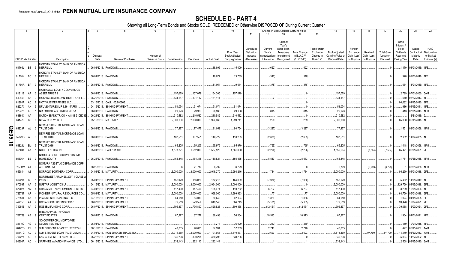|                    |                             |           |          |                                                           |                  |                             |                                            |            |            |                    | 10                              |                         |                             | Change in Book/Adjusted Carrying Value       |                              |                                  | 16                                 | -17                        | 18                         | 19                    | 20                                     | 21                         | 22                         |
|--------------------|-----------------------------|-----------|----------|-----------------------------------------------------------|------------------|-----------------------------|--------------------------------------------|------------|------------|--------------------|---------------------------------|-------------------------|-----------------------------|----------------------------------------------|------------------------------|----------------------------------|------------------------------------|----------------------------|----------------------------|-----------------------|----------------------------------------|----------------------------|----------------------------|
|                    |                             |           |          |                                                           |                  |                             |                                            |            |            |                    |                                 | 11                      |                             | 13                                           | 14                           | 15                               |                                    |                            |                            |                       |                                        |                            |                            |
|                    |                             |           |          |                                                           |                  |                             |                                            |            |            |                    | Prior Year                      | Unrealized<br>Valuation | Current<br>Year's           | Current<br>Year's<br>Other-Than<br>Temporary | <b>Total Change</b>          | <b>Total Foreigr</b><br>Exchange | Book/Adjusted                      | Foreign<br>Exchange        | Realized                   | Total Gain            | Bond<br>Interest<br>Stock<br>Dividends | Stated<br>Contractual      | <b>NAIC</b><br>Designation |
|                    | <b>CUSIP</b> Identification |           |          | Description                                               | Disposal<br>Date | Name of Purchaser           | Number of<br>Shares of Stock Consideration |            | Par Value  | <b>Actual Cost</b> | Book/Adjusted<br>Carrying Value | Increase<br>(Decrease)  | Amortizatior<br>/ Accretion | Impairment<br>Recognized                     | in B./A.C.V.<br>$(11+12-13)$ | Change in<br>B./A.C.V.           | Carrying Value at<br>Disposal Date | Gain (Loss)<br>on Disposal | Gain (Loss)<br>on Disposal | (Loss) on<br>Disposal | Received<br>During Year                | Maturity<br>Date           | or Market<br>Indicator (a) |
|                    |                             |           |          |                                                           |                  |                             |                                            |            |            |                    |                                 |                         |                             |                                              |                              |                                  |                                    |                            |                            |                       |                                        |                            |                            |
|                    | 61766L BT 5                 |           |          | MORGAN STANLEY BANK OF AMERICA<br><b>MERRILL L</b>        |                  | 06/01/2018. PAYDOWN         |                                            |            |            | 18,896             | .15,009                         |                         | (622)                       |                                              | (622)                        |                                  |                                    |                            |                            |                       |                                        | .1,170   01/01/2049.   1FE |                            |
|                    | 61766N BC                   |           |          | MORGAN STANLEY BANK OF AMERICA<br><b>MERRILL L</b>        |                  | 06/01/2018. PAYDOWN.        |                                            |            |            | 16,077             | 13.789                          |                         | (518)                       |                                              | (518)                        |                                  |                                    |                            |                            |                       |                                        | .928 09/01/2049. 1FE.      |                            |
|                    | 61766R BA                   |           |          | MORGAN STANLEY BANK OF AMERICA<br><b>MERRILL L</b>        |                  | 06/01/2018. PAYDOWN.        |                                            |            |            | .11,054            | .9,614                          |                         | (378)                       |                                              | (378)                        |                                  |                                    |                            |                            |                       | .684                                   | 11/01/2049. 1FE.           |                            |
|                    | 61911B AA                   |           |          | MORTGAGE EQUITY CONVERSION<br><b>ASSET TRUST 2</b>        | 06/01/2018.      | PAYDOWN.                    |                                            | .157,079   | .157,079   | 154,305            | .157,079                        |                         |                             |                                              |                              |                                  | .157,079                           |                            |                            |                       |                                        | .2,789 07/01/2060. 5AM     |                            |
|                    | 61946F                      | AA        |          | MOSAIC SOLAR LOAN TRUST 2018-1                            | 06/20/2018.      | PAYDOWN.                    |                                            | .131,117   | .131,117   | 131,111            |                                 |                         |                             |                                              |                              |                                  | .131,117                           |                            |                            | $\Omega$              | .640                                   | 06/22/2043. 1FE            |                            |
|                    | 61980A                      | AC        |          | MOTIVA ENTERPRISES LLC.                                   | 03/15/2018       | CALL 105.700265             |                                            |            |            |                    |                                 |                         |                             |                                              |                              |                                  |                                    |                            |                            |                       | 80,032                                 | 01/15/2020. 2FE            |                            |
|                    | 62927#                      | AH        | <b>q</b> | NFL VENTURES L P 3.86 15APR41                             | 04/15/2018.      | <b>SINKING PAYMENT</b>      |                                            | .51,074    | .51,074    | .51,074            | .51,074                         |                         |                             |                                              |                              |                                  | 51,074                             |                            |                            | $\Omega$              | .986                                   | 04/15/2041. 1FE            |                            |
|                    | 62942K                      | AG        |          | NRP MORTGAGE TRUST 2013-1                                 | 06/01/2018.      | PAYDOWN.                    |                                            | .29,923    | .29,923    | .28,936            | .29,108                         |                         | .815                        |                                              | 815                          |                                  | 29,923                             |                            |                            | - 0                   | .413                                   | 07/01/2043. 1FM            |                            |
|                    | 63860#                      | AA        |          | NATIONSBANK TR CO N A 8.88 21DEC19                        | 06/21/2018       | <b>SINKING PAYMENT</b>      |                                            | .210,582   | .210,582   | .210,582           | .210,582                        |                         |                             |                                              |                              |                                  | .210,582                           |                            |                            | $\Omega$              |                                        | 12/21/2019.                |                            |
|                    | 641423                      | <b>BS</b> | -6       | NEVADA POWER CO.,                                         |                  | 05/15/2018. MATURITY        |                                            | .2,000,000 | .2,000,000 | 1,994,060          | 1,999,741                       |                         | .259                        |                                              | .259                         |                                  | .2,000,000                         |                            |                            |                       |                                        | .65,000 05/15/2018. 1FE    |                            |
|                    | 64829F                      | AJ        |          | NEW RESIDENTIAL MORTGAGE LOAN<br><b>TRUST 2016</b>        |                  | 06/01/2018. PAYDOWN         |                                            | .77,477    | .77,477    | .81,053            | .80,764                         |                         | (3,287)                     |                                              | (3,287)                      |                                  | .77,477                            |                            |                            | $\Omega$ .            | 1,551                                  | 03/01/2056. 1FM.           |                            |
| $\mathsf{R}$<br>95 | 64829G                      | <b>AL</b> |          | <b>NEW RESIDENTIAL MORTGAGE LOAN</b><br><b>TRUST 2016</b> |                  | 06/01/2018. PAYDOWN         |                                            | .107,551   | 107,551    | 110,729            | .110,233                        |                         | (2,683)                     |                                              | (2,683)                      |                                  | .107,551                           |                            |                            | $\Omega$              |                                        | .2,152   11/02/2035. 1FE.  |                            |
|                    |                             |           |          |                                                           |                  |                             |                                            |            |            |                    |                                 |                         |                             |                                              |                              |                                  |                                    |                            |                            |                       |                                        |                            |                            |
| ∸<br>$\bullet$     | 64829L                      | <b>BM</b> |          | NEW RESIDENTIAL MORTGAGE LOAN<br><b>TRUST 2016</b>        |                  | 06/01/2018. PAYDOWN.        |                                            | .65,205    | .65,205    | .65,979            | .65,970                         |                         | (765)                       |                                              | (765)                        |                                  | 65,205                             |                            |                            | $\Omega$ .            | 1,418                                  | 11/01/2056. 1FM.           |                            |
|                    | 655044                      | AK        |          | NOBLE ENERGY INC.                                         |                  | 05/01/2018. CALL 101.406.   |                                            | 1,573,821  | 1,552,000  | 1,567,520          | 1,561,800                       |                         | (2, 296)                    |                                              | (2,296)                      |                                  | 1,559,504                          |                            | (7,504)                    | (7, 504)              | .65,471                                | 05/01/2021. 2FE            |                            |
|                    |                             |           |          |                                                           |                  |                             |                                            |            |            |                    |                                 |                         |                             |                                              |                              |                                  |                                    |                            |                            |                       |                                        |                            |                            |
|                    | 65536H BE                   |           |          | <b>NOMURA HOME EQUITY LOAN INC</b><br>HOME EQUITY         |                  | 06/25/2018. PAYDOWN.        |                                            | .164,348   | 164,348    | 110,524            | .155,835                        |                         | 8,513                       |                                              | .8,513                       |                                  | .164,348                           |                            |                            | $\Omega$              |                                        | .1,751 09/25/2035. 1FM.    |                            |
|                    | 65536W AA                   |           | - 3      | <b>NOMURA ASSET ACCEPTANCE CORP</b><br><b>ALTERNATIVE</b> |                  | 06/25/2018. PAYDOWN         |                                            |            | .21,719    | .6,799             | 6,799                           |                         |                             |                                              |                              |                                  | 6,799                              |                            | (6,793)                    | (6,793)               |                                        | 08/25/2036. 1FM.           |                            |
|                    | 655844                      | AZ        |          | NORFOLK SOUTHERN CORP.                                    |                  | 04/01/2018. MATURITY        |                                            | .3.000.000 | .3,000,000 | .2,946,270         | 2.998.216                       |                         | 1,784                       |                                              | .1,784                       |                                  | .3,000,000                         |                            |                            |                       | .86,250                                | 04/01/2018. 2FE            |                            |
|                    |                             |           |          | <b>NORTHWEST AIRLINES 2007-1 CLASS A</b>                  |                  |                             |                                            |            |            |                    |                                 |                         |                             |                                              |                              |                                  |                                    |                            |                            |                       |                                        |                            |                            |
|                    | 667294                      | BE        |          | PASS <sub>1</sub>                                         |                  | 05/01/2018. SINKING PAYMENT |                                            | .156,029   | .156,029   | .172,215           | .164,009                        |                         | (7,980)                     |                                              | (7,980)                      |                                  | .156,029                           |                            |                            | - 0                   | .5,482                                 | 11/01/2019. 1FE.           |                            |
|                    | 67059T                      | AA        |          | NUSTAR LOGISTICS LP.                                      | 04/15/2018.      | MATURITY.                   |                                            | .3,000,000 | .3,000,000 | 2,994,060          | .3,000,000                      |                         |                             |                                              |                              |                                  | .3,000,000                         |                            |                            |                       | 129,750                                | 04/15/2018. 3FE            |                            |
|                    | 677071                      | AM        |          | OHANA MILITARY COMMUNITIES LLC                            | 04/01/2018.      | <b>SINKING PAYMENT</b>      |                                            | .117,490   | .117,490   | 105,474            | .110,782                        |                         | 6,707                       |                                              | .6,707                       |                                  | 117,490                            |                            |                            | $\Omega$              | .3,209                                 | 10/01/2026. 1FE            |                            |
|                    | 723787                      | AF        |          | PIONEER NATURAL RESOURCES CO.                             | 05/01/2018.      | MATURITY.                   |                                            | .2,000,000 | 2.000.000  | 1,998,060          | 1,999,923                       |                         | .77                         |                                              | .77                          |                                  | .2,000,000                         |                            |                            | - 0                   | .68,750                                | 05/01/2018. 2FE            |                            |
|                    | 72650T                      | AA        | -6       | PLAINS END FINANCING LLC                                  | 04/15/2018       | <b>SINKING PAYMENT</b>      |                                            | .64,010    | .64,010    | .60,649            | .62,124                         |                         | .1,886                      |                                              | .1,886                       |                                  | 64,010                             |                            |                            | .0                    | 1,924                                  | 04/15/2028. 3FI            |                            |
|                    | 74955D                      | AA        |          | RGS AEGCO FUNDING CORP                                    | 06/07/2018       | SINKING PAYMENT             |                                            | .579,559   | .579,559   | .619,546           | .584,743                        |                         | (5, 185)                    |                                              | (5, 185)                     |                                  | .579,559                           |                            |                            |                       | .28,428                                | 12/07/2021.                | .   2FE                    |
|                    | 74955E AA                   |           |          | RGS I&M FUNDING CORP.                                     | 06/07/2018.      | <b>SINKING PAYMENT</b>      |                                            | 796,897    | 796,897    | 829,528            | .809,358                        |                         | (12, 461)                   |                                              | (12, 461)                    |                                  | .796,897                           |                            |                            |                       | .39,088                                | 12/07/2021. 2FE            |                            |
|                    | 767759 AB                   |           |          | RITE AID PASS THROUGH<br><b>CERTIFICATES</b>              |                  | 06/01/2018. PAYDOWN.        |                                            | .67,277    | .67,277    | .36,498            | .56,364                         |                         | .10,913                     |                                              | .10,913                      |                                  | .67,277                            |                            |                            | $\Omega$              | .1,904                                 | 01/01/2021. 4FE.           |                            |
|                    | 78419C                      | AG        | <b>Q</b> | <b>SG COMMERCIAL MORTGAGE</b><br><b>SECURITIES TRUST</b>  | 06/01/2018.      | PAYDOWN.                    |                                            |            |            | .7,274             | 6,029                           |                         | (260)                       |                                              | (260)                        |                                  |                                    |                            |                            | 0                     | .459                                   | 10/01/2048. 1FE            |                            |
|                    | 78442G                      | FJ.       |          | SLM STUDENT LOAN TRUST 2003-'                             | 06/15/2018       | PAYDOWN                     |                                            | .40,005    | .40,005    | .37,204            | .37,259                         |                         | .2,746                      |                                              | .2,746                       |                                  | .40,005                            |                            |                            |                       | .497                                   | 06/15/2037.                | 1AM                        |
|                    | 78447G                      | AD        |          | SLM STUDENT LOAN TRUST 2012-6.                            | 04/03/2018.      | NON-BROKER TRADE, BO.       |                                            | .1,911,250 | .2,000,000 | 1,791,665          | 1,810,837                       |                         | 2,623                       |                                              | .2,623                       |                                  | .1,813,460                         |                            | 97,790                     | .97.790               | 14,479                                 | 04/27/2043.                | 4AM                        |
|                    | 797224                      | AC        |          | SAN CLEMENTE LEASING LLC                                  | 05/22/201        | <b>SINKING PAYMENT</b>      |                                            | .330,298   | .330,298   | .330,298           | .330,298                        |                         |                             |                                              |                              |                                  | .330,298                           |                            |                            |                       | .5,004                                 | 11/22/2022.                |                            |
|                    | 80306A                      | AC        |          | SAPPHIRE AVIATION FINANCE I LTD                           |                  | 06/15/2018. PAYDOWN.        |                                            | .232,143   | .232,143   | .232,141           |                                 |                         |                             |                                              |                              |                                  | .232,143                           |                            |                            |                       | .2,508                                 | 03/15/2040. 3AM            |                            |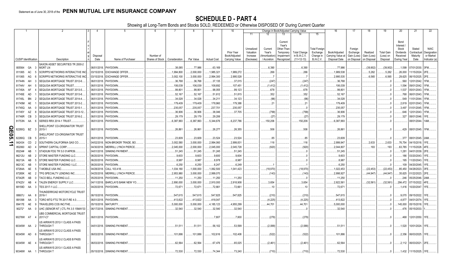|                |                             |           |                                                                 |                          | -5                          | 6               |                     |                    | 9                  | 10                          |                                     |                                   | Change in Book/Adjusted Carrying Value                      |                                     |                                               | 16                                 | 17                                 | 18                      | 19                             | 20                                                   | 21                                | 22                                      |
|----------------|-----------------------------|-----------|-----------------------------------------------------------------|--------------------------|-----------------------------|-----------------|---------------------|--------------------|--------------------|-----------------------------|-------------------------------------|-----------------------------------|-------------------------------------------------------------|-------------------------------------|-----------------------------------------------|------------------------------------|------------------------------------|-------------------------|--------------------------------|------------------------------------------------------|-----------------------------------|-----------------------------------------|
|                |                             |           |                                                                 |                          |                             |                 |                     |                    |                    |                             | 11                                  |                                   | 13                                                          |                                     | 15                                            |                                    |                                    |                         |                                |                                                      |                                   |                                         |
|                |                             |           |                                                                 | Disposal                 |                             | Number of       |                     |                    |                    | Prior Year<br>Book/Adjusted | Unrealized<br>Valuation<br>Increase | Current<br>Year's<br>Amortization | Current<br>Year's<br>Other-Than-<br>Temporary<br>Impairment | <b>Total Change</b><br>in B./A.C.V. | <b>Total Foreigr</b><br>Exchange<br>Change in | Book/Adjusted<br>Carrying Value at | Foreign<br>Exchange<br>Gain (Loss) | Realized<br>Gain (Loss) | <b>Total Gain</b><br>(Loss) on | Bond<br>Interest /<br>Stock<br>Dividends<br>Received | Stated<br>Contractual<br>Maturity | <b>NAIC</b><br>Designation<br>or Market |
|                | <b>CUSIP</b> Identification |           | Description                                                     | Date                     | Name of Purchaser           | Shares of Stock | Consideration       | Par Value          | <b>Actual Cost</b> | Carrying Value              | (Decrease)                          | / Accretion                       | Recognized                                                  | $(11+12-13)$                        | B./A.C.V.                                     | Disposal Date                      | on Disposal                        | on Disposa              | Disposal                       | During Year                                          | Date                              | Indicator (a)                           |
|                |                             |           | SAXON ASSET SECURITIES TR 2000-2                                |                          |                             |                 |                     |                    |                    |                             |                                     |                                   |                                                             |                                     |                                               |                                    |                                    |                         |                                |                                                      |                                   |                                         |
|                | 805564                      | GA        | <b>MORTLN</b><br>$\mathbf{R}$                                   |                          | 06/01/2018. PAYDOWN.        |                 | .38,085             | 77,986             | .63,169            |                             |                                     | .6,390                            |                                                             | .6,390                              |                                               | 77,986                             |                                    | (39,902)                | (39, 902)                      |                                                      | .1,599 07/01/2030.                | 3FM.                                    |
|                | 811065                      | AC        | SCRIPPS NETWORKS INTERACTIVE INC                                | 03/15/2018.              | <b>EXCHANGE OFFER</b>       |                 | 1,994,800           | .2,000,000         | 1,985,321          | 1,989,272                   |                                     | .266                              |                                                             | .266                                |                                               | 1,989,538                          |                                    | .5,262                  | .5,262                         | .26,000                                              | 11/15/2024.                       |                                         |
|                | 811065                      | AG        | <b>SCRIPPS NETWORKS INTERACTIVE INC</b>                         | 03/15/2018               | <b>EXCHANGE OFFER</b>       |                 | 3,002,100           | 3,000,000          | 2,994,300          | 2,995,528                   |                                     |                                   |                                                             |                                     |                                               | .2,995,535                         |                                    | .6,565                  | .6,565                         | .29,625                                              | 06/15/2025.                       |                                         |
|                | 81744N                      | AH        | SEQUOIA MORTGAGE TRUST 2012-6.                                  | 06/01/2018               | PAYDOWN.                    |                 | .36,768             | .36,768            | .37,135            | .37,015                     |                                     | (247)                             |                                                             | (247)                               |                                               | .36,768                            |                                    |                         |                                | .560                                                 | 12/01/2042.                       |                                         |
|                | 81744V                      | AH        | SEQUOIA MORTGAGE TRUST                                          | 06/01/2018               | PAYDOWN.                    |                 | 106,039             | 106,039            | 108,692            | .107,451                    |                                     | (1, 412)                          |                                                             | (1, 412)                            |                                               | 106,039                            |                                    |                         |                                | 1,594                                                | 09/01/2042.                       |                                         |
|                | 81745A                      | AF        | SEQUOIA MORTGAGE TRUST 2013-5.                                  | 06/01/2018               | PAYDOWN.                    |                 | .99,801             | .99,801            | .98,055            | .99,123                     |                                     | .678                              |                                                             | .678                                |                                               | .99,801                            |                                    |                         |                                | 1,537                                                | 05/01/2043.                       |                                         |
|                | 81745E                      | AD        | SEQUOIA MORTGAGE TRUST 2013-8.                                  | 06/01/2018               | PAYDOWN.                    |                 | .52,167             | .52,167            | .51,612            | .51,815                     |                                     | .352                              |                                                             | .352                                |                                               | .52,167                            |                                    |                         |                                | .768                                                 | 06/01/2043.                       |                                         |
|                | 81745L<br>81745M            | BN<br>AE  | SEQUOIA MORTGAGE TRUST 2014-4.<br>SEQUOIA MORTGAGE TRUST 2013-2 | 06/01/2018<br>06/01/2018 | PAYDOWN.<br><b>PAYDOWN</b>  |                 | .34,028<br>.179,409 | .34,028<br>179,409 | .34,211<br>178,960 | .34,123<br>.179,388         |                                     | (96)<br>21                        |                                                             | (96)<br>.21                         |                                               | .34,028<br>179,409                 |                                    |                         | . . 0                          | .549<br>.2,819                                       | 11/01/2044<br>02/01/2043.         |                                         |
|                | 81745Q                      | AA        | SEQUOIA MORTGAGE TRUST 2015-1.                                  | 06/01/2018               | PAYDOWN                     |                 | .235,057            | .235,057           | .237,701           | .235,057                    |                                     |                                   |                                                             |                                     |                                               | .235,057                           |                                    |                         |                                | .3,497                                               | 01/01/2045.                       |                                         |
|                | 81745Y                      | AZ        | SEQUOIA MORTGAGE TRUST 2013-12.                                 | 06/01/2018               | PAYDOWN                     |                 | .36,906             | .36,906            | .38,046            | .37,705                     |                                     | (799)                             |                                                             | (799)                               |                                               | .36,906                            |                                    |                         | $\cdot$ 0                      | .646                                                 | 12/01/2043.                       |                                         |
|                | 81746R                      | CB        | SEQUOIA MORTGAGE TRUST 2016-2.                                  | 06/01/2018               | PAYDOWN                     |                 | .29,179             | .29,179            | 29,206             |                             |                                     | (27)                              |                                                             | (27)                                |                                               | 29,179                             |                                    |                         |                                | .327                                                 | 08/01/2046.                       |                                         |
|                | 81753N                      | AA        | SERIES RRX 2014-1 TRUST.                                        | 06/01/2018.              | PAYDOWN                     |                 | .6,387,993          | 6,387,993          | 5,344,676          | 6,237,786                   |                                     | 150,206                           |                                                             | 150,206                             |                                               | .6,387,993                         |                                    |                         |                                |                                                      | 08/01/2044.                       | 1AM.                                    |
|                |                             |           | SHELLPOINT CO-ORIGINATOR TRUST                                  |                          |                             |                 |                     |                    |                    |                             |                                     |                                   |                                                             |                                     |                                               |                                    |                                    |                         |                                |                                                      |                                   |                                         |
| <u>င</u> ္က    | 82280Q                      | <b>BZ</b> | 2015-1<br>-3                                                    |                          | 06/01/2018. PAYDOWN         |                 | .26,861             | .26,861            | .26,277            | .26,355                     |                                     | .506                              |                                                             | .506                                |                                               | .26,861                            |                                    |                         |                                |                                                      | .429   08/01/2045.   1FM.         |                                         |
|                |                             |           | SHELLPOINT CO-ORIGINATOR TRUST                                  |                          |                             |                 |                     |                    |                    |                             |                                     |                                   |                                                             |                                     |                                               |                                    |                                    |                         |                                |                                                      |                                   |                                         |
| $\overline{5}$ | 82280Q                      | СB        | 2015-1                                                          | 06/01/2018               | PAYDOWN.                    |                 | .23,609             | .23,609            | .23,524            | .23,524                     |                                     | .85                               |                                                             | 85                                  |                                               | .23,609                            |                                    |                         |                                | .377                                                 | 08/01/2045. 2AM.                  |                                         |
| ∸              | 842434                      | CD        | SOUTHERN CALIFORNIA GAS CO.                                     | 04/02/2018               | NON-BROKER TRADE, BO        |                 | .3,002,580          | .3,000,000         | .2,994,060         | 2,999,831                   |                                     | .116                              |                                                             | .116                                |                                               | .2,999,947                         |                                    | 2,633                   | .2,633                         | .76,754                                              | 04/15/2018.                       |                                         |
| د              | 852060                      | AD        | SPRINT CAPITAL CORP.                                            | 04/30/2018               | <b>MERRILL LYNCH PIERCE</b> |                 | .2,045,000          | .2,000,000         | .2,045,000         | .2,045,728                  |                                     | (920)                             |                                                             | (920)                               |                                               | .2,044,807                         |                                    | .193                    | 193                            | .63,785                                              | 11/15/2028.                       |                                         |
|                | 85234#                      | AB        | STADIUM FDG TR 5.0 01APR39.                                     | 04/01/2018               | <b>SINKING PAYMENT</b>      |                 | .51,245             | .51,245            | .51,245            | .51,245                     |                                     |                                   |                                                             | . 0                                 |                                               | .51,245                            |                                    |                         | $\cdot$ 0                      | 1,281                                                | 04/01/2039.                       |                                         |
|                | 86212U                      | AB        | STORE MASTER FUNDING LLC.                                       | 06/20/2018               | PAYDOWN.                    |                 | .9,603              | .9,603             | .9,600             | .9,604                      |                                     |                                   |                                                             |                                     |                                               | .9,603                             |                                    |                         |                                | 186                                                  | 03/20/2043.                       |                                         |
|                | 86213A                      | AB        | STORE MASTER FUNDING LLC.                                       | 06/20/2018               | PAYDOWN.                    |                 | .8,987              | .8,987             | .8,978             | .8,987                      |                                     |                                   |                                                             |                                     |                                               | .8,987                             |                                    |                         | . . 0                          | .195                                                 | 11/20/2043.                       |                                         |
|                | 86213C                      | AB        | STORE MASTER FUNDING I LLC                                      | 06/20/2018               | PAYDOWN.                    |                 | .6,250              | .6,250             | .6,247             | .6,249                      |                                     |                                   |                                                             |                                     |                                               | .6,250                             |                                    |                         |                                | .109                                                 | 04/20/2045.                       |                                         |
|                | 87264A                      | AE        | <b>-MOBILE USA INC.</b><br>-5                                   | 04/28/2018               | CALL 103.418.               |                 | 1,034,180           | 1,000,000          | 1,062,500          | 1,041,423                   |                                     | (18,970)                          |                                                             | (18,970)                            |                                               | .1,022,453                         |                                    | (22, 453)               | (22, 453)                      | .85,450                                              | 04/28/2023.                       |                                         |
|                | 87265K                      | AE        | <b>TPG SPECIALTY LENDING INC</b>                                | 04/25/2018               | MERRILL LYNCH PIERCE        |                 | .2,953,980          | 3,000,000          | .2,999,070         |                             |                                     | (143)                             |                                                             | (143)                               |                                               | .2,998,927                         |                                    | (44, 947)               | (44, 947)                      | 35,625                                               | 01/22/2023.                       |                                         |
|                | 87342R                      | AB        | <b>FACO BELL FUNDING LLC.</b>                                   | 05/25/2018               | PAYDOWN.                    |                 | .11,250             | .11,250            | .11,250            | .11,250                     |                                     |                                   |                                                             |                                     |                                               | 11,250                             |                                    |                         |                                | .246                                                 | 05/25/2046.                       |                                         |
|                | 87422V                      | AB        | ALEN ENERGY SUPPLY LLC                                          | 04/11/2018               | BARCLAYS BANK NEW YO        |                 | .2,890,000          | .3,000,000         | .2,910,000         | .2,918,908                  |                                     | .3,654                            |                                                             | .3,654                              |                                               | .2,922,561                         |                                    | (32, 561)               | (32, 561)                      | .284,472                                             | 07/15/2022.                       |                                         |
|                | 88159D                      | AA        | TES 2017-1 LLC                                                  | 04/20/2018.              | PAYDOWN.                    |                 | .72,671             | .72,671            | .72,661            | .72,661                     |                                     | .10                               |                                                             | .10                                 |                                               | .72,671                            |                                    |                         |                                | 1.416                                                | 10/20/2047. 1FE                   |                                         |
|                | 88607J AA                   |           | <b>HUNDERROAD MOTORCYCLE TRUST</b><br>2016-1<br>-8              | 06/15/2018.              | PAYDOWN                     |                 | .547,615            | .547,615           | .547,825           | .547,825                    |                                     | (210)                             |                                                             | (210)                               |                                               | .547,615                           |                                    |                         | $\cdot$ . 0                    | .9,070                                               | 09/15/2022.                       |                                         |
|                | 891098                      | AA        | FORO MTG FTG TR 2017-RE 4.0.                                    | 06/01/2018               | PAYDOWN.                    |                 | .413,822            | .413,822           | .418,047           |                             |                                     | (4, 225)                          |                                                             | (4,225)                             |                                               | .413,822                           |                                    |                         | - 0                            | .4,877                                               | 04/01/2074                        |                                         |
|                | 89417E AE                   |           | <b>TRAVELERS COS INC/THE.</b>                                   | 05/15/2018               | <b>MATURITY</b>             |                 | 5,000,000           | 5,000,000          | 4,185,123          | 4,955,299                   |                                     | .44,701                           |                                                             | .44,701                             |                                               | .5,000,000                         |                                    |                         |                                | 145,000                                              | 05/15/2018.                       |                                         |
|                | 90272*                      | AA        | UHC (SENIOR NT) CTL PA 3.5 15MAY33                              | 06/17/2018.              | <b>SINKING PAYMENT</b>      |                 | .32,540             | .32,540            | .32,540            | .32,540                     |                                     |                                   |                                                             |                                     |                                               | .32,540                            |                                    |                         |                                | .476                                                 | 05/15/2033.                       |                                         |
|                |                             |           | <b>JBS COMMERCIAL MORTGAGE TRUST</b>                            |                          |                             |                 |                     |                    |                    |                             |                                     |                                   |                                                             |                                     |                                               |                                    |                                    |                         |                                |                                                      |                                   |                                         |
|                | 90276W AT                   |           | 2017-C7                                                         | 06/01/2018.              | PAYDOWN.                    |                 |                     |                    | .7,807             | .7,800                      |                                     | (279)                             |                                                             | (279)                               |                                               |                                    |                                    |                         |                                | .468                                                 | 12/01/2050.                       | 1FE.                                    |
|                | 90345W AA                   |           | US AIRWAYS 2012-1 CLASS A PASS<br>THROUGH T                     |                          | 04/01/2018. SINKING PAYMENT |                 | .51,511             | .51,511            | .56,102            | .53,599                     |                                     | (2,088)                           |                                                             | (2,088)                             |                                               | .51,511                            |                                    |                         |                                | 1,520                                                | 10/01/2024.                       |                                         |
|                | 90345W AD                   |           | JS AIRWAYS 2012-2 CLASS A PASS<br>THROUGH T                     |                          | 06/03/2018. SINKING PAYMENT |                 | .101,886            | 101,886            | 102,616            | .102,408                    |                                     | (522)                             |                                                             | (522)                               |                                               | .101,886                           |                                    |                         |                                | .2,356                                               | 06/03/2025. 1FE.                  |                                         |
|                | 90345W AE                   |           | JS AIRWAYS 2012-2 CLASS B PASS<br>THROUGH T                     | 06/03/2018.              | <b>SINKING PAYMENT</b>      |                 | .62,564             | .62.564            | .67,476            | .65,025                     |                                     | (2, 461)                          |                                                             | (2,461)                             |                                               | .62.564                            |                                    |                         |                                | .2,112                                               | 06/03/2021. 2FE.                  |                                         |
|                | 90346W AA                   |           | US AIRWAYS 2013-1 CLASS A PASS<br>THROUGH T                     |                          | 05/15/2018. SINKING PAYMENT |                 | .72,530             | .72,530            | .74,344            | .73.240                     |                                     | (710)                             |                                                             | (710)                               |                                               | 72,530                             |                                    |                         | $\Omega$                       | 1,432                                                | 11/15/2025.                       |                                         |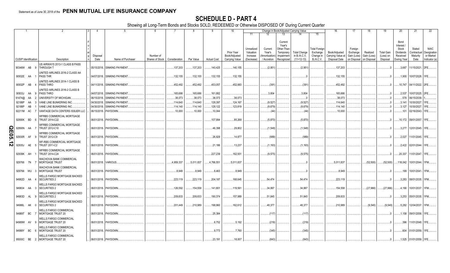|                   |                             |           |          | 2                                                         | $\mathbf{A}$ | 5                           | - 6             |               | -8        | -9                 | 10                          |                                     |                                   | Change in Book/Adjusted Carrying Value                     |                                     |                                               | 16                                 | 17                                 | 18                      | 19                             | 20                                                 | 21                                | 22                                      |
|-------------------|-----------------------------|-----------|----------|-----------------------------------------------------------|--------------|-----------------------------|-----------------|---------------|-----------|--------------------|-----------------------------|-------------------------------------|-----------------------------------|------------------------------------------------------------|-------------------------------------|-----------------------------------------------|------------------------------------|------------------------------------|-------------------------|--------------------------------|----------------------------------------------------|-----------------------------------|-----------------------------------------|
|                   |                             |           |          |                                                           |              |                             |                 |               |           |                    |                             | 11                                  |                                   | 13                                                         |                                     | 15                                            |                                    |                                    |                         |                                |                                                    |                                   |                                         |
|                   |                             |           |          |                                                           | Disposal     |                             | Number of       |               |           |                    | Prior Year<br>Book/Adjusted | Unrealized<br>Valuation<br>Increase | Current<br>Year's<br>Amortization | Current<br>Year's<br>Other-Than<br>Temporary<br>Impairment | <b>Total Change</b><br>in B./A.C.V. | <b>Total Foreign</b><br>Exchange<br>Change in | Book/Adjusted<br>Carrying Value at | Foreign<br>Exchange<br>Gain (Loss) | Realized<br>Gain (Loss) | <b>Total Gain</b><br>(Loss) on | Bond<br>Interest<br>Stock<br>Dividends<br>Received | Stated<br>Contractual<br>Maturity | <b>NAIC</b><br>Designation<br>or Market |
|                   | <b>CUSIP</b> Identification |           |          | Description                                               | Date         | Name of Purchaser           | Shares of Stock | Consideration | Par Value | <b>Actual Cost</b> | Carrying Value              | (Decrease)                          | / Accretion                       | Recognized                                                 | $(11+12-13)$                        | <b>B./A.C.V.</b>                              | Disposal Date                      | on Disposal                        | on Disposal             | Disposal                       | During Year                                        | Date                              | Indicator (a)                           |
|                   | 90346W AB                   |           |          | US AIRWAYS 2013-1 CLASS B PASS<br>THROUGH T               |              | 05/15/2018. SINKING PAYMENT |                 | .137,203      | .137,203  | 140,425            | .140,155                    |                                     | (2,951)                           |                                                            | (2,951)                             |                                               | .137,203                           |                                    |                         | .0                             | .3,687                                             | 11/15/2021. 2FE.                  |                                         |
|                   | 90932E AA                   |           |          | UNITED AIRLINES 2016-2 CLASS AA<br><b>PASS THR</b>        |              | 04/07/2018. SINKING PAYMENT |                 | .132,155      | 132,155   | 132,155            | .132,155                    |                                     |                                   |                                                            |                                     |                                               | .132,155                           |                                    |                         | .0                             | 1,900                                              | 10/07/2028. 1FE.                  |                                         |
|                   | 90932P AB                   |           |          | UNITED AIRLINES 2014-1 CLASS B<br>PASS THRO               |              | 04/11/2018. SINKING PAYMENT |                 | .452,492      | .452,492  | .453,057           | .452,883                    |                                     | (391)                             |                                                            | (391)                               |                                               | .452,492                           |                                    |                         | $\Omega$                       | 10,747                                             | 04/11/2022. 2FE.                  |                                         |
|                   | 90933J                      | AA        | -9       | UNITED AIRLINES 2016-2 CLASS B<br><b>PASS THRO</b>        |              | 04/07/2018. SINKING PAYMENT |                 | .165,686      | 165,686   | .161,882           |                             |                                     | .3,804                            |                                                            | .3,804                              |                                               | .165,686                           |                                    |                         | $\Omega$ .                     | .2,537                                             | 10/07/2025. 2FE                   |                                         |
|                   | 91474@                      | AA        |          | <b>JNIVERSITY OF MICHIGAN.</b>                            | 06/15/2018   | SINKING PAYMENT             |                 | .38,073       | .38,073   | .38,073            | .38,073                     |                                     |                                   |                                                            |                                     |                                               | .38,073                            |                                    |                         |                                | .578                                               | 06/15/2039.                       |                                         |
|                   | 92188P                      | AA        |          | VANE LINE BUNKERING INC.                                  | 04/30/2018   | <b>SINKING PAYMENT</b>      |                 | .114,640      | .114,640  | 128,397            | .124,167                    |                                     | (9,527)                           |                                                            | (9, 527)                            |                                               | 114,640                            |                                    |                         | - 0                            | .3,141                                             | 10/30/2027.                       |                                         |
|                   | 92188P                      | AB        |          | VANE LINE BUNKERING INC.                                  | 04/30/2018   | <b>SINKING PAYMENT</b>      |                 | .114,140      | .114.140  | 128,122            | .123,819                    |                                     | (9,679)                           |                                                            | (9,679)                             |                                               | .114,140                           |                                    |                         |                                | .3,127                                             | 10/30/2027                        |                                         |
|                   | 92211M AC                   |           |          | VANTAGE DATA CENTERS ISSUER LLC                           | 06/15/2018.  | PAYDOWN.                    |                 | .10,000       | 10,000    | 10,044             |                             |                                     | (44)                              |                                                            | (44)                                |                                               | .10,000                            |                                    |                         |                                | .101                                               | 02/16/2043. 1FE                   |                                         |
|                   |                             |           |          | <b><i>NFRBS COMMERCIAL MORTGAGE</i></b>                   |              |                             |                 |               |           |                    |                             |                                     |                                   |                                                            |                                     |                                               |                                    |                                    |                         |                                |                                                    |                                   |                                         |
|                   | 92890K                      | <b>BD</b> |          | TRUST 2014-C22                                            | 06/01/2018.  | PAYDOWN                     |                 |               |           | 107,994            | .85,268                     |                                     | (5,870)                           |                                                            | (5,870)                             |                                               |                                    |                                    |                         |                                |                                                    | .10,172   09/01/2057.   1FE.      |                                         |
| <u>ရ</u>          | 92890N AA                   |           |          | <b><i>NFRBS COMMERCIAL MORTGAGE</i></b><br>TRUST 2012-C10 |              | 06/01/2018. PAYDOWN.        |                 |               |           | .46,398            | .29,802                     |                                     | (1,548)                           |                                                            | (1,548)                             |                                               |                                    |                                    |                         |                                | .3,277                                             | 12/01/2045. 1FE.                  |                                         |
| $\overline{5}$    | 92930R                      | AF        | <b>q</b> | <b><i>NFRBS COMMERCIAL MORTGAGE</i></b><br>TRUST 2012-C9  |              | 06/01/2018. PAYDOWN         |                 |               |           | .26,829            | 14,877                      |                                     | (989)                             |                                                            | (989)                               |                                               |                                    |                                    |                         |                                | .2,027                                             | 11/01/2045. 1FE.                  |                                         |
| ∸<br>$\mathbf{v}$ | 92935J                      | AE        | - 5      | <b><i>NF-RBS COMMERCIAL MORTGAGE</i></b><br>TRUST 2011-C2 |              | 06/01/2018. PAYDOWN.        |                 |               |           | .21,186            | .13,237                     |                                     | (1, 193)                          |                                                            | (1, 193)                            |                                               |                                    |                                    |                         |                                |                                                    | 2,422 02/01/2044. 1FE.            |                                         |
|                   |                             |           |          | <b>WFRBS COMMERCIAL MORTGAGE</b>                          |              |                             |                 |               |           |                    |                             |                                     |                                   |                                                            |                                     |                                               |                                    |                                    |                         |                                |                                                    |                                   |                                         |
|                   | 92939K AH                   |           |          | TRUST 2014-C24                                            |              | 06/01/2018. PAYDOWN         |                 |               |           | .227,239           | 162,931                     |                                     | (9,575)                           |                                                            | (9,575)                             |                                               |                                    |                                    |                         |                                | .20,337                                            | 11/01/2047. 1FE.                  |                                         |
|                   | 929766 7N                   |           |          | WACHOVIA BANK COMMERCIAL<br>MORTGAGE TRUST                |              | 06/01/2018. VARIOUS         |                 | .4,959,337    | 5,011,837 | 4,766,551          | 5,011,837                   |                                     |                                   |                                                            |                                     |                                               | .5,011,837                         |                                    | (52,500)                | (52, 500)                      |                                                    | 118,042   10/01/2044.   1FM       |                                         |
|                   | 929766 WU                   |           | - 3      | WACHOVIA BANK COMMERCIAL<br><b>MORTGAGE TRUST</b>         |              | 06/01/2018. PAYDOWN         |                 | .8.949        | .8,949    | .8,463             | .8,949                      |                                     |                                   |                                                            |                                     |                                               | .8,949                             |                                    |                         |                                |                                                    | .199   10/01/2041.   1FM          |                                         |
|                   | 94982D AA                   |           |          | WELLS FARGO MORTGAGE BACKED<br><b>SECURITIES 2</b>        |              | 06/01/2018. PAYDOWN.        |                 | .223,119      | .223,119  | .204,187           | .168,645                    |                                     | .54,474                           |                                                            | .54,474                             |                                               | .223,119                           |                                    |                         |                                |                                                    | .3,283 08/01/2035. 1FM            |                                         |
|                   | 949834 AA                   |           | - 3      | WELLS FARGO MORTGAGE BACKED<br><b>SECURITIES 2</b>        |              | 06/01/2018. PAYDOWN.        |                 | .126,592      | 154,558   | 141,801            | .119,561                    |                                     | .34,997                           |                                                            | .34,997                             |                                               | .154,558                           |                                    | (27,966)                | (27,966)                       |                                                    | .4,190 10/01/2037. 1FM.           |                                         |
|                   | 94983D AL                   |           | - 9      | WELLS FARGO MORTGAGE BACKED<br><b>SECURITIES 2</b>        |              | 06/01/2018. PAYDOWN.        |                 | .209,833      | .209,833  | 190,374            | .157,989                    |                                     | 51,845                            |                                                            | .51,845                             |                                               | .209,833                           |                                    |                         | - 0                            |                                                    | .3,253   05/01/2035.   1FM        |                                         |
|                   | 94986L AK                   |           | - 0      | <b>WELLS FARGO MORTGAGE BACKED</b><br><b>SECURITIES 2</b> |              | 06/01/2018. PAYDOWN         |                 | .201,449      | 210,989   | 198,960            | .162,612                    |                                     | .48,377                           |                                                            | .48,377                             |                                               | .210,989                           |                                    | (9,540)                 | (9,540)                        |                                                    | .5,282 12/04/2037. 1FM            |                                         |
|                   | 94989T                      | BC        |          | WELLS FARGO COMMERCIAL<br>MORTGAGE TRUST 20               |              | 06/01/2018. PAYDOWN.        |                 |               |           | .25,384            |                             |                                     | (117)                             |                                                            | (117)                               |                                               |                                    |                                    |                         |                                |                                                    | 1,158 09/01/2058. 1FE.            |                                         |
|                   | 94989W AV                   |           | - q      | <b>WELLS FARGO COMMERCIAL</b><br><b>MORTGAGE TRUST 20</b> |              | 06/01/2018. PAYDOWN.        |                 |               |           | .6.752             | .5.192                      |                                     | (219)                             |                                                            | (219)                               |                                               |                                    |                                    |                         |                                | 396                                                | 11/01/2048. 1FE.                  |                                         |
|                   | 94989Y                      | BC        |          | <b>WELLS FARGO COMMERCIAL</b><br>MORTGAGE TRUST 20        |              | 06/01/2018. PAYDOWN.        |                 |               |           | .9,773             | .7,760                      |                                     | (345)                             |                                                            | (345)                               |                                               |                                    |                                    |                         |                                |                                                    | .604 01/01/2059.   1FE.           |                                         |
|                   | 95000C BE 2                 |           |          | WELLS FARGO COMMERCIAL<br>MORTGAGE TRUST 20               |              | 06/01/2018. PAYDOWN.        |                 |               |           | .23,191            | 18.007                      |                                     | (843)                             |                                                            | (843)                               |                                               |                                    |                                    |                         | $\Omega$ .                     |                                                    | 1,525 01/01/2059. 1FE.            |                                         |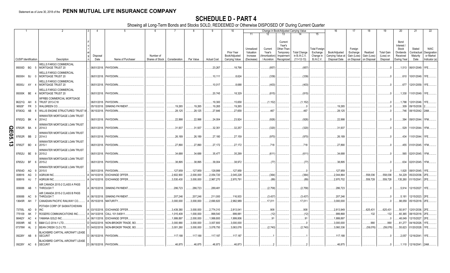|               |                             |           |                                                           |                  |                                 |                                            |            |            |                    | 10                                            |                                                   |                                                  | Change in Book/Adjusted Carrying Value                                                                                          |                                                                   | 16                                                  | -17                                               | 18                                     | 19                                         | 20                                                                | 21                                        | 22                                                       |
|---------------|-----------------------------|-----------|-----------------------------------------------------------|------------------|---------------------------------|--------------------------------------------|------------|------------|--------------------|-----------------------------------------------|---------------------------------------------------|--------------------------------------------------|---------------------------------------------------------------------------------------------------------------------------------|-------------------------------------------------------------------|-----------------------------------------------------|---------------------------------------------------|----------------------------------------|--------------------------------------------|-------------------------------------------------------------------|-------------------------------------------|----------------------------------------------------------|
|               |                             |           |                                                           |                  |                                 |                                            |            |            |                    |                                               | 11                                                | 12                                               | 13<br>14                                                                                                                        | 15                                                                |                                                     |                                                   |                                        |                                            |                                                                   |                                           |                                                          |
|               | <b>CUSIP Identification</b> |           | Description                                               | Disposal<br>Date | Name of Purchaser               | Number of<br>Shares of Stock Consideration |            | Par Value  | <b>Actual Cost</b> | Prior Year<br>Book/Adjusted<br>Carrying Value | Unrealized<br>Valuation<br>Increase<br>(Decrease) | Current<br>Year's<br>Amortization<br>/ Accretion | Current<br>Year's<br>Other-Than<br>Temporary<br><b>Total Change</b><br>in B./A.C.V.<br>Impairment<br>$(11+12-13)$<br>Recognized | <b>Total Foreigr</b><br>Exchange<br>Change in<br><b>B./A.C.V.</b> | Book/Adjusted<br>Carrying Value at<br>Disposal Date | Foreign<br>Exchange<br>Gain (Loss)<br>on Disposal | Realized<br>Gain (Loss)<br>on Disposal | <b>Total Gain</b><br>(Loss) on<br>Disposal | Bond<br>Interest<br>Stock<br>Dividends<br>Received<br>During Year | Stated<br>Contractual<br>Maturity<br>Date | <b>NAIC</b><br>Designation<br>or Market<br>Indicator (a) |
|               |                             |           | <b><i>NELLS FARGO COMMERCIAL</i></b>                      |                  |                                 |                                            |            |            |                    |                                               |                                                   |                                                  |                                                                                                                                 |                                                                   |                                                     |                                                   |                                        |                                            |                                                                   |                                           |                                                          |
|               | 95000D BG 5                 |           | MORTGAGE TRUST 20                                         |                  | 06/01/2018. PAYDOWN.            |                                            |            |            | .23,267            | .18,796                                       |                                                   | (857)                                            | (857)                                                                                                                           |                                                                   |                                                     |                                                   |                                        |                                            |                                                                   | .1,513   06/01/2049. 1FE                  |                                                          |
|               | 95000H BJ                   |           | <b>WELLS FARGO COMMERCIAL</b><br>MORTGAGE TRUST 20<br>- 0 |                  | 06/01/2018. PAYDOWN.            |                                            |            |            | .10,111            | .8,624                                        |                                                   | (339)                                            | (339)                                                                                                                           |                                                                   |                                                     |                                                   |                                        |                                            | .610                                                              | 10/01/2049. 1FE                           |                                                          |
|               | 95000J AY 4                 |           | WELLS FARGO COMMERCIAL<br>MORTGAGE TRUST 20               |                  | 06/01/2018. PAYDOWN.            |                                            |            |            | 10,017             | .8,688                                        |                                                   | (403)                                            | (403)                                                                                                                           |                                                                   |                                                     |                                                   |                                        |                                            | .677                                                              | 12/01/2059. 1FE                           |                                                          |
|               | 95000K BE                   |           | WELLS FARGO COMMERCIAL<br>MORTGAGE TRUST 20               |                  | 06/01/2018. PAYDOWN.            |                                            |            |            | .20,745            | 18,329                                        |                                                   | (815)                                            | (815                                                                                                                            |                                                                   |                                                     |                                                   |                                        |                                            | 1,330                                                             | 11/01/2049. 1FE.                          |                                                          |
|               | 96221Q AH                   |           | <b><i>NFRBS COMMERCIAL MORTGAGE</i></b><br>TRUST 2013-C18 |                  | 06/01/2018. PAYDOWN.            |                                            |            |            | .19,300            | .15,658                                       |                                                   | (1, 152)                                         | (1, 152)                                                                                                                        |                                                                   |                                                     |                                                   |                                        | - 0                                        |                                                                   | 1,788 12/01/2046. 1FE                     |                                                          |
|               | 96928*                      | <b>FR</b> | WALGREEN CO.                                              | 05/15/2018.      | <b>SINKING PAYMENT</b>          |                                            | .19,265    | .19,265    | .19,265            | .19,265                                       |                                                   |                                                  | .C                                                                                                                              |                                                                   | .19,265                                             |                                                   |                                        | .0                                         |                                                                   | .309 09/15/2038.                          |                                                          |
|               | 97063Q AB                   |           | WILLIS ENGINE STRUCTURED TRUST III                        | 06/15/2018.      | PAYDOWN.                        |                                            | .28,125    | .28,125    | .27,646            | .27,658                                       |                                                   | .467                                             | .467                                                                                                                            |                                                                   | .28,125                                             |                                                   |                                        |                                            |                                                                   | .746   08/15/2042. 2AM                    |                                                          |
|               | 97652Q BK                   |           | WINWATER MORTGAGE LOAN TRUST<br>2014-2                    |                  | 06/01/2018. PAYDOWN.            |                                            | .22,998    | .22,998    | .24,004            | .23,924                                       |                                                   | (926)                                            | (926)                                                                                                                           |                                                                   | .22.998                                             |                                                   |                                        |                                            | .394                                                              | 09/01/2044. 1FM.                          |                                                          |
| Q             | 97652R BA                   |           | WINWATER MORTGAGE LOAN TRUST<br>2014-3                    |                  | 06/01/2018. PAYDOWN             |                                            | .31,937    | .31,937    | .32,351            | .32,257                                       |                                                   | (320)                                            | (320)                                                                                                                           |                                                                   | 31,937                                              |                                                   |                                        |                                            |                                                                   | .529 11/01/2044. 1FM.                     |                                                          |
| m<br>90.      | 97652R                      | BB        | WINWATER MORTGAGE LOAN TRUST<br>2014-3<br>$\overline{2}$  |                  | 06/01/2018. PAYDOWN.            |                                            | .26,189    | .26,189    | .27,180            | .27,159                                       |                                                   | . (970)                                          | (970)                                                                                                                           |                                                                   | .26,189                                             |                                                   |                                        |                                            |                                                                   | .434 11/01/2044. 1FE.                     |                                                          |
| $\frac{1}{3}$ | 97652T                      | <b>BD</b> | WINWATER MORTGAGE LOAN TRUST<br>2015-1                    |                  | 06/01/2018. PAYDOWN.            |                                            | .27,890    | .27,890    | .27,172            | .27,172                                       |                                                   | .718                                             | .718                                                                                                                            |                                                                   | .27,890                                             |                                                   |                                        |                                            |                                                                   | .455 01/01/2045. 1FM.                     |                                                          |
|               | 97652U BE 9                 |           | WINWATER MORTGAGE LOAN TRUST<br>2015-2                    |                  | 06/01/2018. PAYDOWN.            |                                            | .34,688    | .34.688    | .35,477            | .35,299                                       |                                                   | (611)                                            | (611)                                                                                                                           |                                                                   | .34.688                                             |                                                   |                                        |                                            |                                                                   | .565 02/01/2045. 1FM.                     |                                                          |
|               | 97652U BF                   |           | WINWATER MORTGAGE LOAN TRUST<br>2015-2                    |                  | 06/01/2018. PAYDOWN.            |                                            | .38,895    | .38.895    | .39,004            | .38.972                                       |                                                   | (77)                                             | (77)                                                                                                                            |                                                                   | .38,895                                             |                                                   |                                        |                                            |                                                                   | .634 02/01/2045. 1FM.                     |                                                          |
|               | 97654D                      | AQ        | WINWATER MORTGAGE LOAN TRUST<br>2015-5                    | 06/01/2018.      | PAYDOWN.                        |                                            | .127,959   | .127,959   | 128,999            | .127,959                                      |                                                   |                                                  |                                                                                                                                 |                                                                   | .127,959                                            |                                                   |                                        | - 0                                        | .1,820                                                            | 08/01/2045. 1FE.                          |                                                          |
|               | 008916 AG                   |           | <b>AGRIUM INC</b>                                         | 04/10/2018.      | <b>EXCHANGE OFFER</b>           |                                            | .2,602,900 | .2.000.000 | .2,054,720         | .2,045,228                                    |                                                   | (364)                                            | (364)                                                                                                                           |                                                                   | .2,044,864                                          |                                                   | .558,036                               | 558.036                                    | .54,229                                                           | 05/23/2036. 2FE                           |                                                          |
|               | 008916 AJ                   |           | <b>AGRIUM INC</b>                                         | 04/10/2018.      | <b>EXCHANGE OFFER</b>           |                                            | 3,530,430  | .3,000,000 | .2,967,270         | .2,970,791                                    |                                                   | (89)                                             | (. (89)                                                                                                                         |                                                                   | .2,970,702                                          |                                                   | .559,728                               | .559,728                                   | 135,260                                                           | 01/15/2041. 2FE.                          |                                                          |
|               | 009088 AB                   |           | AIR CANADA 2015-2 CLASS A PASS<br>THROUGH T               |                  | A   06/15/2018. SINKING PAYMENT |                                            | .286,723   | 286,723    | .289,481           |                                               |                                                   | (2,758)                                          | (2,758)                                                                                                                         |                                                                   | .286,723                                            |                                                   |                                        | - 0                                        | .5,914                                                            | 12/15/2027. 1FE.                          |                                                          |
|               | 009088 AC                   |           | AIR CANADA 2015-2 CLASS B PASS<br>THROUGH T               | $06/15/2018$ .   | <b>SINKING PAYMENT</b>          |                                            | .207,246   | 207,246    | 211,000            | .116,933                                      |                                                   | (3, 437)                                         | (3,437)                                                                                                                         |                                                                   | 207,246                                             |                                                   |                                        | .0                                         | .5,181                                                            | 12/15/2023. 2FE                           |                                                          |
|               | 13645R AH                   |           |                                                           |                  |                                 |                                            |            |            |                    |                                               |                                                   |                                                  |                                                                                                                                 |                                                                   |                                                     |                                                   |                                        | - 0                                        |                                                                   |                                           |                                                          |
|               |                             |           | CANADIAN PACIFIC RAILWAY CO.                              | 05/15/2018.      | MATURITY                        |                                            | .3,000,000 | .3,000,000 | .2,690,820         | .2,982,989                                    |                                                   | .17,011                                          | .17,011                                                                                                                         |                                                                   | .3,000,000                                          |                                                   |                                        |                                            | .98,059                                                           | 05/15/2018. 2FE                           |                                                          |
|               | 73755L AD                   |           | POTASH CORP OF SASKATCHEWAN<br><b>INC</b><br><b>q</b>     |                  | 03/15/2018. EXCHANGE OFFER      |                                            | 3,439,380  | .3,000,000 | 2,774,310          | .2,813,041                                    |                                                   | .908                                             | 908                                                                                                                             |                                                                   | .2,813,949                                          |                                                   | 625,431                                | 625,431                                    | .50,917                                                           | 12/01/2036. 2FE                           |                                                          |
|               | 775109                      | AK        | ROGERS COMMUNICATIONS INC.                                | 04/13/2018.      | CALL 101.540911                 |                                            | .1,015,409 | .1,000,000 | .998,540           | .999,881                                      |                                                   | (12)                                             | (12)                                                                                                                            |                                                                   | .999,868                                            |                                                   | .132                                   | 132                                        | .60,365                                                           | 08/15/2018. 2FE                           |                                                          |
|               | 98462Y                      | AC        | AMANA GOLD INC.                                           | 06/11/2018       | <b>EXCHANGE OFFER.</b>          |                                            | 1,999,897  | .2,000,000 | .1,999,800         | 1,999,806                                     |                                                   | 91                                               | 91                                                                                                                              |                                                                   | .1,999,897                                          |                                                   |                                        |                                            | .48,049                                                           | 12/15/2027. 2FE                           |                                                          |
|               | 05509R                      | AE        | B&M CLO 2014-1 LTD.<br>-5                                 | 04/02/2018.      | NON-BROKER TRADE, BO.           |                                            | .3,000,990 | .3,000,000 | .3,007,800         | .3,000,000                                    |                                                   |                                                  |                                                                                                                                 |                                                                   | .3,000,000                                          |                                                   | .990                                   | .990                                       | .61,277                                                           | 04/16/2026. 1FE                           |                                                          |
|               | 07378W                      | AL        | BEAN CREEK CLO LTD.                                       | D 04/02/2018.    | NON-BROKER TRADE. BO.           |                                            | 3,001,260  | .3,000,000 | .3,078,750         | .3,063,076                                    |                                                   | (2,740)                                          | (2,740)                                                                                                                         |                                                                   | 3,060,336                                           |                                                   | (59,076)                               | (59,076)                                   | .55,623                                                           | 01/20/2028. 1FE                           |                                                          |
|               | 09228Y AB                   |           | BLACKBIRD CAPITAL AIRCRAFT LEASE<br><b>SECURIT</b>        |                  | D   06/15/2018.   PAYDOWN.      |                                            | .117,188   | 117.188    | .117,187           | .117,187                                      |                                                   |                                                  |                                                                                                                                 |                                                                   | 117,188                                             |                                                   |                                        |                                            | 0.2,057                                                           | 12/16/2041. 1FE.                          |                                                          |
|               | 09228Y AC                   |           | BLACKBIRD CAPITAL AIRCRAFT LEASE<br><b>SECURIT</b><br>- 6 |                  | D 06/15/2018. PAYDOWN.          |                                            | .46,875    | .46,875    | .46,873            | 46,873                                        |                                                   |                                                  |                                                                                                                                 |                                                                   | 46,875                                              |                                                   |                                        | 0                                          |                                                                   | $1,110$ 12/16/2041                        | 2AM                                                      |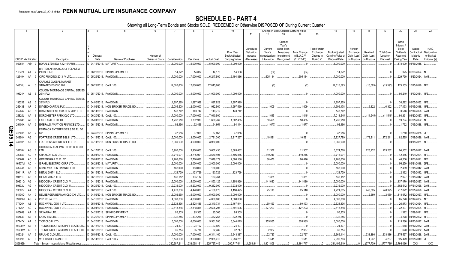|           |                             |                |                                              |                         |                               | 6               |               |             |                    | 10                          |                                     |                                   | Change in Book/Adjusted Carrying Value                     |                                     |                                               | 16                                 | 17                                 | 18                      | 19                             | 20                                                 | 21                                | 22                                      |
|-----------|-----------------------------|----------------|----------------------------------------------|-------------------------|-------------------------------|-----------------|---------------|-------------|--------------------|-----------------------------|-------------------------------------|-----------------------------------|------------------------------------------------------------|-------------------------------------|-----------------------------------------------|------------------------------------|------------------------------------|-------------------------|--------------------------------|----------------------------------------------------|-----------------------------------|-----------------------------------------|
|           |                             |                |                                              |                         |                               |                 |               |             |                    |                             | 11                                  |                                   | 13                                                         |                                     | 15                                            |                                    |                                    |                         |                                |                                                    |                                   |                                         |
|           |                             |                |                                              | Disposal                |                               | Number of       |               |             |                    | Prior Year<br>Book/Adjusted | Unrealized<br>Valuation<br>Increase | Current<br>Year's<br>Amortization | Current<br>Year's<br>Other-Than<br>Temporary<br>Impairment | <b>Total Change</b><br>in B./A.C.V. | <b>Total Foreigr</b><br>Exchange<br>Change in | Book/Adjusted<br>Carrying Value at | Foreign<br>Exchange<br>Gain (Loss) | Realized<br>Gain (Loss) | <b>Total Gain</b><br>(Loss) on | Bond<br>Interest<br>Stock<br>Dividends<br>Received | Stated<br>Contractual<br>Maturity | <b>NAIC</b><br>Designation<br>or Market |
|           | <b>CUSIP</b> Identification |                | Description                                  | Date                    | Name of Purchaser             | Shares of Stock | Consideration | Par Value   | <b>Actual Cost</b> | Carrying Value              | (Decrease)                          | / Accretion                       | Recognized                                                 | $(11+12-13)$                        | <b>B./A.C.V.</b>                              | Disposal Date                      | on Disposal                        | on Disposal             | Disposal                       | During Year                                        | Date                              | Indicator (a)                           |
|           | 099514 A@                   | $\overline{0}$ | BORAL LTD NEW 7.12 16APR18.                  |                         | D   04/16/2018.   MATURITY.   |                 | .5,000,000    | .5,000,000  | .5,000,000         | .5,000,000                  |                                     |                                   |                                                            |                                     |                                               | .5,000,000                         |                                    |                         |                                | 178,000                                            | 04/16/2018.                       |                                         |
|           | 11042A AA                   |                | BRITISH AIRWAYS 2013-1 CLASS A<br>PASS THRO  |                         | C 06/20/2018. SINKING PAYMENT |                 | .14,072       | .14,072     | .14,178            | .14,136                     |                                     | (64                               |                                                            | (64)                                |                                               | .14,072                            |                                    |                         | $\Omega$ .                     | .325                                               | 06/20/2024.                       | 1FE.                                    |
|           | 12549H AA                   |                | CIFC FUNDING 2013-IV LTD.                    | D 05/29/2018.           | PAYDOWN.                      |                 | 7,000,000     | 7,000,000   | .6,247,500         | .6,494,886                  |                                     | 505,114                           |                                                            | .505,114                            |                                               | .7,000,000                         |                                    |                         |                                | .229,790                                           | 11/27/2024. 1AM.                  |                                         |
|           |                             |                | CARLYLE GLOBAL MARKET                        |                         |                               |                 |               |             |                    |                             |                                     |                                   |                                                            |                                     |                                               |                                    |                                    |                         |                                |                                                    |                                   |                                         |
|           | 14310U AL                   |                | STRATEGIES CLO 201                           | D 06/29/2018. CALL 100. |                               |                 | .12,000,000   | .12,000,000 | .12,015,600        |                             |                                     |                                   |                                                            |                                     |                                               | 12,015,593                         |                                    | (15,593)                | (15, 593)                      |                                                    | 175,155   10/15/2026.   1FE       |                                         |
|           |                             |                | COLONY MORTGAGE CAPITAL SERIES               |                         |                               |                 |               |             |                    |                             |                                     |                                   |                                                            |                                     |                                               |                                    |                                    |                         |                                |                                                    |                                   |                                         |
|           | 19624N AE                   | - 5            | 2014-FL2                                     | D 05/10/2018.           | PAYDOWN.                      |                 | .4,000,000    | .4,000,000  | .4,000,000         | 4,000,000                   |                                     |                                   |                                                            |                                     |                                               | .4,000,000                         |                                    |                         |                                | .86,240                                            | 11/10/2031. 1FE.                  |                                         |
|           |                             |                | COLONY MORTGAGE CAPITAL SERIES               |                         |                               |                 |               |             |                    |                             |                                     |                                   |                                                            |                                     |                                               |                                    |                                    |                         |                                |                                                    |                                   |                                         |
|           | 19625B AE                   | n              | 2015-FL3                                     | D 04/05/2018.           | PAYDOWN.                      |                 | 1,897,929     | 1,897,929   | 1,897,929          | 1,897,929                   |                                     |                                   |                                                            |                                     |                                               | 1,897,929                          |                                    |                         | 0.0                            | .38,592                                            | 09/05/2032. 1FE.                  |                                         |
|           | 25243E                      | AF<br>$\cap$   | DIAGEO CAPITAL PLC.                          | D 04/02/2018.           | NON-BROKER TRADE, BO.         |                 | 2,005,500     | .2,000,000  | 1,932,560          | 1,997,569                   |                                     | .1,609                            |                                                            | .1,609                              |                                               | 1,999,178                          |                                    | .6,322                  | .6,322                         |                                                    | .37,453 05/15/2018. 1FE           |                                         |
|           | 25264V                      | AB             | DIAMOND HEAD AVIATION 2015 LTD               | D 06/14/2018            | PAYDOWN                       |                 | 143,742       | .143,742    | .143,719           | .143,742                    |                                     |                                   |                                                            |                                     |                                               | 143,742                            |                                    |                         |                                | .3,546                                             | 07/14/2028. 2AM                   |                                         |
|           | 25820L                      | AA             | DORCHESTER PARK CLO LTD                      | D 06/20/2018            | <b>CALL 100.</b>              |                 | 7,000,000     | .7,000,000  | .7,010,500         |                             |                                     | .1,045                            |                                                            | .1,045                              |                                               | 7,011,545                          |                                    | (11,545)                | (11,545)                       | .98,391                                            | 01/20/2027.                       |                                         |
|           | 277345                      | AJ             | EASTLAND CLO LTD.                            | D 05/01/2018            | PAYDOWN.                      |                 | .1,732,910    | 1,732,910   | .1,639,767         | 1,682,455                   |                                     | .50,455                           |                                                            | .50,455                             |                                               | .1,732,910                         |                                    |                         |                                | 19,794                                             | 05/01/2022. 1FE                   |                                         |
|           | 29100X                      | AA             | <b>EMERALD AVIATION FINANCE LTD.</b>         | 06/15/2018.             | PAYDOWN.                      |                 | .92,466       | .92,466     | .94,951            | .94,144                     |                                     | (1,677)                           |                                                            | (1,677)                             |                                               | .92,466                            |                                    |                         |                                | 1,792                                              | 10/15/2038. 1FE                   |                                         |
| Q         |                             |                | FERMACA ENTERPRISES S DE RL DE               |                         |                               |                 |               |             |                    |                             |                                     |                                   |                                                            |                                     |                                               |                                    |                                    |                         |                                |                                                    |                                   |                                         |
| m         | 31503A                      | AA             | CV                                           | D 03/30/2018.           | SINKING PAYMENT               |                 | .37,956       | .37,956     | .37,956            | 37,956                      |                                     |                                   |                                                            |                                     |                                               | 37,956                             |                                    |                         |                                | .1,210                                             | 03/30/2038. 2FE                   |                                         |
| <b>GO</b> | 34960N                      | AG             | FORTRESS CREDIT BSL III LTD.                 | D 04/18/2018            | <b>CALL 100.</b>              |                 | .3,000,000    | .3,000,000  | .2,781,300         | .2,817,267                  |                                     | .10,521                           |                                                            | .10,521                             |                                               | 2,827,789                          |                                    | 172.211                 | 172,211                        | .82.535                                            | 10/18/2026. 1AM                   |                                         |
| ∸         | 34960N                      | AN             | FORTRESS CREDIT BSL III LTD.                 | D 04/11/2018.           | NON-BROKER TRADE, BO.         |                 | .3,980,000    | .4,000,000  | .3,980,000         |                             |                                     |                                   |                                                            |                                     |                                               | .3,980,000                         |                                    |                         |                                |                                                    | 04/18/2031. 1FE                   |                                         |
| 4         |                             |                | <b>GOLUB CAPITAL PARTNERS CLO 26B</b>        |                         |                               |                 |               |             |                    |                             |                                     |                                   |                                                            |                                     |                                               |                                    |                                    |                         |                                |                                                    |                                   |                                         |
|           | 38174K AG                   |                | LTD.                                         | D 04/17/2018.           | <b>CALL 100.</b>              |                 | 3,900,000     | .3,900,000  | .3,602,430         | .3,663,462                  |                                     | 11,307                            |                                                            | .11,307                             |                                               | 3,674,768                          |                                    | 225,232                 | .225,232                       | .94,152                                            | 11/05/2027. 1AM                   |                                         |
|           | 389669                      | AD             | <b>GRAYSON CLO LTD</b>                       | D 05/01/2018.           | <b>PAYDOWN</b>                |                 | 3,716,091     | .3,716,091  | .3,570,491         | 3,596,846                   |                                     | 119,246                           |                                                            | 119,246                             |                                               | .3,716,09                          |                                    |                         |                                | .42,446                                            | 11/01/2021.                       | l 1FE                                   |
|           | 393647                      | AC             | <b>GREENBRIAR CLO LTD.</b>                   | D 05/01/2018.           | <b>PAYDOWN</b>                |                 | 2,766,636     | .2,766,636  | .2,619,179         | .2,680,160                  |                                     | .86,476                           |                                                            | .86,476                             |                                               | .2,766,636                         |                                    |                         | - 0                            | 46,206                                             | 11/01/2021                        |                                         |
|           | 46507M                      | AD             | ISRAEL ELECTRIC CORP LTD.                    | D 06/21/2018            | <b>MATURITY</b>               |                 | .2,000,000    | .2,000,000  | .2,000,000         | .2,000,000                  |                                     |                                   |                                                            |                                     |                                               | .2,000,000                         |                                    |                         |                                | 56,250                                             | 06/21/2018. 2FE                   |                                         |
|           | 48244X                      | AB             | KDAC AVIATION FINANCE LTD                    | 06/15/2018.             | PAYDOWN                       |                 | .168,000      | 168,000     | 168,000            |                             |                                     |                                   |                                                            |                                     |                                               | .168,000                           |                                    |                         |                                | .2,489                                             | 12/15/2042. 2AM                   |                                         |
|           | 59111R                      | AA             | <b>METAL 2017-1 LLC.</b>                     | D 06/15/2018            | PAYDOWN                       |                 | .123,729      | 123,729     | 123,729            | .123,729                    |                                     |                                   |                                                            |                                     |                                               | .123,729                           |                                    |                         |                                | .2,362                                             | 10/15/2042. 1FE                   |                                         |
|           | 59111R                      | AB             | <b>METAL 2017-1 LLC.</b>                     | 06/15/2018.             | PAYDOWN                       |                 | .135,112      | .135,112    | .133,761           |                             |                                     | .1,351                            |                                                            | .1,351                              |                                               | .135,112                           |                                    |                         |                                | .2,927                                             | 10/15/2042. 2AM                   |                                         |
|           | 59801Q                      | AG             | MIDOCEAN CREDIT CLO IV                       | D 04/16/2018.           | PAYDOWN                       |                 | .5,000,000    | .5,000,000  | 4,853,125          | 4,858,920                   |                                     | 141,080                           |                                                            | 141,080                             |                                               | .5,000,000                         |                                    |                         |                                | 137,470                                            | 04/15/2027. 1AM                   |                                         |
|           | 59802U                      | AG             | MIDOCEAN CREDIT CLO III                      | 06/29/2018.             | <b>CALL 100</b>               |                 | .9,232,000    | 9,232,000   | .9,232,000         | 9,232,000                   |                                     |                                   |                                                            |                                     |                                               | .9,232,000                         |                                    |                         |                                | .352,542                                           | 07/21/2026. 2AM                   |                                         |
|           | 59802V                      | AA             | MIDOCEAN CREDIT CLO III                      | 06/29/2018              | <b>CALL 100.</b>              |                 | 4,470,000     | 4,470,000   | .4,168,275         | 4,196,495                   |                                     | .25,110                           |                                                            | .25,110                             |                                               | .4,221,605                         |                                    | 248,395                 | 248,395                        | .217,072                                           | 07/21/2026. 2AM                   |                                         |
|           | 64130D                      | AN             | NEUBERGER BERMAN CLO XXI LT                  | 04/02/2018.             | NON-BROKER TRADE, BO.         |                 | .5,002,650    | .5,000,000  | .5,000,000         | .5,000,000                  |                                     |                                   |                                                            |                                     |                                               | .5,000,000                         |                                    | .2,650                  | .2,650                         | 118,672                                            | 04/20/2027.                       |                                         |
|           | 69343M                      | AG             | PFP 2015-2 LTD.                              | 04/16/2018              | PAYDOWN.                      |                 | .4,000,000    | 4,000,000   | 4,000,000          | .4,000,000                  |                                     |                                   |                                                            |                                     |                                               | .4,000,000                         |                                    |                         |                                | .65,728                                            | 07/14/2034.                       |                                         |
|           | 77426N                      | AB             | ROCKWALL CDO II LTD.                         | 05/01/2018              | Paydown.                      |                 | 2,528,436     | .2,528,436  | .2,340,734         | .2,467,944                  |                                     | .60,493                           |                                                            | .60,493                             |                                               | .2,528,436                         |                                    |                         |                                | .26,973                                            | 08/01/2024. 1FE                   |                                         |
|           | 77426N                      | AC             | ROCKWALL CDO II LTD.                         | D 05/01/2018            | PAYDOWN.                      |                 | 2,818,818     | .2,818,818  | 2,596,297          | .2,691,595                  |                                     | .127,223                          |                                                            | 127,223                             |                                               | .2,818,818                         |                                    |                         | .0                             | .32,197                                            | 08/01/2024.                       |                                         |
|           | 805649                      | AA             | SAYARRA LTD                                  | D 04/29/2018            | SINKING PAYMENT               |                 | .95,305       | .95,305     | .95,305            | .95,305                     |                                     |                                   |                                                            |                                     |                                               | .95,305                            |                                    |                         |                                | .1,322                                             | 10/29/2021                        |                                         |
|           | 805649                      | AB             | SAYARRA LTD                                  | 04/29/2018              | SINKING PAYMENT               |                 | .332,256      | .332,256    | .332,256           | .332,256                    |                                     |                                   |                                                            |                                     |                                               | .332,256                           |                                    |                         |                                | .4,278                                             | 04/14/2022.                       |                                         |
|           | 87247Y                      | AA             | ICP CLO III LTD                              | 04/20/2018              | PAYDOWN.                      |                 | .6,000,000    | .6,000,000  | 5,551,200          | .5,644,015                  |                                     | 355,985                           |                                                            | .355,985                            |                                               | .6,000,000                         |                                    |                         |                                | .215,286                                           | 01/20/2027. 2AM                   |                                         |
|           | 88606W                      | AB             | HUNDERBOLT AIRCRAFT LEASE LT                 | 06/15/2018              | PAYDOWN.                      |                 | .24,107       | .24,107     | .23,922            | .24,107                     |                                     |                                   |                                                            |                                     |                                               | 24,10                              |                                    |                         |                                | .578                                               | 05/17/2032. 2AM                   |                                         |
|           | 88606W                      | AC             | HUNDERBOLT AIRCRAFT LEASE LTD                | 06/15/2018              | PAYDOWN.                      |                 | .35,714       | .35,714     | .32,489            | .32,747                     |                                     | .2,967                            |                                                            | .2,967                              |                                               | .35,714                            |                                    |                         |                                | 670                                                | 05/17/2032. 1AM                   |                                         |
|           | 915324                      | AA<br>-5       | UPLAND CLO LTD                               | D 05/04/2018.           | <b>CALL 100</b>               |                 | 7,000,000     | .7,000,000  | .6,341,160         | 6,643,387                   |                                     | .22,727                           |                                                            | 22,727                              |                                               | .6,666,114                         |                                    | .333,886                | .333,886                       | .375,597                                           | 04/20/2028.                       |                                         |
|           | 980236                      | AE             | WOODSIDE FINANCE LTD.                        | D 05/14/2018.           | CALL 104.7                    |                 | .3,141,000    | .3,000,000  | .2,965,410         | .2,994,251                  |                                     | .1,511                            |                                                            | .1,511                              |                                               | .2,995,763                         |                                    | .4.23                   | .4,237                         | 325,479                                            | 03/01/2019. 2FE                   |                                         |
|           | 3899999.                    |                | Total - Bonds - Industrial and Miscellaneous |                         |                               |                 | 230,987,211   | 233,068,161 | .225,727,449       | .200,717,641                | 1,289,941                           | 1,901,806                         |                                                            | .3,191,747                          |                                               | .231,495,919                       |                                    | (777,739)               | (777, 739)                     | .6,766,066                                         | <b>XXX</b>                        | <b>XXX</b>                              |
|           |                             |                |                                              |                         |                               |                 |               |             |                    |                             |                                     |                                   |                                                            |                                     |                                               |                                    |                                    |                         |                                |                                                    |                                   |                                         |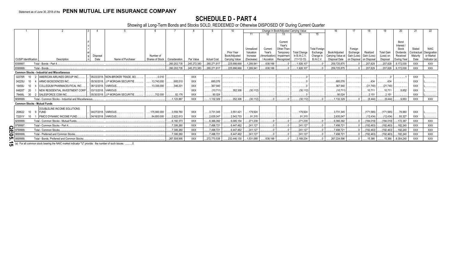### **SCHEDULE D - PART 4**

Showing all Long-Term Bonds and Stocks SOLD, REDEEMED or Otherwise DISPOSED OF During Current Quarter

|                                     |                                                                                                      |                     |                                   |                 |               |             |                    |                |            |                |                   | Change in Book/Adjusted Carrying Value |                      |                               |            |             |                   | 20                  |             |              |
|-------------------------------------|------------------------------------------------------------------------------------------------------|---------------------|-----------------------------------|-----------------|---------------|-------------|--------------------|----------------|------------|----------------|-------------------|----------------------------------------|----------------------|-------------------------------|------------|-------------|-------------------|---------------------|-------------|--------------|
|                                     |                                                                                                      |                     |                                   |                 |               |             |                    |                | 11         |                |                   |                                        | 15                   |                               |            |             |                   |                     |             |              |
|                                     |                                                                                                      |                     |                                   |                 |               |             |                    |                |            |                |                   |                                        |                      |                               |            |             |                   |                     |             |              |
|                                     |                                                                                                      |                     |                                   |                 |               |             |                    |                |            |                | Current<br>Year's |                                        |                      |                               |            |             |                   | Bond                |             |              |
|                                     |                                                                                                      |                     |                                   |                 |               |             |                    |                | Unrealized | Current        | Other-Than-       |                                        | <b>Total Foreign</b> |                               | Foreian    |             |                   | Interest /<br>Stock | Stated      | <b>NAIC</b>  |
|                                     |                                                                                                      |                     |                                   |                 |               |             |                    | Prior Year     | Valuation  | Year's         | Temporary         | <b>Total Change</b>                    | Exchange             | Book/Adjusted                 | Exchange   | Realized    | <b>Total Gain</b> | Dividends           | Contractual | Designation  |
|                                     |                                                                                                      | Disposal            |                                   | Number of       |               |             |                    | Book/Adjusted  | Increase   | (Amortization) | Impairment        | in B./A.C.V.                           | Change in            | Carrying Value at Gain (Loss) |            | Gain (Loss) | (Loss) on         | Received            | Maturity    | or Market    |
| <b>CUSIP</b> Identification         | Description                                                                                          | Date                | Name of Purchaser                 | Shares of Stock | Consideration | Par Value   | <b>Actual Cost</b> | Carrying Value | (Decrease) | / Accretion    | Recognized        | $(11+12-13)$                           | B./A.C.V             | Disposal Date                 | on Disposa | on Disposal | Disposal          | During Year         | Date        | Indicator (a |
| 8399997                             | Total - Bonds - Part 4.                                                                              |                     |                                   |                 | 260,202,735   | 245,272,383 | .265,271,817       | .225,998,668   | 1,289,941  | .638,166       |                   | 1,928,107                              |                      | .259,725,875                  |            | 207,829     | .207,829          | 9,172,000           | <b>XXX</b>  | <b>XXX</b>   |
| 8399999                             | Total - Bonds.                                                                                       |                     |                                   |                 | 260,202,735   | 245,272,383 | 265,271,817        | 225,998,668    | 1,289,941  | .638,166       |                   | 1.928.107                              |                      | .259,725,875                  |            | 207,829     | .207,829          | 9,172,000           | <b>XXX</b>  | <b>XXX</b>   |
|                                     | <b>Common Stocks - Industrial and Miscellaneous</b>                                                  |                     |                                   |                 |               |             |                    |                |            |                |                   |                                        |                      |                               |            |             |                   |                     |             |              |
| 02376R<br>10                        | AMERICAN AIRLINES GROUP INC.                                                                         |                     | 05/23/2018. NON-BROKER TRADE, BO. | .0.010          |               | XXX         |                    |                |            |                |                   |                                        |                      |                               |            |             |                   |                     | XXX         |              |
| 04225U<br>10                        | 4 ARMO BIOSCIENCES INC.                                                                              |                     | 05/30/2018. J.P MORGAN SECURITIE. | 13.740.000      | .685,510      | <b>XXX</b>  | .685.076           |                |            |                |                   |                                        |                      | .685.076                      |            | .434        |                   |                     | <b>XXX</b>  |              |
| 19459J<br>10 <sup>10</sup>          | COLLEGIUM PHARMACEUTICAL INC.                                                                        |                     | 06/12/2018. VARIOUS.              | 13,336.000      | .346,201      | <b>XXX</b>  | .367,940           |                |            |                |                   |                                        |                      | .367,940                      |            | (21,740)    | (21,740)          |                     | <b>XXX</b>  |              |
| 64828T<br>20                        | NEW RESIDENTIAL INVESTMENT CORP                                                                      |                     | 03/13/2018. VARIOUS               |                 |               | <b>XXX</b>  | (10,711)           | .352,308       | (30,112)   |                |                   | (30, 112)                              |                      | (10, 711)                     |            | .10,711     | .10,711           | 9,852               | <b>XXX</b>  |              |
| 30<br>79466L                        | 2   SALESFORCE.COM INC.                                                                              |                     | 05/30/2018. J.P MORGAN SECURITIE. | 702.000         | .92.176       | <b>XXX</b>  | .90.024            |                |            |                |                   |                                        |                      | .90.024                       |            | .2,151      | .2,151            |                     | <b>XXX</b>  |              |
| 9099999.                            | Total - Common Stocks - Industrial and Miscellaneous.                                                |                     |                                   |                 | 1.123.887     | <b>XXX</b>  | 1,132,329          | .352,308       | (30, 112)  |                |                   | (30.112)                               |                      | 1,132,329                     |            | (8.444)     | (8, 444)          | .9,853              | XXX         | <b>XXX</b>   |
| <b>Common Stocks - Mutual Funds</b> |                                                                                                      |                     |                                   |                 |               |             |                    |                |            |                |                   |                                        |                      |                               |            |             |                   |                     |             |              |
|                                     | DOUBLELINE INCOME SOLUTIONS                                                                          |                     |                                   |                 |               |             |                    |                |            |                |                   |                                        |                      |                               |            |             |                   |                     |             |              |
| 258622                              | 10 9 FUND                                                                                            | 04/27/2018. VARIOUS |                                   | 175.900.000     | 3,559,760     | <b>XXX</b>  | 3,731,345          | .3,551,421     | 179,924    |                |                   | 179,924                                |                      | .3,731,345                    |            | .(171,585)  | (171,585)         | 79,060              | XXX         |              |
| 72201Y<br>10                        | PIMCO DYNAMIC INCOME FUND.                                                                           | 04/16/2018. VARIOUS |                                   | .84.650.000     | .2.622.613    | XXX         | 2.635.047          | 2.543.733      | .91.315    |                |                   | .91.315                                |                      | .2.635.047                    |            | (12, 434)   | (12, 434)         | 93,327              | <b>XXX</b>  |              |
| 9299999                             | Total - Common Stocks - Mutual Funds                                                                 |                     |                                   |                 | 6,182,373     | XXX         | .6,366,392         | 6,095,154      | 271,239    |                |                   | .271,239                               |                      | .6,366,392                    |            | (184, 019)  | (184, 019)        | .172,387            | XXX         | XXX          |
| 9799997                             | Total - Common Stocks - Part 4.                                                                      |                     |                                   |                 | 7.306.260     | <b>XXX</b>  | .7.498.721         | 6.447.462      | 241.127    |                |                   | .241.127                               |                      | 7.498.721                     |            | (192, 463)  | (192, 463)        | .182.240            | <b>XXX</b>  | <b>XXX</b>   |
| n<br>9799999                        | Total - Common Stocks                                                                                |                     |                                   |                 | 7,306,260     | XXX         | 7.498.721          | 6.447.462      | 241.127    |                |                   | .241.127                               |                      | .7,498,721                    |            | (192, 463)  | (192, 463)        | .182,240            | <b>XXX</b>  | <b>XXX</b>   |
|                                     | Total - Preferred and Common Stocks                                                                  |                     |                                   |                 | 7,306,260     | XXX         | 7,498,721          | .6,447,462     | .241.127   |                |                   | .241,127                               |                      | 7,498,721                     |            | (192, 463)  | (192, 463)        | .182,240            | <b>XXX</b>  | XXX          |
| <b>்பு</b> <sub>9999999.</sub>      | Total - Bonds, Preferred and Common Stocks.                                                          |                     |                                   |                 | 267,508,995   | <b>XXX</b>  | 272.770.538        | .232.446.130   | 1,531,068  | .638.166       |                   | 2.169.234                              |                      | .267.224.596                  |            | 15.366      | 15,366            | 9,354,240           | <b>XXX</b>  | XXX          |
|                                     |                                                                                                      |                     |                                   |                 |               |             |                    |                |            |                |                   |                                        |                      |                               |            |             |                   |                     |             |              |
|                                     | (a) For all common stock bearing the NAIC market indicator "U" provide: the number of such issues: 0 |                     |                                   |                 |               |             |                    |                |            |                |                   |                                        |                      |                               |            |             |                   |                     |             |              |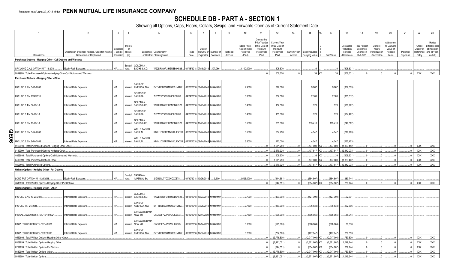## **SCHEDULE DB - PART A - SECTION 1**

|             | $\overline{1}$                                                           | $\overline{2}$                                 | $\mathbf{3}$ | $\overline{4}$                            | $5\overline{)}$                   | 6                              |                                |                                | 9        | 10            | 11              | 12                  | 13                  | 14               | 16          | 17          | 18                   | 19            | 20          | 21         | 22         | 23            |
|-------------|--------------------------------------------------------------------------|------------------------------------------------|--------------|-------------------------------------------|-----------------------------------|--------------------------------|--------------------------------|--------------------------------|----------|---------------|-----------------|---------------------|---------------------|------------------|-------------|-------------|----------------------|---------------|-------------|------------|------------|---------------|
|             |                                                                          |                                                |              |                                           |                                   |                                |                                |                                |          |               | Cumulative      |                     |                     |                  |             |             |                      |               |             |            |            |               |
|             |                                                                          |                                                |              |                                           |                                   |                                |                                |                                |          |               | Prior Year(s)   | <b>Current Year</b> |                     |                  |             |             |                      |               | Adjustmen   |            |            | Hedge         |
|             |                                                                          |                                                |              | Type(s                                    |                                   |                                |                                |                                |          | Strike Price, | Initial Cost of | Initial Cost of     |                     |                  |             | Unrealized  | <b>Total Foreign</b> | Current       | to Carrying |            | Credit     | Effectiveness |
|             |                                                                          |                                                | Schedule     | of                                        |                                   |                                | Date of                        |                                |          | Rate of Index | Premium         | Premium             |                     |                  |             | Valuation   | Exchange             | Year's        | Value of    |            | Quality of | at Inception  |
|             |                                                                          | Description of Item(s) Hedged, Used for Income | / Exhibit    | Risk(s)<br>(a)                            | Exchange, Counterparty            | Trade<br>Date                  |                                | Maturity or Number of          | Notional | Received      | (Received)      | (Received)          | <b>Current Year</b> | Book/Adjusted    |             | Increase    | Change in            | (Amortization | Hedged      | Potential  | Reference  | and at Year-  |
|             | Description                                                              | Generation or Replicated                       | Identifier   |                                           | or Central Clearinghouse          |                                |                                | Expiration Contracts           | Amount   | (Paid)        | Paid            | Paid                | Income              | Carrying Value   | Fair Value  | (Decrease)  | B./A.C.V.            | / Accretion   | Items       | Exposure   | Entity     | end (b)       |
|             | Purchased Options - Hedging Other - Call Options and Warrants            |                                                |              |                                           |                                   |                                |                                |                                |          |               |                 |                     |                     |                  |             |             |                      |               |             |            |            |               |
|             |                                                                          |                                                |              | GOLDMAN<br>Equity/I                       |                                   |                                |                                |                                |          |               |                 |                     |                     |                  |             |             |                      |               |             |            |            |               |
|             | SPX LONG CALL OPTION M 7-18-2018.                                        | Equity Risk Exposure                           | N/A.         | SACHS & CO.<br>ndex                       | W22LROWP2IHZNBB6K528.             |                                | 01/18/2018 07/18/2018 .107,066 |                                |          | .3,100.0000   |                 | .608.670            |                     | 39               | 30          | (608,631    |                      |               |             |            |            |               |
|             | 0089999. Total-Purchased Options-Hedging Other-Call Options and Warrants |                                                |              |                                           |                                   |                                |                                |                                |          |               |                 | .608.670            |                     | 39 XX            | 39          | (608,631    |                      |               |             |            | <b>XXX</b> | XXX           |
|             |                                                                          |                                                |              |                                           |                                   |                                |                                |                                |          |               |                 |                     |                     |                  |             |             |                      |               |             |            |            |               |
|             | Purchased Options - Hedging Other - Other                                |                                                |              |                                           |                                   |                                |                                |                                |          |               |                 |                     |                     |                  |             |             |                      |               |             |            |            |               |
|             |                                                                          |                                                |              | <b>BANK OF</b>                            |                                   |                                |                                |                                |          |               |                 |                     |                     |                  |             |             |                      |               |             |            |            |               |
|             | IRO USD 2.9 M 8-28-2048.                                                 | Interest Rate Exposure.                        | N/A          | AMERICA, N.A.<br>Interest                 | B4TYDEB6GKMZO031MB27.             |                                |                                | 02/23/2018 08/28/2048 ######## |          | 2.9000        |                 | 372,000             |                     | .9,967           | .9,967      | (362,033)   |                      |               |             |            |            |               |
|             |                                                                          |                                                |              | DEUTSCHE                                  |                                   |                                |                                |                                |          |               |                 |                     |                     |                  |             |             |                      |               |             |            |            |               |
|             | IRO USD 3.3 M 7/24/2018.                                                 | Interest Rate Exposure.                        | N/A.         | <b>BANK SA</b><br>Interest                | 7LTWFZYICNSX8D621K86              |                                |                                | 04/24/2018 07/24/2018 ######## |          | 3.3000        |                 | .307,500            |                     | .2,183           | 2,183       | (305, 317)  |                      |               |             |            |            |               |
|             |                                                                          |                                                |              |                                           |                                   |                                |                                |                                |          |               |                 |                     |                     |                  |             |             |                      |               |             |            |            |               |
|             |                                                                          |                                                |              | GOLDMAN                                   |                                   |                                |                                |                                |          |               |                 |                     |                     |                  |             |             |                      |               |             |            |            |               |
|             | IRO USD 3.4 M 07-23-18.                                                  | Interest Rate Exposure                         | N/A.         | SACHS & CO,<br>Interest                   | W22LROWP2IHZNBB6K528              |                                |                                | 04/23/2018 07/23/2018 ######## |          | 3.4000        |                 | .187,500            |                     | .573             | 573         | (186,927)   |                      |               |             |            |            |               |
|             |                                                                          |                                                |              | <b>DEUTSCHE</b>                           |                                   |                                |                                |                                |          |               |                 |                     |                     |                  |             |             |                      |               |             |            |            |               |
|             | IRO USD 3.4 M 07-23-18.                                                  | Interest Rate Exposure                         | N/A.         | <b>BANK SA</b><br>Interest                | 7LTWFZYICNSX8D621K86              |                                |                                | 04/23/2018 07/23/2018 ######## |          | 3.4000        |                 | .185,000            |                     | .573             | 573         | (184, 427)  |                      |               |             |            |            |               |
|             |                                                                          |                                                |              |                                           |                                   |                                |                                |                                |          |               |                 |                     |                     |                  |             |             |                      |               |             |            |            |               |
|             | IRO USD 3.5 M 10-23-18                                                   | Interest Rate Exposure                         | N/A.         | <b>GOLDMAN</b><br>SACHS & CO,<br>Interest | W22LROWP2IHZNBB6K528              | 04/23/2018 10/23/2018 ######## |                                |                                |          | 3.5000        |                 | .365,000            |                     | .115,418         | .115,418    | (249,582)   |                      |               |             |            |            |               |
|             |                                                                          |                                                |              |                                           |                                   |                                |                                |                                |          |               |                 |                     |                     |                  |             |             |                      |               |             |            |            |               |
|             |                                                                          |                                                |              | <b>WELLS FARGO</b>                        |                                   |                                |                                |                                |          |               |                 |                     |                     |                  |             |             |                      |               |             |            |            |               |
|             | IRO USD 3.5 M 8-24-2048.                                                 | Interest Rate Exposure                         | N/A.         | BANK, N.<br>Interest                      | KB1H1DSPRFMYMCUFXT09.             | 02/22/2018 08/24/2048 ######## |                                |                                |          | 3.5000        |                 | 284,250             |                     | .4,547           | .4,547      | (279,703)   |                      |               |             |            |            |               |
|             |                                                                          |                                                |              | <b>WELLS FARGO</b>                        |                                   |                                |                                |                                |          |               |                 |                     |                     |                  |             |             |                      |               |             |            |            |               |
| <b>QE06</b> | IRO USD 3.5 M 8-24-2048.                                                 | Interest Rate Exposure                         | N/A          | BANK, N.<br>Interest                      | KB1H1DSPRFMYMCUFXT09.             |                                | 02/22/2018 08/24/2048 ######## |                                |          | 3.5000        |                 | .270.000            |                     | .4.547           | .4.547      | (265.453).  |                      |               |             |            |            |               |
|             | 0139999. Total-Purchased Options-Hedging Other-Other.                    |                                                |              |                                           |                                   |                                |                                |                                |          |               |                 | 1.971.250           |                     | .137,808 X)      | .137,808    | (1,833,442) | $\Omega$             |               |             | $\sqrt{ }$ | <b>XXX</b> | <b>XXX</b>    |
|             |                                                                          |                                                |              |                                           |                                   |                                |                                |                                |          |               |                 |                     |                     |                  |             |             | $\Omega$             |               |             |            | XXX        |               |
|             | 0149999. Total-Purchased Options-Hedging Other.                          |                                                |              |                                           |                                   |                                |                                |                                |          |               |                 | 2,579,920           |                     | .137,847 XX      | .137,847    | (2,442,073) |                      |               |             |            |            | XXX           |
|             | 0369999. Total-Purchased Options-Call Options and Warrants               |                                                |              |                                           |                                   |                                |                                |                                |          |               |                 | .608.670            |                     | $.39$ X          |             | (608.631    |                      |               |             |            | <b>XXX</b> | <b>XXX</b>    |
|             | 0419999. Total-Purchased Options-Other.                                  |                                                |              |                                           |                                   |                                |                                |                                |          |               |                 | 1,971,250           |                     | 137,808 XX       | 137,808     | (1.833,442) |                      |               |             |            | XXX        | XXX           |
|             | 0429999. Total-Purchased Options                                         |                                                |              |                                           |                                   |                                |                                |                                |          |               |                 | .2,579,920          |                     | .137,847 XX      | 137,847     | (2,442,073) |                      |               |             |            | <b>XXX</b> | XXX           |
|             | Written Options - Hedging Other - Put Options                            |                                                |              |                                           |                                   |                                |                                |                                |          |               |                 |                     |                     |                  |             |             |                      |               |             |            |            |               |
|             |                                                                          |                                                |              |                                           |                                   |                                |                                |                                |          |               |                 |                     |                     |                  |             |             |                      |               |             |            |            |               |
|             |                                                                          |                                                |              | CANADIAN<br>Equity/I                      |                                   |                                |                                |                                |          |               |                 |                     |                     |                  |             |             |                      |               |             |            |            |               |
|             | LONG PUT OPTION M 10/26/2018                                             | Equity Risk Exposure                           |              | ndex<br><b>IMPERIAL BA</b>                | 2IGI19DL77OX0HC3ZE78              |                                | 04/30/2018 10/26/2018          | .9.500                         |          | 2,525.0000    |                 | (644, 551)          |                     | .(354,807        | (354, 807)  | 289,744     |                      |               |             |            |            |               |
|             | 0519999. Total-Written Options-Hedging Other-Put Options.                |                                                |              |                                           |                                   |                                |                                |                                |          |               |                 | (644, 551)          |                     | $(354, 807)$ X)  | (354, 807)  | 289,744     |                      |               |             |            | XXX        | <b>XXX</b>    |
|             | Written Options - Hedging Other - Other                                  |                                                |              |                                           |                                   |                                |                                |                                |          |               |                 |                     |                     |                  |             |             |                      |               |             |            |            |               |
|             |                                                                          |                                                |              |                                           |                                   |                                |                                |                                |          |               |                 |                     |                     |                  |             |             |                      |               |             |            |            |               |
|             | IRO USD 2.7 M 10-23-2018.                                                | Interest Rate Exposure                         | N/A          | <b>GOLDMAN</b><br>SACHS & CO,<br>Interest | W22LROWP2IHZNBB6K528              |                                |                                | 04/23/2018 10/23/2018 ######## |          | 2.7000        |                 | (490,000)           |                     | (427,399)        | (427, 399)  | 62,601      |                      |               |             |            |            |               |
|             |                                                                          |                                                |              |                                           |                                   |                                |                                |                                |          |               |                 |                     |                     |                  |             |             |                      |               |             |            |            |               |
|             |                                                                          |                                                |              | <b>BANK OF</b>                            |                                   |                                |                                |                                |          |               |                 |                     |                     |                  |             |             |                      |               |             |            |            |               |
|             | IRO USD M 7-26-2018.                                                     | Interest Rate Exposure                         | N/A.         | AMERICA, N.A.<br>Interest                 | B4TYDEB6GKMZO031MB27              | 04/26/2018 07/26/2018 ######## |                                |                                |          | 2.7500        |                 | (339,000)           |                     | (76, 634)        | (76, 634)   | 262,366     |                      |               |             |            |            |               |
|             |                                                                          |                                                |              | BARCLAYS BANK                             |                                   |                                |                                |                                |          |               |                 |                     |                     |                  |             |             |                      |               |             |            |            |               |
|             | IRS CALL SWO USD 2.75% 12/14/2021.                                       | Interest Rate Exposure                         | N/A.         | Interest<br>NEW YO                        | G5GSEF7VJP5I7OUK5573              |                                | 06/12/2018 12/14/2021 ######## |                                |          | 2.7500        |                 | (595,000)           |                     | (506,056)        | (506,056)   | 88,944      |                      |               |             |            |            |               |
|             |                                                                          |                                                |              |                                           |                                   |                                |                                |                                |          |               |                 |                     |                     |                  |             |             |                      |               |             |            |            |               |
|             |                                                                          |                                                |              | BARCLAYS BANK                             |                                   |                                |                                |                                |          |               |                 |                     |                     |                  |             |             |                      |               |             |            |            |               |
|             | IRS PUT SWO USD 3.1% 12/14/2021.                                         | Interest Rate Exposure                         | N/A.         | NEW YO<br>Interest                        | G5GSEF7VJP5I7OUK5573              |                                |                                | 06/12/2018 12/14/2021 ######## |          | 3.1000        |                 | (595,000)           |                     | (508, 964)       | (508, 964)  | 86,036      |                      |               |             |            |            |               |
|             |                                                                          |                                                |              | <b>BANK OF</b>                            |                                   |                                |                                |                                |          |               |                 |                     |                     |                  |             |             |                      |               |             |            |            |               |
|             | IRS PUT SWO USD 3.2% 12/07/2018.                                         | Interest Rate Exposure                         | N/A          | Interest                                  | AMERICA, N.A B4TYDEB6GKMZO031MB27 |                                |                                | 06/07/2018 12/07/2018 ######## |          | 3.2000        |                 | (757, 500)          |                     | (497, 947)       | (497,947).  | 259,553     |                      |               |             |            |            |               |
|             | 0559999. Total-Written Options-Hedging Other-Other                       |                                                |              |                                           |                                   |                                |                                |                                |          |               |                 | (2,776,500)         |                     | $(2,017,000)$ X) | (2,017,000) | 759.500     | 0                    |               |             |            | <b>XXX</b> | <b>XXX</b>    |
|             | 0569999. Total-Written Options-Hedging Other                             |                                                |              |                                           |                                   |                                |                                |                                |          |               |                 | (3,421,051)         | $\sqrt{2}$          | $(2,371,807)$ XX | (2,371,807) | 1,049,244   | 0                    | $\sqrt{ }$    |             | $\sqrt{ }$ | XXX        | <b>XXX</b>    |
|             |                                                                          |                                                |              |                                           |                                   |                                |                                |                                |          |               |                 |                     |                     | $(354.807)$ XX   |             |             | $\Omega$             |               |             |            | XXX        | XXX           |
|             | 0799999. Total-Written Options-Put Options                               |                                                |              |                                           |                                   |                                |                                |                                |          |               |                 | .(644.551           |                     |                  | (354, 807)  | 289,744     |                      |               |             |            |            |               |
|             | 0839999. Total-Written Options-Other.                                    |                                                |              |                                           |                                   |                                |                                |                                |          |               |                 | (2,776,500)         |                     | (2,017,000)      | (2,017,000) | .759,500    | $\Omega$             |               |             |            | <b>XXX</b> | XXX           |
|             | 0849999. Total-Written Options.                                          |                                                |              |                                           |                                   |                                |                                |                                |          |               |                 | . (3,421,051)       |                     | (2,371,807) XX   | (2,371,807) | 1,049,244   |                      |               |             |            | <b>XXX</b> | <b>XXX</b>    |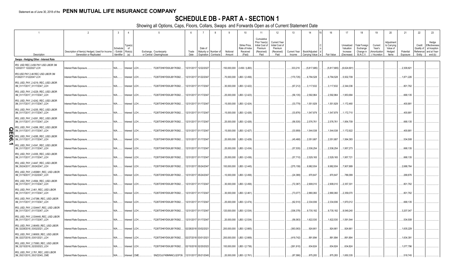## **SCHEDULE DB - PART A - SECTION 1**

|   |                                                                                                        | $\overline{2}$                                                             | $\overline{3}$                    | $\overline{4}$                   | -5                                                 | -6            |                                                | 8                                             | 9                          | 10 <sup>10</sup>                                     | 11<br>Cumulative                                                  | 12                                                               | 13                     | 14                                | 16                   | 17                                                | 18                                                         | 19                                                  | 20                                                       | 21                     | 22                             | 23                                                                          |
|---|--------------------------------------------------------------------------------------------------------|----------------------------------------------------------------------------|-----------------------------------|----------------------------------|----------------------------------------------------|---------------|------------------------------------------------|-----------------------------------------------|----------------------------|------------------------------------------------------|-------------------------------------------------------------------|------------------------------------------------------------------|------------------------|-----------------------------------|----------------------|---------------------------------------------------|------------------------------------------------------------|-----------------------------------------------------|----------------------------------------------------------|------------------------|--------------------------------|-----------------------------------------------------------------------------|
|   | Description                                                                                            | Description of Item(s) Hedged, Used for Income<br>Generation or Replicated | Schedule<br>Exhibit<br>Identifier | Type(s)<br>of<br>Risk(s)<br>(a)  | Exchange, Counterparty<br>or Central Clearinghouse | Trade<br>Date | Date of                                        | Maturity or Number of<br>Expiration Contracts | Notional<br>Amount         | Strike Price.<br>Rate of Index<br>Received<br>(Paid) | Prior Year(s)<br>Initial Cost of<br>Premium<br>(Received)<br>Paid | Current Year<br>Initial Cost of<br>Premium<br>(Received)<br>Paid | Current Year<br>Income | Book/Adjusted<br>Carrying Value e | Fair Value           | Unrealized<br>Valuation<br>Increase<br>(Decrease) | <b>Total Foreign</b><br>Exchange<br>Change in<br>B./A.C.V. | Current<br>Year's<br>(Amortization<br>) / Accretion | Adjustment<br>to Carrying<br>Value of<br>Hedged<br>Items | Potential<br>Exposure  | Credit<br>Quality of<br>Entity | Hedge<br>Effectiveness<br>at Inception<br>Reference and at Year-<br>end (b) |
|   | Swaps - Hedging Other - Interest Rate                                                                  |                                                                            |                                   |                                  |                                                    |               |                                                |                                               |                            |                                                      |                                                                   |                                                                  |                        |                                   |                      |                                                   |                                                            |                                                     |                                                          |                        |                                |                                                                             |
|   | RS USD REC 2.456 PAY USD LIBOR 3M<br>2202017 12222027 LCH                                              | Interest Rate Exposure.                                                    | N/A                               | Interest LCH.                    | F226TOH6YD6XJB17KS62                               |               | 12/31/2017 12/22/2027                          |                                               | 150,000,000                | 2.456 / (LIB3)                                       |                                                                   |                                                                  | .333,216               | (5,817,685)                       | (5,817,685)          | (6,624,691                                        |                                                            |                                                     |                                                          | .2,309,82'             |                                |                                                                             |
|   | IRS USD PAY 2.46 REC USD LIBOR 3M<br>)1262017 01222047 LCH                                             | Interest Rate Exposure.                                                    | N/A                               | Interest   LCH.                  | F226TOH6YD6XJB17KS62                               |               | 12/31/2017 01/22/2047                          |                                               | .70,000,000                | LIB3 / (2.456)                                       |                                                                   |                                                                  | (170, 725)             | 6,794,528                         | .6,794,528           | 5,502,709                                         |                                                            |                                                     |                                                          | 1,871,226              |                                |                                                                             |
|   | IRS_USD_PAY_2.4219_REC_USD LIBOR<br>3M_01/17/2017_01/17/2047_LCH                                       | Interest Rate Exposure                                                     | N/A.                              | Interest LCH.                    | F226TOH6YD6XJB17KS62                               |               | 12/31/2017 01/17/2047                          |                                               | .30,000,000                | LIB3 / (2.422)                                       |                                                                   |                                                                  | (67, 212)              | 3,117,632                         | .3,117,632           | 2,344,036                                         |                                                            |                                                     |                                                          | .801,762               |                                |                                                                             |
|   | IRS USD PAY 2.4229 REC USD LIBOR<br>3M_01/17/2017_01/17/2047_LCH                                       | Interest Rate Exposure.                                                    | N/A                               | Interest   LCH.                  | F226TOH6YD6XJB17KS62                               |               | 12/31/2017 01/17/2047                          |                                               | .25,000,000                | LIB3 / (2.423).                                      |                                                                   |                                                                  | (56, 135)              | 2,592,964                         | 2,592,964            | 1,953,684                                         |                                                            |                                                     |                                                          | .668,135               |                                |                                                                             |
|   | IRS_USD_PAY_2.4242_REC_USD LIBOR<br>3M_01/17/2017_01/17/2047_LCH                                       | Interest Rate Exposure.                                                    | N/A                               | Interest LCH.                    | F226TOH6YD6XJB17KS62                               |               | 12/31/2017 01/17/2047                          |                                               | .15,000,000                | LIB3 / (2.424)                                       |                                                                   |                                                                  | (33, 779)              | 1,551,829                         | .1,551,829           | 1,172,460                                         |                                                            |                                                     |                                                          | .400,88                |                                |                                                                             |
|   | IRS_USD_PAY_2.4255_REC_USD LIBOR<br>3M_01/17/2017_01/17/2047_LCH                                       | Interest Rate Exposure                                                     | N/A                               | Interest   LCH.                  | F226TOH6YD6XJB17KS62.                              |               | 12/31/2017 01/17/2047                          |                                               | .15,000,000                | LIB3 / (2.426)                                       |                                                                   |                                                                  | (33,876)               | 1,547,879                         | .1,547,879           | 1,172,710                                         |                                                            |                                                     |                                                          | .400,88                |                                |                                                                             |
|   | IRS_USD_PAY_2.4261_REC_USD LIBOR<br>3M_01/17/2017_01/17/2047_LCH                                       | Interest Rate Exposure.                                                    | N/A                               | Interest   LCH.                  | F226TOH6YD6XJB17KS62                               |               | 12/31/2017 01/17/2047                          |                                               | 25,000,000                 | LIB3 / (2.426)                                       |                                                                   |                                                                  | (56, 535)              | 2,576,761                         | 2,576,761            | 1,954,709                                         |                                                            |                                                     |                                                          | .668,135               |                                |                                                                             |
| ဌ | IRS_USD_PAY_2.4266_REC_USD LIBOR<br>3M_01/17/2017_01/17/2047_LCH                                       | Interest Rate Exposure.                                                    | N/A                               | Interest   LCH.                  | F226TOH6YD6XJB17KS62                               |               | 12/31/2017 01/17/2047                          |                                               | .15,000,000                | LIB3 / (2.427)                                       |                                                                   |                                                                  | (33,959)               | 1,544,538                         | .1,544,538           | 1,172,922                                         |                                                            |                                                     |                                                          | .400,88                |                                |                                                                             |
| 0 | IRS USD PAY 2.4285 REC USD LIBOR<br>3M_01/17/2017_01/17/2047_LCH                                       | Interest Rate Exposure.                                                    | N/A                               | nterest LCH.                     | F226TOH6YD6XJB17KS62                               |               | 12/31/2017 01/17/2047                          |                                               | .20,000,000                | LIB3 / (2.429)                                       |                                                                   |                                                                  | (45, 468)              | 2,051,687                         | 2,051,687            | 1,564,383                                         |                                                            |                                                     |                                                          | .534,508               |                                |                                                                             |
|   | IRS_USD_PAY_2.4341_REC_USD LIBOR<br>3M_01/17/2017_01/17/2047_LCH                                       | Interest Rate Exposure                                                     | N/A                               | Interest LCH.                    | F226TOH6YD6XJB17KS62                               |               | 12/31/2017 01/17/2047                          |                                               | .25,000,000                | LIB3 / (2.434)                                       |                                                                   |                                                                  | (57, 535)              | 2,536,254                         | 2,536,254            | 1,957,273                                         |                                                            |                                                     |                                                          | .668,135               |                                |                                                                             |
|   | IRS_USD_PAY_2.4355_REC_USD LIBOR<br>3M_01/17/2017_01/17/2047_LCH                                       | Interest Rate Exposure                                                     | N/A                               | Interest   LCH.                  | F226TOH6YD6XJB17KS62                               |               | 12/31/2017 01/17/2047                          |                                               | .25,000,000                | LIB3 / (2.436).                                      |                                                                   |                                                                  | (57.710)               | 2,529,165                         | .2,529,165           | 1,957,721                                         |                                                            |                                                     |                                                          | .668,135               |                                |                                                                             |
|   | IRS_USD_PAY_2.4447_REC_USD LIBOR<br>3M_05/24/2017_05/24/2047_LCH<br>IRS_USD_PAY_2.455891_REC_USD LIBOR | Interest Rate Exposure.                                                    | N/A                               | Interest   LCH.                  | F226TOH6YD6XJB17KS62                               |               | 12/31/2017 05/24/2047                          |                                               | 100,000,000                | LIB3 / (2.445).                                      |                                                                   |                                                                  | (275, 159)             | 9,982,934                         | .9,982,934           | 7,907,889                                         |                                                            |                                                     |                                                          | 2,688,764              |                                |                                                                             |
|   | 3M_01/19/2017_01/22/2047_LCH<br>IRS_USD_PAY_2.4564_REC_USD LIBOR                                       | Interest Rate Exposure.                                                    | N/A                               | Interest   LCH.                  | F226TOH6YD6XJB17KS62.                              |               | 12/31/2017 05/24/2047                          |                                               | .10,000,000                | LIB3 / (2.456)                                       |                                                                   |                                                                  | (24, 389)              | .970,647                          | .970,647             | 786,099                                           |                                                            |                                                     |                                                          | .268,876               |                                |                                                                             |
|   | 3M_01/17/2017_01/17/2047_LCH<br>IRS_USD_PAY_2.461_REC_USD LIBOR                                        | Interest Rate Exposure.                                                    | N/A                               | Interest   LCH.                  | F226TOH6YD6XJB17KS62                               |               | 12/31/2017 01/17/2047                          |                                               | .30,000,000                | LIB3 / (2.456)                                       |                                                                   |                                                                  | (72, 387)              | 2,908,010                         | .2,908,010           | 2,357,301                                         |                                                            |                                                     |                                                          | .801,762               |                                |                                                                             |
|   | 3M_01/17/2017_01/17/2047_LCH<br>IRS_USD_PAY_2.47386_REC_USD LIBOR                                      | Interest Rate Exposure.                                                    | N/A                               | Interest   LCH.                  | F226TOH6YD6XJB17KS62                               |               | 12/31/2017 01/17/2047                          |                                               | .30,000,000                | LIB3 / (2.461)                                       |                                                                   |                                                                  | (73,077                | 2,880,060                         | .2,880,060           | 2,359,070                                         |                                                            |                                                     |                                                          | .801,762               |                                |                                                                             |
|   | 3M_01/17/2017_01/17/2047_LCH<br>IRS_USD_PAY_2.534447_REC_USD LIBOR                                     | Interest Rate Exposure.                                                    | N/A                               | Interest   LCH.                  | F226TOH6YD6XJB17KS62.                              |               | 12/31/2017 01/17/2047                          |                                               | .25,000,000                | LIB3 / (2.474)                                       |                                                                   |                                                                  | (62,510)               | 2,334,936                         | 2,334,936            | .1,970,012                                        |                                                            |                                                     |                                                          | .668,135               |                                |                                                                             |
|   | 3M_01/17/2017_01/17/2047_LCH<br>IRS_USD_PAY_2.534448_REC_USD LIBOR                                     | Interest Rate Exposure.                                                    | N/A                               | Interest   LCH.                  | F226TOH6YD6XJB17KS62.                              |               | 12/31/2017 01/17/2047                          |                                               | 120,000,000                | LIB3 / (2.534)                                       |                                                                   |                                                                  | (336,378)              | 9,735,182                         | .9,735,182           | 9,549,240                                         |                                                            |                                                     |                                                          | .3,207,047             |                                |                                                                             |
|   | 3M_01/17/2017_01/17/2047_LCH<br>IRS USD PAY 2.66450 REC USD LIBOR                                      | Interest Rate Exposure                                                     | N/A                               | Interest LCH.                    | F226TOH6YD6XJB17KS62                               |               | 12/31/2017 01/17/2047                          |                                               | .20,000,000                | LIB3 / (2.534)                                       |                                                                   |                                                                  | (56,063)               | .1,622,530                        | .1,622,530           | 1,591,544                                         |                                                            |                                                     |                                                          | .534,508               |                                |                                                                             |
|   | 3M_02/28/2018_03/02/2021_LCH<br>IRS_USD_PAY_2.66930_REC_USD LIBOR                                      | Interest Rate Exposure.                                                    | N/A                               | Interest LCH.                    | F226TOH6YD6XJB17KS62                               |               | 02/28/2018 03/02/2021                          |                                               | 200,000,000                | LIB3 / (2.665).                                      |                                                                   |                                                                  | (363,063)              | .924,661                          | .924,661             | 924,661                                           |                                                            |                                                     |                                                          | .1,635,229             |                                |                                                                             |
|   | 3M_02/27/2018_03/01/2021_LCH<br>IRS_USD_PAY_2.73583_REC_USD LIBOR                                      | Interest Rate Exposure.                                                    | N/A                               | Interest   LCH.                  | F226TOH6YD6XJB17KS62                               |               | 02/27/2018 03/01/2021                          |                                               | 200,000,000                | LIB3 / (2.669)                                       |                                                                   |                                                                  | (419,742)              | .891,894                          | .891,894             | .891,894                                          |                                                            |                                                     |                                                          | .1,634,39              |                                |                                                                             |
|   | 3M_02/15/2018_02/20/2023_LCH<br>IRS USD PAY 2.761 REC USD LIBOR<br>3M 05/21/2015 05/21/2045 CME        | Interest Rate Exposure<br>Interest Rate Exposure.                          | N/A<br>N/A                        | Interest   LCH.<br>Interest CME. | F226TOH6YD6XJB17KS62<br>SNZ2OJLFK8MNNCLQOF39       |               | 02/15/2018 02/20/2023<br>12/31/2017 05/21/2045 |                                               | 100,000,000<br>.20,000,000 | LIB3 / (2.736)<br>LIB3 / (2.761)                     |                                                                   |                                                                  | (261, 910)<br>(87.586) | .634,824<br>.875,283              | .634,824<br>.875,283 | 634,824<br>.1.650.335                             |                                                            |                                                     |                                                          | .1,077,796<br>.518.745 |                                |                                                                             |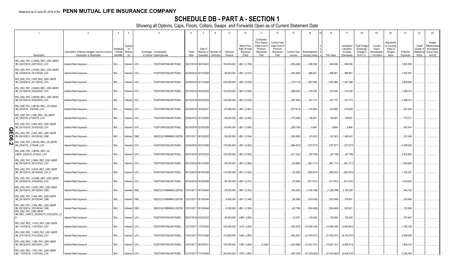## **SCHEDULE DB - PART A - SECTION 1**

|             |                                                                                                  |                                                                            | $\overline{3}$                     | $\overline{4}$                |                                                    |               |                                      | -8                     |                            | 10                                                  | 11                                                                              | 12                                                                      | 13                            | 14                                     | 16                           | 17                                                | 18                                                                | 19                                                  | 20                                                      | 21                        | 22                                         | 23                                                                |
|-------------|--------------------------------------------------------------------------------------------------|----------------------------------------------------------------------------|------------------------------------|-------------------------------|----------------------------------------------------|---------------|--------------------------------------|------------------------|----------------------------|-----------------------------------------------------|---------------------------------------------------------------------------------|-------------------------------------------------------------------------|-------------------------------|----------------------------------------|------------------------------|---------------------------------------------------|-------------------------------------------------------------------|-----------------------------------------------------|---------------------------------------------------------|---------------------------|--------------------------------------------|-------------------------------------------------------------------|
|             | Description                                                                                      | Description of Item(s) Hedged, Used for Income<br>Generation or Replicated | Schedul<br>/ Exhibit<br>Identifier | ype(s<br>_of<br>Risk(s)<br>(a | Exchange, Counterparty<br>or Central Clearinghouse | Trade<br>Date | Date of<br>Maturity or<br>Expiration | Number of<br>Contracts | Notional<br>Amount         | Strike Price<br>Rate of Index<br>Received<br>(Paid) | Cumulative<br>Prior Year(s)<br>Initial Cost of<br>Premium<br>(Received)<br>Paid | <b>Current Year</b><br>Initial Cost of<br>Premium<br>(Received)<br>Paid | <b>Current Year</b><br>Income | Book/Adjusted<br><b>Carrying Value</b> | Fair Value                   | Unrealized<br>Valuation<br>Increase<br>(Decrease) | <b>Total Foreigr</b><br>Exchange<br>Change in<br><b>B./A.C.V.</b> | Current<br>Year's<br>(Amortizatioı<br>) / Accretion | Adjustmer<br>to Carrying<br>Value of<br>Hedged<br>Items | Potential<br>Exposure     | Credit<br>Quality o<br>Reference<br>Entity | Hedge<br>Effectiveness<br>at Inception<br>and at Year-<br>end (b) |
|             | IRS_USD_PAY_2.78450_REC_USD LIBOR<br>3M_02/27/2018_03/01/2023_LCH                                | Interest Rate Exposure                                                     | N/A                                | Interest LCH                  | F226TOH6YD6XJB17KS62                               |               | 02/27/2018 03/01/2023                |                        | 150,000,000                | LIB3 / (2.785)                                      |                                                                                 |                                                                         | (335, 649)                    | .608,356                               | .608,356                     | 608,356                                           |                                                                   |                                                     |                                                         | .1,620,978                |                                            |                                                                   |
|             | IRS_USD_PAY_2.81530_REC_USD LIBOR<br>3M_02/09/2018_02/13/2028_LCH                                | Interest Rate Exposure                                                     | N/A                                | Interest LCH.                 | F226TOH6YD6XJB17KS62                               |               | 02/09/2018 02/13/2028                |                        | .98,000,000                | LIB3 / (2.815)                                      |                                                                                 |                                                                         | (303,994                      | .886,901                               | 886,901                      | .886,901                                          |                                                                   |                                                     |                                                         | 1,520,591                 |                                            |                                                                   |
|             | IRS_USD_PAY_2.835_REC_USD LIBOR<br>3M_02/09/2018_02/13/2028_LCH                                  | Interest Rate Exposure.                                                    | N/A                                | Interest LCH.                 | F226TOH6YD6XJB17KS62                               |               | 02/09/2018 02/13/2028                |                        | .226,000,000               | LIB3 / (2.835)                                      |                                                                                 |                                                                         | (718,115)                     | 1,667,068                              | 1,667,068                    | 1,667,068                                         |                                                                   |                                                     |                                                         | 3,506,668                 |                                            |                                                                   |
|             | IRS_USD_PAY_2.84029_REC_USD LIBOR<br>3M_02/15/2018_02/20/2025_LCH                                | Interest Rate Exposure                                                     | N/A                                | Interest LCH.                 | F226TOH6YD6XJB17KS62                               |               | 02/15/2018 02/20/2025                |                        | 100,000,000                | LIB3 / (2.840)                                      |                                                                                 |                                                                         | (299, 922)                    | .318,326                               | .318,326                     | 318,326                                           |                                                                   |                                                     |                                                         | 1,289,313                 |                                            |                                                                   |
|             | IRS_USD_PAY_2.84029_REC_USD LIBOR<br>3M_02/15/2018_02/20/2025_LCH                                | Interest Rate Exposure.                                                    | N/A                                | Interest LCH.                 | F226TOH6YD6XJB17KS62                               |               | 02/15/2018 02/20/2025                |                        | 100,000,000                | LIB3 / (2.835)                                      |                                                                                 |                                                                         | (297, 920)                    | .351,773                               | 351,773                      | 351,773                                           |                                                                   |                                                     |                                                         | .1,289,313                |                                            |                                                                   |
|             | IRS_USD_PAY_2.86130_REC_US LIBOR<br>3M_2/2/2018_2/6/2028_LCH                                     | Interest Rate Exposure                                                     | N/A                                | Interest LCH.                 | F226TOH6YD6XJB17KS62                               |               | 02/02/2018 02/06/2021                |                        | .81,900,000                | LIB3 / (2.861)                                      |                                                                                 |                                                                         | (277, 813)                    | .419,959                               | .419,959                     | 419,959                                           |                                                                   |                                                     |                                                         | .661,342                  |                                            |                                                                   |
|             | IRS_USD_PAY_2.892_REC_US LIBOR<br>3M_2/8/2018_2/12/2018_LCH                                      | Interest Rate Exposure.                                                    | N/A                                | Interest LCH.                 | F226TOH6YD6XJB17KS62                               |               | 02/08/2018 02/12/2028                |                        | .50,000,000                | LIB3 / (2.892)                                      |                                                                                 |                                                                         | (172,490                      | 126,891                                | 126,891                      | 126,891                                           |                                                                   |                                                     |                                                         | 775,701                   |                                            |                                                                   |
| O           | IRS_USD_PAY_2.892_REC_USD LIBOR<br>3M_02/15/2018_02/20/2028_LCH                                  | Interest Rate Exposure                                                     | N/A                                | Interest LCH.                 | F226TOH6YD6XJB17KS62                               |               | 02/15/2018 02/20/2028                |                        | .63,600,000                | LIB3 / (2.920)                                      |                                                                                 |                                                                         | (209,198)                     | .8,864                                 | .8,864                       | .8,864                                            |                                                                   |                                                     |                                                         | .987,814                  |                                            |                                                                   |
| π<br>0<br>ග | IRS_USD_PAY_2.934_REC_USD LIBOR<br>3M_09/10/2013_09/10/2022_CME                                  | Interest Rate Exposure.                                                    | N/A                                | Interest CME                  | SNZ2OJLFK8MNNCLQOF39                               |               | 12/31/2017 09/10/2022                |                        | .50,000,000                | LIB3 / (2.934)                                      |                                                                                 |                                                                         | (255, 583)                    | (81, 921)                              | . (81,921).                  | 1,468,043                                         |                                                                   |                                                     |                                                         | 512,348                   |                                            |                                                                   |
|             | IRS_USD_PAY_2.95150_REC_US LIBOR<br>3M_2/5/2018_2/7/2048_LCH<br>IRS_USD_PAY_2.96300_REC_US       | Interest Rate Exposure.                                                    | N/A                                | Interest LCH.                 | F226TOH6YD6XJB17KS62                               |               | 02/05/2018 02/07/2048                |                        | .176,000,000               | LIB3 / (2.952)                                      |                                                                                 |                                                                         | (664, 872)                    | (727, 877)                             | (727,877).                   | (727,877                                          |                                                                   |                                                     |                                                         | .4,789,933                |                                            |                                                                   |
|             | LIBOR_2/5/2018_2/7/2033_LCH<br>IRS_USD_PAY_2.9844_REC_USD LIBOR                                  | Interest Rate Exposure.                                                    | N/A                                | Interest LCH                  | F226TOH6YD6XJB17KS62                               |               | 02/07/2018 02/07/2033                |                        | 152,000,000                | LIB3 / (2.963)                                      |                                                                                 |                                                                         | (571, 222)                    | (67, 748)                              | . (67,748).                  | (67,748)                                          |                                                                   |                                                     |                                                         | 2,905,863                 |                                            |                                                                   |
|             | 3M_06/15/2018_06/15/2025_LCH<br>IRS_USD_PAY_3.0235_REC_USD LIBOR                                 | Interest Rate Exposure.                                                    | N/A                                | Interest LCH.                 | F226TOH6YD6XJB17KS62                               |               | 06/13/2018 06/15/2025                |                        | .80,000,000                | LIB3 / (2.984)                                      |                                                                                 |                                                                         | (22,890)                      | (461, 711)                             | (461,711)                    | (461,711                                          |                                                                   |                                                     |                                                         | 1,055,605                 |                                            |                                                                   |
|             | 3M_06/15/2018_06/15/2028_LCH_P<br>IRS_USD_PAY_3.03080_REC_USD LIBOR                              | Interest Rate Exposure.                                                    | N/A                                | Interest LCH.                 | F226TOH6YD6XJB17KS62                               |               | 06/13/2018 06/15/2028                |                        | .110,000,000               | LIB3 / (3.024)                                      |                                                                                 |                                                                         | (33, 385)                     | (950,974)                              | (950,974)                    | (950,974)                                         |                                                                   |                                                     |                                                         | 1,736,391                 |                                            |                                                                   |
|             | 3M_04/26/2018_04/30/2028_LCH<br>IRS_USD_PAY_3.3253_REC_USD LIBOR                                 | Interest Rate Exposure.                                                    | N/A                                | Interest LCH.                 | F226TOH6YD6XJB17KS62                               |               | 04/26/2018 04/30/2028                |                        | .65,700,000                | LIB3 / (3.031)                                      |                                                                                 |                                                                         | (70,508                       | (617, 551)                             | (617,551)                    | (617,551)                                         |                                                                   |                                                     |                                                         | .1,030,522                |                                            |                                                                   |
|             | 3M_09/15/2014_09/15/2044_CME<br>IRS USD PAY 3.346 REC USD LIBOR                                  | Interest Rate Exposure.                                                    | N/A                                | Interest CME.                 | SNZ2OJLFK8MNNCLQOF39                               |               | 12/31/2017 09/15/2044                |                        | .25,000,000                | LIB3 / (3.253)                                      |                                                                                 |                                                                         | (163, 255)                    | (1,246,788)                            | (1,246,788)                  | 2,183,328                                         |                                                                   |                                                     |                                                         | .640,192                  |                                            |                                                                   |
|             | 3M 05/19/2014 05/19/2044 CME<br>IRS USD PAY 3.346 REC USD LIBOR                                  | Interest Rate Exposure.                                                    | N/A                                | Interest CME                  | SNZ2OJLFK8MNNCLQOF39                               |               | 12/31/2017 05/19/2044                |                        | .8,000,000                 | LIB3 / (3.346)                                      |                                                                                 |                                                                         | (58, 286)                     | (533, 549)                             | (533, 549)                   | 704,631                                           |                                                                   |                                                     |                                                         | .203,584                  |                                            |                                                                   |
|             | 3M 05/19/2014_05/19/2044_CME<br>IRS USD PAY USD LIBOR<br>3M_REC_2.98512_03/23/2018_03/23/2033_LC | Interest Rate Exposure.                                                    | N/A                                | Interest CME.                 | SNZ2OJLFK8MNNCLQOF39                               |               | 12/31/2017 05/19/2044                |                        | .6,000,000                 | LIB3 / (3.306)                                      |                                                                                 |                                                                         | .(42,758                      | (354, 469)                             | (354, 469)                   | 525,541                                           |                                                                   |                                                     |                                                         | .152,688                  |                                            |                                                                   |
|             |                                                                                                  | Interest Rate Exposure.                                                    | N/A                                | Interest LCH.                 | F226TOH6YD6XJB17KS62                               |               | 03/21/2018 03/23/2033                |                        | .40,000,000                | 2.985 / (LIB3)                                      |                                                                                 |                                                                         | .72,278                       | 132,429                                | 132,429                      | 132,429                                           |                                                                   |                                                     |                                                         | .767,847                  |                                            |                                                                   |
|             | 3M 11/07/2016 11/07/2023 LCH<br>IRS_USD_REC_1.4835_PAY_USD LIBOR<br>3M_07/01/2016_07/01/2028_LCH | Interest Rate Exposure.                                                    | N/A<br>N/A                         | Interest LCH<br>Interest LCH. | F226TOH6YD6XJB17KS62<br>F226TOH6YD6XJB17KS62       | 12/31/2017    | 11/07/2023<br>12/31/2017 07/01/2028  |                        | 150,000,000<br>170,000,000 | 1.473 / (LIB3)<br>1.484 / (LIB3)                    |                                                                                 |                                                                         | (323,974<br>(452, 261)        | (10,558,180)<br>(21, 553, 701)         | (10,558,180)<br>(21,553,701) | (3,992,481)<br>(6,702,757)                        |                                                                   |                                                     |                                                         | .1,736,198<br>0.2,689,408 |                                            |                                                                   |
|             | IRS USD REC 1.585 PAY USD LIBOR<br>3M_06/23/2016_06/23/2031_LCH                                  | Interest Rate Exposure<br>Interest Rate Exposure                           | N/A                                | Interest LCH.                 | F226TOH6YD6XJB17KS62                               |               | 12/31/2017 06/23/2031                |                        | .100,000,000               | 1.585 / (LIB3)                                      | (2,248)                                                                         |                                                                         | (220, 868)                    | (15,027,161)                           | (15,027,161)                 | (4,688,412                                        |                                                                   |                                                     |                                                         | .1,802,016                |                                            |                                                                   |
|             | IRS USD REC 1.675 PAY USD LIBOR<br>3M_11/07/2016_11/07/2026_LCH                                  | Interest Rate Exposure                                                     | N/A                                | Interest LCH.                 | F226TOH6YD6XJB17KS62                               |               | 12/31/2017 11/07/202                 |                        | .228,000,000               | 1.675 / (LIB3)                                      |                                                                                 |                                                                         | (260, 309)                    | (21,053,925)                           | (21,053,925)                 | (8,404,537                                        |                                                                   |                                                     |                                                         | .3,296,482                |                                            |                                                                   |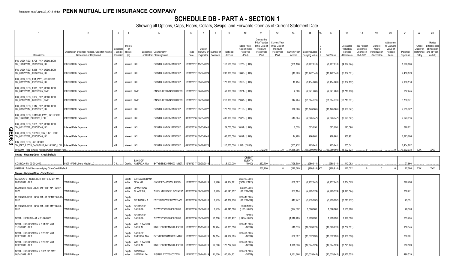## **SCHEDULE DB - PART A - SECTION 1**

|             |                                                                                         |                                                                            | -3                                 |                         |                                                           |                                           |                       |                                    |                    | 10 <sup>1</sup>                                      | 11                                                                              | 12                                                                      | 13                     | 14                              | 16                                 | 17                                                | 18                                                                | 19                                                  | 20                                                      | 21                    | 22                                          | 23                                                                |
|-------------|-----------------------------------------------------------------------------------------|----------------------------------------------------------------------------|------------------------------------|-------------------------|-----------------------------------------------------------|-------------------------------------------|-----------------------|------------------------------------|--------------------|------------------------------------------------------|---------------------------------------------------------------------------------|-------------------------------------------------------------------------|------------------------|---------------------------------|------------------------------------|---------------------------------------------------|-------------------------------------------------------------------|-----------------------------------------------------|---------------------------------------------------------|-----------------------|---------------------------------------------|-------------------------------------------------------------------|
|             | Description                                                                             | Description of Item(s) Hedged, Used for Income<br>Generation or Replicated | Schedul<br>/ Exhibit<br>Identifier | ⊺ype(s<br>of<br>Risk(s) | Exchange, Counterparty<br>or Central Clearinghouse        | Trade<br>Date                             | Date of<br>Expiration | Maturity or Number of<br>Contracts | Notional<br>Amount | Strike Price,<br>Rate of Index<br>Received<br>(Paid) | Cumulative<br>Prior Year(s)<br>Initial Cost of<br>Premium<br>(Received)<br>Paid | <b>Current Year</b><br>Initial Cost of<br>Premium<br>(Received)<br>Paid | Current Year<br>Income | Book/Adjusted<br>Carrying Value | Fair Value                         | Unrealized<br>Valuation<br>Increase<br>(Decrease) | <b>Total Foreigr</b><br>Exchange<br>Change in<br><b>B./A.C.V.</b> | Current<br>Year's<br>(Amortizatior<br>) / Accretion | Adiustmer<br>to Carrying<br>Value of<br>Hedged<br>Items | Potential<br>Exposure | Credit<br>Quality of<br>Reference<br>Entity | Hedge<br>Effectiveness<br>at Inception<br>and at Year-<br>end (b) |
|             | IRS_USD_REC_1.725_PAY_USD LIBOR<br>3M_11/01/2016_11/01/2026_LCH                         | Interest Rate Exposure                                                     | N/A                                | Interest LCH.           | F226TOH6YD6XJB17KS62                                      |                                           | 12/31/2017 11/01/2026 |                                    | 110,500,000        | 1.725 / (LIB3)                                       |                                                                                 |                                                                         | (108,138)              | (9,767,818)                     | (9,767,818)                        | (4,094,974)                                       |                                                                   |                                                     |                                                         | .1,596,066            |                                             |                                                                   |
|             | IRS_USD_REC_1.885_PAY_USD LIBOR<br>3M_09/07/2017_09/07/2024_LCH                         | Interest Rate Exposure                                                     | N/A                                | Interest LCH.           | F226TOH6YD6XJB17KS62                                      |                                           | 12/31/2017 09/07/202  |                                    | .200,000,000       | 1.885 / (LIB3)                                       |                                                                                 |                                                                         | (19,903)               | (11,442,140)                    | (11,442,140)                       | (6,302,591                                        |                                                                   |                                                     |                                                         | .2,488,879            |                                             |                                                                   |
|             | IRS_USD_REC_1.91_PAY_USD LIBOR<br>3M_08/23/2017_08/23/2024_LCH                          | Interest Rate Exposure.                                                    | N/A                                | Interest LCH.           | F226TOH6YD6XJB17KS62                                      |                                           | 12/31/2017 08/23/2024 |                                    | 170,000,000        | 1.910 / (LIB3)                                       |                                                                                 |                                                                         | 16,494                 | (9,414,609)                     | (9,414,609)                        | (5,362,182)                                       |                                                                   |                                                     |                                                         | .2,108,518            |                                             |                                                                   |
|             | IRS_USD_REC_1.971_PAY_USD LIBOR<br>3M_04/20/2015_04/20/2025_CME                         | Interest Rate Exposure                                                     | N/A                                | Interest CME.           | SNZ2OJLFK8MNNCLQOF39                                      |                                           | 12/31/2017 04/20/202  |                                    | .50,000,000        | 1.971 / (LIB3)                                       |                                                                                 |                                                                         | .2,008                 | (2,941,281)                     | (2,941,281)                        | (1,710,760)                                       |                                                                   |                                                     |                                                         | .652,445              |                                             |                                                                   |
|             | IRS_USD_REC_2.037_PAY_USD LIBOR<br>3M_02/09/2016_02/09/2031_CME                         | Interest Rate Exposure                                                     | N/A                                | Interest CME.           | SNZ2OJLFK8MNNCLQOF39                                      |                                           | 12/31/2017 02/09/203  |                                    | 210,000,000        | 2.037 / (LIB3)                                       |                                                                                 |                                                                         | 144,704                | (21,504,376)                    | $\ldots$ (21,504,376) (10,713,001) |                                                   |                                                                   |                                                     |                                                         | .3,730,37             |                                             |                                                                   |
|             | IRS_USD_REC_2.112_PAY_USD LIBOR<br>3M_08/30/2017_08/31/2027_LCH                         | Interest Rate Exposure.                                                    | N/A                                | Interest LCH.           | F226TOH6YD6XJB17KS62                                      |                                           | 12/31/2017 08/31/2021 |                                    |                    | .170,700,000 2.112 / (LIB3)                          |                                                                                 |                                                                         | .170,966               | (11,143,566)                    | (11,143,566)                       | (7, 100, 027)                                     |                                                                   |                                                     |                                                         | .2,585,322            |                                             |                                                                   |
|             | IRS_USD_REC_2.319500_PAY_USD LIBOR<br>3M_1/30/2018_2/01/2020_LCH                        | Interest Rate Exposure.                                                    | N/A                                | Interest LCH.           | F226TOH6YD6XJB17KS62                                      |                                           | 01/30/2018 02/01/2020 |                                    | 400,000,000        | 2.320 / (LIB3)                                       |                                                                                 |                                                                         | 513,904                | (2,623,347)                     | (2,623,347)                        | (2,623,347                                        |                                                                   |                                                     |                                                         | .2,523,316            |                                             |                                                                   |
| c           | IRS_USD_REC_3.031_PAY_USD LIBOR<br>3M_06/15/2018_06/15/2048_LCH                         | Interest Rate Exposure.                                                    | N/A                                | Interest LCH.           | F226TOH6YD6XJB17KS62                                      |                                           | 06/13/2018 06/15/2048 |                                    |                    | 24,700,000 3.031 / (LIB3)                            |                                                                                 |                                                                         | .7,579                 | .523,090                        | .523,090                           | 523,090                                           |                                                                   |                                                     |                                                         | .676,221              |                                             |                                                                   |
| π<br>0<br>თ | IRS_USD_REC_3.03101_PAY_USD LIBOR<br>3M_06/15/2018_06/15/2048_LCH                       | Interest Rate Exposure                                                     | N/A                                | Interest LCH.           | F226TOH6YD6XJB17KS62                                      |                                           | 06/13/2018 06/15/2048 |                                    |                    | .46,600,000 3.031 / (LIB3)                           |                                                                                 |                                                                         | 14,299                 | .986,981                        | 986,981                            | .986,981                                          |                                                                   |                                                     |                                                         | .1,275,786            |                                             |                                                                   |
| ω           | IRS USD REC USD LIBOR<br>3M PAY 2.8533 04/16/2018 04/18/2025 LCH Interest Rate Exposure |                                                                            | N/A                                | nterest LCH.            | F226TOH6YD6XJB17KS62                                      |                                           | 04/16/2018 04/18/202  |                                    | 110.000.000        | LIB3 / (2.853)                                       |                                                                                 |                                                                         | (103.932               | .265.641                        | 265.641                            | .265.641                                          |                                                                   |                                                     |                                                         | 1.434.802             |                                             |                                                                   |
|             | 0919999. Total-Swaps-Hedging Other-Interest Rate.                                       |                                                                            |                                    |                         |                                                           |                                           |                       |                                    |                    |                                                      | (2,248)                                                                         | $\Omega$                                                                | (7,356,995)            | (80.989.900) XX                 | (80.989.900)                       | (8.592.323)                                       |                                                                   |                                                     |                                                         | 77.272.038            | <b>XXX</b>                                  | XXX                                                               |
|             | Swaps - Hedging Other - Credit Default                                                  |                                                                            |                                    |                         |                                                           |                                           |                       |                                    |                    | CRED                                                 |                                                                                 |                                                                         |                        |                                 |                                    |                                                   |                                                                   |                                                     |                                                         |                       |                                             |                                                                   |
|             | CDS BOA 5 M 09-20-2019.                                                                 | 530715AD3 Liberty Media LLC.                                               |                                    | Credit.                 | <b>BANK OF</b><br>AMERICA, N.A.                           | B4TYDEB6GKMZO031MB27 12/31/2017 09/20/201 |                       |                                    | .5,000,000         | <b>EVENT</b><br>(5.000)                              | .232,700                                                                        |                                                                         | .(126,389              | .(280,914                       | (280, 914)                         | .112,062                                          |                                                                   |                                                     |                                                         | .27,666               |                                             |                                                                   |
|             | 0929999. Total-Swaps-Hedging Other-Credit Default.                                      |                                                                            |                                    |                         |                                                           |                                           |                       |                                    |                    |                                                      | 232,700                                                                         |                                                                         | (126,389               | $(280, 914)$ XX                 | (280, 914)                         | 112,062                                           |                                                                   |                                                     |                                                         | .27.666               | <b>XXX</b>                                  | <b>XXX</b>                                                        |
|             | Swaps - Hedging Other - Total Return                                                    |                                                                            |                                    |                         |                                                           |                                           |                       |                                    |                    |                                                      |                                                                                 |                                                                         |                        |                                 |                                    |                                                   |                                                                   |                                                     |                                                         |                       |                                             |                                                                   |
|             | SDDUEAFE - USD LIBOR 3M + 0.57 BP MAT<br>08/29/2019 - FLT                               | VAGLB Hedge.                                                               | N/A                                | Equity<br>Index         | <b>BARCLAYS BANK</b><br>NEW YO<br>G5GSEF7VJP5I7OUK5573    |                                           | 12/31/2017 08/29/2019 | 7,266                              | 54,954,121         | IB3+57.000<br>(GDDUEAFE                              |                                                                                 |                                                                         | .682,527               | (2,757,242)                     | (2,757,242)                        | 1,384,579                                         |                                                                   |                                                     |                                                         | .296,496              |                                             |                                                                   |
| 2020        | RU20INTR- USD LIBOR 3M +1 BP MAT 02-07                                                  | VAGLB Hedge.                                                               | N/A                                | Equity<br>Index         | <b>JP MORGAN</b><br>CHASE BK,<br>7H6GLXDRUGQFU57RNE97.    |                                           | 02/05/2018 02/07/2020 | 6,205                              | 45,541,957         | LIB3+1.000<br>(RU20INTR                              |                                                                                 |                                                                         | .367,124               | (4,923,574)                     | (4,923,574)                        | (4,923,574)                                       |                                                                   |                                                     |                                                         | .288,77               |                                             |                                                                   |
| 2018        | RU20INTR- USD LIBOR 3M +17 BP MAT 08-06-                                                | VAGLB Hedge.                                                               | N/A                                | Equity<br>Index         | CITIBANK N.A E57ODZWZ7FF32TWEFA76                         |                                           | 02/02/2018 08/06/2018 | 6,215                              | 47,332,930         | LIB3+17.000<br>(RU20INTR                             |                                                                                 |                                                                         | 417,247                | (3,213,932                      | (3,213,932)                        | (3,213,932)                                       |                                                                   |                                                     |                                                         | .75,35                |                                             |                                                                   |
| 2018        | RU20INTR- USD LIBOR 3M +5 BP MAT 08-06-                                                 | VAGLB Hedge.                                                               | N/A                                | Equity<br>Index         | <b>DEUTSCHE</b><br><b>BANK SA</b><br>7LTWFZYICNSX8D621K86 |                                           | 03/12/2018 08/06/2018 | 6,215                              | 49,045,896         | RU20INTR<br>(LIB3+5.000                              |                                                                                 |                                                                         | (324, 332)             | .1,500,966                      | 1,500,966                          | 1,500,966                                         |                                                                   |                                                     |                                                         | .78,078               |                                             |                                                                   |
|             | SPTR - US0003M - 41 M 01/06/2020                                                        | VAGLB Hedge.                                                               | N/A                                | Equity<br>Index         | <b>DEUTSCHE</b><br><b>BANK SA</b><br>7LTWFZYICNSX8D621K86 |                                           |                       | 01/02/2018 01/06/2020 21,150       | 111,170,407        | <b>SPTR</b><br>(LIB3+41.000                          |                                                                                 |                                                                         | .(1,316,485            | .1,999,690                      | 1,999,690                          | 1,999,690                                         |                                                                   |                                                     |                                                         | .685,424              |                                             |                                                                   |
|             | SPTR - USD LIBOR 3M + 0.11 BP MAT<br>11/13/2018 - FLT                                   | VAGLB Hedge.                                                               | N/A                                | Equity<br>Index         | <b>WELLS FARGO</b><br>BANK, N.<br>KB1H1DSPRFMYMCUFXT09.   |                                           |                       | 12/31/2017 11/13/2018  12,784      | 51,881,358         | LIB3+11.000<br>(SPTR                                 |                                                                                 |                                                                         | .519,513               | (16,523,678)                    | (16,523,678)                       | (1,762,881                                        |                                                                   |                                                     |                                                         | 158,345               |                                             |                                                                   |
|             | SPTR - USD LIBOR 3M + 0.23 BP MAT<br>02/27/2019 - FLT                                   | VAGLB Hedge.                                                               | N/A                                | Equity<br>Index         | <b>BANK OF</b><br>AMERICA, N.A.<br>B4TYDEB6GKMZO031MB27   |                                           |                       | 12/31/2017 02/27/2019 14,154       | 64,102,985         | LIB3+23.000<br>(SPTR                                 |                                                                                 |                                                                         | .682,097               | (11,632,691)                    | (11,632,691)                       | (1,966,380)                                       |                                                                   |                                                     |                                                         | .260,981              |                                             |                                                                   |
|             | SPTR - USD LIBOR 3M + 0.29 BP MAT<br>02/22/2019 - FLT                                   | VAGLB Hedge.                                                               | N/A                                | Equity<br>Index         | <b>WELLS FARGO</b><br>BANK, N.<br>KB1H1DSPRFMYMCUFXT09.   |                                           | 12/31/2017 02/22/2019 | 27,000                             | 126,797,940        | LIB3+29.000<br>(SPTF                                 |                                                                                 |                                                                         | 1,379,333              | (17,674,524)                    | (17,674,524)                       | (3,721,743)                                       |                                                                   |                                                     |                                                         | .510,869              |                                             |                                                                   |
|             | SPTR - USD LIBOR 3M + 0.305 BP MAT<br>06/24/2019 - FLT                                  | VAGLB Hedge.                                                               | N/A.                               | Equity<br>Index         | CANADIAN<br><b>IMPERIAL BA</b><br>2IGI19DL77OX0HC3ZE78    |                                           |                       | 12/31/2017 06/24/2019 21,150       | 100,134,231        | LIB3+30.500<br>(SPTR                                 |                                                                                 |                                                                         | 1.161.608              | $(13,035,842)$ .                | (13,035,842)                       | (2,952,555)                                       |                                                                   |                                                     |                                                         | 496.539               |                                             |                                                                   |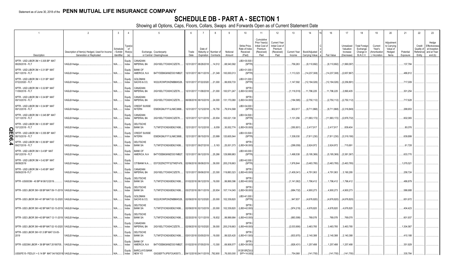## **SCHEDULE DB - PART A - SECTION 1**

|             |                                                                                                  | $\mathcal{P}$                                                              | $\overline{3}$                     | $\overline{4}$                 | $\sqrt{2}$                                                                 |               |                                      | -8                     | q                  | 10 <sup>1</sup>                                     | 11                                                                              | 12                                                                      | 13                            | 14                                     | 16            | 17                                                | 18                                                                | 19                                                  | 20                                                      | 21                    | 22                                         | 23                                                                |
|-------------|--------------------------------------------------------------------------------------------------|----------------------------------------------------------------------------|------------------------------------|--------------------------------|----------------------------------------------------------------------------|---------------|--------------------------------------|------------------------|--------------------|-----------------------------------------------------|---------------------------------------------------------------------------------|-------------------------------------------------------------------------|-------------------------------|----------------------------------------|---------------|---------------------------------------------------|-------------------------------------------------------------------|-----------------------------------------------------|---------------------------------------------------------|-----------------------|--------------------------------------------|-------------------------------------------------------------------|
|             | Description                                                                                      | Description of Item(s) Hedged, Used for Income<br>Generation or Replicated | Schedul<br>/ Exhibit<br>Identifier | Гуре(s<br>_of<br>Risk(s)<br>(a | Exchange, Counterparty<br>or Central Clearinghouse                         | Trade<br>Date | Date of<br>Maturity or<br>Expiration | Number of<br>Contracts | Notional<br>Amount | Strike Price<br>Rate of Index<br>Received<br>(Paid) | Cumulative<br>Prior Year(s)<br>Initial Cost of<br>Premium<br>(Received)<br>Paid | <b>Current Year</b><br>Initial Cost of<br>Premium<br>(Received)<br>Paid | <b>Current Year</b><br>Income | Book/Adjusted<br><b>Carrying Value</b> | Fair Value    | Unrealized<br>Valuation<br>Increase<br>(Decrease) | <b>Total Foreigr</b><br>Exchange<br>Change in<br><b>B./A.C.V.</b> | Current<br>Year's<br>(Amortizatior<br>) / Accretion | Adjustmen<br>to Carrying<br>Value of<br>Hedged<br>Items | Potential<br>Exposure | Credit<br>Quality c<br>Reference<br>Entity | Hedge<br>Effectiveness<br>at Inception<br>and at Year-<br>end (b) |
|             | SPTR - USD LIBOR 3M + 0.305 BP MAT<br>08/28/2018 - FLT                                           | VAGLB Hedge.                                                               | N/A                                | Equity<br>Index                | CANADIAN<br><b>IMPERIAL BA</b><br>2IGI19DL77OX0HC3ZE78.                    |               | 12/31/2017 08/28/2018                | .14,512                | .68,540,582        | LIB3+30.500<br>(SPTF                                |                                                                                 |                                                                         | 756,263                       | (9,110,692)                            | (9,110,692)   | (1,990,097                                        |                                                                   |                                                     |                                                         | .137,784              |                                            |                                                                   |
|             | SPTR - USD LIBOR 3M + 0.31 BP MAT<br>06/11/2019 - FLT                                            | <b>VAGLB Hedge</b>                                                         | N/A                                | Equity<br>Index                | <b>BANK OF</b><br>AMERICA, N.A.<br>B4TYDEB6GKMZO031MB27.                   |               | 12/31/2017 06/11/2019 21,349         |                        | .100,000,013       | LIB3+31.000<br>(SPTF                                |                                                                                 |                                                                         | 1,113,323                     | (14, 237, 308)                         | (14,237,308)  | (2,657,867)                                       |                                                                   |                                                     |                                                         | .486,812              |                                            |                                                                   |
|             | SPTR - USD LIBOR 3M + 0.31 BP MAT<br>07/22/2020 - FLT                                            | VAGLB Hedge.                                                               | N/A                                | Equity<br>Index                | GOLDMAN<br>SACHS & CO.<br>W22LROWP2IHZNBB6K528.                            |               | 12/31/2017 07/22/2020 21,000         |                        | 99,839,733         | LIB3+31.000<br>(SPTF                                |                                                                                 |                                                                         | 1,147,592                     | (12, 194, 026)                         | (12,194,026)  | (2,256,891)                                       |                                                                   |                                                     |                                                         | 717,009               |                                            |                                                                   |
|             | SPTR - USD LIBOR 3M + 0.32 BP MAT<br>11/08/2018 - FLT                                            | VAGLB Hedge.                                                               | N/A                                | Equity<br>Index                | CANADIAN<br><b>IMPERIAL BA</b><br>2IGI19DL77OX0HC3ZE78.                    |               | 12/31/2017 11/08/2018                | 21,000                 | .100,571,247       | SPTR<br>LIB3+32.000                                 |                                                                                 |                                                                         | (1, 116, 519)                 | 11,796,225                             | 11,796,225    | 2,890,405                                         |                                                                   |                                                     |                                                         | .301,254              |                                            |                                                                   |
|             | SPTR - USD LIBOR 3M + 0.34 BP MAT<br>09/10/2019 - FLT                                            | VAGLB Hedge.                                                               | N/A                                | Equity<br>Index                | CANADIAN<br><b>IMPERIAL BA</b><br>2IGI19DL77OX0HC3ZE78.                    |               | 06/08/2018 09/10/2019                | 24,000                 | 131,170,080        | <b>SPTR</b><br>(LIB3+34.000                         |                                                                                 |                                                                         | (184,585)                     | (2,750,112)                            | (2,750,112)   | (2,750,112)                                       |                                                                   |                                                     |                                                         | 717,628               |                                            |                                                                   |
|             | SPTR - USD LIBOR 3M + 0.34 BP MAT<br>09/12/2018 - FLT                                            | VAGLB Hedge.                                                               | N/A                                | Equity<br>Index                | <b>CREDIT SUISSE</b><br><b>INTERN</b><br>E58DKGMJYYYJLN8C3868.             |               | 12/31/2017 12/12/2018                | 16,750                 | .79,914,568        | LIB3+34.000<br>(SPTF                                |                                                                                 |                                                                         | .902,61                       | (9,711,868)                            | (9,711,868)   | (2,316,849)                                       |                                                                   |                                                     |                                                         | .268,653              |                                            |                                                                   |
|             | SPTR - USD LIBOR 3M + 0.345 BP MAT<br>12/11/2019 - FLT                                           | VAGLB Hedge.                                                               | N/A                                | Equity<br>Index                | CANADIAN<br>IMPERIAL BA<br>2IGI19DL77OX0HC3ZE78.                           |               | 12/31/2017 12/11/2019                | 20,934                 | 100,021,138        | LIB3+34.500<br>(SPTF                                |                                                                                 |                                                                         | 1,131,256                     | (11,993,172)                           | (11,993,172)  | (2,876,732)                                       |                                                                   |                                                     |                                                         | .602,065              |                                            |                                                                   |
| O           | SPTR - USD LIBOR 3M + 0.35 BP MAT<br>10/12/2018 - FLT                                            | VAGLB Hedge.                                                               | N/A                                | Equity<br>Index                | DEUTSCHE<br><b>BANK SA</b><br>7LTWFZYICNSX8D621K86                         | 12/31/2017    | 10/12/2018                           | 0.6,059                | .30,002,774        | <b>SPTR</b><br>LIB3+35.000                          |                                                                                 |                                                                         | (350, 80)                     | 2,417,917                              | 2,417,917     | 839,404                                           |                                                                   |                                                     |                                                         | .80,076               |                                            |                                                                   |
| π<br>0<br>თ | SPTR - USD LIBOR 3M + 0.355 BP MAT<br>08/15/2019 - FLT                                           | <b>VAGLB Hedge</b>                                                         | N/A                                | Equity<br>Index                | <b>CREDIT SUISSE</b><br><b>INTERN</b><br>E58DKGMJYYYJLN8C3868.             |               | 12/31/2017 08/15/2019                | 23,999                 | 120,605,544        | LIB3+33.500<br>(SPTF                                |                                                                                 |                                                                         | .1,338,030                    | (7,811,230)                            | (7,811,230)   | (3,319,190)                                       |                                                                   |                                                     |                                                         | .639,899              |                                            |                                                                   |
| ₳           | SPTR - USD LIBOR 3M + 0.36 BP MAT<br>09/27/2018 - FLT                                            | VAGLB Hedge.                                                               | N/A                                | Equity<br>Index                | DEUTSCHE<br><b>BANK SA</b><br>7LTWFZYICNSX8D621K86                         |               | 12/31/2017 09/27/2018                | 5,163                  | .25,001,373        | <b>SPTR</b><br>LIB3+36.000                          |                                                                                 |                                                                         | (299,059)                     | 2,624,972                              | 2,624,972     | 715,691                                           |                                                                   |                                                     |                                                         | .61,728               |                                            |                                                                   |
|             | SPTR - USD LIBOR 3M + 0.4 BP MAT<br>09/12/2019 - FLT                                             | VAGLB Hedge.                                                               | N/A                                | Equity<br>Index                | <b>BANK OF</b><br>AMERICA, N.A<br>B4TYDEB6GKMZO031MB27.                    |               | 12/31/2017 06/12/2019                | 25,266                 | 129,999,983        | LIB3+40.000<br>(SPTF                                |                                                                                 |                                                                         | .1,498,538                    | (5, 195, 369)                          | (5, 195, 369) | (3,381,367)                                       |                                                                   |                                                     |                                                         | .633,770              |                                            |                                                                   |
|             | SPTR - USD LIBOR 3M + 0.42 BP MAT<br>08/08/2019                                                  | VAGLB Hedge.                                                               | N/A                                | Equity<br>Index                | CITIBANK N.A E57ODZWZ7FF32TWEFA76                                          |               | 02/06/2018 08/08/2019                | 39,000                 | .205,218,663       | LIB3+42.000<br>(SPTF<br><b>SPTR</b>                 |                                                                                 |                                                                         | 1,976,844                     | (3,463,785)                            | (3,463,785)   | (3,463,785)                                       |                                                                   |                                                     |                                                         | .1,079,521            |                                            |                                                                   |
|             | SPTR - USD LIBOR 3M + 0.45 BP MAT<br>09/06/2018- FLT                                             | VAGLB Hedge.                                                               | N/A                                | Equity<br>Index                | CANADIAN<br><b>IMPERIAL BA</b><br>2IGI19DL77OX0HC3ZE78.<br><b>DEUTSCHE</b> |               | 12/31/2017 09/06/2018                | $\dots$ 23,300         | 119,883,323        | LIB3+45.000<br><b>SPTR</b>                          |                                                                                 |                                                                         | (1,409,341)                   | 4,791,063                              | 4,791,063     | 3,190,295                                         |                                                                   |                                                     |                                                         | 258,724               |                                            |                                                                   |
|             | SPTR-US0003M - 40 BP M 06/12/2019                                                                | VAGLB Hedge                                                                | N/A                                | Equity<br>Index<br>Equity      | <b>BANK SA</b><br>7LTWFZYICNSX8D621K86<br><b>DEUTSCHE</b>                  |               | 01/02/2018 06/12/2019                | 19,000                 | .99,869,396        | LIB3+40.000<br><b>SPTR</b>                          |                                                                                 |                                                                         | (1,141,062                    | 1,796,412                              | 1,796,412     | 1,796,412                                         |                                                                   |                                                     |                                                         | .486,879              |                                            |                                                                   |
|             | SPTR- USD LIBOR 3M +38 BP MAT 09-11-2019   VAGLB Hedge                                           |                                                                            | N/A                                | Index<br>Equity                | <b>BANK SA</b><br>7LTWFZYICNSX8D621K86<br><b>GOLDMAN</b>                   |               | 03/27/2018 09/11/2019                | 20,934                 | .107,114,045       | LIB3+38.000<br>LIB3+41.000                          |                                                                                 |                                                                         | (684,732                      | 4,900,273                              | 4,900,273     | 4,900,273                                         |                                                                   |                                                     |                                                         | .586,688              |                                            |                                                                   |
|             | SPTR- USD LIBOR 3M +41 BP MAT 02-12-2020 VAGLB Hedge                                             |                                                                            | N/A                                | Index<br>Equity                | SACHS & CO.<br>W22LROWP2IHZNBB6K528<br><b>DEUTSCHE</b>                     |               | 02/09/2018 02/12/2020                | 20,000                 | 102,339,820        | (SPTR<br><b>SPTR</b>                                |                                                                                 |                                                                         | .947.837                      | (4,676,820)                            | (4,676,820)   | (4,676,820                                        |                                                                   |                                                     |                                                         | .651,672              |                                            |                                                                   |
|             | SPTR- USD LIBOR 3M +42 BP MAT 02-13-2019 VAGLB Hedge                                             |                                                                            | N/A                                | Index<br>Equity                | <b>BANK SA</b><br>7LTWFZYICNSX8D621K86<br><b>DEUTSCHE</b>                  |               | 02/09/2018 02/13/2019                | 20,000                 | 102,339,820        | LIB3+42.000<br><b>SPTR</b>                          |                                                                                 |                                                                         | (974,219                      | 4,676,820                              | 4,676,820     | 4,676,820                                         |                                                                   |                                                     |                                                         | .404,423              |                                            |                                                                   |
|             | SPTR- USD LIBOR 3M +43 BP MAT 12-11-2019   VAGLB Hedge                                           |                                                                            | N/A                                | Index<br>Equity                | <b>BANK SA</b><br>7LTWFZYICNSX8D621K86<br>CANADIAN                         |               | 02/20/2018 12/11/2019                | 18,832                 | .99,999,984        | LIB3+43.000<br><b>SPTR</b>                          |                                                                                 |                                                                         | (883,599                      | .769,078                               | 769,078       | 769,078                                           |                                                                   |                                                     |                                                         | .601,937              |                                            |                                                                   |
|             | SPTR- USD LIBOR 3M +49 BP MAT 02-10-2020   VAGLB Hedge<br>SPTR- USD LIBOR 3M +51.5 BP MAT 03-05- |                                                                            | N/A                                | Index<br>Equity                | <b>IMPERIAL BA</b><br>2IGI19DL77OX0HC3ZE78.<br><b>DEUTSCHE</b>             |               | 02/06/2018 02/10/2020                | 39,000                 | 205,218,663        | LIB3+49.000<br><b>SPTR</b>                          |                                                                                 |                                                                         | .(2,033,906                   | 3,463,785                              | 3,463,785     | 3,463,785                                         |                                                                   |                                                     |                                                         | .1,304,567            |                                            |                                                                   |
|             | 2019                                                                                             | VAGLB Hedge.                                                               | N/A                                | Index<br>Equity                | <b>BANK SA</b><br>7LTWFZYICNSX8D621K86<br>BANK OF                          |               | 03/01/2018 03/05/2019                | 19,000                 | .99,525,420        | LIB3+51.500<br><b>SPTR</b>                          |                                                                                 |                                                                         | . (833, 970)                  | 2,140,388                              | 2,140,388     | 2,140,388                                         |                                                                   |                                                     |                                                         | .410,188              |                                            |                                                                   |
|             | SPTR-USD3M LIBOR + 39 BP MAT 20190705                                                            | <b>VAGLB Hedge</b>                                                         | N/A                                | Index<br>Equity                | AMERICA, N.A<br>B4TYDEB6GKMZO031MB27.<br><b>BARCLAYS BANK</b>              |               | 01/02/2018 07/05/2019                | 13,300                 | .69,908,577        | (LIB3+39.000<br>912810RZ3/(                         |                                                                                 |                                                                         | .(826,431                     | 1,257,488                              | .1,257,488    | 1,257,488                                         |                                                                   |                                                     |                                                         | .351,929              |                                            |                                                                   |
|             | USS0FE15- FEDL01 + 0.14 BP MAT 04/19/2019 VAGLB Hedge                                            |                                                                            | N/A.                               | Index                          | NEW YO<br>G5GSEF7VJP5I7OUK5573                                             |               | 04/12/2018 04/11/2019 .792,900       |                        | 76,000,000         | SFF+14.000                                          |                                                                                 |                                                                         | .754,068                      | (141,755)                              | (141,755)     | (141,755)                                         |                                                                   |                                                     |                                                         | .335,784              |                                            |                                                                   |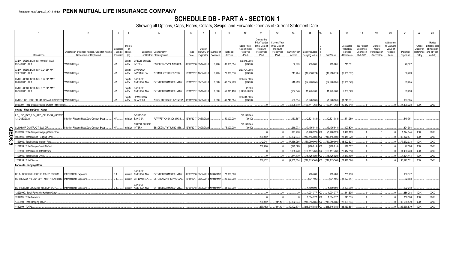## **SCHEDULE DB - PART A - SECTION 1**

|                                                                                  | 3<br>$\overline{5}$<br>6<br>10<br>$\mathcal{P}$<br>8<br>11<br>$\overline{4}$<br>Strike Price.<br>ype(s)<br>Rate of Index<br>Schedule<br>of<br>Date of<br>Risk(s)<br>Description of Item(s) Hedged, Used for Income<br>/ Exhibit<br>Maturity or Number of<br>Received<br>Exchange, Counterparty<br>Trade<br>Notional<br>Generation or Replicated<br>Identifier<br>or Central Clearinghouse<br>Date<br>(Paid)<br>(a)<br>Expiration<br>Contracts<br>Amount<br>LIB3+8.000<br><b>CREDIT SUISSE</b><br>Equity<br>VAGLB Hedge.<br>E58DKGMJYYYJLN8C3868<br>06/12/2018 09/14/2018<br>30,955,654<br>(XNDX<br>N/A<br><b>INTERN</b><br>3.766<br>Index<br>CANADIAN<br>LIB3+21.000<br>Equity<br><b>IMPERIAL BA</b><br>2IGI19DL77OX0HC3ZE78.<br>12/31/2017 12/07/2018<br>20,000,016<br>(XNDX)<br>VAGLB Hedge.<br>3,763<br>N/A<br>Index<br><b>BANK OF</b><br>LIB3+24.000<br>Equity<br>VAGLB Hedge.<br>AMERICA, N.A.<br>B4TYDEB6GKMZO031MB27.<br>12/31/2017 08/31/2018<br>9,028<br>.48,267,209<br>(XNDX)<br>N/A.<br>Index<br><b>BANK OF</b><br><b>XNDX</b><br>Equity |                                                 |            |                                 |                                 |                                               |  |                                                                  |       |                          |                           |                                                                                |                                                                         |                        | 14                              | 16                     | 17                                                | 18                                                        | 19                                                | 20                                                       | 21                    | 22                                          | 23                                                                |
|----------------------------------------------------------------------------------|-----------------------------------------------------------------------------------------------------------------------------------------------------------------------------------------------------------------------------------------------------------------------------------------------------------------------------------------------------------------------------------------------------------------------------------------------------------------------------------------------------------------------------------------------------------------------------------------------------------------------------------------------------------------------------------------------------------------------------------------------------------------------------------------------------------------------------------------------------------------------------------------------------------------------------------------------------------------------------------------------------------------------------------------------------|-------------------------------------------------|------------|---------------------------------|---------------------------------|-----------------------------------------------|--|------------------------------------------------------------------|-------|--------------------------|---------------------------|--------------------------------------------------------------------------------|-------------------------------------------------------------------------|------------------------|---------------------------------|------------------------|---------------------------------------------------|-----------------------------------------------------------|---------------------------------------------------|----------------------------------------------------------|-----------------------|---------------------------------------------|-------------------------------------------------------------------|
| Description                                                                      |                                                                                                                                                                                                                                                                                                                                                                                                                                                                                                                                                                                                                                                                                                                                                                                                                                                                                                                                                                                                                                                     |                                                 |            |                                 |                                 |                                               |  |                                                                  |       |                          |                           | Cumulative<br>Prior Year(s<br>Initial Cost of<br>Premium<br>(Received)<br>Paid | <b>Current Year</b><br>Initial Cost of<br>Premium<br>(Received)<br>Paid | Current Year<br>Income | Book/Adjusted<br>Carrying Value | Fair Value             | Unrealized<br>Valuation<br>Increase<br>(Decrease) | <b>Total Foreign</b><br>Exchange<br>Change in<br>B./A.C.V | Current<br>Year's<br>(Amortizatior<br>/ Accretion | Adjustment<br>to Carrying<br>Value of<br>Hedged<br>Items | Potential<br>Exposure | Credit<br>Quality of<br>Reference<br>Entity | Hedge<br>Effectiveness<br>at Inception<br>and at Year-<br>end (b) |
| XNDX - USD LIBOR 3M - 0.08 BP MAT<br>09/14/2018 - FLT                            |                                                                                                                                                                                                                                                                                                                                                                                                                                                                                                                                                                                                                                                                                                                                                                                                                                                                                                                                                                                                                                                     |                                                 |            |                                 |                                 |                                               |  |                                                                  |       |                          |                           |                                                                                |                                                                         | .32.973                | .715.08                         | 715,081                | 715,081                                           |                                                           |                                                   |                                                          | .70,627               |                                             |                                                                   |
| XNDX - USD LIBOR 3M + 0.21 BP MAT<br>12/07/2018 - FLT                            |                                                                                                                                                                                                                                                                                                                                                                                                                                                                                                                                                                                                                                                                                                                                                                                                                                                                                                                                                                                                                                                     |                                                 |            |                                 |                                 |                                               |  |                                                                  |       |                          |                           |                                                                                |                                                                         | 211,724                | (10,218,074                     | (10, 218, 074)         | (2,908,662)                                       |                                                           |                                                   |                                                          | .66,209               |                                             |                                                                   |
| XNDX - USD LIBOR 3M + 0.24 BP MAT<br>08/28/2018 - FLT                            |                                                                                                                                                                                                                                                                                                                                                                                                                                                                                                                                                                                                                                                                                                                                                                                                                                                                                                                                                                                                                                                     |                                                 |            |                                 |                                 |                                               |  |                                                                  |       |                          |                           |                                                                                |                                                                         | .518,299               | (24,226,656).                   | (24, 226, 656)         | (6,988,079)                                       |                                                           |                                                   |                                                          | .99.465               |                                             |                                                                   |
| XNDX - USD LIBOR 3M + 0.31 BP MAT<br>08/10/2018 - FLT                            |                                                                                                                                                                                                                                                                                                                                                                                                                                                                                                                                                                                                                                                                                                                                                                                                                                                                                                                                                                                                                                                     | VAGLB Hedge.                                    | N/A        | Index                           | AMERICA, N.A.                   | B4TYDEB6GKMZO031MB27.                         |  | 12/31/2017 08/10/2018                                            | 8,860 | 59,371,480               | (LIB3+31.000              |                                                                                |                                                                         | (654, 546)             | 11,773,363                      | 11,773,363             | 6,860,329                                         |                                                           |                                                   |                                                          | .99,493               |                                             |                                                                   |
| XNDX- USD LIBOR 3M +48 BP MAT 02/05/2019 VAGLB Hedge.                            |                                                                                                                                                                                                                                                                                                                                                                                                                                                                                                                                                                                                                                                                                                                                                                                                                                                                                                                                                                                                                                                     |                                                 |            | Equity<br>Index                 | JP MORGAN<br>CHASE BK.          | 7H6GLXDRUGQFU57RNE97.                         |  | 02/01/2018 02/05/2019                                            | 6.350 | 49.740.884               | LIB3+48.000<br>(XNDX)     |                                                                                |                                                                         | .503.514               | .(1.248.931                     | (1,248,931)            | (1.248.931                                        |                                                           |                                                   |                                                          | 193.085               |                                             |                                                                   |
| 0949999. Total-Swaps-Hedging Other-Total Return                                  |                                                                                                                                                                                                                                                                                                                                                                                                                                                                                                                                                                                                                                                                                                                                                                                                                                                                                                                                                                                                                                                     |                                                 |            |                                 |                                 |                                               |  |                                                                  |       |                          |                           |                                                                                |                                                                         | .5.008.740             | (130.117.76)                    | (130.117.760)          | (20.417.518                                       |                                                           |                                                   |                                                          | 14.498.723            | <b>XXX</b>                                  | <b>XXX</b>                                                        |
| Swaps - Hedging Other - Other                                                    |                                                                                                                                                                                                                                                                                                                                                                                                                                                                                                                                                                                                                                                                                                                                                                                                                                                                                                                                                                                                                                                     |                                                 |            |                                 |                                 |                                               |  |                                                                  |       |                          |                           |                                                                                |                                                                         |                        |                                 |                        |                                                   |                                                           |                                                   |                                                          |                       |                                             |                                                                   |
| ILS_USD_PAY_2.64_REC_CPURNSA_04/26/20<br>13 04/30/2023                           |                                                                                                                                                                                                                                                                                                                                                                                                                                                                                                                                                                                                                                                                                                                                                                                                                                                                                                                                                                                                                                                     | Inflation-Floating Rate Zero Coupon Swap        | <b>V/A</b> | nflation                        | DEUTSCHE<br><b>BANK SA</b>      | 7LTWFZYICNSX8D621K86.                         |  | 12/31/2017 04/30/2023                                            |       | .50,000,000              | <b>CPURNSA</b><br>(2.640) |                                                                                |                                                                         | .153,697               | (2,321,088)                     | (2,321,088)            | 571,289                                           |                                                           |                                                   |                                                          | .549,751              |                                             |                                                                   |
| <b>IL103V5P CONTRACT SWCOIR.</b>                                                 |                                                                                                                                                                                                                                                                                                                                                                                                                                                                                                                                                                                                                                                                                                                                                                                                                                                                                                                                                                                                                                                     | Inflation-Floating Rate Zero Coupon Swap        | N/A.       | Inflation INTERN                | <b>CREDIT SUISSE</b>            | E58DKGMJYYYJLN8C3868.                         |  | 12/31/2017 04/29/2023                                            |       | 75.000.000               | <b>CPURNSA</b><br>(2.660) |                                                                                |                                                                         | 218.073                | (3.405.841)                     | (3.405.841)            | .907.820                                          |                                                           |                                                   |                                                          | 824.393               |                                             |                                                                   |
| $\Omega_{\overline{\Pi}}$<br>0959999. Total-Swaps-Hedging Other-Other            |                                                                                                                                                                                                                                                                                                                                                                                                                                                                                                                                                                                                                                                                                                                                                                                                                                                                                                                                                                                                                                                     |                                                 |            |                                 |                                 |                                               |  |                                                                  |       |                          |                           |                                                                                |                                                                         | 371.770                | (5.726.929)                     | (5.726.929)            | .1.479.109                                        |                                                           |                                                   |                                                          | 1.374.144             | <b>XXX</b>                                  | XXX                                                               |
| <u>:06</u><br>969999. Total-Swaps-Hedging Other                                  |                                                                                                                                                                                                                                                                                                                                                                                                                                                                                                                                                                                                                                                                                                                                                                                                                                                                                                                                                                                                                                                     |                                                 |            |                                 |                                 |                                               |  |                                                                  |       |                          |                           | .230.452                                                                       |                                                                         | (2.102.87)             | (217.115.503                    | (217.115.503           | (27.418.67)                                       |                                                           |                                                   |                                                          | .93.172.57            | <b>XXX</b>                                  | <b>XXX</b>                                                        |
| 159999. Total-Swaps-Interest Rate.<br>ຕ                                          |                                                                                                                                                                                                                                                                                                                                                                                                                                                                                                                                                                                                                                                                                                                                                                                                                                                                                                                                                                                                                                                     |                                                 |            |                                 |                                 |                                               |  |                                                                  |       |                          |                           | (2,248)                                                                        |                                                                         | (7,356,995             | (80.989.900                     | (80.989.900)           | (8.592.323                                        |                                                           |                                                   |                                                          | 77,272,038            | <b>XXX</b>                                  | <b>XXX</b>                                                        |
| 169999. Total-Swaps-Credit Default                                               |                                                                                                                                                                                                                                                                                                                                                                                                                                                                                                                                                                                                                                                                                                                                                                                                                                                                                                                                                                                                                                                     |                                                 |            |                                 |                                 |                                               |  |                                                                  |       |                          |                           | .232,700                                                                       |                                                                         | .(126,389              | .(280,914)                      | .(280,914              | 112.062                                           |                                                           |                                                   |                                                          | .27.666               | XXX                                         | <b>XXX</b>                                                        |
| 189999. Total-Swaps-Total Return.                                                |                                                                                                                                                                                                                                                                                                                                                                                                                                                                                                                                                                                                                                                                                                                                                                                                                                                                                                                                                                                                                                                     |                                                 |            |                                 |                                 |                                               |  |                                                                  |       |                          |                           |                                                                                |                                                                         | .5,008,740             | 130.117.760                     | (130.117.760)          | (20.417.518                                       |                                                           |                                                   |                                                          | 14.498.723            | <b>XXX</b>                                  | <b>XXX</b>                                                        |
| 1199999. Total-Swaps-Other.                                                      |                                                                                                                                                                                                                                                                                                                                                                                                                                                                                                                                                                                                                                                                                                                                                                                                                                                                                                                                                                                                                                                     |                                                 |            |                                 |                                 |                                               |  |                                                                  |       |                          |                           |                                                                                |                                                                         | .371.770               | (5,726,929)                     | (5,726,929)            | 1.479.109                                         |                                                           |                                                   |                                                          | 1.374.144             | <b>XXX</b>                                  | XXX                                                               |
| 1209999. Total-Swaps                                                             |                                                                                                                                                                                                                                                                                                                                                                                                                                                                                                                                                                                                                                                                                                                                                                                                                                                                                                                                                                                                                                                     |                                                 |            |                                 |                                 |                                               |  |                                                                  |       |                          |                           | .230.452                                                                       |                                                                         | (2.102.874             | (217.115.503                    | (217.115.503)          | (27.418.67)                                       |                                                           |                                                   |                                                          | .93.172.571           | <b>XXX</b>                                  | <b>XXX</b>                                                        |
| Forwards - Hedging Other                                                         |                                                                                                                                                                                                                                                                                                                                                                                                                                                                                                                                                                                                                                                                                                                                                                                                                                                                                                                                                                                                                                                     |                                                 |            |                                 |                                 |                                               |  |                                                                  |       |                          |                           |                                                                                |                                                                         |                        |                                 |                        |                                                   |                                                           |                                                   |                                                          |                       |                                             |                                                                   |
| US T-LOCK 912810SC3 99.195158 06/07/19<br>US TREASURY LOCK 30YR M 8-17-2018 OTC. |                                                                                                                                                                                                                                                                                                                                                                                                                                                                                                                                                                                                                                                                                                                                                                                                                                                                                                                                                                                                                                                     | nterest Rate Exposure<br>Interest Rate Exposure |            | terest AMERICA, N.A.<br>iterest | <b>BANK OF</b><br>CITIBANK N.A. | B4TYDEB6GKMZO031MB27.<br>E57ODZWZ7FF32TWEFA76 |  | 06/06/2018 06/07/2019 ########<br>12/31/2017 08/17/2018 ######## |       | 27,000,000<br>29,000,000 |                           |                                                                                |                                                                         |                        | .755,783<br>(831, 105)          | .755,783<br>(831, 105) | 755,783<br>(1,223,847                             |                                                           |                                                   |                                                          | .130,677<br>.52.583   |                                             |                                                                   |
| US TRESURY LOCK 30Y M 5/6/2019 OTC.                                              |                                                                                                                                                                                                                                                                                                                                                                                                                                                                                                                                                                                                                                                                                                                                                                                                                                                                                                                                                                                                                                                     | Interest Rate Exposure                          |            | terest AMERICA, N.A.            | <b>BANK OF</b>                  | B4TYDEB6GKMZO031MB27                          |  | 05/03/2018 05/06/2019 ########                                   |       | 44.000.000               |                           |                                                                                |                                                                         |                        | 1.109.699                       | 1.109.699              | .1.109.699                                        |                                                           |                                                   |                                                          | 202.748               |                                             |                                                                   |
| 12229999. Total-Forwards-Hedging Other                                           |                                                                                                                                                                                                                                                                                                                                                                                                                                                                                                                                                                                                                                                                                                                                                                                                                                                                                                                                                                                                                                                     |                                                 |            |                                 |                                 |                                               |  |                                                                  |       |                          |                           |                                                                                |                                                                         |                        | .1.034.377                      | .1.034.377             | 641.635                                           |                                                           |                                                   |                                                          | 386.008               | <b>XXX</b>                                  | <b>XXX</b>                                                        |
| 1269999. Total-Forwards                                                          |                                                                                                                                                                                                                                                                                                                                                                                                                                                                                                                                                                                                                                                                                                                                                                                                                                                                                                                                                                                                                                                     |                                                 |            |                                 |                                 |                                               |  |                                                                  |       |                          |                           |                                                                                |                                                                         |                        | .1.034.377                      | .1.034.377             | .641.635                                          |                                                           |                                                   |                                                          | 386.008               | <b>XXX</b>                                  | XXX                                                               |
| 1409999. Total-Hedging Other                                                     |                                                                                                                                                                                                                                                                                                                                                                                                                                                                                                                                                                                                                                                                                                                                                                                                                                                                                                                                                                                                                                                     |                                                 |            |                                 |                                 |                                               |  |                                                                  |       |                          |                           | .230.452                                                                       | (841.131)                                                               | (2.102.87              | (218.315.08                     | (218.315.086)          | (28.169.864                                       |                                                           |                                                   |                                                          | 93.558.579            | XXX                                         | <b>XXX</b>                                                        |
| 1449999, TOTAL                                                                   |                                                                                                                                                                                                                                                                                                                                                                                                                                                                                                                                                                                                                                                                                                                                                                                                                                                                                                                                                                                                                                                     |                                                 |            |                                 |                                 |                                               |  |                                                                  |       |                          |                           | 230.452                                                                        | (841.131)                                                               | (2.102.874)            | (218.315.086                    | (218.315.086)          | (28.169.864                                       |                                                           |                                                   |                                                          | .93.558.579           | <b>XXX</b>                                  | <b>XXX</b>                                                        |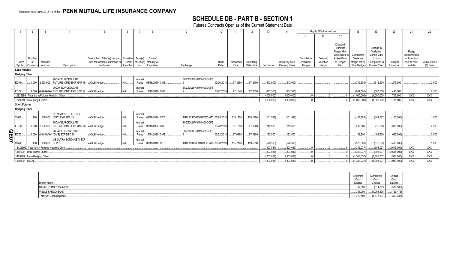## **SCHEDULE DB - PART B - SECTION 1**

Futures Contracts Open as of the Current Statement Date

|                      |                                                                                                                                                                                                                                                                                                                                                                                                                                                                                                                   |                               | 3                  |                                                                                |                                                                                    |            |                      |                        |                                 | 10         |             | 12 <sup>°</sup> | 13          | 14                    |                         | <b>Highly Effective Hedges</b> |                                                                                             | 18                                        | 19                                                              | 20          | 21                                                     | 22           |
|----------------------|-------------------------------------------------------------------------------------------------------------------------------------------------------------------------------------------------------------------------------------------------------------------------------------------------------------------------------------------------------------------------------------------------------------------------------------------------------------------------------------------------------------------|-------------------------------|--------------------|--------------------------------------------------------------------------------|------------------------------------------------------------------------------------|------------|----------------------|------------------------|---------------------------------|------------|-------------|-----------------|-------------|-----------------------|-------------------------|--------------------------------|---------------------------------------------------------------------------------------------|-------------------------------------------|-----------------------------------------------------------------|-------------|--------------------------------------------------------|--------------|
|                      |                                                                                                                                                                                                                                                                                                                                                                                                                                                                                                                   |                               |                    |                                                                                |                                                                                    |            |                      |                        |                                 |            |             |                 |             |                       | 15                      |                                | 17                                                                                          |                                           |                                                                 |             |                                                        |              |
|                      | Ticker                                                                                                                                                                                                                                                                                                                                                                                                                                                                                                            | Number                        | Notional           |                                                                                | Description of Item(s) Hedged, Schedule   Type(s)<br>Used for Income Generation or |            | / Exhibit of Risk(s) | Date of<br>Maturity or |                                 | Trade      | Transaction | Reporting       |             | Book/Adjusted         | Cumulative<br>Variation | Deferred<br>Variation          | Change in<br>Variation<br>Margin Gain<br>(Loss) Used to<br><b>Adjust Basis</b><br>of Hedged | Cumulative<br>Variation<br>Margin for All | Change in<br>Variation<br>Margin Gain<br>(Loss)<br>Recognized i | Potential   | Hedge<br>Effectiveness<br>at Inception<br>and at Year- | Value of One |
|                      | Symbol                                                                                                                                                                                                                                                                                                                                                                                                                                                                                                            | Contracts                     | Amount             | Description                                                                    | Replicated                                                                         | Identifier |                      | Expiration             | Exchange                        | Date       | Price       | Date Price      | Fair Value  | <b>Carrying Value</b> | Margin                  | Margin                         | Item                                                                                        | Other Hedges                              | <b>Current Year</b>                                             | Exposure    | end (b)                                                | (1) Point    |
|                      |                                                                                                                                                                                                                                                                                                                                                                                                                                                                                                                   |                               |                    |                                                                                |                                                                                    |            |                      |                        |                                 |            |             |                 |             |                       |                         |                                |                                                                                             |                                           |                                                                 |             |                                                        |              |
|                      | 90DAY EURODOLLAR<br>SNZ2OJLFK8MNNCLQOF3<br>Interest<br>1,000   2,500,000   FUTURE (CME) EXP MAR 19   VAGLB Hedge.<br>97.3650<br>97.2400<br>(312,500)<br>(312,500)<br>03/18/2019 CME.<br>03/20/2018<br>(312,500)<br>(312,500)<br>275,000<br>Rates<br>90DAY EURODOLLAR<br>SNZ2OJLFK8MNNCLQOF3<br>Interest<br>4.000 ######### FUTURE (CME) EXP DEC 19   VAGLB Hedge.<br>03/22/2018<br>97.0350<br>(687, 500)<br>(687,500)<br>(687, 500)<br>12/16/2019 CME.<br>.97.1040<br>(687,500)<br>.1,440,000<br>$N/A$ .<br>Rates |                               |                    |                                                                                |                                                                                    |            |                      |                        |                                 |            |             |                 |             |                       |                         |                                |                                                                                             |                                           |                                                                 |             |                                                        |              |
|                      | <b>Long Futures</b><br>XXX<br>(1,000,000)<br>(1,000,000)<br>(1,000,000)<br>(1,000,000)<br>.1,715,000<br>(1,000,000)<br>(1,000,000)<br>(1,000,000)<br>(1,000,000)<br>1,715,000<br>XXX                                                                                                                                                                                                                                                                                                                              |                               |                    |                                                                                |                                                                                    |            |                      |                        |                                 |            |             |                 |             |                       |                         |                                | 2,500                                                                                       |                                           |                                                                 |             |                                                        |              |
|                      | <b>Hedging Other</b><br>EDH9.<br>EDZ9.<br>12829999. Total-Long Futures-Hedging Other.<br>1329999. Total-Long Futures.                                                                                                                                                                                                                                                                                                                                                                                             |                               |                    |                                                                                |                                                                                    |            |                      |                        |                                 |            |             |                 |             |                       |                         |                                | 2,500                                                                                       |                                           |                                                                 |             |                                                        |              |
|                      |                                                                                                                                                                                                                                                                                                                                                                                                                                                                                                                   |                               |                    |                                                                                |                                                                                    |            |                      |                        |                                 |            |             |                 |             |                       |                         | <b>XXX</b>                     |                                                                                             |                                           |                                                                 |             |                                                        |              |
|                      |                                                                                                                                                                                                                                                                                                                                                                                                                                                                                                                   |                               |                    |                                                                                |                                                                                    |            |                      |                        |                                 |            |             |                 |             |                       |                         |                                |                                                                                             |                                           |                                                                 |             |                                                        |              |
|                      | <b>XXX</b>                                                                                                                                                                                                                                                                                                                                                                                                                                                                                                        |                               |                    |                                                                                |                                                                                    |            |                      |                        |                                 |            |             |                 |             |                       |                         |                                |                                                                                             |                                           |                                                                 |             |                                                        |              |
|                      | <b>Short Futures</b><br><b>Hedging Other</b><br>US 10YR NOTE FUTURE<br>Interest                                                                                                                                                                                                                                                                                                                                                                                                                                   |                               |                    |                                                                                |                                                                                    |            |                      |                        |                                 |            |             |                 |             |                       |                         |                                |                                                                                             |                                           |                                                                 |             |                                                        |              |
| TYU8                 |                                                                                                                                                                                                                                                                                                                                                                                                                                                                                                                   | 100                           |                    | 100,000 (CBT) EXP SEP 18                                                       | VAGLB Hedge.                                                                       | N/A        | Rates                | 09/19/2018 CBT.        | 1UAUICTO4EQ4DO6ZH473 05/25/2018 |            | 119.1720    | 120.1880        | (101,562)   | (101,562)             |                         |                                |                                                                                             | (101, 562)                                | (101, 562)                                                      | (105,000)   |                                                        | .1,000       |
| EDH <sub>0</sub>     |                                                                                                                                                                                                                                                                                                                                                                                                                                                                                                                   |                               |                    | 90DAY EURODOLLAR<br>1,000   2,500,000   FUTURE (CME) EXP MAR 20   VAGLB Hedge. |                                                                                    | N/A        | Interest<br>Rates    | 03/16/2020 CME         | SNZ2OJLFK8MNNCLQOF3             | 03/20/2018 | 97.1050     | 97.0200         | 212,588     | 212,588               |                         |                                |                                                                                             | .212.588                                  | 212,588                                                         | (385,000)   |                                                        | 0.2,500      |
| <u>ဂ</u> ္ဂ<br>EDZ0. |                                                                                                                                                                                                                                                                                                                                                                                                                                                                                                                   |                               | 4,000 #########    | 90DAY EUROS FUTURE<br>(CME) EXP DEC 20                                         | VAGLB Hedge.                                                                       |            | Interest<br>Rates    | 12/14/2020 CME.        | SNZ2OJLFK8MNNCLQOF3             | 03/22/2018 | 97.0360     | 97.0200         | .162,500    | .162,500              |                         |                                |                                                                                             | 162,500                                   | .162,500                                                        | (1,660,000) |                                                        | 0.2,500      |
| 01<br>WNU8           |                                                                                                                                                                                                                                                                                                                                                                                                                                                                                                                   |                               | 150 150.000 SEP 18 | US ULTRA BOND (CBT) EXP                                                        | VAGLB Hedge                                                                        |            | Interest<br>Rates    | 09/19/2018 CBT         | 1UAUICTO4EQ4DO6ZH473 06/06/2018 |            | 155.7190    | .159.5630       | (576, 563)  | (576, 563)            |                         |                                |                                                                                             | (576, 563)                                | (576, 563)                                                      | (495,000)   |                                                        | 1,000        |
|                      |                                                                                                                                                                                                                                                                                                                                                                                                                                                                                                                   |                               |                    | 13429999. Total-Short Futures-Hedging Other.                                   |                                                                                    |            |                      |                        |                                 |            |             |                 | (303, 037)  | (303,037)             |                         |                                |                                                                                             | (303,037)                                 | (303,037)                                                       | (2,645,000) | <b>XXX</b>                                             | <b>XXX</b>   |
|                      |                                                                                                                                                                                                                                                                                                                                                                                                                                                                                                                   | 1389999. Total-Short Futures. |                    |                                                                                |                                                                                    |            |                      |                        |                                 |            |             |                 | (303,037)   | (303,037)             |                         |                                |                                                                                             | (303,037)                                 | (303,037)                                                       | (2,645,000) | <b>XXX</b>                                             | <b>XXX</b>   |
|                      |                                                                                                                                                                                                                                                                                                                                                                                                                                                                                                                   | 1409999. Total-Hedging Other. |                    |                                                                                |                                                                                    |            |                      |                        |                                 |            |             |                 | (1,303,037) | (1,303,037)           |                         |                                |                                                                                             | (1,303,037)                               | (1,303,037)                                                     | (930,000    | XXX                                                    | <b>XXX</b>   |
|                      | 1449999. TOTAL.                                                                                                                                                                                                                                                                                                                                                                                                                                                                                                   |                               |                    |                                                                                |                                                                                    |            |                      |                        |                                 |            |             |                 | (1,303,037) | (1,303,037)           |                         |                                |                                                                                             | (1.303.037)                               | (1,303,037)                                                     | (930,000    | XXX                                                    | <b>XXX</b>   |

| Beginning                                    | ∪umunauvt   | Ending      |
|----------------------------------------------|-------------|-------------|
| Cash                                         | Cash        | Cash        |
| <b>Broker Name</b><br>Balance                | Change      | Balance     |
| <b>BANK OF AMERICA MERR</b><br>.37,500       | (614, 063)  | (576, 563)  |
| <b>WELLS FARGO BANK</b><br>335,000           | 1.475       | (726, 475)  |
| $\ldots$ .372,500<br>Total Net Cash Deposits | (1,675,537) | (1,303,037) |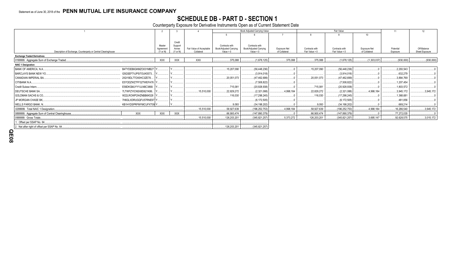# **SCHEDULE DB - PART D - SECTION 1**<br>Counterparty Exposure for Derivative Instruments Open as of Current Statement Date

|                                                                |                        |                     |                   |                          | Book Adjusted Carrying Value  |                        | Fair Value    |                |                 | 11                  | 12          |                |
|----------------------------------------------------------------|------------------------|---------------------|-------------------|--------------------------|-------------------------------|------------------------|---------------|----------------|-----------------|---------------------|-------------|----------------|
|                                                                |                        |                     |                   |                          |                               |                        |               |                |                 | 10 <sup>10</sup>    |             |                |
|                                                                |                        |                     |                   |                          |                               |                        |               |                |                 |                     |             |                |
|                                                                |                        | Master              | Credit<br>Support |                          | Contracts with                | Contracts with         |               |                |                 |                     |             |                |
|                                                                |                        | Agreement           | Annex             | Fair Value of Acceptable | <b>Book/Adjusted Carrying</b> | Book/Adjusted Carrying | Exposure Net  | Contracts with | Contracts with  | <b>Exposure Net</b> | Potential   | Off-Balance    |
| Description of Exchange, Counterparty or Central Clearinghouse |                        | $(Y \text{ or } N)$ | (Y or N)          | Collateral               | Value $> 0$                   | Value $< 0$            | of Collateral | Fair Value > 0 | Fair Value < 0  | of Collateral       | Exposure    | Sheet Exposure |
| <b>Exchange Traded Derivatives</b>                             |                        |                     |                   |                          |                               |                        |               |                |                 |                     |             |                |
| 0199999. Aggregate Sum of Exchange Traded.                     |                        | <b>XXX</b>          | XXX               | <b>XXX</b>               | .375,088                      | (1,678,125)            | 375,088       | 375,088        | (1,678,125)     | (1,303,037)         | (930,000)   | (930,000)      |
| <b>NAIC 1 Designation</b>                                      |                        |                     |                   |                          |                               |                        |               |                |                 |                     |             |                |
| <b>BANK OF AMERICA, N.A.</b>                                   | B4TYDEB6GKMZO031MB27 Y |                     |                   |                          | 15,207,090                    | (56, 448, 236)         |               | 15,207,090     | (56, 448, 236)  |                     | .2,293,543  |                |
| <b>BARCLAYS BANK NEW YO.</b>                                   | G5GSEF7VJP5I7OUK5573   |                     |                   |                          |                               | (3,914,018)            |               |                | (3,914,018)     |                     | .632,279    |                |
| CANADIAN IMPERIAL BA.                                          | 2IGI19DL77OX0HC3ZE78.  |                     |                   |                          | .20,051,073                   | (47,462,699).          |               | .20,051,073    | (47,462,699)    |                     | .3,884,769  |                |
| CITIBANK N.A.                                                  | E57ODZWZ7FF32TWEFA76   |                     |                   |                          |                               | (7,508,822)            |               |                | (7,508,822)     |                     | 1,207,454   |                |
| Credit Suisse Intern.                                          | E58DKGMJYYYJLN8C3868.  |                     |                   |                          | .715.081                      | (20, 928, 938)         |               | .715.081       | (20,928,938)    |                     | 1,803,572   |                |
| DEUTSCHE BANK SA.                                              | 7LTWFZYICNSX8D621K86.  |                     |                   | 15,510,000               | .22,829,272                   | (2,321,088)            | 4,998,184     | .22,829,272    | (2,321,088)     | .4,998,184          | .3,945,172  | 3,945,172      |
| GOLDMAN SACHS & CO,                                            | W22LROWP2IHZNBB6K528   |                     |                   |                          | .116.030                      | (17, 298, 245)         |               | .116.030       | (17, 298, 245)  |                     | 1,368,681   |                |
| JP MORGAN CHASE BK,                                            | 7H6GLXDRUGQFU57RNE97   |                     |                   |                          |                               | (6, 172, 505)          |               |                | (6, 172, 505)   |                     | .481,856    |                |
| WELLS FARGO BANK, N.                                           | KB1H1DSPRFMYMCUFXT09 Y |                     |                   |                          | .9.093                        | (34, 198, 202)         |               | .9,093         | (34, 198, 202)  |                     | .669,214    |                |
| 0299999. Total NAIC 1 Designation.                             |                        |                     |                   | 15,510,000               | .58,927,639                   | (196, 252, 753)        | 4,998,184     | .58,927,639    | (196, 252, 753) | 4,998,184           | .16,286,540 | 3,945,172      |
| 0899999. Aggregate Sum of Central Clearinghouse.               | XXX                    | <b>XXX</b>          | XXX               |                          | 66.900.474                    | (147,890,379)          |               | .66.900.474    | (147,890,379).  |                     | .77.272.035 |                |
| 0999999. Gross Totals                                          |                        |                     |                   | 15,510,000               | 126,203,201                   | (345, 821, 257)        | .5,373,272    | 126,203,201    | (345, 821, 257) | 3,695,147           | .92,628,575 | .3,015,172     |
| 1. Offset per SSAP No. 64.                                     |                        |                     |                   |                          |                               |                        |               |                |                 |                     |             |                |
| 2. Net after right of offset per SSAP No. 64                   |                        |                     |                   |                          | 126,203,201                   | (345, 821, 257)        |               |                |                 |                     |             |                |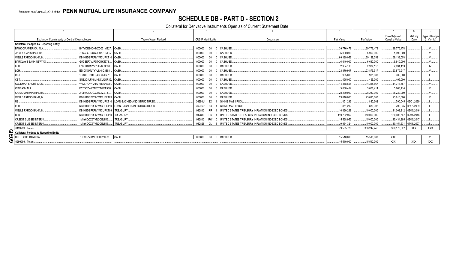## **SCHEDULE DB - PART D - SECTION 2**

#### Collateral for Derivative Instruments Open as of Current Statement Date

|                                                              |                                                   |                                    |                                                 |              |             | Book/Adiusted            | Maturity             | Type of Margin |
|--------------------------------------------------------------|---------------------------------------------------|------------------------------------|-------------------------------------------------|--------------|-------------|--------------------------|----------------------|----------------|
| Exchange, Counterparty or Central Clearinghouse              | Type of Asset Pledged                             | <b>CUSIP</b> Identification        | Description                                     | Fair Value   | Par Value   | Carrying Value           | Date                 | (I, V or IV)   |
| <b>Collateral Pledged by Reporting Entity</b>                |                                                   |                                    |                                                 |              |             |                          |                      |                |
| B4TYDEB6GKMZO031MB27 CASH<br>BANK OF AMERICA, N.A.           |                                                   | $00\,$<br>000000<br>CASHUSD.       |                                                 | .39,776,478  | 39,776,478  | .39,776,478              |                      |                |
| JP MORGAN CHASE BK.<br>7H6GLXDRUGQFU57RNE97. CASH.           |                                                   | $00\,$<br>000000<br><b>CASHUSD</b> |                                                 | .5,990,000   | .5,990,000  | 5,990,000                |                      |                |
| <b>WELLS FARGO BANK, N.,</b><br>KB1H1DSPRFMYMCUFXT10. CASH.  |                                                   | $00\,$<br><b>CASHUSD</b><br>000000 |                                                 | .69.139.053  | 69.139.053  | .69,139,053              |                      |                |
| <b>BARCLAYS BANK NEW YO.</b><br>G5GSEF7VJP5I7OUK5573         | CASH.                                             | 000000<br>$00\,$<br><b>CASHUSD</b> |                                                 | .6.640.000   | .6.640.000  | 6.640.000                |                      |                |
| E58DKGMJYYYJLN8C3868<br>LCH.                                 | CASH.                                             | 000000<br>$00\,$<br><b>CASHUSD</b> |                                                 | .2.934.113   | .2.934.113  | 2.934.113                |                      | .IV.           |
| LCH.<br>E58DKGMJYYYJLN8C3868                                 | CASH                                              | 000000<br>$00\,$<br><b>CASHUSD</b> |                                                 | .23,879,917  | 23.879.917  | .23,879,917              |                      |                |
| CBT<br>1UAUICTO4EQ4DO6ZH473 CASH                             |                                                   | 000000<br>$00\,$<br><b>CASHUSD</b> |                                                 | 905.000      | .905,000    | 905.000                  |                      |                |
| CBT<br>SNZ2OJLFK8MNNCLQOF39 CASH.                            |                                                   | 000000<br>$00\,$<br><b>CASHUSD</b> |                                                 | 495.000      | .495,000    | 495,000                  |                      |                |
| <b>GOLDMAN SACHS &amp; CO.</b><br>W22LROWP2IHZNBB6K528 CASH. |                                                   | 000000<br>$00\,$<br><b>CASHUSD</b> |                                                 | .14.318.667  | .14.318.667 | 14,318,667               |                      |                |
| CITIBANK N.A.<br>E57ODZWZ7FF32TWEFA76 CASH.                  |                                                   | 000000<br>$00\,$<br><b>CASHUSD</b> |                                                 | .5.668.414   | .5.668.414  | 5.668.414                |                      |                |
| CANADIAN IMPERIAL BA.<br>2IGI19DL77OX0HC3ZE78                | CASH.                                             | $00\,$<br>000000<br><b>CASHUSD</b> |                                                 | .28.230.000  | .28.230.000 | .28.230.000              |                      |                |
| <b>WELLS FARGO BANK. N.</b><br>KB1H1DSPRFMYMCUFXT09. CASH.   |                                                   | 000000<br>$00\,$<br>CASHUSD.       |                                                 | .23,610,000  | 23,610,000  | .23.610.000              |                      |                |
| US.                                                          | KB1H1DSPRFMYMCUFXT10. LOAN-BACKED AND STRUCTURED. | 36296U<br>ZX                       | <b>GINNIE MAE I POOL</b>                        | .851.292     | .830.302    |                          | .790.045 06/01/2039. |                |
| <b>LCH</b>                                                   | KB1H1DSPRFMYMCUFXT10. LOAN-BACKED AND STRUCTURED  | 36296U<br><b>ZX</b>                | <b>GINNIE MAE I POOL</b>                        | 851.292      | .830.302    |                          | .790.045 06/01/2039. |                |
| <b>WELLS FARGO BANK, N.,</b><br>KB1H1DSPRFMYMCUFXT09.        | TREASURY.                                         | 912810<br><b>RR</b>                | UNITED STATES TREASURY INFLATION INDEXED BONDS. | 10,890,268   | 10.000.000  | .11.008.812 02/15/2046.  |                      |                |
| <b>BER</b><br>KB1H1DSPRFMYMCUFXT10.                          | TREASURY.                                         | 912810<br><b>RR</b>                | UNITED STATES TREASURY INFLATION INDEXED BONDS. | .119.792.952 | 110.000.000 | 120,408,567              | 02/15/2046.          |                |
| <b>CREDIT SUISSE INTERN.</b><br>1V8Y6QCX6YMJ2OELII46         | TREASURY.                                         | 912810<br><b>RW</b>                | UNITED STATES TREASURY INFLATION INDEXED BONDS  | .15.568.956  | 15.000.000  | .15.434.885  02/15/2047. |                      |                |
| <b>CREDIT SUISSE INTERN.</b><br>1V8Y6QCX6YMJ2OELII46         | TREASURY.                                         | 912828<br>2L                       | UNITED STATES TREASURY INFLATION INDEXED BONDS  | .9.964.324   | .10.000.000 | .10,154,631              | 07/15/2027.          |                |
| 0199999. Totals                                              |                                                   |                                    |                                                 | .379.505.726 | 368.247.246 | .380,173,627             | <b>XXX</b>           | <b>XXX</b>     |
| Collateral Pledged to Reporting Entity                       |                                                   |                                    |                                                 |              |             |                          |                      |                |
| DEUTSCHE BANK SA.<br>7LTWFZYICNSX8D621K86 CASH.              |                                                   | 000000<br>00 0 CASHUSD.            |                                                 | .15,510,000  | .15,510,000 | XXX                      |                      | $\lambda$      |
| 0299999. Totals                                              |                                                   |                                    |                                                 | .15,510,000  | 15,510,000  | <b>XXX</b>               | <b>XXX</b>           | <b>XXX</b>     |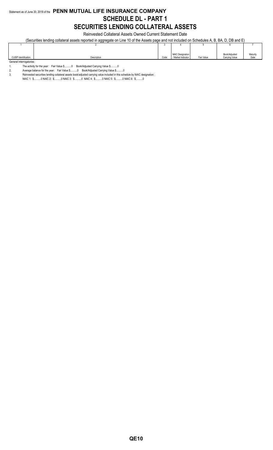### Statement as of June 30, 2018 of the **PENN MUTUAL LIFE INSURANCE COMPANY SCHEDULE DL - PART 1 SECURITIES LENDING COLLATERAL ASSETS**

Reinvested Collateral Assets Owned Current Statement Date

(Securities lending collateral assets reported in aggregate on Line 10 of the Assets page and not included on Schedules A, B, BA, D, DB and E)

|                             |             |      | <b>NAIC Designation</b> |            | Book/Adjusted  | Maturity |
|-----------------------------|-------------|------|-------------------------|------------|----------------|----------|
| <b>CUSIP</b> Identification | Description | Code | / Market Indicator      | Fair Value | Carrying Value | Date     |
| General Interrogatories:    |             |      |                         |            |                |          |

1. The activity for the year: Fair Value \$..........0 Book/Adjusted Carrying Value \$..........0<br>2. Average balance for the year: Fair Value \$..........0 Book/Adjusted Carrying Value \$.....

Average balance for the year: Fair Value \$...........0 Book/Adjusted Carrying Value \$..........0

3. Reinvested securities lending collateral assets book/adjusted carrying value included in this schedule by NAIC designation:

NAIC 1: \$..........0 NAIC 2: \$..........0 NAIC 3: \$..........0 NAIC 4: \$..........0 NAIC 5: \$..........0 NAIC 6: \$..........0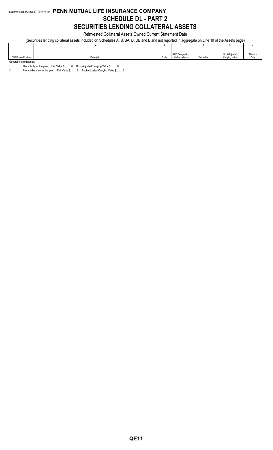## Statement as of June 30, 2018 of the **PENN MUTUAL LIFE INSURANCE COMPANY SCHEDULE DL - PART 2 SECURITIES LENDING COLLATERAL ASSETS**

Reinvested Collateral Assets Owned Current Statement Date

(Securities lending collateral assets included on Schedules A, B, BA, D, DB and E and not reported in aggregate on Line 10 of the Assets page)

|                          |             |      | NAIC Designation   |            | Book/Adjusted  | Maturity |
|--------------------------|-------------|------|--------------------|------------|----------------|----------|
| CUSIP Identification     | Description | Code | / Market Indicator | Fair Value | Carrying Value | Date     |
| General Interrogatories: |             |      |                    |            |                |          |

1. The activity for the year: Fair Value \$..........0 Book/Adjusted Carrying Value \$..........0<br>2. Average balance for the year: Fair Value \$..........0 Book/Adjusted Carrying Value \$.....

Average balance for the year: Fair Value \$...........0 Book/Adjusted Carrying Value \$..........0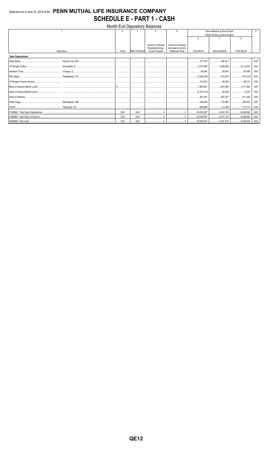## Statement as of June 30, 2018 of the PENN MUTUAL LIFE INSURANCE COMPANY **SCHEDULE E - PART 1 - CASH**

| <b>Month End Depository Balances</b> |            |            |                  |                        |                       |                              |                 |                    |            |
|--------------------------------------|------------|------------|------------------|------------------------|-----------------------|------------------------------|-----------------|--------------------|------------|
|                                      |            | 2          | ঽ                |                        | 5                     | Book Balance at End of Each  |                 |                    |            |
|                                      |            |            |                  |                        |                       | Month During Current Quarter |                 |                    |            |
|                                      |            |            |                  |                        |                       | 6                            |                 | 8                  |            |
|                                      |            |            |                  | Amount of Interest     | Amount of Interest    |                              |                 |                    |            |
|                                      |            |            |                  | <b>Received During</b> | Accrued at Current    |                              |                 |                    |            |
|                                      | Depository | Code       | Rate of Interest | <b>Current Quarter</b> | <b>Statement Date</b> | <b>First Month</b>           | Second Month    | <b>Third Month</b> |            |
| <b>Open Depositories</b>             |            |            |                  |                        |                       |                              |                 |                    |            |
|                                      |            |            |                  |                        |                       | 477.078                      | 1.188,421       |                    | XXX        |
|                                      |            |            |                  |                        |                       | 2,213,560                    |                 |                    | <b>XXX</b> |
|                                      |            |            |                  |                        |                       |                              | 49,891   50,080 |                    | XXX        |
|                                      |            |            |                  |                        |                       | 12.845.536                   |                 |                    | <b>XXX</b> |
|                                      |            |            |                  |                        |                       |                              |                 |                    | <b>XXX</b> |
|                                      |            |            |                  |                        |                       |                              |                 |                    | <b>XXX</b> |
|                                      |            |            |                  |                        |                       |                              |                 |                    | <b>XXX</b> |
|                                      |            |            |                  |                        |                       |                              |                 |                    | <b>XXX</b> |
|                                      |            |            |                  |                        |                       |                              | 370,965 385,544 |                    | <b>XXX</b> |
|                                      |            |            |                  |                        |                       | 1.1.1.689,880                |                 | 112,999 113,115    | <b>XXX</b> |
|                                      |            | <b>XXX</b> | <b>XXX</b>       |                        |                       | $\ldots$ 20,035,067          |                 |                    | <b>XXX</b> |
|                                      |            | <b>XXX</b> | <b>XXX</b>       |                        |                       | $\ldots$ 20,035,067          |                 |                    | <b>XXX</b> |
|                                      |            | XXX        | <b>XXX</b>       |                        |                       |                              |                 |                    | <b>XXX</b> |